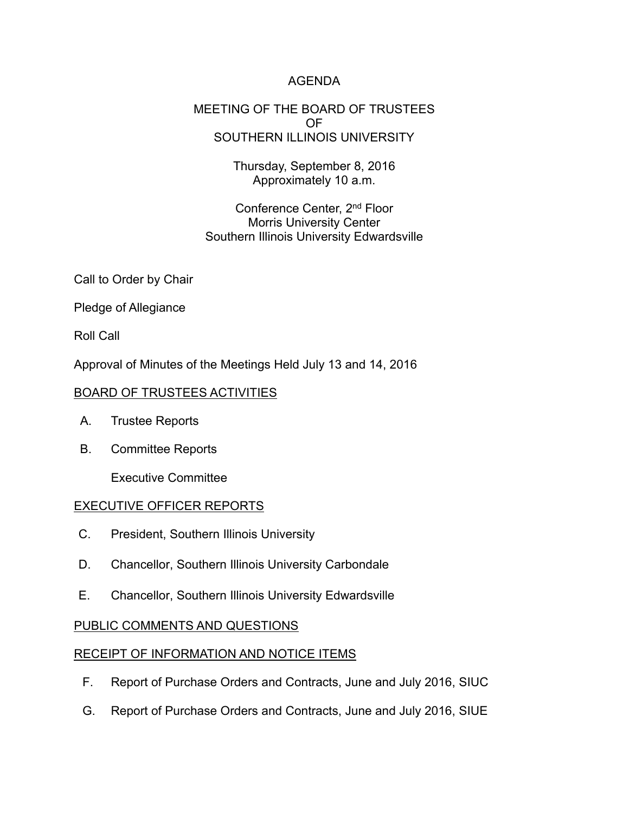## AGENDA

#### MEETING OF THE BOARD OF TRUSTEES OF SOUTHERN ILLINOIS UNIVERSITY

Thursday, September 8, 2016 Approximately 10 a.m.

Conference Center, 2nd Floor Morris University Center Southern Illinois University Edwardsville

Call to Order by Chair

Pledge of Allegiance

Roll Call

Approval of Minutes of the Meetings Held July 13 and 14, 2016

### BOARD OF TRUSTEES ACTIVITIES

- A. Trustee Reports
- B. Committee Reports

Executive Committee

### EXECUTIVE OFFICER REPORTS

- C. President, Southern Illinois University
- D. Chancellor, Southern Illinois University Carbondale
- E. Chancellor, Southern Illinois University Edwardsville

### PUBLIC COMMENTS AND QUESTIONS

### RECEIPT OF INFORMATION AND NOTICE ITEMS

- F. Report of Purchase Orders and Contracts, June and July 2016, SIUC
- G. Report of Purchase Orders and Contracts, June and July 2016, SIUE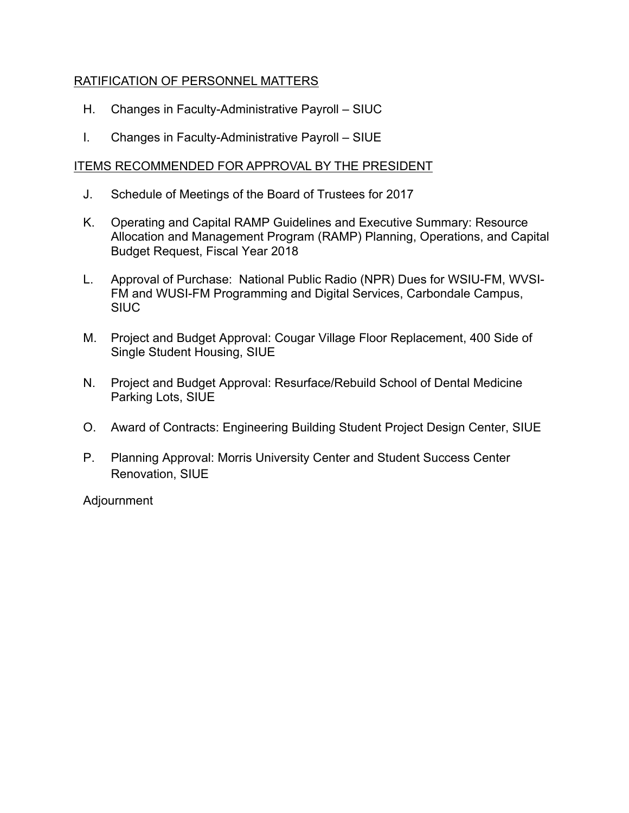## RATIFICATION OF PERSONNEL MATTERS

- H. Changes in Faculty-Administrative Payroll SIUC
- I. Changes in Faculty-Administrative Payroll SIUE

### ITEMS RECOMMENDED FOR APPROVAL BY THE PRESIDENT

- J. Schedule of Meetings of the Board of Trustees for 2017
- K. Operating and Capital RAMP Guidelines and Executive Summary: Resource Allocation and Management Program (RAMP) Planning, Operations, and Capital Budget Request, Fiscal Year 2018
- L. Approval of Purchase: National Public Radio (NPR) Dues for WSIU-FM, WVSI-FM and WUSI-FM Programming and Digital Services, Carbondale Campus, **SIUC**
- M. Project and Budget Approval: Cougar Village Floor Replacement, 400 Side of Single Student Housing, SIUE
- N. Project and Budget Approval: Resurface/Rebuild School of Dental Medicine Parking Lots, SIUE
- O. Award of Contracts: Engineering Building Student Project Design Center, SIUE
- P. Planning Approval: Morris University Center and Student Success Center Renovation, SIUE

Adjournment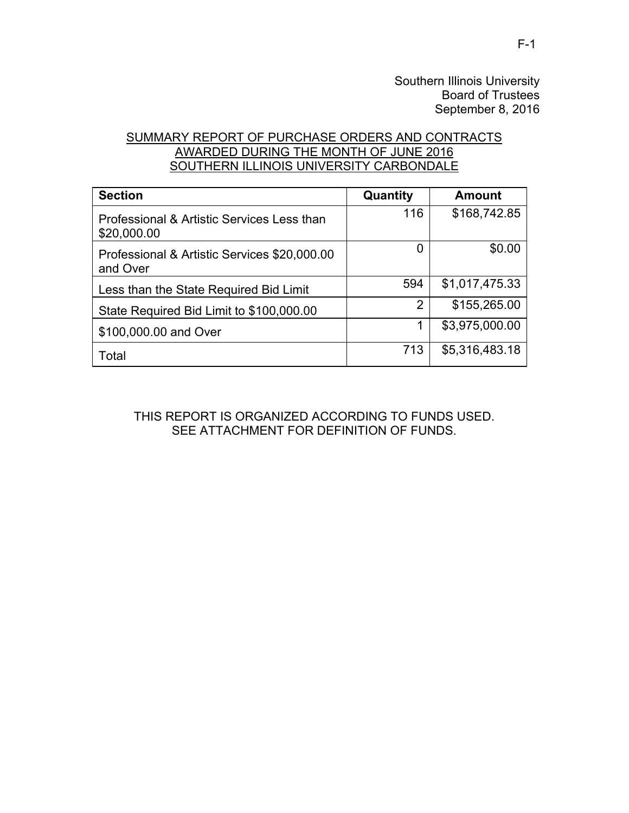Southern Illinois University Board of Trustees September 8, 2016

## SUMMARY REPORT OF PURCHASE ORDERS AND CONTRACTS AWARDED DURING THE MONTH OF JUNE 2016 SOUTHERN ILLINOIS UNIVERSITY CARBONDALE

| <b>Section</b>                                            | Quantity | <b>Amount</b>  |
|-----------------------------------------------------------|----------|----------------|
| Professional & Artistic Services Less than<br>\$20,000.00 | 116      | \$168,742.85   |
| Professional & Artistic Services \$20,000.00<br>and Over  | 0        | \$0.00         |
| Less than the State Required Bid Limit                    | 594      | \$1,017,475.33 |
| State Required Bid Limit to \$100,000.00                  | 2        | \$155,265.00   |
| \$100,000.00 and Over                                     |          | \$3,975,000.00 |
| Total                                                     | 713      | \$5,316,483.18 |

THIS REPORT IS ORGANIZED ACCORDING TO FUNDS USED. SEE ATTACHMENT FOR DEFINITION OF FUNDS.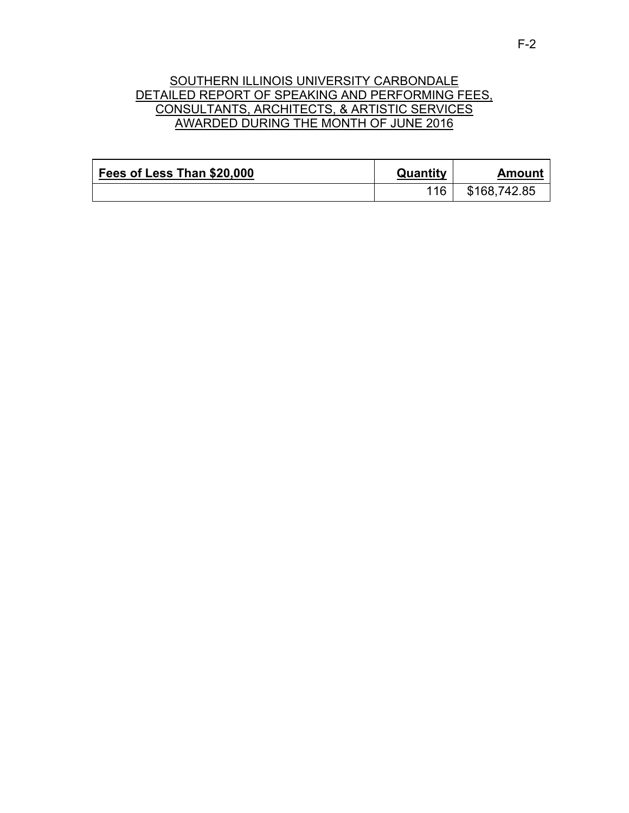## SOUTHERN ILLINOIS UNIVERSITY CARBONDALE DETAILED REPORT OF SPEAKING AND PERFORMING FEES, CONSULTANTS, ARCHITECTS, & ARTISTIC SERVICES AWARDED DURING THE MONTH OF JUNE 2016

| Fees of Less Than \$20,000 | Quantity | Amount       |
|----------------------------|----------|--------------|
|                            | 116      | \$168,742.85 |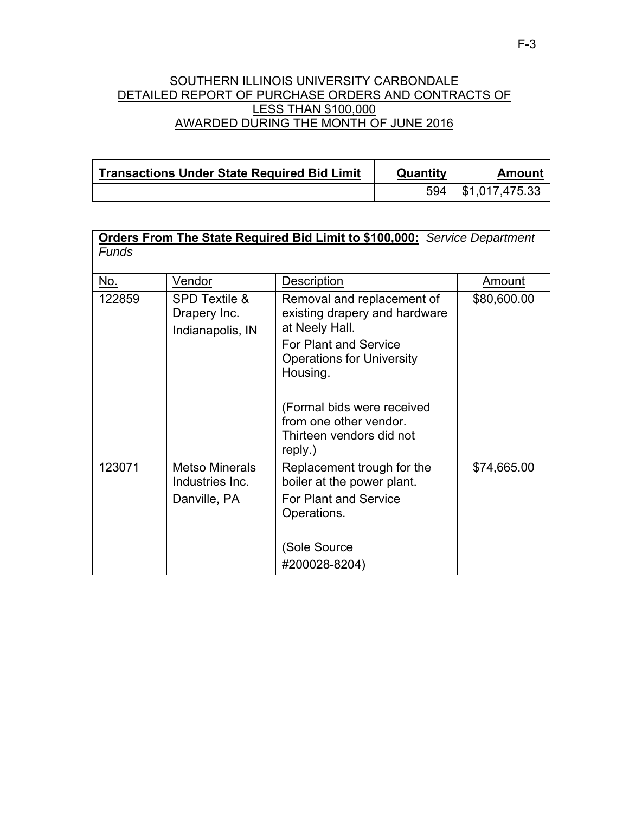#### SOUTHERN ILLINOIS UNIVERSITY CARBONDALE DETAILED REPORT OF PURCHASE ORDERS AND CONTRACTS OF LESS THAN \$100,000 AWARDED DURING THE MONTH OF JUNE 2016

| <b>Transactions Under State Required Bid Limit</b> | Quantity | Amount         |
|----------------------------------------------------|----------|----------------|
|                                                    | 594      | \$1,017,475.33 |

| <b>Funds</b> |                                                              | <b>Orders From The State Required Bid Limit to \$100,000:</b> Service Department                        |               |
|--------------|--------------------------------------------------------------|---------------------------------------------------------------------------------------------------------|---------------|
| <u>No.</u>   | Vendor                                                       | Description                                                                                             | <u>Amount</u> |
| 122859       | <b>SPD Textile &amp;</b><br>Drapery Inc.<br>Indianapolis, IN | Removal and replacement of<br>existing drapery and hardware<br>at Neely Hall.                           | \$80,600.00   |
|              |                                                              | <b>For Plant and Service</b><br><b>Operations for University</b><br>Housing.                            |               |
|              |                                                              | (Formal bids were received<br>from one other vendor.<br>Thirteen vendors did not<br>reply.)             |               |
| 123071       | <b>Metso Minerals</b><br>Industries Inc.<br>Danville, PA     | Replacement trough for the<br>boiler at the power plant.<br><b>For Plant and Service</b><br>Operations. | \$74,665.00   |
|              |                                                              | (Sole Source                                                                                            |               |
|              |                                                              | #200028-8204)                                                                                           |               |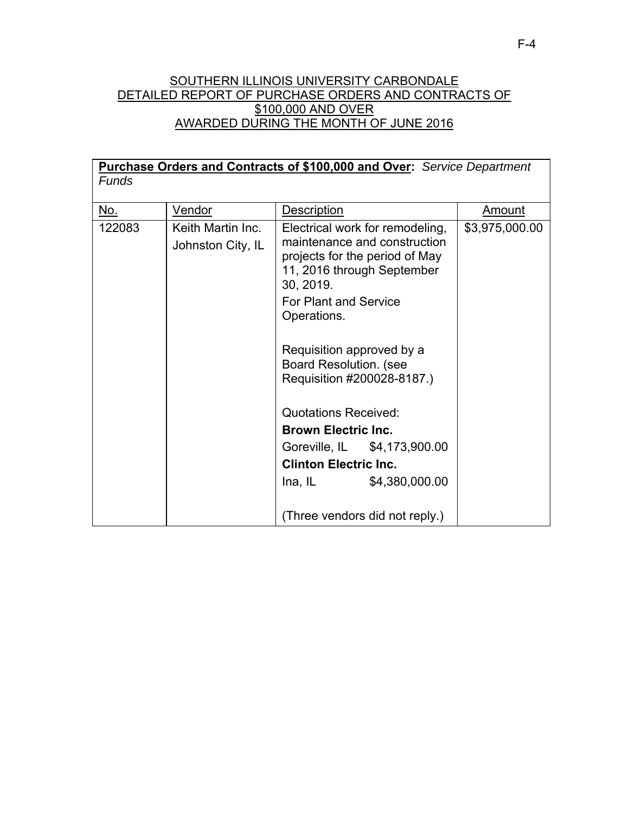## SOUTHERN ILLINOIS UNIVERSITY CARBONDALE DETAILED REPORT OF PURCHASE ORDERS AND CONTRACTS OF \$100,000 AND OVER AWARDED DURING THE MONTH OF JUNE 2016

| Purchase Orders and Contracts of \$100,000 and Over: Service Department |                                        |                                                                                                           |                                 |                |
|-------------------------------------------------------------------------|----------------------------------------|-----------------------------------------------------------------------------------------------------------|---------------------------------|----------------|
| <b>Funds</b>                                                            |                                        |                                                                                                           |                                 |                |
|                                                                         |                                        |                                                                                                           |                                 |                |
| <u>No.</u>                                                              | <u>Vendor</u>                          | Description                                                                                               |                                 | <u>Amount</u>  |
| 122083                                                                  | Keith Martin Inc.<br>Johnston City, IL | maintenance and construction<br>projects for the period of May<br>11, 2016 through September<br>30, 2019. | Electrical work for remodeling, | \$3,975,000.00 |
|                                                                         |                                        | <b>For Plant and Service</b><br>Operations.<br>Requisition approved by a                                  |                                 |                |
|                                                                         |                                        | <b>Board Resolution. (see</b><br>Requisition #200028-8187.)                                               |                                 |                |
|                                                                         |                                        | Quotations Received:                                                                                      |                                 |                |
|                                                                         |                                        | <b>Brown Electric Inc.</b>                                                                                |                                 |                |
|                                                                         |                                        |                                                                                                           | Goreville, IL \$4,173,900.00    |                |
|                                                                         |                                        | <b>Clinton Electric Inc.</b>                                                                              |                                 |                |
|                                                                         |                                        | Ina, IL                                                                                                   | \$4,380,000.00                  |                |
|                                                                         |                                        | (Three vendors did not reply.)                                                                            |                                 |                |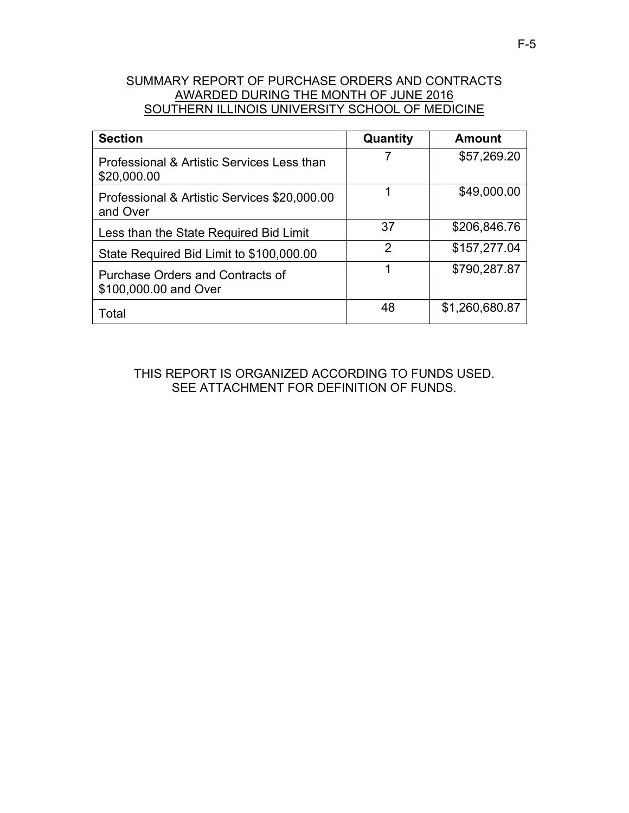# SUMMARY REPORT OF PURCHASE ORDERS AND CONTRACTS AWARDED DURING THE MONTH OF JUNE 2016 SOUTHERN ILLINOIS UNIVERSITY SCHOOL OF MEDICINE

| <b>Section</b>                                            | Quantity      | <b>Amount</b>  |
|-----------------------------------------------------------|---------------|----------------|
| Professional & Artistic Services Less than<br>\$20,000.00 |               | \$57,269.20    |
| Professional & Artistic Services \$20,000.00<br>and Over  | 1             | \$49,000.00    |
| Less than the State Required Bid Limit                    | 37            | \$206,846.76   |
| State Required Bid Limit to \$100,000.00                  | $\mathcal{P}$ | \$157,277.04   |
| Purchase Orders and Contracts of<br>\$100,000.00 and Over | 1             | \$790,287.87   |
| Total                                                     | 48            | \$1,260,680.87 |

THIS REPORT IS ORGANIZED ACCORDING TO FUNDS USED. SEE ATTACHMENT FOR DEFINITION OF FUNDS.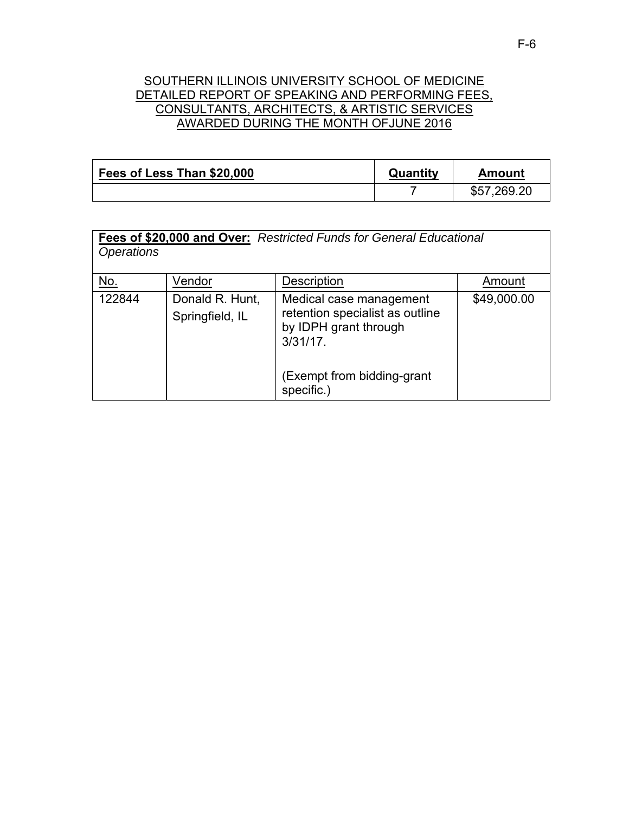### SOUTHERN ILLINOIS UNIVERSITY SCHOOL OF MEDICINE DETAILED REPORT OF SPEAKING AND PERFORMING FEES, CONSULTANTS, ARCHITECTS, & ARTISTIC SERVICES AWARDED DURING THE MONTH OFJUNE 2016

| Fees of Less Than \$20,000 | Quantity | Amount      |
|----------------------------|----------|-------------|
|                            |          | \$57,269.20 |

**Fees of \$20,000 and Over:** *Restricted Funds for General Educational Operations* 

| <u>No.</u> | Vendor                             | Description                                                                                        | Amount      |
|------------|------------------------------------|----------------------------------------------------------------------------------------------------|-------------|
| 122844     | Donald R. Hunt,<br>Springfield, IL | Medical case management<br>retention specialist as outline<br>by IDPH grant through<br>$3/31/17$ . | \$49,000.00 |
|            |                                    | (Exempt from bidding-grant<br>specific.)                                                           |             |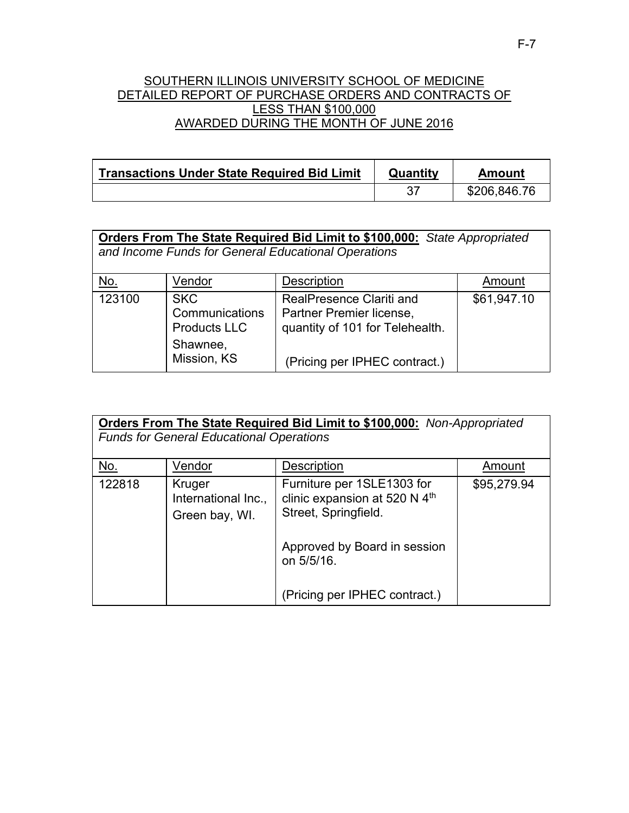## SOUTHERN ILLINOIS UNIVERSITY SCHOOL OF MEDICINE DETAILED REPORT OF PURCHASE ORDERS AND CONTRACTS OF LESS THAN \$100,000 AWARDED DURING THE MONTH OF JUNE 2016

| <b>Transactions Under State Required Bid Limit</b> | Quantity | Amount       |
|----------------------------------------------------|----------|--------------|
|                                                    | -37      | \$206,846.76 |

| <b>Orders From The State Required Bid Limit to \$100,000:</b> State Appropriated |  |
|----------------------------------------------------------------------------------|--|
| and Income Funds for General Educational Operations                              |  |

| <u>No.</u> | Vendor                                                                         | <b>Description</b>                                                                                                       | Amount      |
|------------|--------------------------------------------------------------------------------|--------------------------------------------------------------------------------------------------------------------------|-------------|
| 123100     | <b>SKC</b><br>Communications<br><b>Products LLC</b><br>Shawnee,<br>Mission, KS | RealPresence Clariti and<br>Partner Premier license,<br>quantity of 101 for Telehealth.<br>(Pricing per IPHEC contract.) | \$61,947.10 |

| <b>Orders From The State Required Bid Limit to \$100,000:</b> Non-Appropriated<br><b>Funds for General Educational Operations</b> |                                                 |                                                                                     |             |
|-----------------------------------------------------------------------------------------------------------------------------------|-------------------------------------------------|-------------------------------------------------------------------------------------|-------------|
| <u>No.</u>                                                                                                                        | Vendor                                          | Description                                                                         | Amount      |
| 122818                                                                                                                            | Kruger<br>International Inc.,<br>Green bay, WI. | Furniture per 1SLE1303 for<br>clinic expansion at 520 N 4th<br>Street, Springfield. | \$95,279.94 |
|                                                                                                                                   |                                                 | Approved by Board in session<br>on 5/5/16.<br>(Pricing per IPHEC contract.)         |             |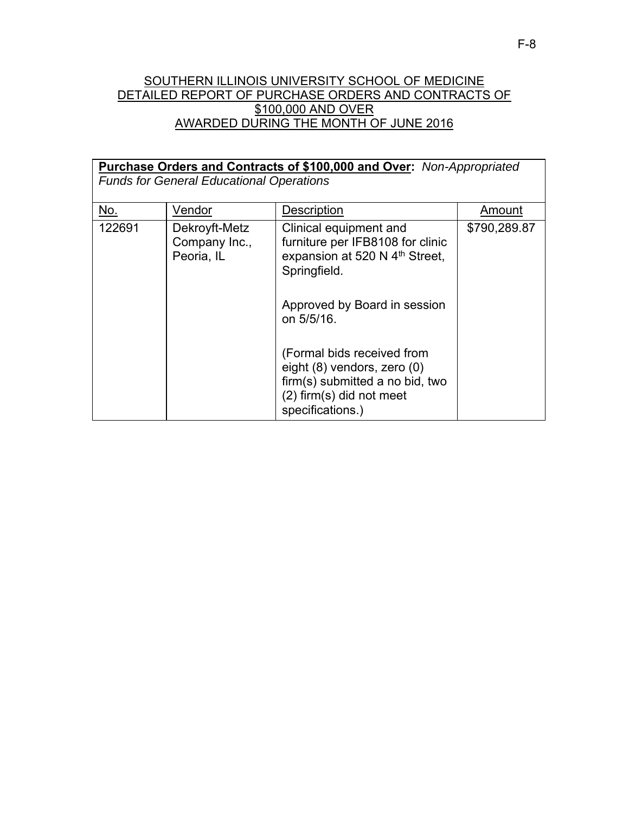## SOUTHERN ILLINOIS UNIVERSITY SCHOOL OF MEDICINE DETAILED REPORT OF PURCHASE ORDERS AND CONTRACTS OF \$100,000 AND OVER AWARDED DURING THE MONTH OF JUNE 2016

| Purchase Orders and Contracts of \$100,000 and Over: Non-Appropriated<br><b>Funds for General Educational Operations</b> |                                              |                                                                                                                                                                        |              |
|--------------------------------------------------------------------------------------------------------------------------|----------------------------------------------|------------------------------------------------------------------------------------------------------------------------------------------------------------------------|--------------|
| No.                                                                                                                      | Vendor                                       | <b>Description</b>                                                                                                                                                     | Amount       |
| 122691                                                                                                                   | Dekroyft-Metz<br>Company Inc.,<br>Peoria, IL | Clinical equipment and<br>furniture per IFB8108 for clinic<br>expansion at 520 N 4 <sup>th</sup> Street,<br>Springfield.<br>Approved by Board in session<br>on 5/5/16. | \$790,289.87 |
|                                                                                                                          |                                              | (Formal bids received from<br>eight (8) vendors, zero (0)<br>firm(s) submitted a no bid, two<br>(2) firm(s) did not meet<br>specifications.)                           |              |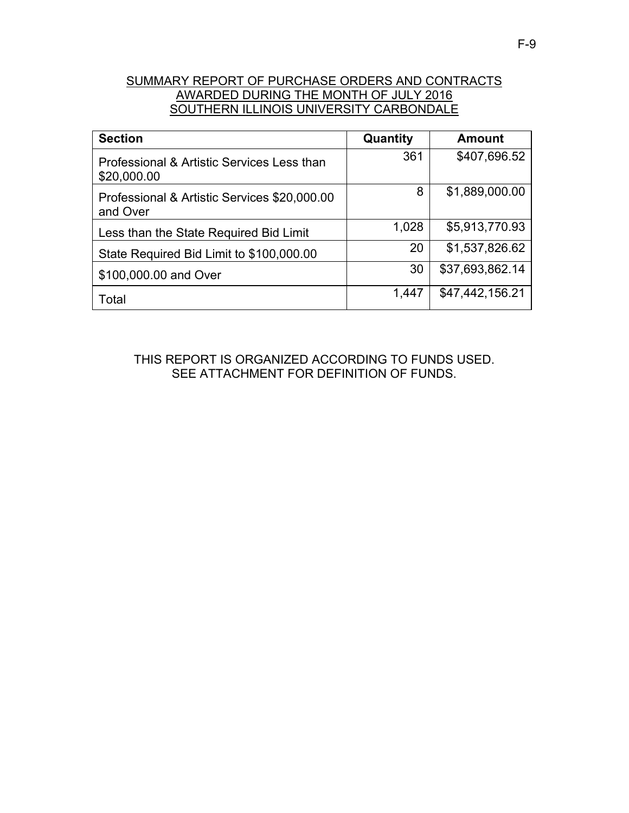# SUMMARY REPORT OF PURCHASE ORDERS AND CONTRACTS AWARDED DURING THE MONTH OF JULY 2016 SOUTHERN ILLINOIS UNIVERSITY CARBONDALE

| <b>Section</b>                                            | Quantity | <b>Amount</b>   |
|-----------------------------------------------------------|----------|-----------------|
| Professional & Artistic Services Less than<br>\$20,000.00 | 361      | \$407,696.52    |
| Professional & Artistic Services \$20,000.00<br>and Over  | 8        | \$1,889,000.00  |
| Less than the State Required Bid Limit                    | 1,028    | \$5,913,770.93  |
| State Required Bid Limit to \$100,000.00                  | 20       | \$1,537,826.62  |
| \$100,000.00 and Over                                     | 30       | \$37,693,862.14 |
| Total                                                     | 1,447    | \$47,442,156.21 |

THIS REPORT IS ORGANIZED ACCORDING TO FUNDS USED. SEE ATTACHMENT FOR DEFINITION OF FUNDS.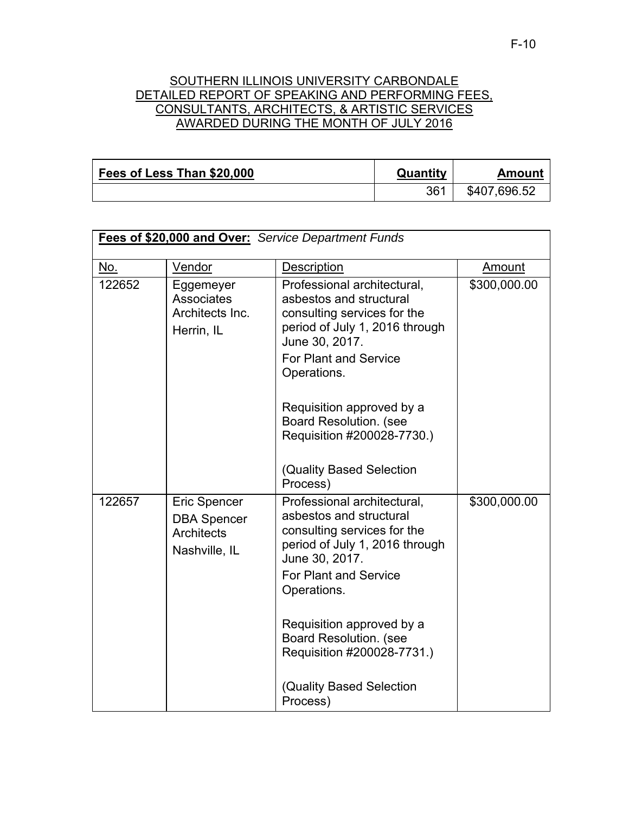## SOUTHERN ILLINOIS UNIVERSITY CARBONDALE DETAILED REPORT OF SPEAKING AND PERFORMING FEES, CONSULTANTS, ARCHITECTS, & ARTISTIC SERVICES AWARDED DURING THE MONTH OF JULY 2016

| Fees of Less Than \$20,000 | Quantity | Amount       |
|----------------------------|----------|--------------|
|                            | 361      | \$407,696.52 |

| Fees of \$20,000 and Over: Service Department Funds |                                                                          |                                                                                                                                                                                                                                                                                                                                   |              |
|-----------------------------------------------------|--------------------------------------------------------------------------|-----------------------------------------------------------------------------------------------------------------------------------------------------------------------------------------------------------------------------------------------------------------------------------------------------------------------------------|--------------|
| <u>No.</u>                                          | Vendor                                                                   | Description                                                                                                                                                                                                                                                                                                                       | Amount       |
| 122652                                              | Eggemeyer<br><b>Associates</b><br>Architects Inc.<br>Herrin, IL          | Professional architectural,<br>asbestos and structural<br>consulting services for the<br>period of July 1, 2016 through<br>June 30, 2017.<br><b>For Plant and Service</b><br>Operations.<br>Requisition approved by a<br><b>Board Resolution. (see</b><br>Requisition #200028-7730.)<br>(Quality Based Selection                  | \$300,000.00 |
| 122657                                              | Eric Spencer<br><b>DBA Spencer</b><br><b>Architects</b><br>Nashville, IL | Process)<br>Professional architectural,<br>asbestos and structural<br>consulting services for the<br>period of July 1, 2016 through<br>June 30, 2017.<br><b>For Plant and Service</b><br>Operations.<br>Requisition approved by a<br>Board Resolution. (see<br>Requisition #200028-7731.)<br>(Quality Based Selection<br>Process) | \$300,000.00 |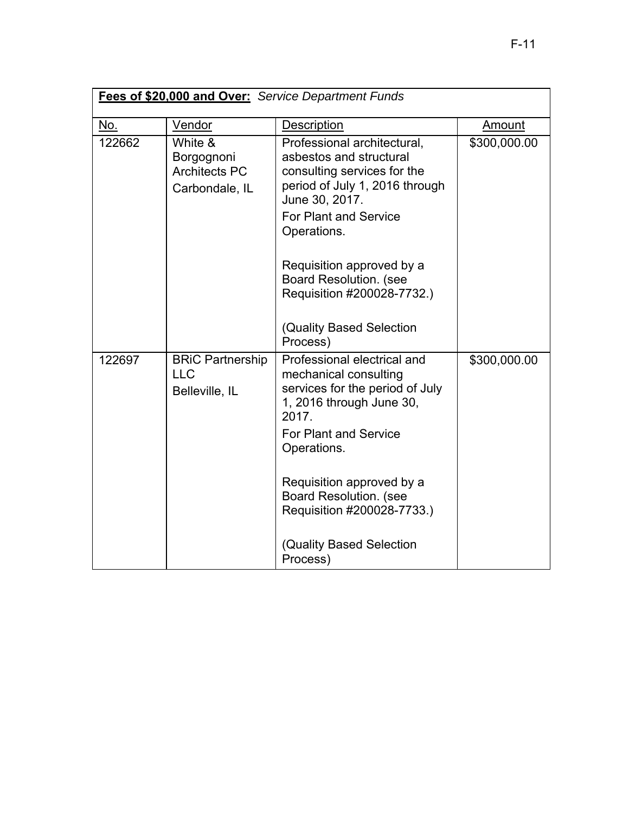| Fees of \$20,000 and Over: Service Department Funds |                                                                 |                                                                                                                                                                                                                       |              |
|-----------------------------------------------------|-----------------------------------------------------------------|-----------------------------------------------------------------------------------------------------------------------------------------------------------------------------------------------------------------------|--------------|
| No.                                                 | Vendor                                                          | Description                                                                                                                                                                                                           | Amount       |
| 122662                                              | White &<br>Borgognoni<br><b>Architects PC</b><br>Carbondale, IL | Professional architectural,<br>asbestos and structural<br>consulting services for the<br>period of July 1, 2016 through<br>June 30, 2017.<br><b>For Plant and Service</b><br>Operations.<br>Requisition approved by a | \$300,000.00 |
|                                                     |                                                                 | <b>Board Resolution. (see</b><br>Requisition #200028-7732.)<br>(Quality Based Selection<br>Process)                                                                                                                   |              |
| 122697                                              | <b>BRIC Partnership</b><br><b>LLC</b><br>Belleville, IL         | Professional electrical and<br>mechanical consulting<br>services for the period of July<br>1, 2016 through June 30,<br>2017.<br><b>For Plant and Service</b><br>Operations.                                           | \$300,000.00 |
|                                                     |                                                                 | Requisition approved by a<br>Board Resolution. (see<br>Requisition #200028-7733.)<br>(Quality Based Selection<br>Process)                                                                                             |              |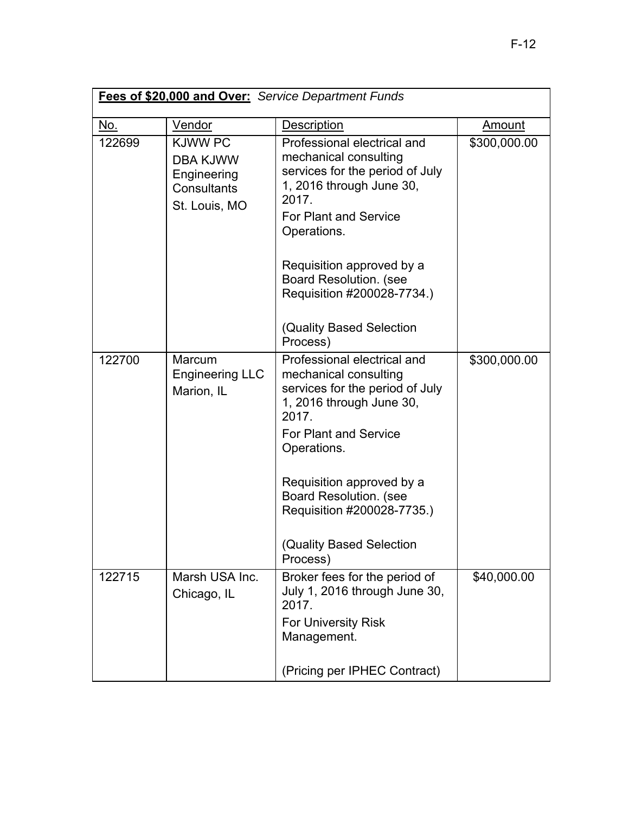| Fees of \$20,000 and Over: Service Department Funds |                                                                                  |                                                                                                                                                                                                                                                                                                   |               |
|-----------------------------------------------------|----------------------------------------------------------------------------------|---------------------------------------------------------------------------------------------------------------------------------------------------------------------------------------------------------------------------------------------------------------------------------------------------|---------------|
| <u>No.</u>                                          | Vendor                                                                           | Description                                                                                                                                                                                                                                                                                       | <b>Amount</b> |
| 122699                                              | <b>KJWW PC</b><br><b>DBA KJWW</b><br>Engineering<br>Consultants<br>St. Louis, MO | Professional electrical and<br>mechanical consulting<br>services for the period of July<br>1, 2016 through June 30,<br>2017.<br><b>For Plant and Service</b><br>Operations.                                                                                                                       | \$300,000.00  |
|                                                     |                                                                                  | Requisition approved by a<br><b>Board Resolution. (see</b><br>Requisition #200028-7734.)<br>(Quality Based Selection<br>Process)                                                                                                                                                                  |               |
| 122700                                              | Marcum<br><b>Engineering LLC</b><br>Marion, IL                                   | Professional electrical and<br>mechanical consulting<br>services for the period of July<br>1, 2016 through June 30,<br>2017.<br>For Plant and Service<br>Operations.<br>Requisition approved by a<br>Board Resolution. (see<br>Requisition #200028-7735.)<br>(Quality Based Selection<br>Process) | \$300,000.00  |
| 122715                                              | Marsh USA Inc.<br>Chicago, IL                                                    | Broker fees for the period of<br>July 1, 2016 through June 30,<br>2017.<br><b>For University Risk</b><br>Management.<br>(Pricing per IPHEC Contract)                                                                                                                                              | \$40,000.00   |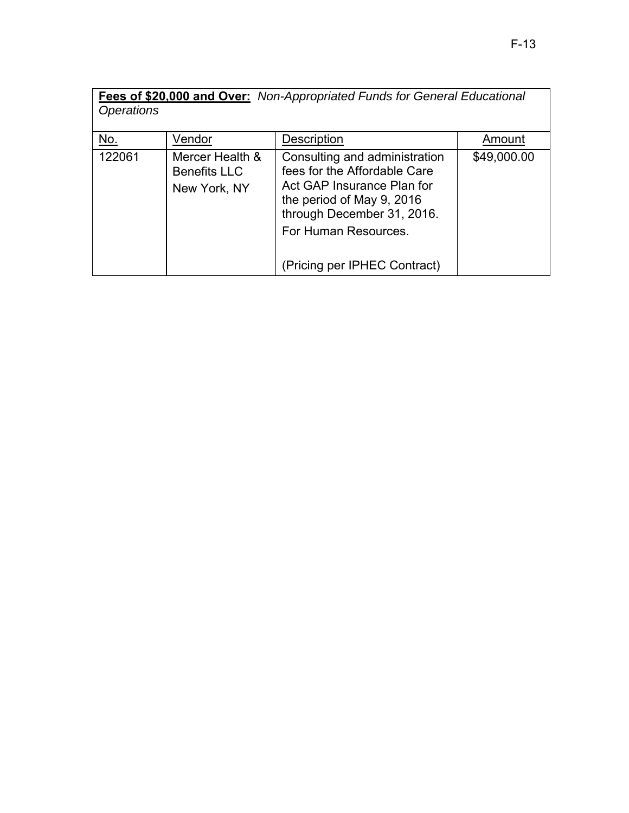| Fees of \$20,000 and Over: Non-Appropriated Funds for General Educational |                                                        |                                                                                                                                                                                |             |
|---------------------------------------------------------------------------|--------------------------------------------------------|--------------------------------------------------------------------------------------------------------------------------------------------------------------------------------|-------------|
| <i><b>Operations</b></i>                                                  |                                                        |                                                                                                                                                                                |             |
| No.                                                                       | Vendor                                                 | Description                                                                                                                                                                    | Amount      |
| 122061                                                                    | Mercer Health &<br><b>Benefits LLC</b><br>New York, NY | Consulting and administration<br>fees for the Affordable Care<br>Act GAP Insurance Plan for<br>the period of May 9, 2016<br>through December 31, 2016.<br>For Human Resources. | \$49,000.00 |
|                                                                           |                                                        | (Pricing per IPHEC Contract)                                                                                                                                                   |             |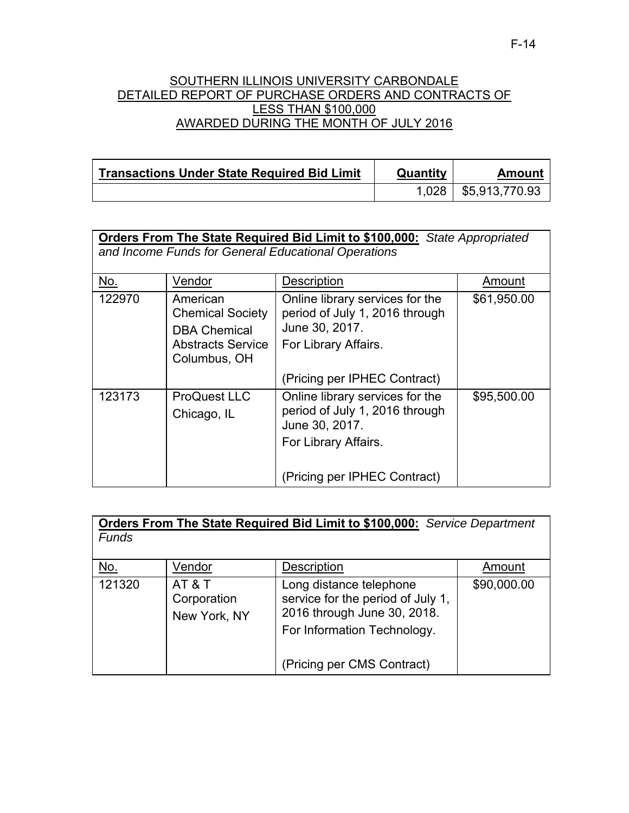#### SOUTHERN ILLINOIS UNIVERSITY CARBONDALE DETAILED REPORT OF PURCHASE ORDERS AND CONTRACTS OF LESS THAN \$100,000 AWARDED DURING THE MONTH OF JULY 2016

| <b>Transactions Under State Required Bid Limit</b> | Quantity | Amount         |
|----------------------------------------------------|----------|----------------|
|                                                    | 1.028 L  | \$5,913,770.93 |

| <b>Orders From The State Required Bid Limit to \$100,000:</b> State Appropriated<br>and Income Funds for General Educational Operations |                                                                                                 |                                                                                                             |             |
|-----------------------------------------------------------------------------------------------------------------------------------------|-------------------------------------------------------------------------------------------------|-------------------------------------------------------------------------------------------------------------|-------------|
| <u>No.</u>                                                                                                                              | Vendor                                                                                          | Description                                                                                                 | Amount      |
| 122970                                                                                                                                  | American<br><b>Chemical Society</b><br><b>DBA Chemical</b><br>Abstracts Service<br>Columbus, OH | Online library services for the<br>period of July 1, 2016 through<br>June 30, 2017.<br>For Library Affairs. | \$61,950.00 |
|                                                                                                                                         |                                                                                                 | (Pricing per IPHEC Contract)                                                                                |             |
| 123173                                                                                                                                  | <b>ProQuest LLC</b><br>Chicago, IL                                                              | Online library services for the<br>period of July 1, 2016 through<br>June 30, 2017.<br>For Library Affairs. | \$95,500.00 |
|                                                                                                                                         |                                                                                                 | (Pricing per IPHEC Contract)                                                                                |             |

| <b>Orders From The State Required Bid Limit to \$100,000:</b> Service Department |                                     |                                                                                                                            |             |
|----------------------------------------------------------------------------------|-------------------------------------|----------------------------------------------------------------------------------------------------------------------------|-------------|
| <b>Funds</b>                                                                     |                                     |                                                                                                                            |             |
|                                                                                  |                                     |                                                                                                                            |             |
| No.                                                                              | Vendor                              | Description                                                                                                                | Amount      |
| 121320                                                                           | AT&T<br>Corporation<br>New York, NY | Long distance telephone<br>service for the period of July 1,<br>2016 through June 30, 2018.<br>For Information Technology. | \$90,000.00 |
|                                                                                  |                                     | (Pricing per CMS Contract)                                                                                                 |             |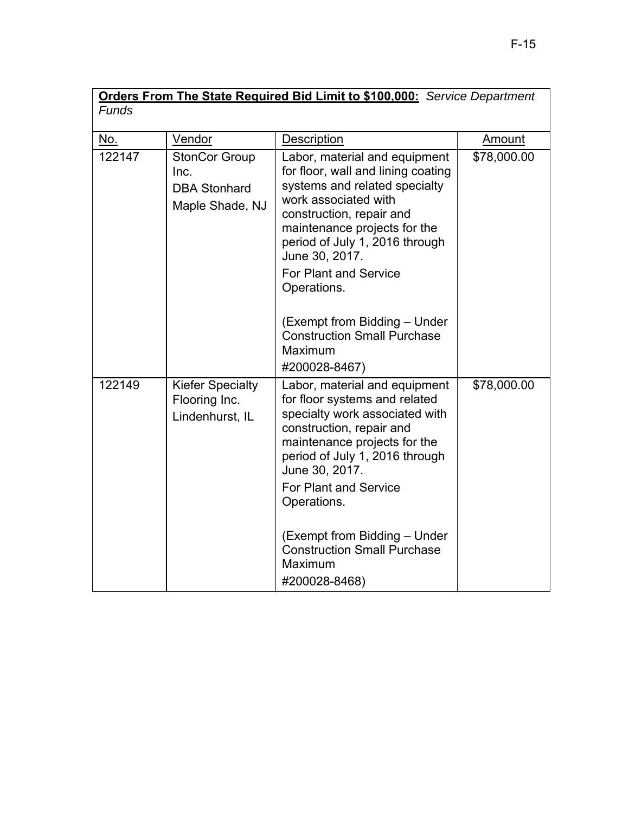| <b>Orders From The State Required Bid Limit to \$100,000:</b> Service Department |                                                                        |                                                                                                                                                                                                                                                                                                 |             |
|----------------------------------------------------------------------------------|------------------------------------------------------------------------|-------------------------------------------------------------------------------------------------------------------------------------------------------------------------------------------------------------------------------------------------------------------------------------------------|-------------|
| <b>Funds</b>                                                                     |                                                                        |                                                                                                                                                                                                                                                                                                 |             |
| No.                                                                              | Vendor                                                                 | Description                                                                                                                                                                                                                                                                                     | Amount      |
| 122147                                                                           | <b>StonCor Group</b><br>Inc.<br><b>DBA Stonhard</b><br>Maple Shade, NJ | Labor, material and equipment<br>for floor, wall and lining coating<br>systems and related specialty<br>work associated with<br>construction, repair and<br>maintenance projects for the<br>period of July 1, 2016 through<br>June 30, 2017.<br><b>For Plant and Service</b><br>Operations.     | \$78,000.00 |
|                                                                                  |                                                                        | (Exempt from Bidding - Under<br><b>Construction Small Purchase</b><br>Maximum<br>#200028-8467)                                                                                                                                                                                                  |             |
| 122149                                                                           | <b>Kiefer Specialty</b><br>Flooring Inc.<br>Lindenhurst, IL            | Labor, material and equipment<br>for floor systems and related<br>specialty work associated with<br>construction, repair and<br>maintenance projects for the<br>period of July 1, 2016 through<br>June 30, 2017.<br><b>For Plant and Service</b><br>Operations.<br>(Exempt from Bidding - Under | \$78,000.00 |
|                                                                                  |                                                                        | <b>Construction Small Purchase</b><br>Maximum<br>#200028-8468)                                                                                                                                                                                                                                  |             |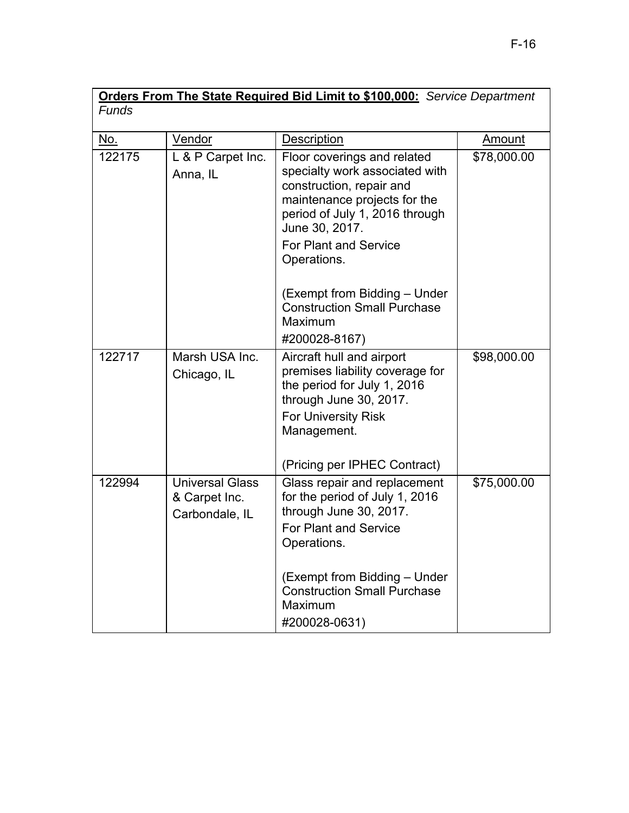| <b>Orders From The State Required Bid Limit to \$100,000:</b> Service Department |                                                           |                                                                                                                                                                                                                                           |             |  |
|----------------------------------------------------------------------------------|-----------------------------------------------------------|-------------------------------------------------------------------------------------------------------------------------------------------------------------------------------------------------------------------------------------------|-------------|--|
| Funds                                                                            |                                                           |                                                                                                                                                                                                                                           |             |  |
| <u>No.</u>                                                                       | Vendor                                                    | Description                                                                                                                                                                                                                               | Amount      |  |
| 122175                                                                           | L & P Carpet Inc.<br>Anna, IL                             | Floor coverings and related<br>specialty work associated with<br>construction, repair and<br>maintenance projects for the<br>period of July 1, 2016 through<br>June 30, 2017.<br><b>For Plant and Service</b><br>Operations.              | \$78,000.00 |  |
|                                                                                  |                                                           | (Exempt from Bidding – Under<br><b>Construction Small Purchase</b><br>Maximum<br>#200028-8167)                                                                                                                                            |             |  |
| 122717                                                                           | Marsh USA Inc.<br>Chicago, IL                             | Aircraft hull and airport<br>premises liability coverage for<br>the period for July 1, 2016<br>through June 30, 2017.<br><b>For University Risk</b><br>Management.<br>(Pricing per IPHEC Contract)                                        | \$98,000.00 |  |
| 122994                                                                           | <b>Universal Glass</b><br>& Carpet Inc.<br>Carbondale, IL | Glass repair and replacement<br>for the period of July 1, 2016<br>through June 30, 2017.<br><b>For Plant and Service</b><br>Operations.<br>(Exempt from Bidding - Under<br><b>Construction Small Purchase</b><br>Maximum<br>#200028-0631) | \$75,000.00 |  |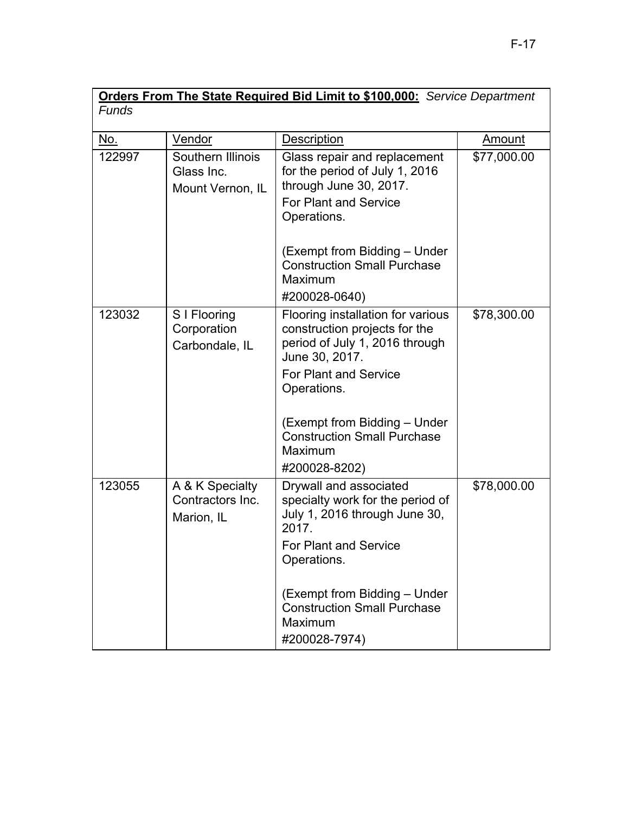| Orders From The State Required Bid Limit to \$100,000: Service Department |                                                     |                                                                                                                                                                                                                                                                         |             |
|---------------------------------------------------------------------------|-----------------------------------------------------|-------------------------------------------------------------------------------------------------------------------------------------------------------------------------------------------------------------------------------------------------------------------------|-------------|
| <b>Funds</b>                                                              |                                                     |                                                                                                                                                                                                                                                                         |             |
| <u>No.</u>                                                                | Vendor                                              | <b>Description</b>                                                                                                                                                                                                                                                      | Amount      |
| 122997                                                                    | Southern Illinois<br>Glass Inc.<br>Mount Vernon, IL | Glass repair and replacement<br>for the period of July 1, 2016<br>through June 30, 2017.<br>For Plant and Service<br>Operations.                                                                                                                                        | \$77,000.00 |
|                                                                           |                                                     | (Exempt from Bidding - Under<br><b>Construction Small Purchase</b><br>Maximum<br>#200028-0640)                                                                                                                                                                          |             |
| 123032                                                                    | S I Flooring<br>Corporation<br>Carbondale, IL       | Flooring installation for various<br>construction projects for the<br>period of July 1, 2016 through<br>June 30, 2017.<br><b>For Plant and Service</b><br>Operations.<br>(Exempt from Bidding – Under<br><b>Construction Small Purchase</b><br>Maximum<br>#200028-8202) | \$78,300.00 |
| 123055                                                                    | A & K Specialty<br>Contractors Inc.<br>Marion, IL   | Drywall and associated<br>specialty work for the period of<br>July 1, 2016 through June 30,<br>2017.<br><b>For Plant and Service</b><br>Operations.<br>(Exempt from Bidding - Under<br><b>Construction Small Purchase</b><br>Maximum<br>#200028-7974)                   | \$78,000.00 |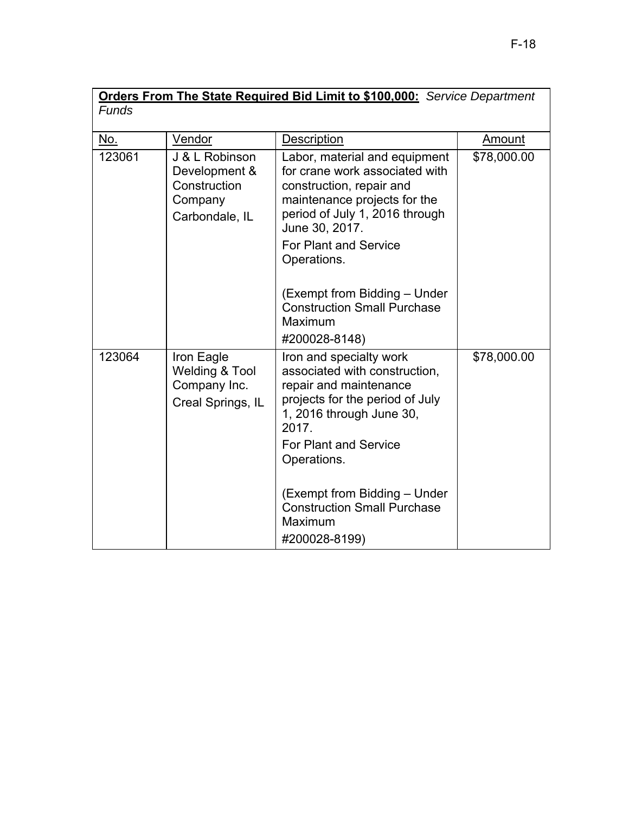| <b>Orders From The State Required Bid Limit to \$100,000:</b> Service Department |                                                                              |                                                                                                                                                                                                                                                                                     |             |
|----------------------------------------------------------------------------------|------------------------------------------------------------------------------|-------------------------------------------------------------------------------------------------------------------------------------------------------------------------------------------------------------------------------------------------------------------------------------|-------------|
| <b>Funds</b>                                                                     |                                                                              |                                                                                                                                                                                                                                                                                     |             |
| <u>No.</u>                                                                       | Vendor                                                                       | Description                                                                                                                                                                                                                                                                         | Amount      |
| 123061                                                                           | J & L Robinson<br>Development &<br>Construction<br>Company<br>Carbondale, IL | Labor, material and equipment<br>for crane work associated with<br>construction, repair and<br>maintenance projects for the<br>period of July 1, 2016 through<br>June 30, 2017.<br>For Plant and Service<br>Operations.                                                             | \$78,000.00 |
|                                                                                  |                                                                              | (Exempt from Bidding - Under<br><b>Construction Small Purchase</b><br>Maximum<br>#200028-8148)                                                                                                                                                                                      |             |
| 123064                                                                           | Iron Eagle<br><b>Welding &amp; Tool</b><br>Company Inc.<br>Creal Springs, IL | Iron and specialty work<br>associated with construction,<br>repair and maintenance<br>projects for the period of July<br>1, 2016 through June 30,<br>2017.<br>For Plant and Service<br>Operations.<br>(Exempt from Bidding - Under<br><b>Construction Small Purchase</b><br>Maximum | \$78,000.00 |
|                                                                                  |                                                                              | #200028-8199)                                                                                                                                                                                                                                                                       |             |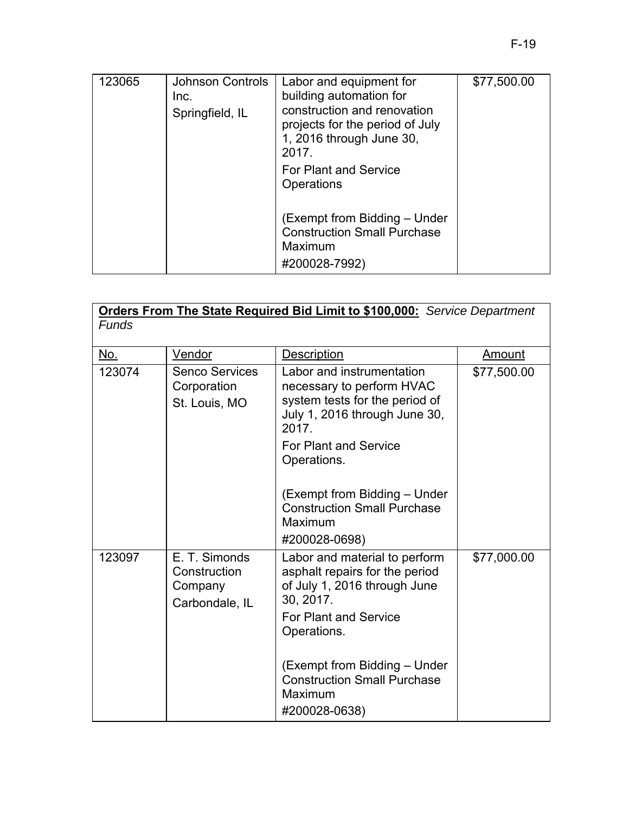| 123065 | <b>Johnson Controls</b><br>Inc.<br>Springfield, IL | Labor and equipment for<br>building automation for<br>construction and renovation<br>projects for the period of July<br>1, 2016 through June 30,<br>2017. | \$77,500.00 |
|--------|----------------------------------------------------|-----------------------------------------------------------------------------------------------------------------------------------------------------------|-------------|
|        |                                                    | <b>For Plant and Service</b><br>Operations                                                                                                                |             |
|        |                                                    | (Exempt from Bidding – Under<br><b>Construction Small Purchase</b><br>Maximum<br>#200028-7992)                                                            |             |

| Vendor                                                     | <b>Description</b>                                                                                                                                                                                                                           | Amount                                                               |
|------------------------------------------------------------|----------------------------------------------------------------------------------------------------------------------------------------------------------------------------------------------------------------------------------------------|----------------------------------------------------------------------|
| <b>Senco Services</b><br>Corporation<br>St. Louis, MO      | Labor and instrumentation<br>necessary to perform HVAC<br>system tests for the period of<br>July 1, 2016 through June 30,<br>2017.<br><b>For Plant and Service</b><br>Operations.<br>(Exempt from Bidding – Under                            | \$77,500.00                                                          |
|                                                            | Maximum                                                                                                                                                                                                                                      |                                                                      |
| E. T. Simonds<br>Construction<br>Company<br>Carbondale, IL | Labor and material to perform<br>asphalt repairs for the period<br>of July 1, 2016 through June<br>30, 2017.<br><b>For Plant and Service</b><br>Operations.<br>(Exempt from Bidding - Under<br><b>Construction Small Purchase</b><br>Maximum | \$77,000.00                                                          |
|                                                            |                                                                                                                                                                                                                                              | <b>Construction Small Purchase</b><br>#200028-0698)<br>#200028-0638) |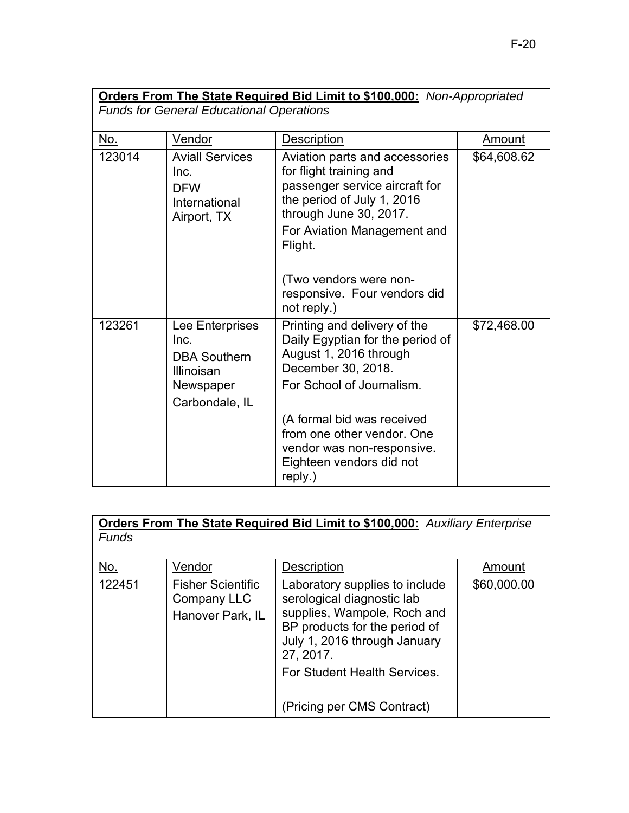| <b>Orders From The State Required Bid Limit to \$100,000:</b> Non-Appropriated |                                                                                                    |                                                                                                                                                                                               |               |  |
|--------------------------------------------------------------------------------|----------------------------------------------------------------------------------------------------|-----------------------------------------------------------------------------------------------------------------------------------------------------------------------------------------------|---------------|--|
| <b>Funds for General Educational Operations</b>                                |                                                                                                    |                                                                                                                                                                                               |               |  |
| <u>No.</u>                                                                     | Vendor                                                                                             | <b>Description</b>                                                                                                                                                                            | <b>Amount</b> |  |
| 123014                                                                         | <b>Aviall Services</b><br>Inc.<br><b>DFW</b><br>International<br>Airport, TX                       | Aviation parts and accessories<br>for flight training and<br>passenger service aircraft for<br>the period of July 1, 2016<br>through June 30, 2017.<br>For Aviation Management and<br>Flight. | \$64,608.62   |  |
|                                                                                |                                                                                                    | (Two vendors were non-<br>responsive. Four vendors did<br>not reply.)                                                                                                                         |               |  |
| 123261                                                                         | Lee Enterprises<br>Inc.<br><b>DBA Southern</b><br><b>Illinoisan</b><br>Newspaper<br>Carbondale, IL | Printing and delivery of the<br>Daily Egyptian for the period of<br>August 1, 2016 through<br>December 30, 2018.<br>For School of Journalism.                                                 | \$72,468.00   |  |
|                                                                                |                                                                                                    | (A formal bid was received<br>from one other vendor. One<br>vendor was non-responsive.<br>Eighteen vendors did not<br>reply.)                                                                 |               |  |

| Orders From The State Required Bid Limit to \$100,000: Auxiliary Enterprise<br><b>Funds</b> |                                                             |                                                                                                                                                                                                                                         |             |
|---------------------------------------------------------------------------------------------|-------------------------------------------------------------|-----------------------------------------------------------------------------------------------------------------------------------------------------------------------------------------------------------------------------------------|-------------|
|                                                                                             |                                                             |                                                                                                                                                                                                                                         |             |
| No.                                                                                         | Vendor                                                      | <b>Description</b>                                                                                                                                                                                                                      | Amount      |
| 122451                                                                                      | <b>Fisher Scientific</b><br>Company LLC<br>Hanover Park, IL | Laboratory supplies to include<br>serological diagnostic lab<br>supplies, Wampole, Roch and<br>BP products for the period of<br>July 1, 2016 through January<br>27, 2017.<br>For Student Health Services.<br>(Pricing per CMS Contract) | \$60,000.00 |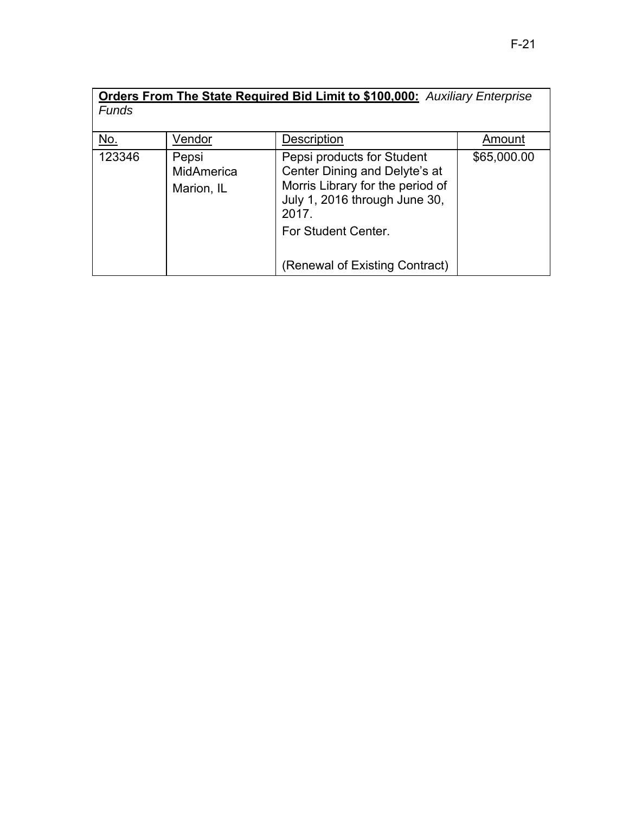|              | <b>Orders From The State Required Bid Limit to \$100,000:</b> Auxiliary Enterprise |                                                                                                                                                                  |             |  |
|--------------|------------------------------------------------------------------------------------|------------------------------------------------------------------------------------------------------------------------------------------------------------------|-------------|--|
| <b>Funds</b> |                                                                                    |                                                                                                                                                                  |             |  |
| <u>No.</u>   | Vendor                                                                             | Description                                                                                                                                                      | Amount      |  |
| 123346       | Pepsi<br>MidAmerica<br>Marion, IL                                                  | Pepsi products for Student<br>Center Dining and Delyte's at<br>Morris Library for the period of<br>July 1, 2016 through June 30,<br>2017.<br>For Student Center. | \$65,000.00 |  |
|              |                                                                                    | (Renewal of Existing Contract)                                                                                                                                   |             |  |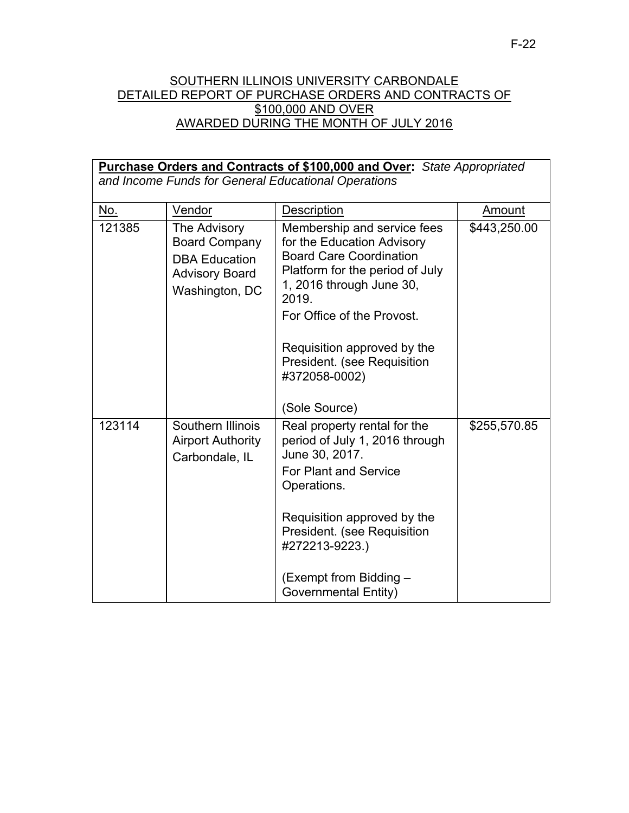#### SOUTHERN ILLINOIS UNIVERSITY CARBONDALE DETAILED REPORT OF PURCHASE ORDERS AND CONTRACTS OF \$100,000 AND OVER AWARDED DURING THE MONTH OF JULY 2016

| <b>Purchase Orders and Contracts of \$100,000 and Over:</b> State Appropriated<br>and Income Funds for General Educational Operations |                                                                                                         |                                                                                                                                                                                                                                                                                  |              |  |
|---------------------------------------------------------------------------------------------------------------------------------------|---------------------------------------------------------------------------------------------------------|----------------------------------------------------------------------------------------------------------------------------------------------------------------------------------------------------------------------------------------------------------------------------------|--------------|--|
| <u>No.</u>                                                                                                                            | Vendor                                                                                                  | Description                                                                                                                                                                                                                                                                      | Amount       |  |
| 121385                                                                                                                                | The Advisory<br><b>Board Company</b><br><b>DBA Education</b><br><b>Advisory Board</b><br>Washington, DC | Membership and service fees<br>for the Education Advisory<br><b>Board Care Coordination</b><br>Platform for the period of July<br>1, 2016 through June 30,<br>2019.<br>For Office of the Provost.<br>Requisition approved by the<br>President. (see Requisition<br>#372058-0002) | \$443,250.00 |  |
| 123114                                                                                                                                | Southern Illinois                                                                                       | (Sole Source)<br>Real property rental for the                                                                                                                                                                                                                                    | \$255,570.85 |  |
|                                                                                                                                       | <b>Airport Authority</b><br>Carbondale, IL                                                              | period of July 1, 2016 through<br>June 30, 2017.<br><b>For Plant and Service</b><br>Operations.                                                                                                                                                                                  |              |  |
|                                                                                                                                       |                                                                                                         | Requisition approved by the<br>President. (see Requisition<br>#272213-9223.)                                                                                                                                                                                                     |              |  |
|                                                                                                                                       |                                                                                                         | (Exempt from Bidding -<br><b>Governmental Entity)</b>                                                                                                                                                                                                                            |              |  |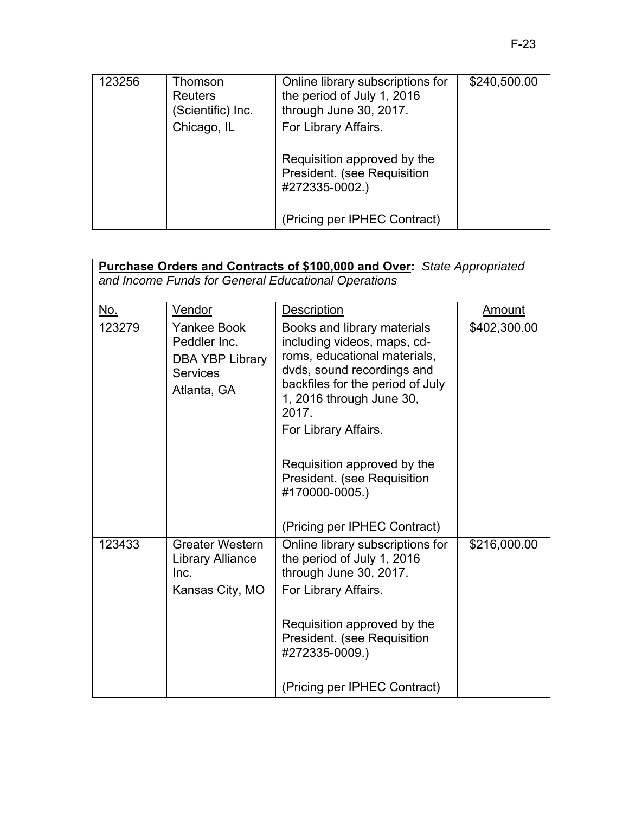| 123256 | Thomson<br><b>Reuters</b><br>(Scientific) Inc. | Online library subscriptions for<br>the period of July 1, 2016<br>through June 30, 2017. | \$240,500.00 |
|--------|------------------------------------------------|------------------------------------------------------------------------------------------|--------------|
|        | Chicago, IL                                    | For Library Affairs.                                                                     |              |
|        |                                                | Requisition approved by the<br>President. (see Requisition<br>#272335-0002.)             |              |
|        |                                                | (Pricing per IPHEC Contract)                                                             |              |

| <b>Purchase Orders and Contracts of \$100,000 and Over:</b> State Appropriated<br>and Income Funds for General Educational Operations |                                                                                                |                                                                                                                                                                                                                                                                                                                                           |              |
|---------------------------------------------------------------------------------------------------------------------------------------|------------------------------------------------------------------------------------------------|-------------------------------------------------------------------------------------------------------------------------------------------------------------------------------------------------------------------------------------------------------------------------------------------------------------------------------------------|--------------|
| No.                                                                                                                                   | Vendor                                                                                         | Description                                                                                                                                                                                                                                                                                                                               | Amount       |
| 123279                                                                                                                                | <b>Yankee Book</b><br>Peddler Inc.<br><b>DBA YBP Library</b><br><b>Services</b><br>Atlanta, GA | Books and library materials<br>including videos, maps, cd-<br>roms, educational materials,<br>dvds, sound recordings and<br>backfiles for the period of July<br>1, 2016 through June 30,<br>2017.<br>For Library Affairs.<br>Requisition approved by the<br>President. (see Requisition<br>#170000-0005.)<br>(Pricing per IPHEC Contract) | \$402,300.00 |
| 123433                                                                                                                                | <b>Greater Western</b><br><b>Library Alliance</b><br>Inc.<br>Kansas City, MO                   | Online library subscriptions for<br>the period of July 1, 2016<br>through June 30, 2017.<br>For Library Affairs.<br>Requisition approved by the<br>President. (see Requisition<br>#272335-0009.)<br>(Pricing per IPHEC Contract)                                                                                                          | \$216,000.00 |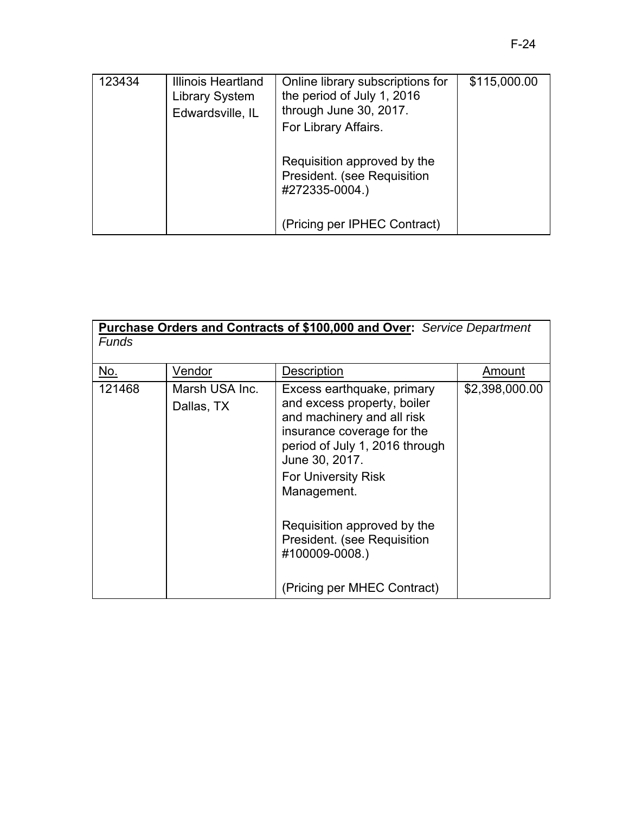| 123434 | Illinois Heartland<br>Library System<br>Edwardsville, IL | Online library subscriptions for<br>the period of July 1, 2016<br>through June 30, 2017.<br>For Library Affairs. | \$115,000.00 |
|--------|----------------------------------------------------------|------------------------------------------------------------------------------------------------------------------|--------------|
|        |                                                          | Requisition approved by the<br>President. (see Requisition<br>#272335-0004.)                                     |              |
|        |                                                          | (Pricing per IPHEC Contract)                                                                                     |              |

| Funds      |                              | <b>Purchase Orders and Contracts of \$100,000 and Over:</b> Service Department                                                                                                                                         |                |
|------------|------------------------------|------------------------------------------------------------------------------------------------------------------------------------------------------------------------------------------------------------------------|----------------|
| <u>No.</u> | Vendor                       | Description                                                                                                                                                                                                            | Amount         |
| 121468     | Marsh USA Inc.<br>Dallas, TX | Excess earthquake, primary<br>and excess property, boiler<br>and machinery and all risk<br>insurance coverage for the<br>period of July 1, 2016 through<br>June 30, 2017.<br><b>For University Risk</b><br>Management. | \$2,398,000.00 |
|            |                              | Requisition approved by the<br>President. (see Requisition<br>#100009-0008.)                                                                                                                                           |                |
|            |                              | (Pricing per MHEC Contract)                                                                                                                                                                                            |                |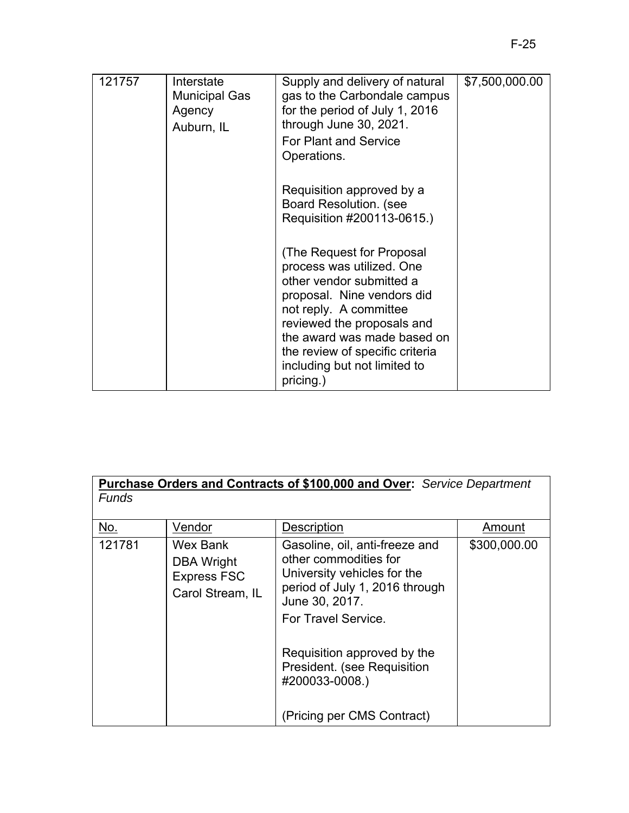| 121757 | Interstate<br><b>Municipal Gas</b><br>Agency<br>Auburn, IL | Supply and delivery of natural<br>gas to the Carbondale campus<br>for the period of July 1, 2016<br>through June 30, 2021.<br>For Plant and Service<br>Operations.                                                                                                                      | \$7,500,000.00 |
|--------|------------------------------------------------------------|-----------------------------------------------------------------------------------------------------------------------------------------------------------------------------------------------------------------------------------------------------------------------------------------|----------------|
|        |                                                            | Requisition approved by a<br>Board Resolution. (see<br>Requisition #200113-0615.)                                                                                                                                                                                                       |                |
|        |                                                            | (The Request for Proposal<br>process was utilized. One<br>other vendor submitted a<br>proposal. Nine vendors did<br>not reply. A committee<br>reviewed the proposals and<br>the award was made based on<br>the review of specific criteria<br>including but not limited to<br>pricing.) |                |

| Purchase Orders and Contracts of \$100,000 and Over: Service Department<br><b>Funds</b> |                                                                  |                                                                                                                                                                   |              |  |
|-----------------------------------------------------------------------------------------|------------------------------------------------------------------|-------------------------------------------------------------------------------------------------------------------------------------------------------------------|--------------|--|
| No.                                                                                     | Vendor                                                           | <b>Description</b>                                                                                                                                                | Amount       |  |
| 121781                                                                                  | Wex Bank<br>DBA Wright<br><b>Express FSC</b><br>Carol Stream, IL | Gasoline, oil, anti-freeze and<br>other commodities for<br>University vehicles for the<br>period of July 1, 2016 through<br>June 30, 2017.<br>For Travel Service. | \$300,000.00 |  |
|                                                                                         |                                                                  | Requisition approved by the<br>President. (see Requisition<br>#200033-0008.)                                                                                      |              |  |
|                                                                                         |                                                                  | (Pricing per CMS Contract)                                                                                                                                        |              |  |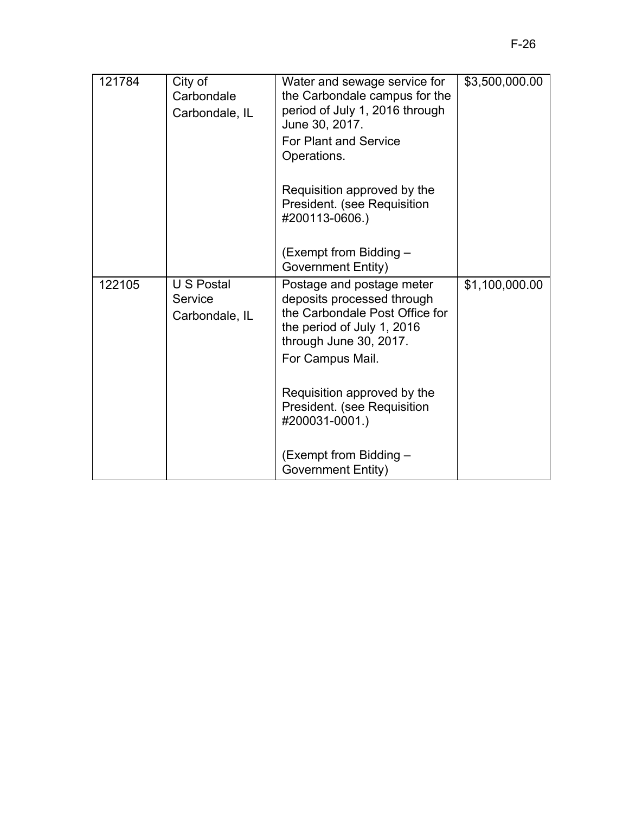| 121784 | City of<br>Carbondale<br>Carbondale, IL | Water and sewage service for<br>the Carbondale campus for the<br>period of July 1, 2016 through<br>June 30, 2017.<br><b>For Plant and Service</b><br>Operations.<br>Requisition approved by the<br>President. (see Requisition<br>#200113-0606.) | \$3,500,000.00 |
|--------|-----------------------------------------|--------------------------------------------------------------------------------------------------------------------------------------------------------------------------------------------------------------------------------------------------|----------------|
|        |                                         | (Exempt from Bidding –<br>Government Entity)                                                                                                                                                                                                     |                |
| 122105 | U S Postal<br>Service<br>Carbondale, IL | Postage and postage meter<br>deposits processed through<br>the Carbondale Post Office for<br>the period of July 1, 2016<br>through June 30, 2017.<br>For Campus Mail.                                                                            | \$1,100,000.00 |
|        |                                         | Requisition approved by the<br>President. (see Requisition<br>#200031-0001.)                                                                                                                                                                     |                |
|        |                                         | (Exempt from Bidding -<br>Government Entity)                                                                                                                                                                                                     |                |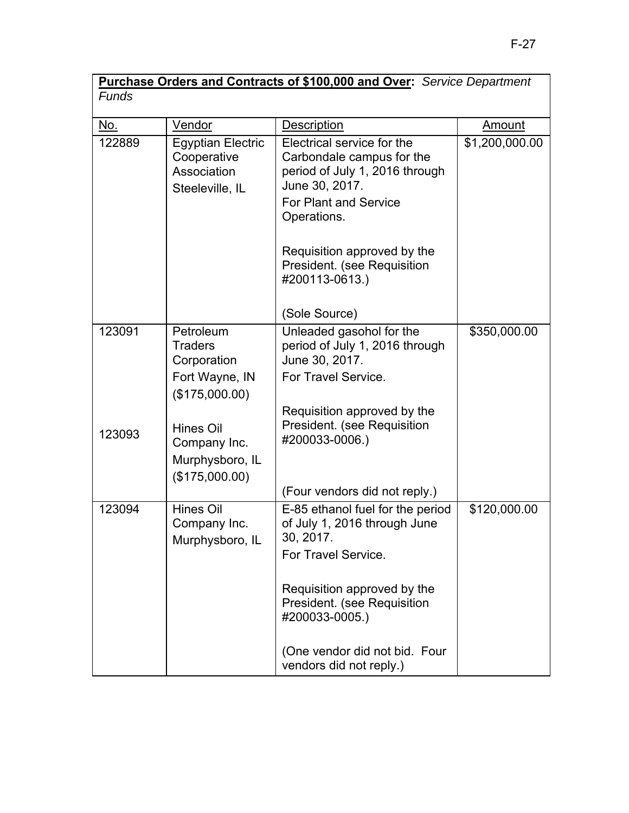| Purchase Orders and Contracts of \$100,000 and Over: Service Department |                          |                            |                |  |
|-------------------------------------------------------------------------|--------------------------|----------------------------|----------------|--|
| <b>Funds</b>                                                            |                          |                            |                |  |
|                                                                         |                          |                            |                |  |
| No.                                                                     | Vendor                   | <b>Description</b>         | Amount         |  |
| 122889                                                                  | <b>Egyptian Electric</b> | Electrical service for the | \$1,200,000.00 |  |

|        | Cooperative<br>Association<br>Steeleville, IL                  | Carbondale campus for the<br>period of July 1, 2016 through<br>June 30, 2017.<br>For Plant and Service<br>Operations. |              |
|--------|----------------------------------------------------------------|-----------------------------------------------------------------------------------------------------------------------|--------------|
|        |                                                                | Requisition approved by the<br>President. (see Requisition<br>#200113-0613.)                                          |              |
|        |                                                                | (Sole Source)                                                                                                         |              |
| 123091 | Petroleum<br><b>Traders</b><br>Corporation                     | Unleaded gasohol for the<br>period of July 1, 2016 through<br>June 30, 2017.                                          | \$350,000.00 |
|        | Fort Wayne, IN<br>(\$175,000.00)                               | For Travel Service.                                                                                                   |              |
| 123093 | Hines Oil<br>Company Inc.<br>Murphysboro, IL<br>(\$175,000.00) | Requisition approved by the<br>President. (see Requisition<br>#200033-0006.)                                          |              |
|        |                                                                | (Four vendors did not reply.)                                                                                         |              |
| 123094 | Hines Oil<br>Company Inc.<br>Murphysboro, IL                   | E-85 ethanol fuel for the period<br>of July 1, 2016 through June<br>30, 2017.<br>For Travel Service.                  | \$120,000.00 |
|        |                                                                | Requisition approved by the<br>President. (see Requisition<br>#200033-0005.)                                          |              |
|        |                                                                | (One vendor did not bid. Four<br>vendors did not reply.)                                                              |              |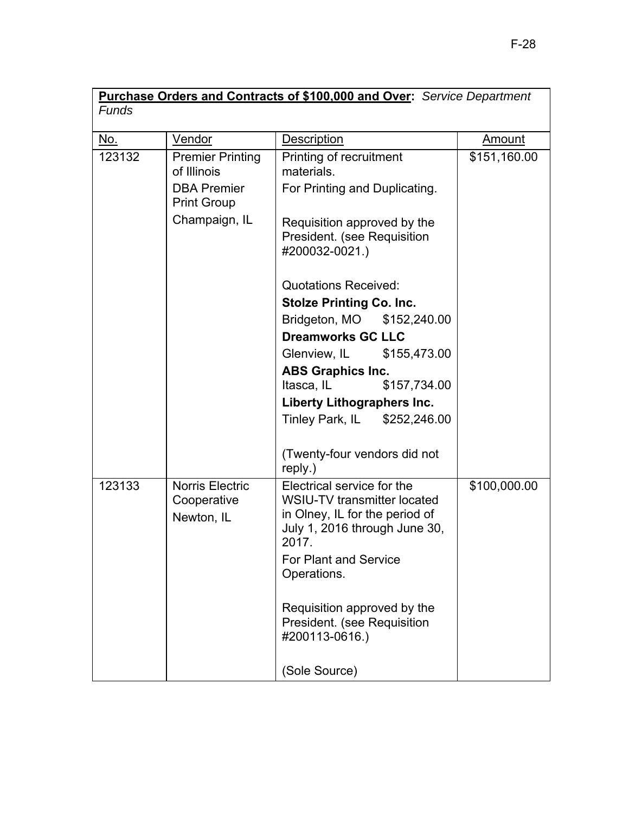| Purchase Orders and Contracts of \$100,000 and Over: Service Department |                                                     |                                                                                                                                                                               |               |
|-------------------------------------------------------------------------|-----------------------------------------------------|-------------------------------------------------------------------------------------------------------------------------------------------------------------------------------|---------------|
| <b>Funds</b>                                                            |                                                     |                                                                                                                                                                               |               |
| <u>No.</u>                                                              | Vendor                                              | <b>Description</b>                                                                                                                                                            | <u>Amount</u> |
| 123132                                                                  | <b>Premier Printing</b><br>of Illinois              | Printing of recruitment<br>materials.                                                                                                                                         | \$151,160.00  |
|                                                                         | <b>DBA Premier</b><br><b>Print Group</b>            | For Printing and Duplicating.                                                                                                                                                 |               |
|                                                                         | Champaign, IL                                       | Requisition approved by the<br>President. (see Requisition<br>#200032-0021.)                                                                                                  |               |
|                                                                         |                                                     | <b>Quotations Received:</b>                                                                                                                                                   |               |
|                                                                         |                                                     | <b>Stolze Printing Co. Inc.</b>                                                                                                                                               |               |
|                                                                         |                                                     | Bridgeton, MO \$152,240.00                                                                                                                                                    |               |
|                                                                         |                                                     | <b>Dreamworks GC LLC</b>                                                                                                                                                      |               |
|                                                                         |                                                     | Glenview, IL<br>\$155,473.00                                                                                                                                                  |               |
|                                                                         |                                                     | <b>ABS Graphics Inc.</b>                                                                                                                                                      |               |
|                                                                         |                                                     | Itasca, IL<br>\$157,734.00                                                                                                                                                    |               |
|                                                                         |                                                     | <b>Liberty Lithographers Inc.</b>                                                                                                                                             |               |
|                                                                         |                                                     | Tinley Park, IL \$252,246.00                                                                                                                                                  |               |
|                                                                         |                                                     | (Twenty-four vendors did not<br>reply.)                                                                                                                                       |               |
| 123133                                                                  | <b>Norris Electric</b><br>Cooperative<br>Newton, IL | Electrical service for the<br>WSIU-TV transmitter located<br>in Olney, IL for the period of<br>July 1, 2016 through June 30,<br>2017.<br>For Plant and Service<br>Operations. | \$100,000.00  |
|                                                                         |                                                     | Requisition approved by the<br>President. (see Requisition<br>#200113-0616.)<br>(Sole Source)                                                                                 |               |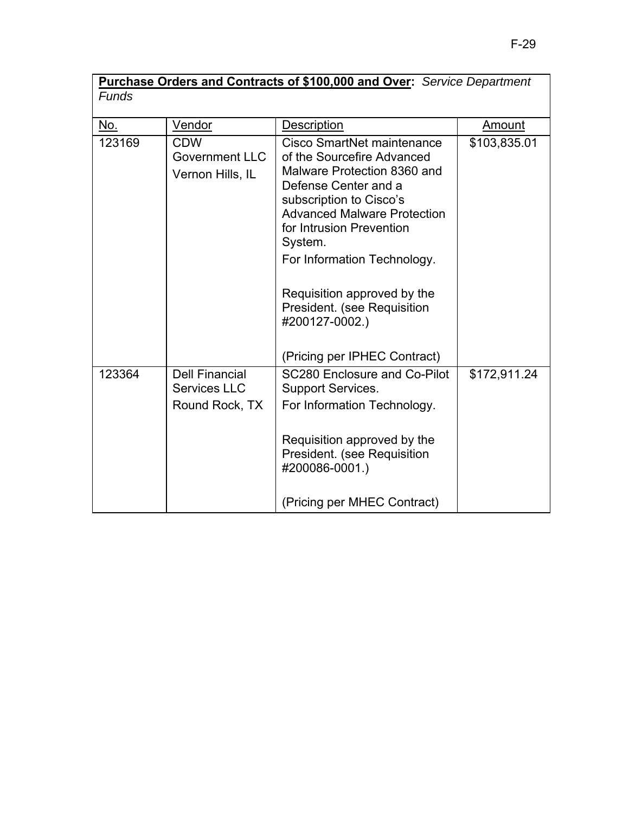| Purchase Orders and Contracts of \$100,000 and Over: Service Department |  |
|-------------------------------------------------------------------------|--|
| Funds                                                                   |  |

| <u>No.</u> | <b>Vendor</b>                                                  | <b>Description</b>                                                                                                                                                                                                                                                                                                                                                     | Amount       |
|------------|----------------------------------------------------------------|------------------------------------------------------------------------------------------------------------------------------------------------------------------------------------------------------------------------------------------------------------------------------------------------------------------------------------------------------------------------|--------------|
| 123169     | <b>CDW</b><br><b>Government LLC</b><br>Vernon Hills, IL        | Cisco SmartNet maintenance<br>of the Sourcefire Advanced<br>Malware Protection 8360 and<br>Defense Center and a<br>subscription to Cisco's<br><b>Advanced Malware Protection</b><br>for Intrusion Prevention<br>System.<br>For Information Technology.<br>Requisition approved by the<br>President. (see Requisition<br>#200127-0002.)<br>(Pricing per IPHEC Contract) | \$103,835.01 |
| 123364     | <b>Dell Financial</b><br><b>Services LLC</b><br>Round Rock, TX | <b>SC280 Enclosure and Co-Pilot</b><br>Support Services.<br>For Information Technology.<br>Requisition approved by the<br>President. (see Requisition<br>#200086-0001.)<br>(Pricing per MHEC Contract)                                                                                                                                                                 | \$172,911.24 |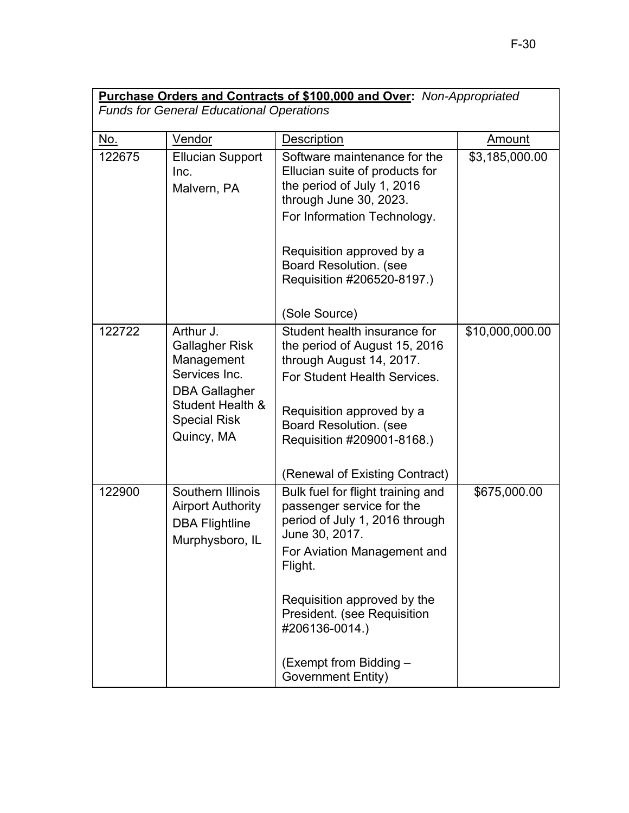| Purchase Orders and Contracts of \$100,000 and Over: Non-Appropriated<br><b>Funds for General Educational Operations</b> |                                                                                                                                                    |                                                                                                                                                                                                                                                                                              |                 |  |
|--------------------------------------------------------------------------------------------------------------------------|----------------------------------------------------------------------------------------------------------------------------------------------------|----------------------------------------------------------------------------------------------------------------------------------------------------------------------------------------------------------------------------------------------------------------------------------------------|-----------------|--|
|                                                                                                                          |                                                                                                                                                    |                                                                                                                                                                                                                                                                                              |                 |  |
| No.                                                                                                                      | Vendor                                                                                                                                             | Description                                                                                                                                                                                                                                                                                  | Amount          |  |
| 122675                                                                                                                   | <b>Ellucian Support</b><br>Inc.<br>Malvern, PA                                                                                                     | Software maintenance for the<br>Ellucian suite of products for<br>the period of July 1, 2016<br>through June 30, 2023.<br>For Information Technology.                                                                                                                                        | \$3,185,000.00  |  |
|                                                                                                                          |                                                                                                                                                    | Requisition approved by a<br><b>Board Resolution. (see</b><br>Requisition #206520-8197.)<br>(Sole Source)                                                                                                                                                                                    |                 |  |
| 122722                                                                                                                   | Arthur J.<br><b>Gallagher Risk</b><br>Management<br>Services Inc.<br><b>DBA Gallagher</b><br>Student Health &<br><b>Special Risk</b><br>Quincy, MA | Student health insurance for<br>the period of August 15, 2016<br>through August 14, 2017.<br>For Student Health Services.<br>Requisition approved by a<br><b>Board Resolution. (see</b><br>Requisition #209001-8168.)<br>(Renewal of Existing Contract)                                      | \$10,000,000.00 |  |
| 122900                                                                                                                   | Southern Illinois<br><b>Airport Authority</b><br><b>DBA Flightline</b><br>Murphysboro, IL                                                          | Bulk fuel for flight training and<br>passenger service for the<br>period of July 1, 2016 through<br>June 30, 2017.<br>For Aviation Management and<br>Flight.<br>Requisition approved by the<br>President. (see Requisition<br>#206136-0014.)<br>(Exempt from Bidding -<br>Government Entity) | \$675,000.00    |  |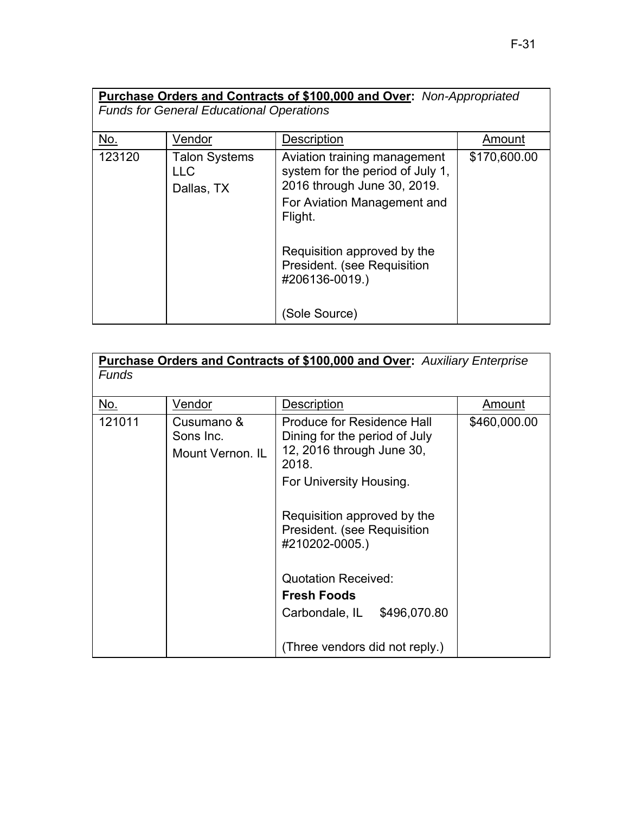| Purchase Orders and Contracts of \$100,000 and Over: Non-Appropriated<br><b>Funds for General Educational Operations</b> |                                                  |                                                                                                                                           |              |  |
|--------------------------------------------------------------------------------------------------------------------------|--------------------------------------------------|-------------------------------------------------------------------------------------------------------------------------------------------|--------------|--|
| No.                                                                                                                      | Vendor                                           | Description                                                                                                                               | Amount       |  |
| 123120                                                                                                                   | <b>Talon Systems</b><br><b>LLC</b><br>Dallas, TX | Aviation training management<br>system for the period of July 1,<br>2016 through June 30, 2019.<br>For Aviation Management and<br>Flight. | \$170,600.00 |  |
|                                                                                                                          |                                                  | Requisition approved by the<br>President. (see Requisition<br>#206136-0019.)<br>(Sole Source)                                             |              |  |

| <b>Purchase Orders and Contracts of \$100,000 and Over:</b> Auxiliary Enterprise<br><b>Funds</b> |                                             |                                                                                                          |              |  |
|--------------------------------------------------------------------------------------------------|---------------------------------------------|----------------------------------------------------------------------------------------------------------|--------------|--|
| No.                                                                                              | Vendor                                      | Description                                                                                              | Amount       |  |
| 121011                                                                                           | Cusumano &<br>Sons Inc.<br>Mount Vernon. IL | <b>Produce for Residence Hall</b><br>Dining for the period of July<br>12, 2016 through June 30,<br>2018. | \$460,000.00 |  |
|                                                                                                  |                                             | For University Housing.                                                                                  |              |  |
|                                                                                                  |                                             | Requisition approved by the<br>President. (see Requisition<br>#210202-0005.)                             |              |  |
|                                                                                                  |                                             | <b>Quotation Received:</b><br><b>Fresh Foods</b>                                                         |              |  |
|                                                                                                  |                                             | Carbondale, IL \$496,070.80                                                                              |              |  |
|                                                                                                  |                                             | (Three vendors did not reply.)                                                                           |              |  |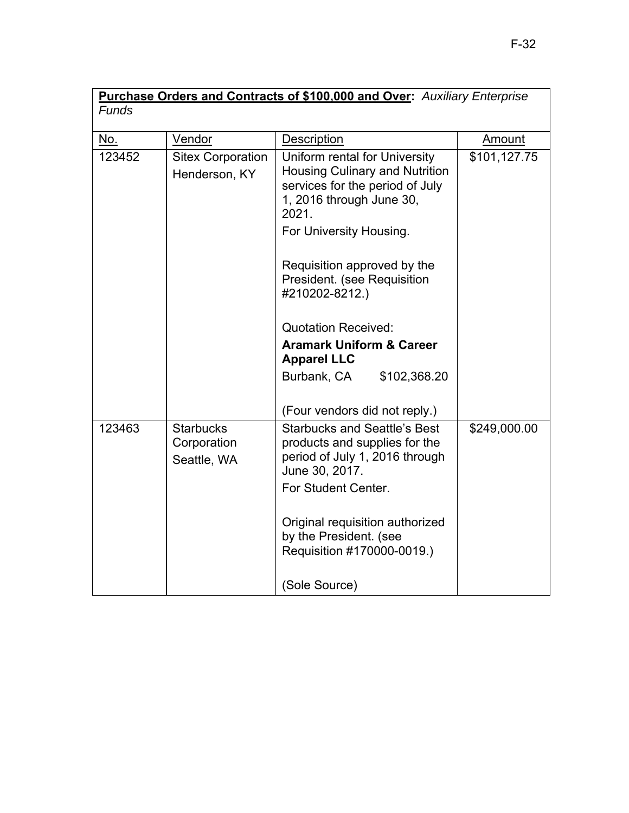| Purchase Orders and Contracts of \$100,000 and Over: Auxiliary Enterprise |                                                |                                                                                                                                                                           |              |
|---------------------------------------------------------------------------|------------------------------------------------|---------------------------------------------------------------------------------------------------------------------------------------------------------------------------|--------------|
| <b>Funds</b>                                                              |                                                |                                                                                                                                                                           |              |
| No.                                                                       | Vendor                                         | Description                                                                                                                                                               | Amount       |
| 123452                                                                    | <b>Sitex Corporation</b><br>Henderson, KY      | Uniform rental for University<br><b>Housing Culinary and Nutrition</b><br>services for the period of July<br>1, 2016 through June 30,<br>2021.<br>For University Housing. | \$101,127.75 |
|                                                                           |                                                | Requisition approved by the<br>President. (see Requisition<br>#210202-8212.)                                                                                              |              |
|                                                                           |                                                | <b>Quotation Received:</b>                                                                                                                                                |              |
|                                                                           |                                                | <b>Aramark Uniform &amp; Career</b><br><b>Apparel LLC</b>                                                                                                                 |              |
|                                                                           |                                                | Burbank, CA<br>\$102,368.20                                                                                                                                               |              |
|                                                                           |                                                | (Four vendors did not reply.)                                                                                                                                             |              |
| 123463                                                                    | <b>Starbucks</b><br>Corporation<br>Seattle, WA | <b>Starbucks and Seattle's Best</b><br>products and supplies for the<br>period of July 1, 2016 through<br>June 30, 2017.<br>For Student Center.                           | \$249,000.00 |
|                                                                           |                                                | Original requisition authorized<br>by the President. (see<br>Requisition #170000-0019.)                                                                                   |              |
|                                                                           |                                                | (Sole Source)                                                                                                                                                             |              |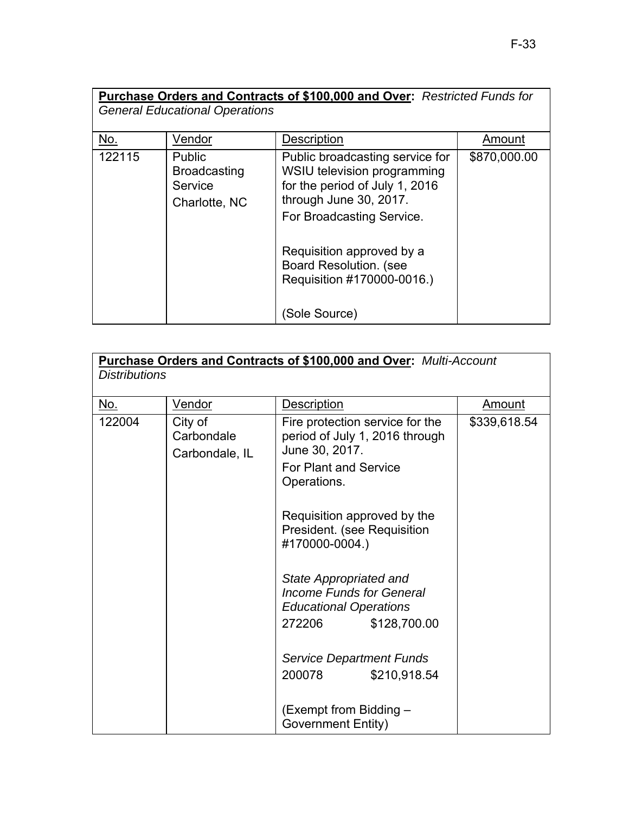| Purchase Orders and Contracts of \$100,000 and Over: Restricted Funds for<br><b>General Educational Operations</b> |                                                           |                                                                                                                                                         |              |  |  |
|--------------------------------------------------------------------------------------------------------------------|-----------------------------------------------------------|---------------------------------------------------------------------------------------------------------------------------------------------------------|--------------|--|--|
| No.                                                                                                                | Vendor                                                    | Description                                                                                                                                             | Amount       |  |  |
| 122115                                                                                                             | Public<br><b>Broadcasting</b><br>Service<br>Charlotte, NC | Public broadcasting service for<br>WSIU television programming<br>for the period of July 1, 2016<br>through June 30, 2017.<br>For Broadcasting Service. | \$870,000.00 |  |  |
|                                                                                                                    |                                                           | Requisition approved by a<br><b>Board Resolution. (see</b><br>Requisition #170000-0016.)<br>(Sole Source)                                               |              |  |  |

| Purchase Orders and Contracts of \$100,000 and Over: Multi-Account<br><b>Distributions</b> |                                         |                                                                                                                                    |               |  |  |  |
|--------------------------------------------------------------------------------------------|-----------------------------------------|------------------------------------------------------------------------------------------------------------------------------------|---------------|--|--|--|
| <u>No.</u>                                                                                 | Vendor                                  | Description                                                                                                                        | <u>Amount</u> |  |  |  |
| 122004                                                                                     | City of<br>Carbondale<br>Carbondale, IL | Fire protection service for the<br>period of July 1, 2016 through<br>June 30, 2017.<br><b>For Plant and Service</b><br>Operations. | \$339,618.54  |  |  |  |
|                                                                                            |                                         | Requisition approved by the<br>President. (see Requisition<br>#170000-0004.)                                                       |               |  |  |  |
|                                                                                            |                                         | State Appropriated and<br>Income Funds for General<br><b>Educational Operations</b><br>272206<br>\$128,700.00                      |               |  |  |  |
|                                                                                            |                                         | <b>Service Department Funds</b><br>200078<br>\$210,918.54                                                                          |               |  |  |  |
|                                                                                            |                                         | (Exempt from Bidding -<br><b>Government Entity)</b>                                                                                |               |  |  |  |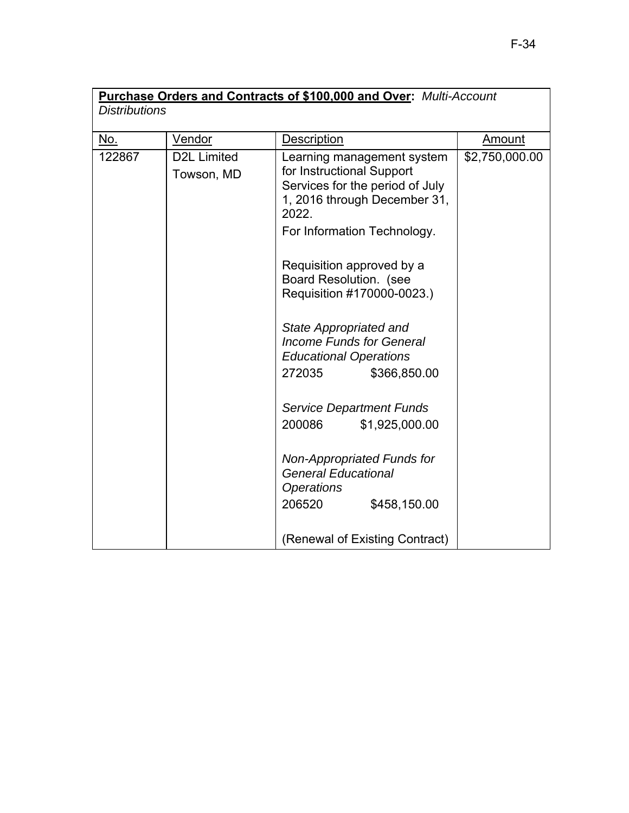| Purchase Orders and Contracts of \$100,000 and Over: Multi-Account |                    |                                                 |                |  |  |  |  |
|--------------------------------------------------------------------|--------------------|-------------------------------------------------|----------------|--|--|--|--|
| <b>Distributions</b>                                               |                    |                                                 |                |  |  |  |  |
|                                                                    | Vendor             | Description                                     | Amount         |  |  |  |  |
| <u>No.</u>                                                         |                    |                                                 |                |  |  |  |  |
| 122867                                                             | <b>D2L Limited</b> | Learning management system                      | \$2,750,000.00 |  |  |  |  |
|                                                                    | Towson, MD         | for Instructional Support                       |                |  |  |  |  |
|                                                                    |                    | Services for the period of July                 |                |  |  |  |  |
|                                                                    |                    | 1, 2016 through December 31,<br>2022.           |                |  |  |  |  |
|                                                                    |                    | For Information Technology.                     |                |  |  |  |  |
|                                                                    |                    | Requisition approved by a                       |                |  |  |  |  |
|                                                                    |                    | Board Resolution. (see                          |                |  |  |  |  |
|                                                                    |                    | Requisition #170000-0023.)                      |                |  |  |  |  |
|                                                                    |                    | State Appropriated and                          |                |  |  |  |  |
|                                                                    |                    | <b>Income Funds for General</b>                 |                |  |  |  |  |
|                                                                    |                    | <b>Educational Operations</b>                   |                |  |  |  |  |
|                                                                    |                    | 272035<br>\$366,850.00                          |                |  |  |  |  |
|                                                                    |                    | <b>Service Department Funds</b>                 |                |  |  |  |  |
|                                                                    |                    | 200086<br>\$1,925,000.00                        |                |  |  |  |  |
|                                                                    |                    | Non-Appropriated Funds for                      |                |  |  |  |  |
|                                                                    |                    | <b>General Educational</b><br><b>Operations</b> |                |  |  |  |  |
|                                                                    |                    | 206520<br>\$458,150.00                          |                |  |  |  |  |
|                                                                    |                    |                                                 |                |  |  |  |  |
|                                                                    |                    | (Renewal of Existing Contract)                  |                |  |  |  |  |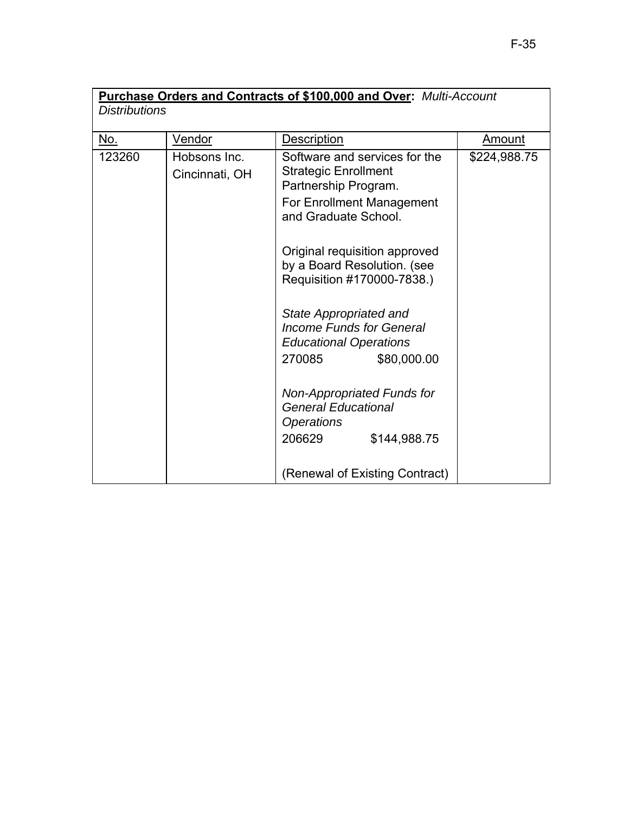| Purchase Orders and Contracts of \$100,000 and Over: Multi-Account |                |                                                           |               |
|--------------------------------------------------------------------|----------------|-----------------------------------------------------------|---------------|
| <b>Distributions</b>                                               |                |                                                           |               |
|                                                                    |                |                                                           |               |
| No.                                                                | <b>Vendor</b>  | <b>Description</b>                                        | <b>Amount</b> |
| 123260                                                             | Hobsons Inc.   | Software and services for the                             | \$224,988.75  |
|                                                                    | Cincinnati, OH | <b>Strategic Enrollment</b>                               |               |
|                                                                    |                | Partnership Program.                                      |               |
|                                                                    |                | For Enrollment Management                                 |               |
|                                                                    |                | and Graduate School.                                      |               |
|                                                                    |                |                                                           |               |
|                                                                    |                | Original requisition approved                             |               |
|                                                                    |                | by a Board Resolution. (see                               |               |
|                                                                    |                | Requisition #170000-7838.)                                |               |
|                                                                    |                |                                                           |               |
|                                                                    |                | State Appropriated and<br><b>Income Funds for General</b> |               |
|                                                                    |                | <b>Educational Operations</b>                             |               |
|                                                                    |                | 270085<br>\$80,000.00                                     |               |
|                                                                    |                |                                                           |               |
|                                                                    |                | Non-Appropriated Funds for                                |               |
|                                                                    |                | <b>General Educational</b>                                |               |
|                                                                    |                | <i><b>Operations</b></i>                                  |               |
|                                                                    |                | 206629<br>\$144,988.75                                    |               |
|                                                                    |                |                                                           |               |
|                                                                    |                | (Renewal of Existing Contract)                            |               |
|                                                                    |                |                                                           |               |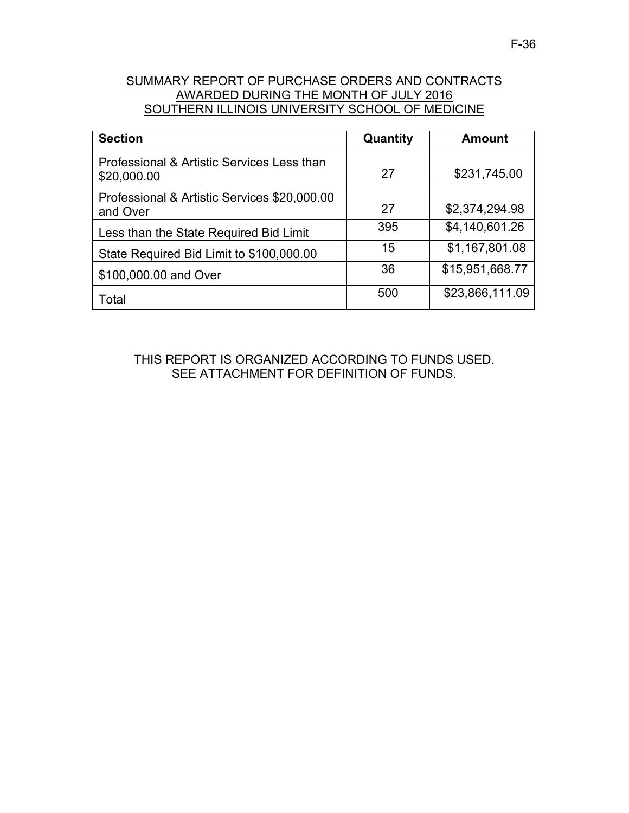## SUMMARY REPORT OF PURCHASE ORDERS AND CONTRACTS AWARDED DURING THE MONTH OF JULY 2016 SOUTHERN ILLINOIS UNIVERSITY SCHOOL OF MEDICINE

| <b>Section</b>                                            | Quantity | <b>Amount</b>   |
|-----------------------------------------------------------|----------|-----------------|
| Professional & Artistic Services Less than<br>\$20,000.00 | 27       | \$231,745.00    |
| Professional & Artistic Services \$20,000.00<br>and Over  | 27       | \$2,374,294.98  |
| Less than the State Required Bid Limit                    | 395      | \$4,140,601.26  |
| State Required Bid Limit to \$100,000.00                  | 15       | \$1,167,801.08  |
| \$100,000.00 and Over                                     | 36       | \$15,951,668.77 |
| Total                                                     | 500      | \$23,866,111.09 |

THIS REPORT IS ORGANIZED ACCORDING TO FUNDS USED. SEE ATTACHMENT FOR DEFINITION OF FUNDS.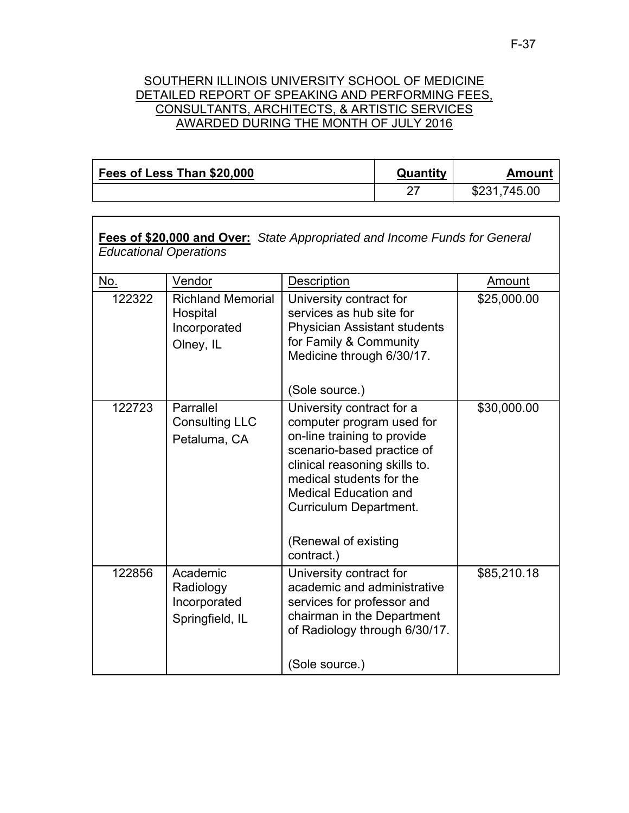## SOUTHERN ILLINOIS UNIVERSITY SCHOOL OF MEDICINE DETAILED REPORT OF SPEAKING AND PERFORMING FEES, CONSULTANTS, ARCHITECTS, & ARTISTIC SERVICES AWARDED DURING THE MONTH OF JULY 2016

| Fees of Less Than \$20,000 | Quantity | Amount       |
|----------------------------|----------|--------------|
|                            |          | \$231,745.00 |

| Fees of \$20,000 and Over: State Appropriated and Income Funds for General<br><b>Educational Operations</b> |                                                                   |                                                                                                                                                                                                                                                                                  |             |  |
|-------------------------------------------------------------------------------------------------------------|-------------------------------------------------------------------|----------------------------------------------------------------------------------------------------------------------------------------------------------------------------------------------------------------------------------------------------------------------------------|-------------|--|
| No.                                                                                                         | Vendor                                                            | Description                                                                                                                                                                                                                                                                      | Amount      |  |
| 122322                                                                                                      | <b>Richland Memorial</b><br>Hospital<br>Incorporated<br>Olney, IL | University contract for<br>services as hub site for<br><b>Physician Assistant students</b><br>for Family & Community<br>Medicine through 6/30/17.<br>(Sole source.)                                                                                                              | \$25,000.00 |  |
| 122723                                                                                                      | Parrallel<br><b>Consulting LLC</b><br>Petaluma, CA                | University contract for a<br>computer program used for<br>on-line training to provide<br>scenario-based practice of<br>clinical reasoning skills to.<br>medical students for the<br><b>Medical Education and</b><br>Curriculum Department.<br>(Renewal of existing<br>contract.) | \$30,000.00 |  |
| 122856                                                                                                      | Academic<br>Radiology<br>Incorporated<br>Springfield, IL          | University contract for<br>academic and administrative<br>services for professor and<br>chairman in the Department<br>of Radiology through 6/30/17.<br>(Sole source.)                                                                                                            | \$85,210.18 |  |

F-37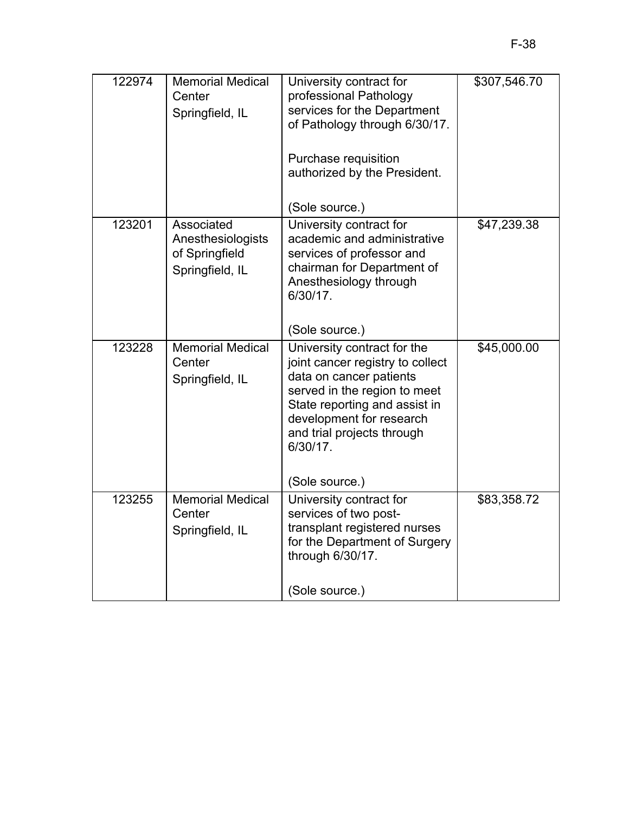| 122974 | <b>Memorial Medical</b><br>Center<br>Springfield, IL                 | University contract for<br>professional Pathology<br>services for the Department<br>of Pathology through 6/30/17.<br>Purchase requisition<br>authorized by the President.<br>(Sole source.)                                                         | \$307,546.70 |
|--------|----------------------------------------------------------------------|-----------------------------------------------------------------------------------------------------------------------------------------------------------------------------------------------------------------------------------------------------|--------------|
| 123201 | Associated<br>Anesthesiologists<br>of Springfield<br>Springfield, IL | University contract for<br>academic and administrative<br>services of professor and<br>chairman for Department of<br>Anesthesiology through<br>6/30/17.<br>(Sole source.)                                                                           | \$47,239.38  |
| 123228 | <b>Memorial Medical</b><br>Center<br>Springfield, IL                 | University contract for the<br>joint cancer registry to collect<br>data on cancer patients<br>served in the region to meet<br>State reporting and assist in<br>development for research<br>and trial projects through<br>6/30/17.<br>(Sole source.) | \$45,000.00  |
| 123255 | <b>Memorial Medical</b><br>Center<br>Springfield, IL                 | University contract for<br>services of two post-<br>transplant registered nurses<br>for the Department of Surgery<br>through 6/30/17.<br>(Sole source.)                                                                                             | \$83,358.72  |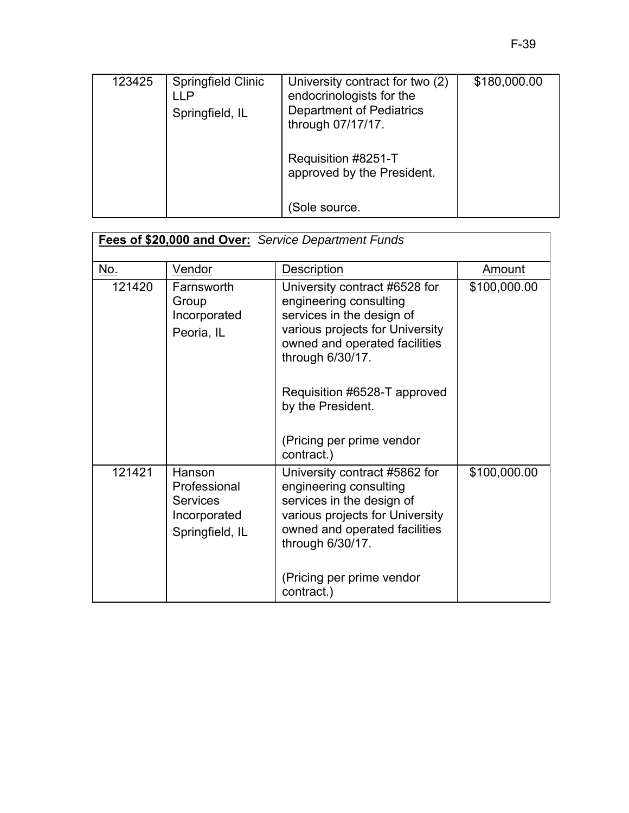| 123425 | Springfield Clinic<br>I P<br>Springfield, IL | University contract for two (2)<br>endocrinologists for the<br><b>Department of Pediatrics</b><br>through 07/17/17. | \$180,000.00 |
|--------|----------------------------------------------|---------------------------------------------------------------------------------------------------------------------|--------------|
|        |                                              | Requisition #8251-T<br>approved by the President.                                                                   |              |
|        |                                              | Sole source.                                                                                                        |              |

| Fees of \$20,000 and Over: Service Department Funds |                                                                              |                                                                                                                                                                                                                                   |              |
|-----------------------------------------------------|------------------------------------------------------------------------------|-----------------------------------------------------------------------------------------------------------------------------------------------------------------------------------------------------------------------------------|--------------|
| <u>No.</u>                                          | Vendor                                                                       | <b>Description</b>                                                                                                                                                                                                                | Amount       |
| 121420                                              | Farnsworth<br>Group<br>Incorporated<br>Peoria, IL                            | University contract #6528 for<br>engineering consulting<br>services in the design of<br>various projects for University<br>owned and operated facilities<br>through 6/30/17.<br>Requisition #6528-T approved<br>by the President. | \$100,000.00 |
|                                                     |                                                                              | (Pricing per prime vendor<br>contract.)                                                                                                                                                                                           |              |
| 121421                                              | Hanson<br>Professional<br><b>Services</b><br>Incorporated<br>Springfield, IL | University contract #5862 for<br>engineering consulting<br>services in the design of<br>various projects for University<br>owned and operated facilities<br>through 6/30/17.<br>(Pricing per prime vendor                         | \$100,000.00 |
|                                                     |                                                                              | contract.)                                                                                                                                                                                                                        |              |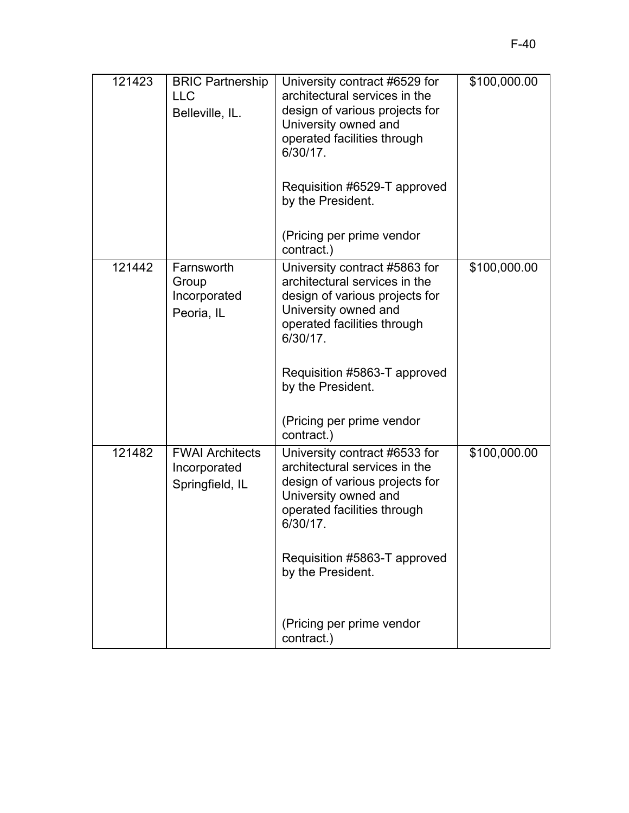| 121423 | <b>BRIC Partnership</b><br><b>LLC</b><br>Belleville, IL.  | University contract #6529 for<br>architectural services in the<br>design of various projects for<br>University owned and<br>operated facilities through<br>6/30/17. | \$100,000.00 |
|--------|-----------------------------------------------------------|---------------------------------------------------------------------------------------------------------------------------------------------------------------------|--------------|
|        |                                                           | Requisition #6529-T approved<br>by the President.<br>(Pricing per prime vendor                                                                                      |              |
|        |                                                           | contract.)                                                                                                                                                          |              |
| 121442 | Farnsworth<br>Group<br>Incorporated<br>Peoria, IL         | University contract #5863 for<br>architectural services in the<br>design of various projects for<br>University owned and<br>operated facilities through<br>6/30/17. | \$100,000.00 |
|        |                                                           | Requisition #5863-T approved<br>by the President.<br>(Pricing per prime vendor<br>contract.)                                                                        |              |
| 121482 | <b>FWAI Architects</b><br>Incorporated<br>Springfield, IL | University contract #6533 for<br>architectural services in the<br>design of various projects for<br>University owned and<br>operated facilities through<br>6/30/17. | \$100,000.00 |
|        |                                                           | Requisition #5863-T approved<br>by the President.                                                                                                                   |              |
|        |                                                           | (Pricing per prime vendor<br>contract.)                                                                                                                             |              |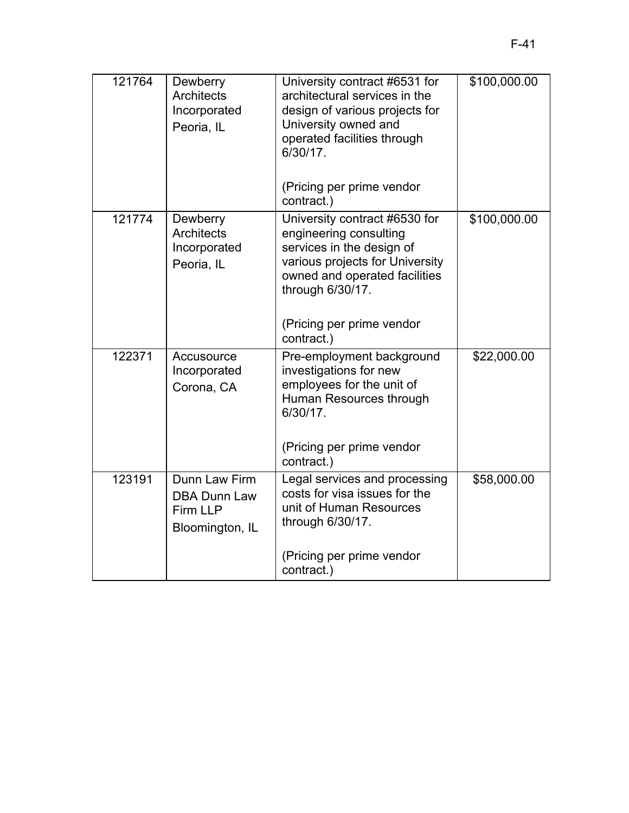| 121764 | Dewberry<br><b>Architects</b><br>Incorporated<br>Peoria, IL         | University contract #6531 for<br>architectural services in the<br>design of various projects for<br>University owned and<br>operated facilities through<br>$6/30/17$ .       | \$100,000.00 |
|--------|---------------------------------------------------------------------|------------------------------------------------------------------------------------------------------------------------------------------------------------------------------|--------------|
|        |                                                                     | (Pricing per prime vendor<br>contract.)                                                                                                                                      |              |
| 121774 | Dewberry<br><b>Architects</b><br>Incorporated<br>Peoria, IL         | University contract #6530 for<br>engineering consulting<br>services in the design of<br>various projects for University<br>owned and operated facilities<br>through 6/30/17. | \$100,000.00 |
|        |                                                                     | (Pricing per prime vendor<br>contract.)                                                                                                                                      |              |
| 122371 | Accusource<br>Incorporated<br>Corona, CA                            | Pre-employment background<br>investigations for new<br>employees for the unit of<br>Human Resources through<br>6/30/17.                                                      | \$22,000.00  |
|        |                                                                     | (Pricing per prime vendor<br>contract.)                                                                                                                                      |              |
| 123191 | Dunn Law Firm<br><b>DBA Dunn Law</b><br>Firm LLP<br>Bloomington, IL | Legal services and processing<br>costs for visa issues for the<br>unit of Human Resources<br>through 6/30/17.                                                                | \$58,000.00  |
|        |                                                                     | (Pricing per prime vendor<br>contract.)                                                                                                                                      |              |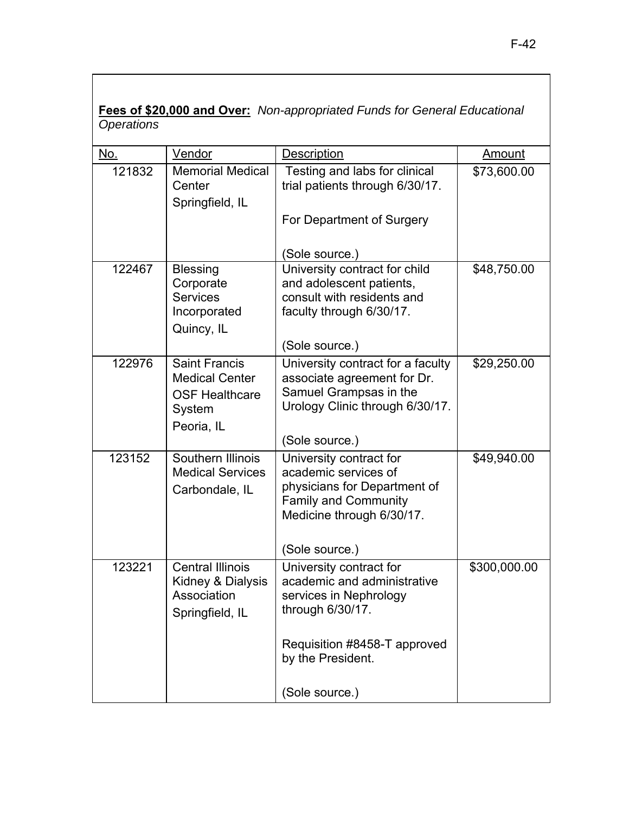| No.    | Vendor                                                                                         | <b>Description</b>                                                                                                                                                          | Amount       |
|--------|------------------------------------------------------------------------------------------------|-----------------------------------------------------------------------------------------------------------------------------------------------------------------------------|--------------|
| 121832 | <b>Memorial Medical</b><br>Center<br>Springfield, IL                                           | Testing and labs for clinical<br>trial patients through 6/30/17.<br>For Department of Surgery                                                                               | \$73,600.00  |
|        |                                                                                                | (Sole source.)                                                                                                                                                              |              |
| 122467 | <b>Blessing</b><br>Corporate<br><b>Services</b><br>Incorporated<br>Quincy, IL                  | University contract for child<br>and adolescent patients,<br>consult with residents and<br>faculty through 6/30/17.<br>(Sole source.)                                       | \$48,750.00  |
| 122976 | <b>Saint Francis</b><br><b>Medical Center</b><br><b>OSF Healthcare</b><br>System<br>Peoria, IL | University contract for a faculty<br>associate agreement for Dr.<br>Samuel Grampsas in the<br>Urology Clinic through 6/30/17.<br>(Sole source.)                             | \$29,250.00  |
| 123152 | Southern Illinois<br><b>Medical Services</b><br>Carbondale, IL                                 | University contract for<br>academic services of<br>physicians for Department of<br><b>Family and Community</b><br>Medicine through 6/30/17.<br>(Sole source.)               | \$49,940.00  |
| 123221 | <b>Central Illinois</b><br>Kidney & Dialysis<br>Association<br>Springfield, IL                 | University contract for<br>academic and administrative<br>services in Nephrology<br>through 6/30/17.<br>Requisition #8458-T approved<br>by the President.<br>(Sole source.) | \$300,000.00 |

**Fees of \$20,000 and Over:** *Non-appropriated Funds for General Educational Operations*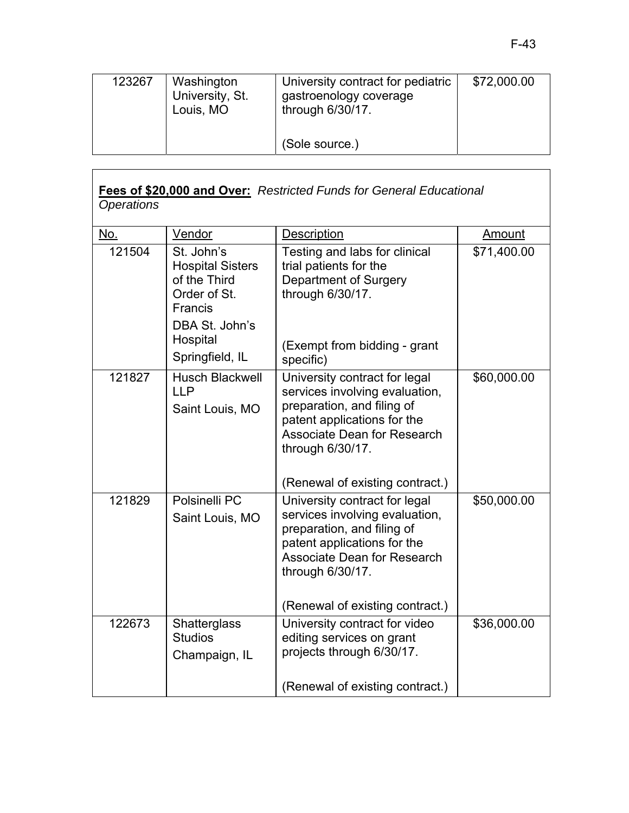| 123267 | Washington<br>University, St.<br>Louis, MO | University contract for pediatric<br>gastroenology coverage<br>through $6/30/17$ . | \$72,000.00 |
|--------|--------------------------------------------|------------------------------------------------------------------------------------|-------------|
|        |                                            | (Sole source.)                                                                     |             |

## **Fees of \$20,000 and Over:** *Restricted Funds for General Educational Operations*

| No.    | Vendor                                                                                                                                   | Description                                                                                                                                                                                                               | Amount      |
|--------|------------------------------------------------------------------------------------------------------------------------------------------|---------------------------------------------------------------------------------------------------------------------------------------------------------------------------------------------------------------------------|-------------|
| 121504 | St. John's<br><b>Hospital Sisters</b><br>of the Third<br>Order of St.<br><b>Francis</b><br>DBA St. John's<br>Hospital<br>Springfield, IL | Testing and labs for clinical<br>trial patients for the<br>Department of Surgery<br>through 6/30/17.<br>(Exempt from bidding - grant<br>specific)                                                                         | \$71,400.00 |
| 121827 | <b>Husch Blackwell</b><br><b>LLP</b><br>Saint Louis, MO                                                                                  | University contract for legal<br>services involving evaluation,<br>preparation, and filing of<br>patent applications for the<br><b>Associate Dean for Research</b><br>through 6/30/17.<br>(Renewal of existing contract.) | \$60,000.00 |
| 121829 | Polsinelli PC<br>Saint Louis, MO                                                                                                         | University contract for legal<br>services involving evaluation,<br>preparation, and filing of<br>patent applications for the<br><b>Associate Dean for Research</b><br>through 6/30/17.<br>(Renewal of existing contract.) | \$50,000.00 |
| 122673 | Shatterglass<br><b>Studios</b><br>Champaign, IL                                                                                          | University contract for video<br>editing services on grant<br>projects through 6/30/17.<br>(Renewal of existing contract.)                                                                                                | \$36,000.00 |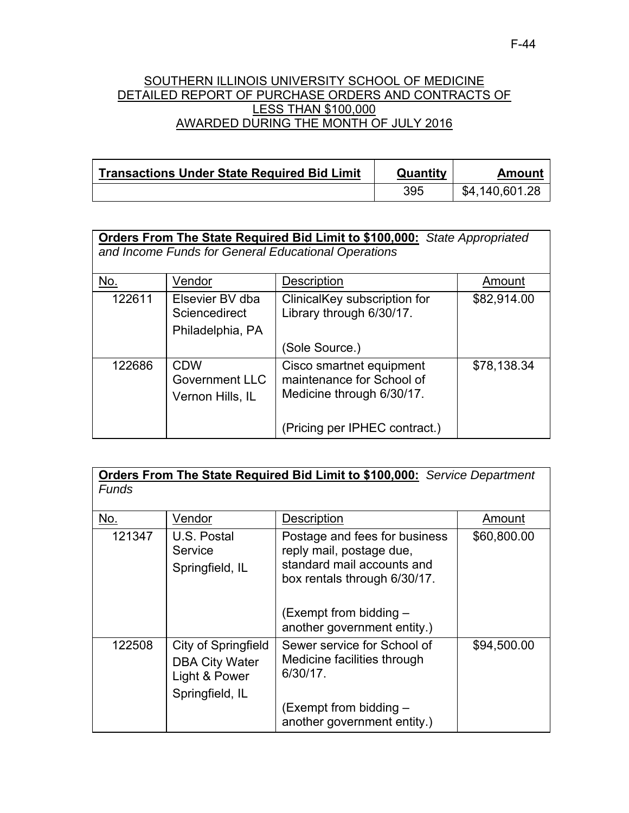### SOUTHERN ILLINOIS UNIVERSITY SCHOOL OF MEDICINE DETAILED REPORT OF PURCHASE ORDERS AND CONTRACTS OF LESS THAN \$100,000 AWARDED DURING THE MONTH OF JULY 2016

| <b>Transactions Under State Required Bid Limit</b> | Quantity | Amount         |
|----------------------------------------------------|----------|----------------|
|                                                    | 395      | \$4,140,601.28 |

| Orders From The State Required Bid Limit to \$100,000: State Appropriated |  |
|---------------------------------------------------------------------------|--|
| and Income Funds for General Educational Operations                       |  |

| No.    | Vendor                                                  | Description                                                                        | Amount      |
|--------|---------------------------------------------------------|------------------------------------------------------------------------------------|-------------|
| 122611 | Elsevier BV dba<br>Sciencedirect<br>Philadelphia, PA    | ClinicalKey subscription for<br>Library through 6/30/17.                           | \$82,914.00 |
|        |                                                         | (Sole Source.)                                                                     |             |
| 122686 | <b>CDW</b><br><b>Government LLC</b><br>Vernon Hills, IL | Cisco smartnet equipment<br>maintenance for School of<br>Medicine through 6/30/17. | \$78,138.34 |
|        |                                                         | (Pricing per IPHEC contract.)                                                      |             |

**Orders From The State Required Bid Limit to \$100,000:** *Service Department Funds* 

| No.    | Vendor                                                                           | <b>Description</b>                                                                                                                                                               | Amount      |
|--------|----------------------------------------------------------------------------------|----------------------------------------------------------------------------------------------------------------------------------------------------------------------------------|-------------|
| 121347 | U.S. Postal<br>Service<br>Springfield, IL                                        | Postage and fees for business<br>reply mail, postage due,<br>standard mail accounts and<br>box rentals through 6/30/17.<br>(Exempt from bidding –<br>another government entity.) | \$60,800.00 |
| 122508 | City of Springfield<br><b>DBA City Water</b><br>Light & Power<br>Springfield, IL | Sewer service for School of<br>Medicine facilities through<br>6/30/17.<br>(Exempt from bidding –<br>another government entity.)                                                  | \$94,500.00 |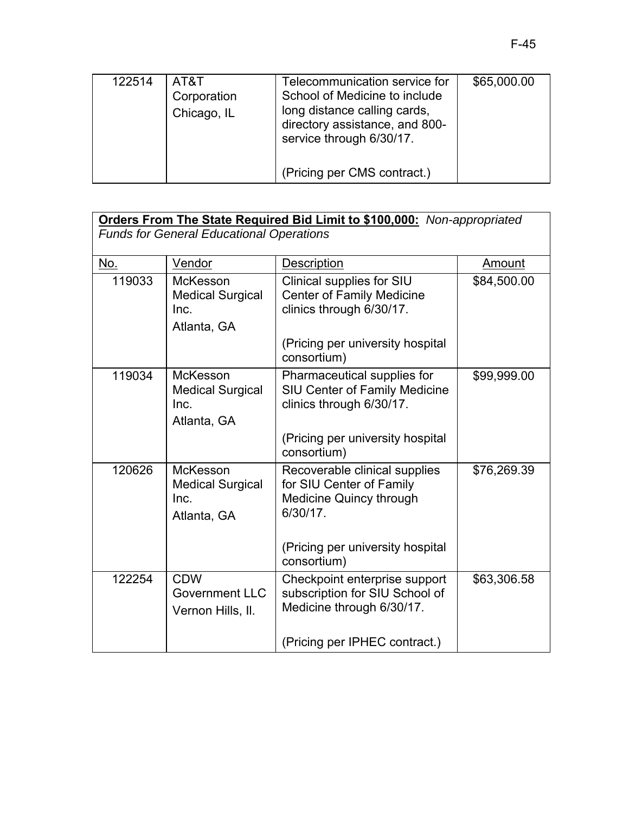| 122514 | AT&T<br>Corporation<br>Chicago, IL | Telecommunication service for<br>School of Medicine to include<br>long distance calling cards,<br>directory assistance, and 800-<br>service through 6/30/17. | \$65,000.00 |
|--------|------------------------------------|--------------------------------------------------------------------------------------------------------------------------------------------------------------|-------------|
|        |                                    | (Pricing per CMS contract.)                                                                                                                                  |             |

| <b>Orders From The State Required Bid Limit to \$100,000:</b> Non-appropriated |                                                                   |                                                                                                         |             |
|--------------------------------------------------------------------------------|-------------------------------------------------------------------|---------------------------------------------------------------------------------------------------------|-------------|
|                                                                                | <b>Funds for General Educational Operations</b>                   |                                                                                                         |             |
| <u>No.</u>                                                                     | Vendor                                                            | Description                                                                                             | Amount      |
| 119033                                                                         | <b>McKesson</b><br><b>Medical Surgical</b><br>Inc.<br>Atlanta, GA | Clinical supplies for SIU<br><b>Center of Family Medicine</b><br>clinics through 6/30/17.               | \$84,500.00 |
|                                                                                |                                                                   | (Pricing per university hospital<br>consortium)                                                         |             |
| 119034                                                                         | McKesson<br><b>Medical Surgical</b><br>Inc.<br>Atlanta, GA        | Pharmaceutical supplies for<br>SIU Center of Family Medicine<br>clinics through 6/30/17.                | \$99,999.00 |
|                                                                                |                                                                   | (Pricing per university hospital<br>consortium)                                                         |             |
| 120626                                                                         | McKesson<br><b>Medical Surgical</b><br>Inc.<br>Atlanta, GA        | Recoverable clinical supplies<br>for SIU Center of Family<br><b>Medicine Quincy through</b><br>6/30/17. | \$76,269.39 |
|                                                                                |                                                                   | (Pricing per university hospital<br>consortium)                                                         |             |
| 122254                                                                         | <b>CDW</b><br><b>Government LLC</b><br>Vernon Hills, II.          | Checkpoint enterprise support<br>subscription for SIU School of<br>Medicine through 6/30/17.            | \$63,306.58 |
|                                                                                |                                                                   | (Pricing per IPHEC contract.)                                                                           |             |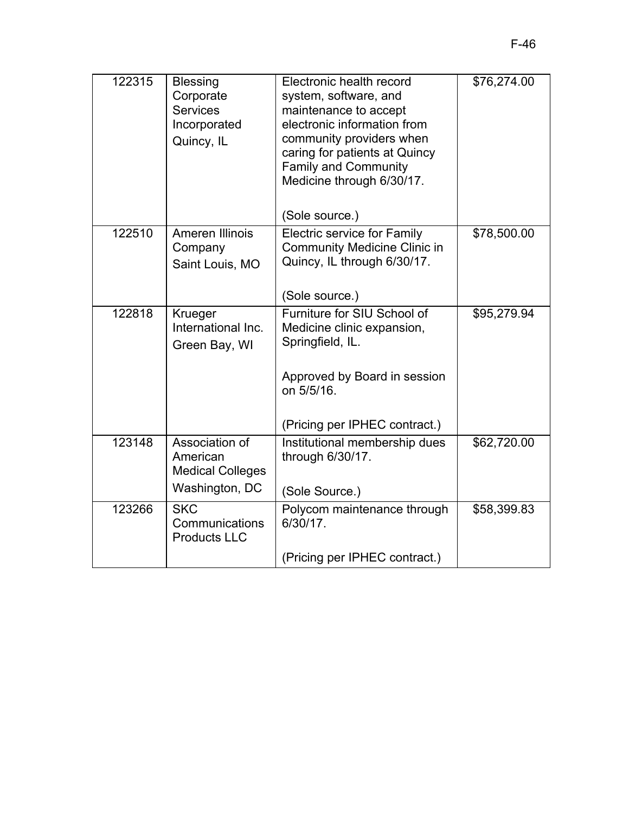| 122315 | <b>Blessing</b><br>Corporate<br><b>Services</b><br>Incorporated<br>Quincy, IL | Electronic health record<br>system, software, and<br>maintenance to accept<br>electronic information from<br>community providers when<br>caring for patients at Quincy<br><b>Family and Community</b><br>Medicine through 6/30/17.<br>(Sole source.) | \$76,274.00 |
|--------|-------------------------------------------------------------------------------|------------------------------------------------------------------------------------------------------------------------------------------------------------------------------------------------------------------------------------------------------|-------------|
| 122510 | Ameren Illinois<br>Company<br>Saint Louis, MO                                 | <b>Electric service for Family</b><br><b>Community Medicine Clinic in</b><br>Quincy, IL through 6/30/17.<br>(Sole source.)                                                                                                                           | \$78,500.00 |
| 122818 | Krueger<br>International Inc.<br>Green Bay, WI                                | Furniture for SIU School of<br>Medicine clinic expansion,<br>Springfield, IL.<br>Approved by Board in session<br>on 5/5/16.<br>(Pricing per IPHEC contract.)                                                                                         | \$95,279.94 |
| 123148 | Association of<br>American<br><b>Medical Colleges</b><br>Washington, DC       | Institutional membership dues<br>through 6/30/17.<br>(Sole Source.)                                                                                                                                                                                  | \$62,720.00 |
| 123266 | <b>SKC</b><br>Communications<br><b>Products LLC</b>                           | Polycom maintenance through<br>6/30/17.<br>(Pricing per IPHEC contract.)                                                                                                                                                                             | \$58,399.83 |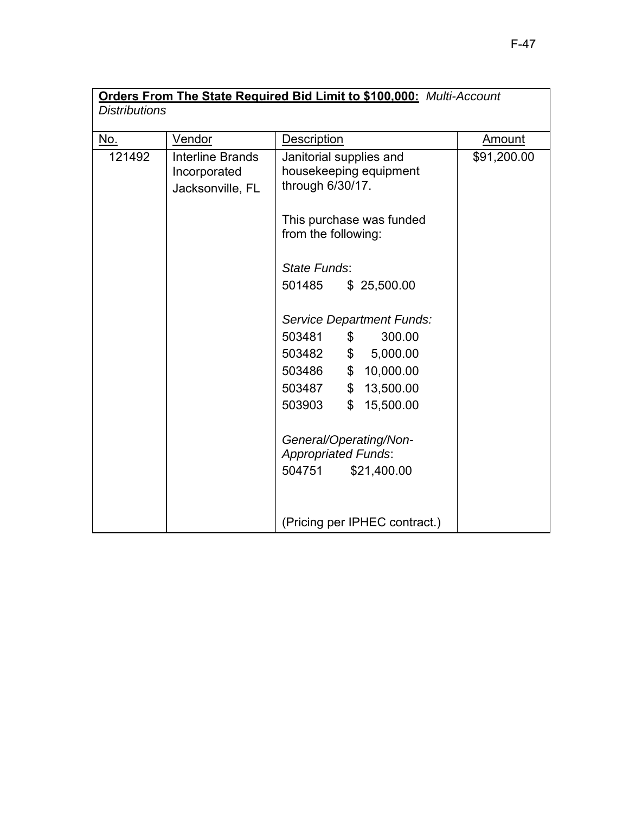| <b>Orders From The State Required Bid Limit to \$100,000: Multi-Account</b> |                                                             |                                                                                                                                                                                                                                |             |
|-----------------------------------------------------------------------------|-------------------------------------------------------------|--------------------------------------------------------------------------------------------------------------------------------------------------------------------------------------------------------------------------------|-------------|
| <b>Distributions</b>                                                        |                                                             |                                                                                                                                                                                                                                |             |
| No.                                                                         | Vendor                                                      | <b>Description</b>                                                                                                                                                                                                             | Amount      |
| 121492                                                                      | <b>Interline Brands</b><br>Incorporated<br>Jacksonville, FL | Janitorial supplies and<br>housekeeping equipment<br>through 6/30/17.                                                                                                                                                          | \$91,200.00 |
|                                                                             |                                                             | This purchase was funded<br>from the following:                                                                                                                                                                                |             |
|                                                                             |                                                             | State Funds:                                                                                                                                                                                                                   |             |
|                                                                             |                                                             | 501485<br>\$25,500.00                                                                                                                                                                                                          |             |
|                                                                             |                                                             | Service Department Funds:<br>503481<br>300.00<br>\$<br>503482<br>\$5,000.00<br>503486<br>\$10,000.00<br>\$13,500.00<br>503487<br>503903<br>$\mathbb{S}^-$<br>15,500.00<br>General/Operating/Non-<br><b>Appropriated Funds:</b> |             |
|                                                                             |                                                             | 504751<br>\$21,400.00                                                                                                                                                                                                          |             |
|                                                                             |                                                             | (Pricing per IPHEC contract.)                                                                                                                                                                                                  |             |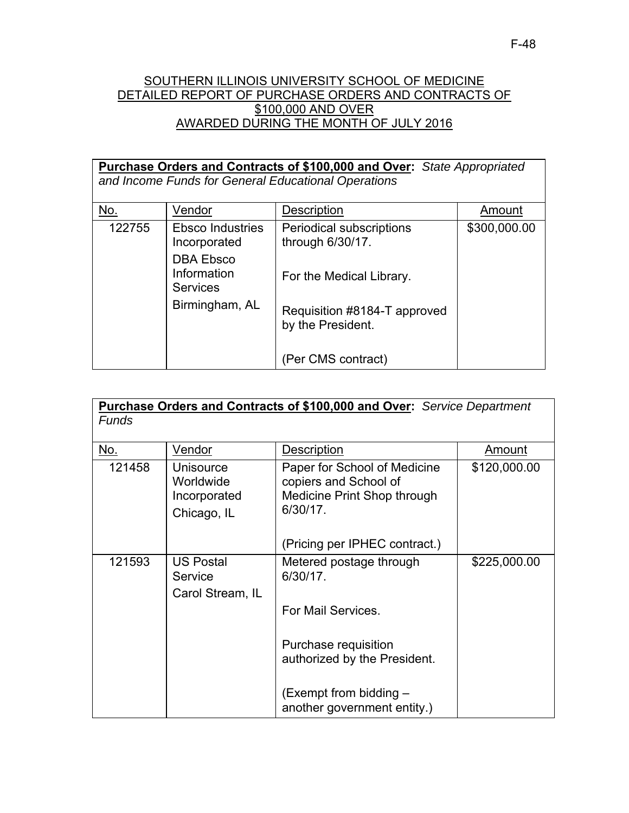## SOUTHERN ILLINOIS UNIVERSITY SCHOOL OF MEDICINE DETAILED REPORT OF PURCHASE ORDERS AND CONTRACTS OF \$100,000 AND OVER AWARDED DURING THE MONTH OF JULY 2016

| Purchase Orders and Contracts of \$100,000 and Over: State Appropriated |                                                    |                                                     |              |
|-------------------------------------------------------------------------|----------------------------------------------------|-----------------------------------------------------|--------------|
|                                                                         |                                                    | and Income Funds for General Educational Operations |              |
| No.                                                                     | Vendor                                             | Description                                         | Amount       |
|                                                                         |                                                    |                                                     |              |
| 122755                                                                  | <b>Ebsco Industries</b>                            | <b>Periodical subscriptions</b>                     | \$300,000.00 |
|                                                                         | Incorporated                                       | through 6/30/17.                                    |              |
|                                                                         | <b>DBA Ebsco</b><br>Information<br><b>Services</b> | For the Medical Library.                            |              |
|                                                                         | Birmingham, AL                                     | Requisition #8184-T approved<br>by the President.   |              |
|                                                                         |                                                    | (Per CMS contract)                                  |              |

| Purchase Orders and Contracts of \$100,000 and Over: Service Department<br>Funds |                                                       |                                                                                                     |              |
|----------------------------------------------------------------------------------|-------------------------------------------------------|-----------------------------------------------------------------------------------------------------|--------------|
| No.                                                                              | Vendor                                                | Description                                                                                         | Amount       |
| 121458                                                                           | Unisource<br>Worldwide<br>Incorporated<br>Chicago, IL | Paper for School of Medicine<br>copiers and School of<br>Medicine Print Shop through<br>$6/30/17$ . | \$120,000.00 |
|                                                                                  |                                                       | (Pricing per IPHEC contract.)                                                                       |              |
| 121593                                                                           | <b>US Postal</b><br>Service<br>Carol Stream, IL       | Metered postage through<br>6/30/17.                                                                 | \$225,000.00 |
|                                                                                  |                                                       | For Mail Services.                                                                                  |              |
|                                                                                  |                                                       | Purchase requisition<br>authorized by the President.                                                |              |
|                                                                                  |                                                       | (Exempt from bidding -<br>another government entity.)                                               |              |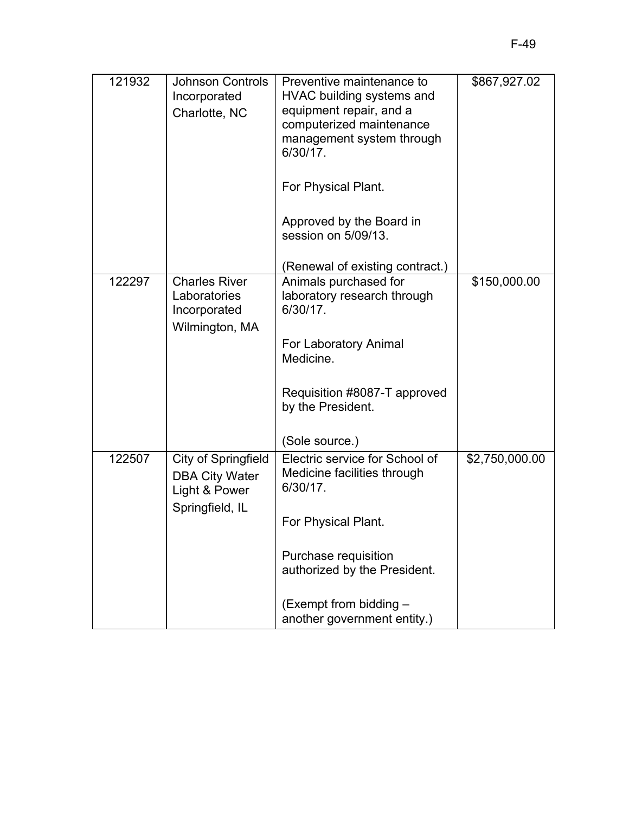| 121932 | <b>Johnson Controls</b><br>Incorporated<br>Charlotte, NC                         | Preventive maintenance to<br>HVAC building systems and<br>equipment repair, and a<br>computerized maintenance<br>management system through<br>6/30/17. | \$867,927.02   |
|--------|----------------------------------------------------------------------------------|--------------------------------------------------------------------------------------------------------------------------------------------------------|----------------|
|        |                                                                                  | For Physical Plant.                                                                                                                                    |                |
|        |                                                                                  | Approved by the Board in<br>session on 5/09/13.                                                                                                        |                |
|        |                                                                                  | (Renewal of existing contract.)                                                                                                                        |                |
| 122297 | <b>Charles River</b><br>Laboratories<br>Incorporated<br>Wilmington, MA           | Animals purchased for<br>laboratory research through<br>$6/30/17$ .<br>For Laboratory Animal<br>Medicine.<br>Requisition #8087-T approved              | \$150,000.00   |
|        |                                                                                  | by the President.                                                                                                                                      |                |
|        |                                                                                  | (Sole source.)                                                                                                                                         |                |
| 122507 | City of Springfield<br><b>DBA City Water</b><br>Light & Power<br>Springfield, IL | Electric service for School of<br>Medicine facilities through<br>6/30/17.                                                                              | \$2,750,000.00 |
|        |                                                                                  | For Physical Plant.                                                                                                                                    |                |
|        |                                                                                  | Purchase requisition<br>authorized by the President.                                                                                                   |                |
|        |                                                                                  | (Exempt from bidding -<br>another government entity.)                                                                                                  |                |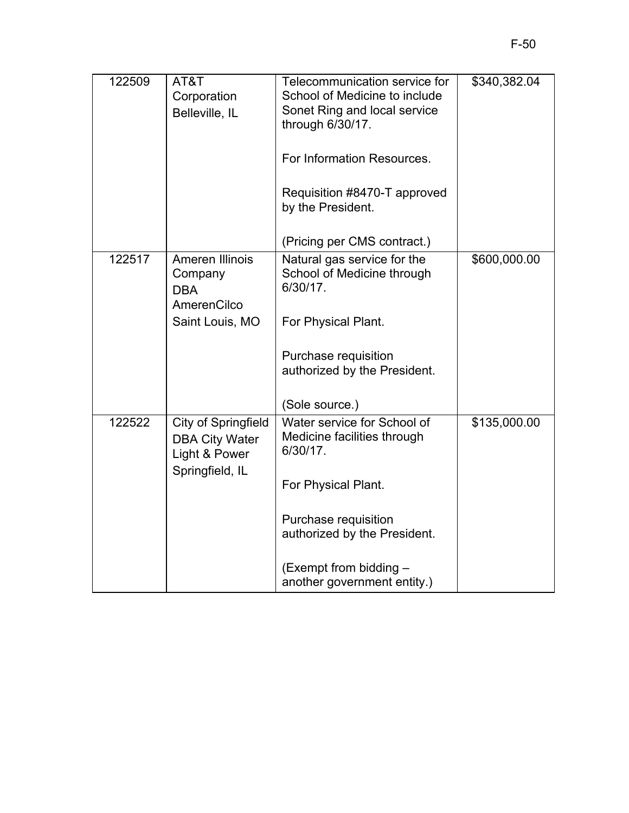| 122509 | AT&T<br>Corporation<br>Belleville, IL                                | Telecommunication service for<br>School of Medicine to include<br>Sonet Ring and local service<br>through 6/30/17. | \$340,382.04 |
|--------|----------------------------------------------------------------------|--------------------------------------------------------------------------------------------------------------------|--------------|
|        |                                                                      | For Information Resources.                                                                                         |              |
|        |                                                                      | Requisition #8470-T approved<br>by the President.                                                                  |              |
|        |                                                                      | (Pricing per CMS contract.)                                                                                        |              |
| 122517 | Ameren Illinois<br>Company<br><b>DBA</b><br>AmerenCilco              | Natural gas service for the<br>School of Medicine through<br>6/30/17.                                              | \$600,000.00 |
|        | Saint Louis, MO                                                      | For Physical Plant.                                                                                                |              |
|        |                                                                      | Purchase requisition<br>authorized by the President.                                                               |              |
|        |                                                                      | (Sole source.)                                                                                                     |              |
| 122522 | <b>City of Springfield</b><br><b>DBA City Water</b><br>Light & Power | Water service for School of<br>Medicine facilities through<br>6/30/17.                                             | \$135,000.00 |
|        | Springfield, IL                                                      | For Physical Plant.                                                                                                |              |
|        |                                                                      | Purchase requisition<br>authorized by the President.                                                               |              |
|        |                                                                      | (Exempt from bidding -<br>another government entity.)                                                              |              |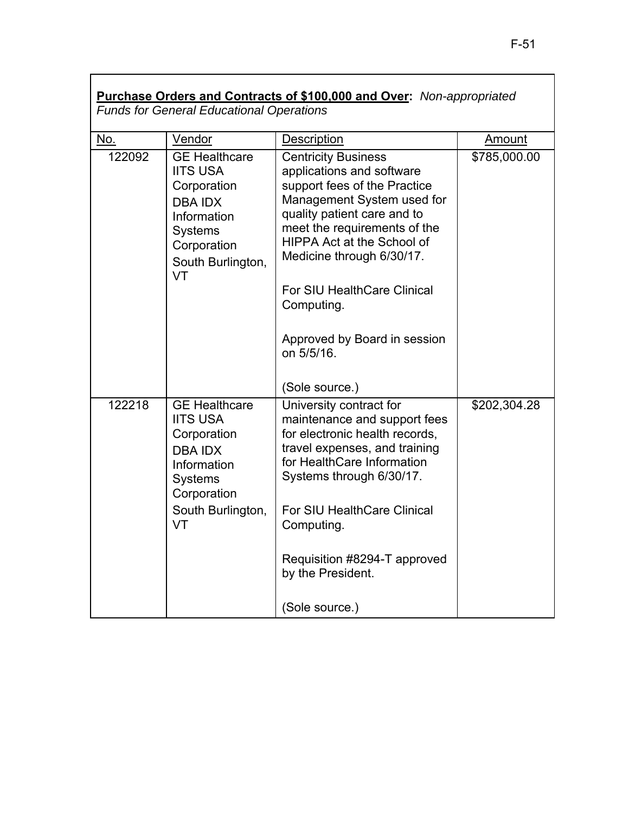|            | <b>Funds for General Educational Operations</b>                                                                                                     | Purchase Orders and Contracts of \$100,000 and Over: Non-appropriated                                                                                                                                                                                                                                                                             |              |
|------------|-----------------------------------------------------------------------------------------------------------------------------------------------------|---------------------------------------------------------------------------------------------------------------------------------------------------------------------------------------------------------------------------------------------------------------------------------------------------------------------------------------------------|--------------|
| <u>No.</u> | Vendor                                                                                                                                              | <b>Description</b>                                                                                                                                                                                                                                                                                                                                | Amount       |
| 122092     | <b>GE Healthcare</b><br><b>IITS USA</b><br>Corporation<br><b>DBA IDX</b><br>Information<br><b>Systems</b><br>Corporation<br>South Burlington,<br>VT | <b>Centricity Business</b><br>applications and software<br>support fees of the Practice<br>Management System used for<br>quality patient care and to<br>meet the requirements of the<br>HIPPA Act at the School of<br>Medicine through 6/30/17.<br><b>For SIU HealthCare Clinical</b><br>Computing.<br>Approved by Board in session<br>on 5/5/16. | \$785,000.00 |
|            |                                                                                                                                                     | (Sole source.)                                                                                                                                                                                                                                                                                                                                    |              |
| 122218     | <b>GE Healthcare</b><br><b>IITS USA</b><br>Corporation<br><b>DBA IDX</b><br>Information<br><b>Systems</b><br>Corporation<br>South Burlington,<br>VT | University contract for<br>maintenance and support fees<br>for electronic health records,<br>travel expenses, and training<br>for HealthCare Information<br>Systems through 6/30/17.<br><b>For SIU HealthCare Clinical</b><br>Computing.<br>Requisition #8294-T approved                                                                          | \$202,304.28 |
|            |                                                                                                                                                     | by the President.<br>(Sole source.)                                                                                                                                                                                                                                                                                                               |              |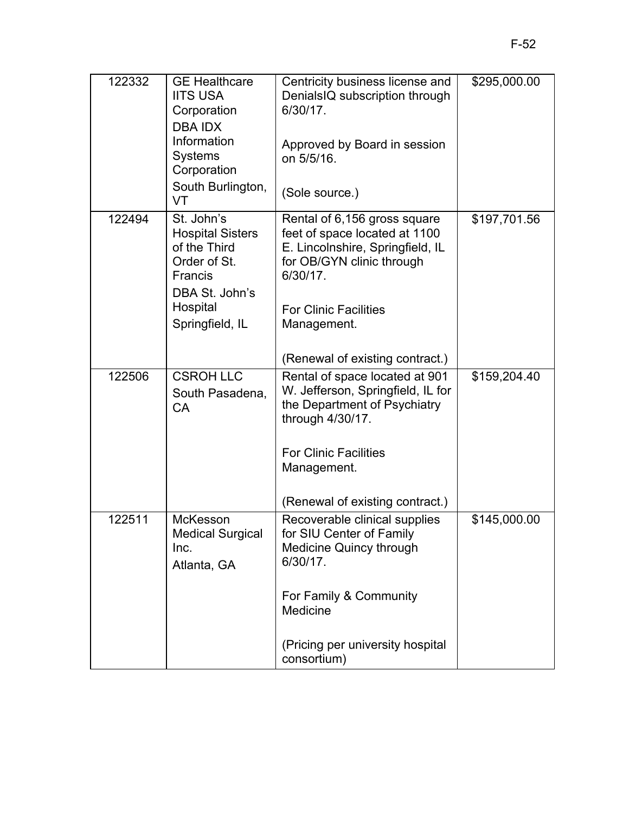| 122332 | <b>GE Healthcare</b><br><b>IITS USA</b><br>Corporation<br><b>DBA IDX</b><br>Information<br><b>Systems</b>      | Centricity business license and<br>DenialsIQ subscription through<br>6/30/17.<br>Approved by Board in session<br>on 5/5/16.                                                | \$295,000.00 |
|--------|----------------------------------------------------------------------------------------------------------------|----------------------------------------------------------------------------------------------------------------------------------------------------------------------------|--------------|
|        | Corporation                                                                                                    |                                                                                                                                                                            |              |
|        | South Burlington,<br>VT                                                                                        | (Sole source.)                                                                                                                                                             |              |
| 122494 | St. John's<br><b>Hospital Sisters</b><br>of the Third<br>Order of St.<br>Francis<br>DBA St. John's<br>Hospital | Rental of 6,156 gross square<br>feet of space located at 1100<br>E. Lincolnshire, Springfield, IL<br>for OB/GYN clinic through<br>6/30/17.<br><b>For Clinic Facilities</b> | \$197,701.56 |
|        | Springfield, IL                                                                                                | Management.                                                                                                                                                                |              |
|        |                                                                                                                | (Renewal of existing contract.)                                                                                                                                            |              |
| 122506 | <b>CSROH LLC</b><br>South Pasadena,<br><b>CA</b>                                                               | Rental of space located at 901<br>W. Jefferson, Springfield, IL for<br>the Department of Psychiatry<br>through 4/30/17.                                                    | \$159,204.40 |
|        |                                                                                                                | <b>For Clinic Facilities</b><br>Management.                                                                                                                                |              |
|        |                                                                                                                | (Renewal of existing contract.)                                                                                                                                            |              |
| 122511 | McKesson<br><b>Medical Surgical</b><br>Inc.<br>Atlanta, GA                                                     | Recoverable clinical supplies<br>for SIU Center of Family<br><b>Medicine Quincy through</b><br>6/30/17.                                                                    | \$145,000.00 |
|        |                                                                                                                | For Family & Community<br>Medicine                                                                                                                                         |              |
|        |                                                                                                                | (Pricing per university hospital<br>consortium)                                                                                                                            |              |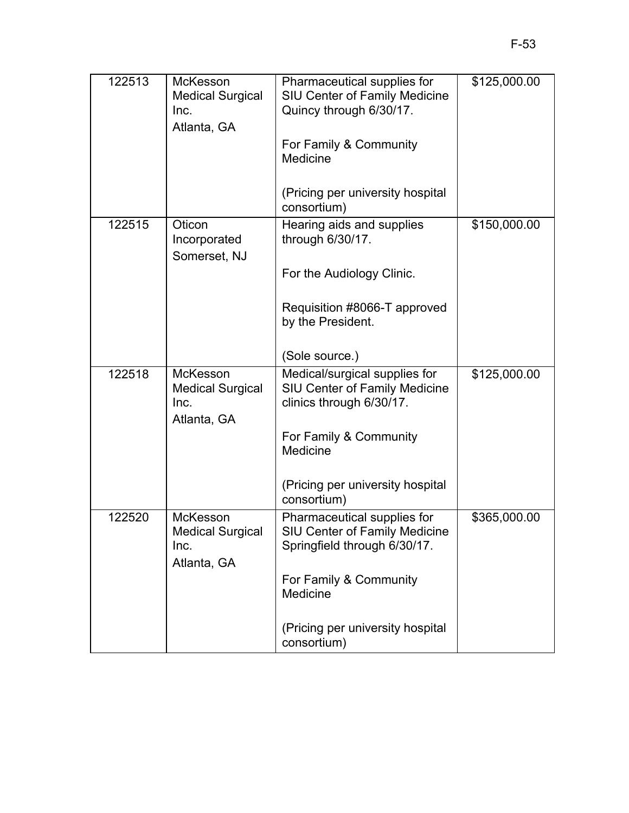| 122513 | <b>McKesson</b><br><b>Medical Surgical</b><br>Inc.<br>Atlanta, GA | Pharmaceutical supplies for<br><b>SIU Center of Family Medicine</b><br>Quincy through 6/30/17.      | \$125,000.00 |
|--------|-------------------------------------------------------------------|-----------------------------------------------------------------------------------------------------|--------------|
|        |                                                                   | For Family & Community<br>Medicine                                                                  |              |
|        |                                                                   | (Pricing per university hospital<br>consortium)                                                     |              |
| 122515 | Oticon<br>Incorporated<br>Somerset, NJ                            | Hearing aids and supplies<br>through 6/30/17.                                                       | \$150,000.00 |
|        |                                                                   | For the Audiology Clinic.                                                                           |              |
|        |                                                                   | Requisition #8066-T approved<br>by the President.                                                   |              |
|        |                                                                   | (Sole source.)                                                                                      |              |
| 122518 | McKesson<br><b>Medical Surgical</b><br>Inc.<br>Atlanta, GA        | Medical/surgical supplies for<br><b>SIU Center of Family Medicine</b><br>clinics through 6/30/17.   | \$125,000.00 |
|        |                                                                   | For Family & Community<br>Medicine                                                                  |              |
|        |                                                                   | (Pricing per university hospital<br>consortium)                                                     |              |
| 122520 | McKesson<br><b>Medical Surgical</b><br>Inc.<br>Atlanta, GA        | Pharmaceutical supplies for<br><b>SIU Center of Family Medicine</b><br>Springfield through 6/30/17. | \$365,000.00 |
|        |                                                                   | For Family & Community<br>Medicine                                                                  |              |
|        |                                                                   | (Pricing per university hospital<br>consortium)                                                     |              |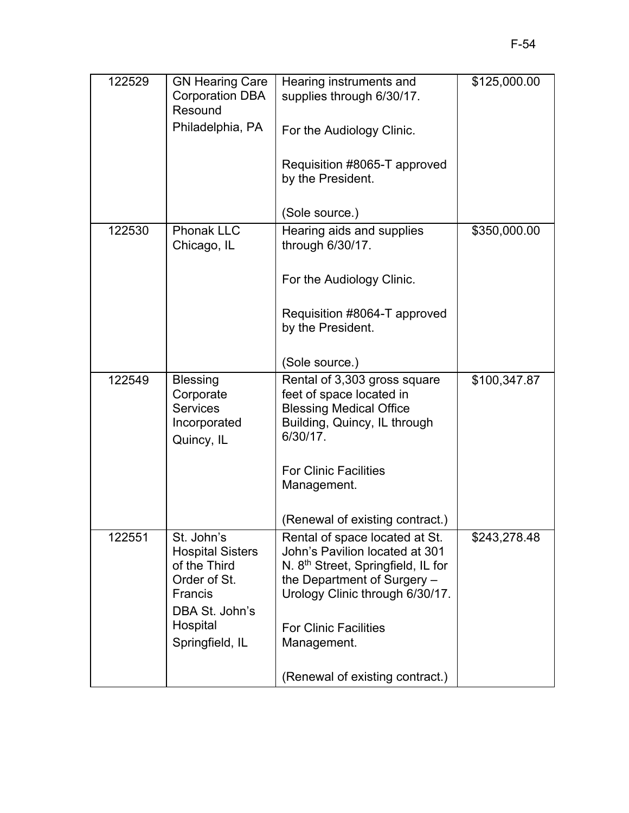| 122529 | <b>GN Hearing Care</b><br><b>Corporation DBA</b><br>Resound<br>Philadelphia, PA                                                   | Hearing instruments and<br>supplies through 6/30/17.<br>For the Audiology Clinic.                                                                                                                                    | \$125,000.00 |
|--------|-----------------------------------------------------------------------------------------------------------------------------------|----------------------------------------------------------------------------------------------------------------------------------------------------------------------------------------------------------------------|--------------|
|        |                                                                                                                                   | Requisition #8065-T approved<br>by the President.                                                                                                                                                                    |              |
|        |                                                                                                                                   | (Sole source.)                                                                                                                                                                                                       |              |
| 122530 | <b>Phonak LLC</b><br>Chicago, IL                                                                                                  | Hearing aids and supplies<br>through 6/30/17.                                                                                                                                                                        | \$350,000.00 |
|        |                                                                                                                                   | For the Audiology Clinic.                                                                                                                                                                                            |              |
|        |                                                                                                                                   | Requisition #8064-T approved<br>by the President.                                                                                                                                                                    |              |
|        |                                                                                                                                   | (Sole source.)                                                                                                                                                                                                       |              |
| 122549 | <b>Blessing</b><br>Corporate<br><b>Services</b><br>Incorporated<br>Quincy, IL                                                     | Rental of 3,303 gross square<br>feet of space located in<br><b>Blessing Medical Office</b><br>Building, Quincy, IL through<br>6/30/17.                                                                               | \$100,347.87 |
|        |                                                                                                                                   | <b>For Clinic Facilities</b><br>Management.                                                                                                                                                                          |              |
|        |                                                                                                                                   | (Renewal of existing contract.)                                                                                                                                                                                      |              |
| 122551 | St. John's<br><b>Hospital Sisters</b><br>of the Third<br>Order of St.<br>Francis<br>DBA St. John's<br>Hospital<br>Springfield, IL | Rental of space located at St.<br>John's Pavilion located at 301<br>N. 8 <sup>th</sup> Street, Springfield, IL for<br>the Department of Surgery -<br>Urology Clinic through 6/30/17.<br><b>For Clinic Facilities</b> | \$243,278.48 |
|        |                                                                                                                                   | Management.                                                                                                                                                                                                          |              |
|        |                                                                                                                                   | (Renewal of existing contract.)                                                                                                                                                                                      |              |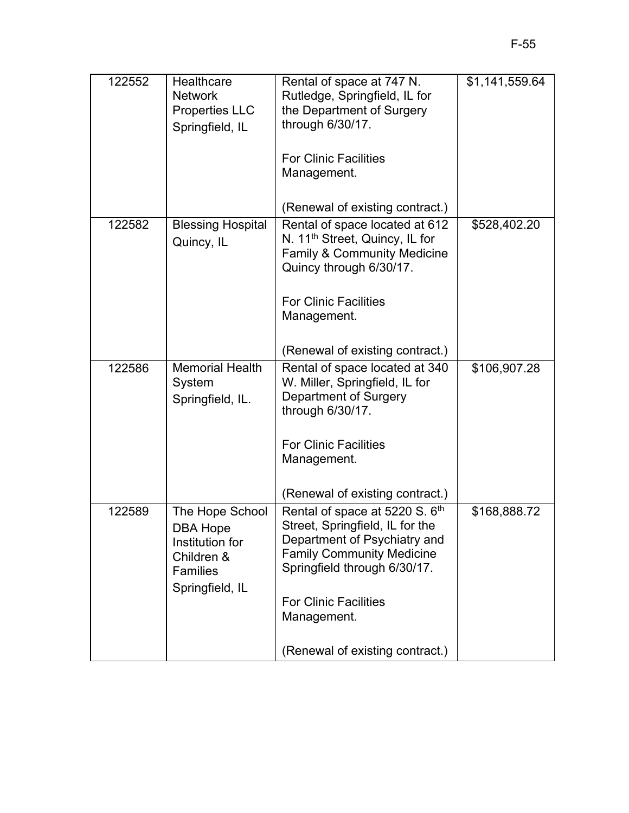| 122552 | Healthcare<br><b>Network</b><br><b>Properties LLC</b><br>Springfield, IL                                  | Rental of space at 747 N.<br>Rutledge, Springfield, IL for<br>the Department of Surgery<br>through 6/30/17.                                                                                                          | \$1,141,559.64 |
|--------|-----------------------------------------------------------------------------------------------------------|----------------------------------------------------------------------------------------------------------------------------------------------------------------------------------------------------------------------|----------------|
|        |                                                                                                           | <b>For Clinic Facilities</b><br>Management.                                                                                                                                                                          |                |
|        |                                                                                                           | (Renewal of existing contract.)                                                                                                                                                                                      |                |
| 122582 | <b>Blessing Hospital</b><br>Quincy, IL                                                                    | Rental of space located at 612<br>N. 11 <sup>th</sup> Street, Quincy, IL for<br><b>Family &amp; Community Medicine</b><br>Quincy through 6/30/17.                                                                    | \$528,402.20   |
|        |                                                                                                           | <b>For Clinic Facilities</b><br>Management.                                                                                                                                                                          |                |
|        |                                                                                                           | (Renewal of existing contract.)                                                                                                                                                                                      |                |
| 122586 | <b>Memorial Health</b><br>System<br>Springfield, IL.                                                      | Rental of space located at 340<br>W. Miller, Springfield, IL for<br>Department of Surgery<br>through 6/30/17.                                                                                                        | \$106,907.28   |
|        |                                                                                                           | <b>For Clinic Facilities</b><br>Management.                                                                                                                                                                          |                |
|        |                                                                                                           | (Renewal of existing contract.)                                                                                                                                                                                      |                |
| 122589 | The Hope School<br><b>DBA Hope</b><br>Institution for<br>Children &<br><b>Families</b><br>Springfield, IL | Rental of space at 5220 S. 6th<br>Street, Springfield, IL for the<br>Department of Psychiatry and<br><b>Family Community Medicine</b><br>Springfield through 6/30/17.<br><b>For Clinic Facilities</b><br>Management. | \$168,888.72   |
|        |                                                                                                           | (Renewal of existing contract.)                                                                                                                                                                                      |                |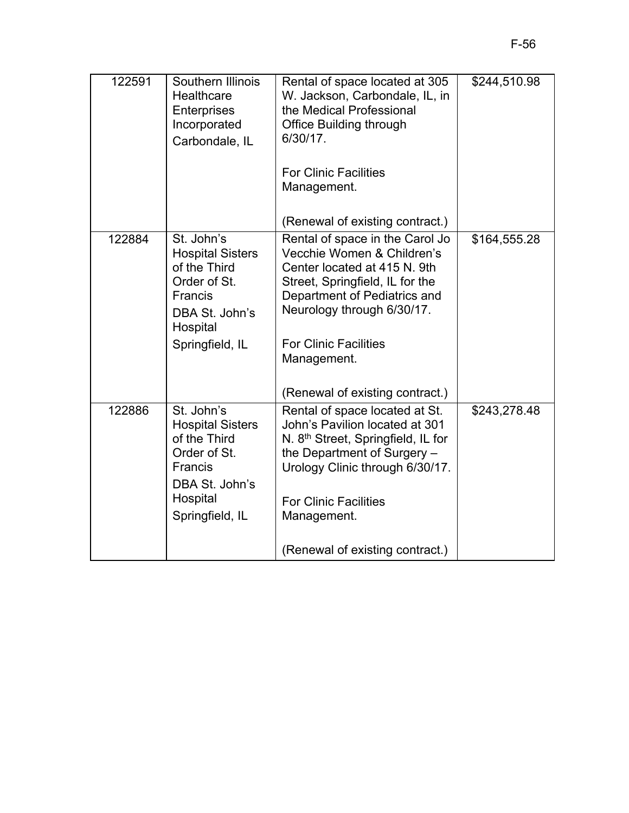| 122591 | Southern Illinois<br>Healthcare<br>Enterprises<br>Incorporated<br>Carbondale, IL                                                         | Rental of space located at 305<br>W. Jackson, Carbondale, IL, in<br>the Medical Professional<br><b>Office Building through</b><br>6/30/17.                                                                                                    | \$244,510.98 |
|--------|------------------------------------------------------------------------------------------------------------------------------------------|-----------------------------------------------------------------------------------------------------------------------------------------------------------------------------------------------------------------------------------------------|--------------|
|        |                                                                                                                                          | <b>For Clinic Facilities</b><br>Management.                                                                                                                                                                                                   |              |
|        |                                                                                                                                          | (Renewal of existing contract.)                                                                                                                                                                                                               |              |
| 122884 | St. John's<br><b>Hospital Sisters</b><br>of the Third<br>Order of St.<br><b>Francis</b><br>DBA St. John's<br>Hospital<br>Springfield, IL | Rental of space in the Carol Jo<br>Vecchie Women & Children's<br>Center located at 415 N. 9th<br>Street, Springfield, IL for the<br>Department of Pediatrics and<br>Neurology through 6/30/17.<br><b>For Clinic Facilities</b><br>Management. | \$164,555.28 |
|        |                                                                                                                                          | (Renewal of existing contract.)                                                                                                                                                                                                               |              |
| 122886 | St. John's<br><b>Hospital Sisters</b><br>of the Third<br>Order of St.<br><b>Francis</b><br>DBA St. John's<br>Hospital<br>Springfield, IL | Rental of space located at St.<br>John's Pavilion located at 301<br>N. 8 <sup>th</sup> Street, Springfield, IL for<br>the Department of Surgery -<br>Urology Clinic through 6/30/17.<br><b>For Clinic Facilities</b><br>Management.           | \$243,278.48 |
|        |                                                                                                                                          | (Renewal of existing contract.)                                                                                                                                                                                                               |              |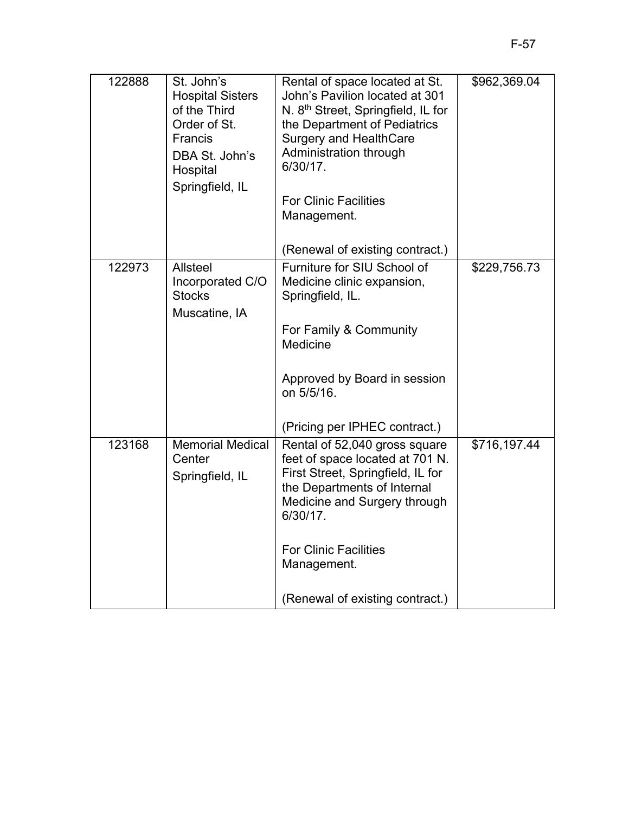| 122888 | St. John's<br><b>Hospital Sisters</b><br>of the Third<br>Order of St.<br>Francis<br>DBA St. John's<br>Hospital<br>Springfield, IL | Rental of space located at St.<br>John's Pavilion located at 301<br>N. 8 <sup>th</sup> Street, Springfield, IL for<br>the Department of Pediatrics<br><b>Surgery and HealthCare</b><br>Administration through<br>6/30/17.<br><b>For Clinic Facilities</b><br>Management. | \$962,369.04 |
|--------|-----------------------------------------------------------------------------------------------------------------------------------|--------------------------------------------------------------------------------------------------------------------------------------------------------------------------------------------------------------------------------------------------------------------------|--------------|
|        |                                                                                                                                   | (Renewal of existing contract.)                                                                                                                                                                                                                                          |              |
| 122973 | <b>Allsteel</b><br>Incorporated C/O<br><b>Stocks</b><br>Muscatine, IA                                                             | Furniture for SIU School of<br>Medicine clinic expansion,<br>Springfield, IL.<br>For Family & Community<br>Medicine<br>Approved by Board in session                                                                                                                      | \$229,756.73 |
|        |                                                                                                                                   | on 5/5/16.                                                                                                                                                                                                                                                               |              |
|        |                                                                                                                                   | (Pricing per IPHEC contract.)                                                                                                                                                                                                                                            |              |
| 123168 | <b>Memorial Medical</b><br>Center<br>Springfield, IL                                                                              | Rental of 52,040 gross square<br>feet of space located at 701 N.<br>First Street, Springfield, IL for<br>the Departments of Internal<br>Medicine and Surgery through<br>6/30/17.<br><b>For Clinic Facilities</b><br>Management.                                          | \$716,197.44 |
|        |                                                                                                                                   | (Renewal of existing contract.)                                                                                                                                                                                                                                          |              |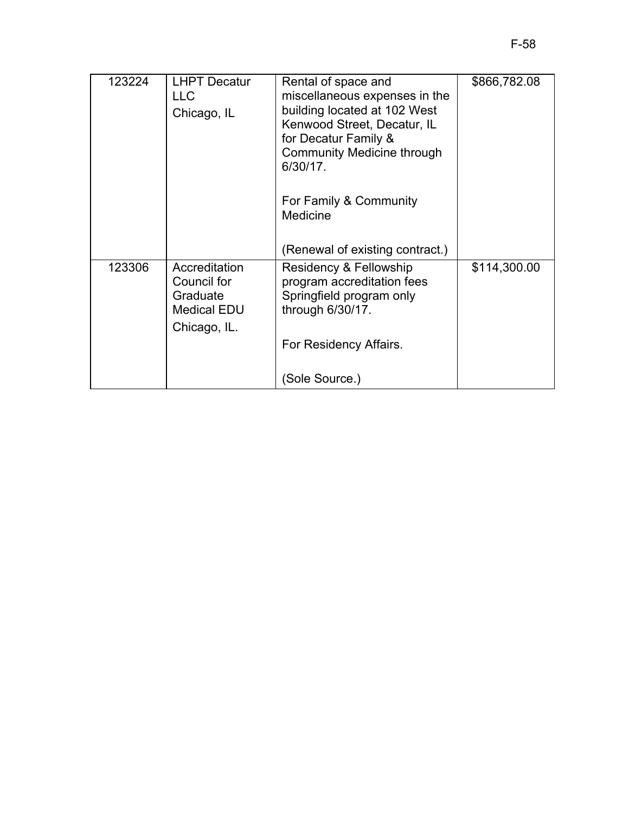| 123224 | <b>LHPT Decatur</b><br><b>LLC</b><br>Chicago, IL                               | Rental of space and<br>miscellaneous expenses in the<br>building located at 102 West<br>Kenwood Street, Decatur, IL<br>for Decatur Family &<br><b>Community Medicine through</b><br>6/30/17.<br>For Family & Community<br>Medicine | \$866,782.08 |
|--------|--------------------------------------------------------------------------------|------------------------------------------------------------------------------------------------------------------------------------------------------------------------------------------------------------------------------------|--------------|
|        |                                                                                | (Renewal of existing contract.)                                                                                                                                                                                                    |              |
| 123306 | Accreditation<br>Council for<br>Graduate<br><b>Medical EDU</b><br>Chicago, IL. | Residency & Fellowship<br>program accreditation fees<br>Springfield program only<br>through 6/30/17.                                                                                                                               | \$114,300.00 |
|        |                                                                                | For Residency Affairs.                                                                                                                                                                                                             |              |
|        |                                                                                | (Sole Source.)                                                                                                                                                                                                                     |              |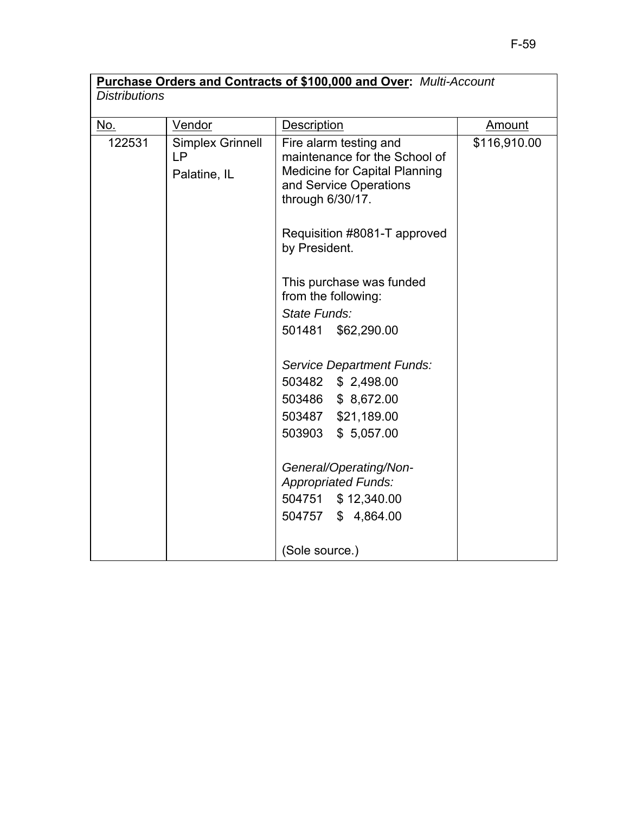# **Purchase Orders and Contracts of \$100,000 and Over:** *Multi-Account Distributions*

| <u>No.</u> | <b>Vendor</b>                          | Description                                                                                                                                                                                                                                                                                                          | <b>Amount</b> |
|------------|----------------------------------------|----------------------------------------------------------------------------------------------------------------------------------------------------------------------------------------------------------------------------------------------------------------------------------------------------------------------|---------------|
| 122531     | Simplex Grinnell<br>LP<br>Palatine, IL | Fire alarm testing and<br>maintenance for the School of<br><b>Medicine for Capital Planning</b><br>and Service Operations<br>through 6/30/17.<br>Requisition #8081-T approved<br>by President.<br>This purchase was funded<br>from the following:<br>State Funds:<br>501481 \$62,290.00<br>Service Department Funds: | \$116,910.00  |
|            |                                        | 503482 \$ 2,498.00<br>503486 \$8,672.00                                                                                                                                                                                                                                                                              |               |
|            |                                        | 503487 \$21,189.00                                                                                                                                                                                                                                                                                                   |               |
|            |                                        | 503903<br>\$5,057.00                                                                                                                                                                                                                                                                                                 |               |
|            |                                        | General/Operating/Non-<br><b>Appropriated Funds:</b>                                                                                                                                                                                                                                                                 |               |
|            |                                        | 504751 \$12,340.00                                                                                                                                                                                                                                                                                                   |               |
|            |                                        | 504757 \$4,864.00                                                                                                                                                                                                                                                                                                    |               |
|            |                                        | (Sole source.)                                                                                                                                                                                                                                                                                                       |               |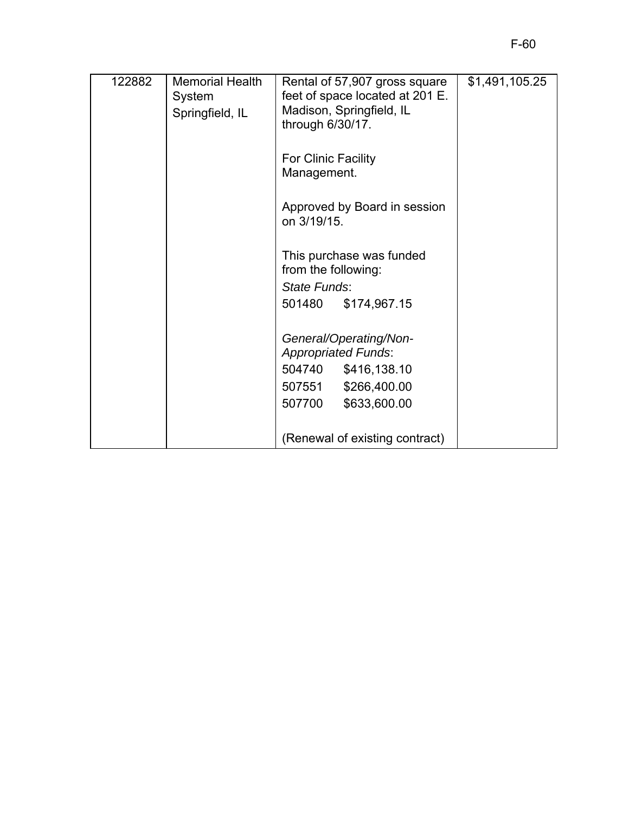| 122882 | <b>Memorial Health</b><br>System<br>Springfield, IL | Rental of 57,907 gross square<br>feet of space located at 201 E.<br>Madison, Springfield, IL<br>through 6/30/17. | \$1,491,105.25 |
|--------|-----------------------------------------------------|------------------------------------------------------------------------------------------------------------------|----------------|
|        |                                                     | For Clinic Facility<br>Management.                                                                               |                |
|        |                                                     | Approved by Board in session<br>on 3/19/15.                                                                      |                |
|        |                                                     | This purchase was funded<br>from the following:<br>State Funds:                                                  |                |
|        |                                                     | 501480<br>\$174,967.15                                                                                           |                |
|        |                                                     | General/Operating/Non-<br><b>Appropriated Funds:</b>                                                             |                |
|        |                                                     | 504740<br>\$416,138.10                                                                                           |                |
|        |                                                     | 507551<br>\$266,400.00                                                                                           |                |
|        |                                                     | 507700<br>\$633,600.00                                                                                           |                |
|        |                                                     | (Renewal of existing contract)                                                                                   |                |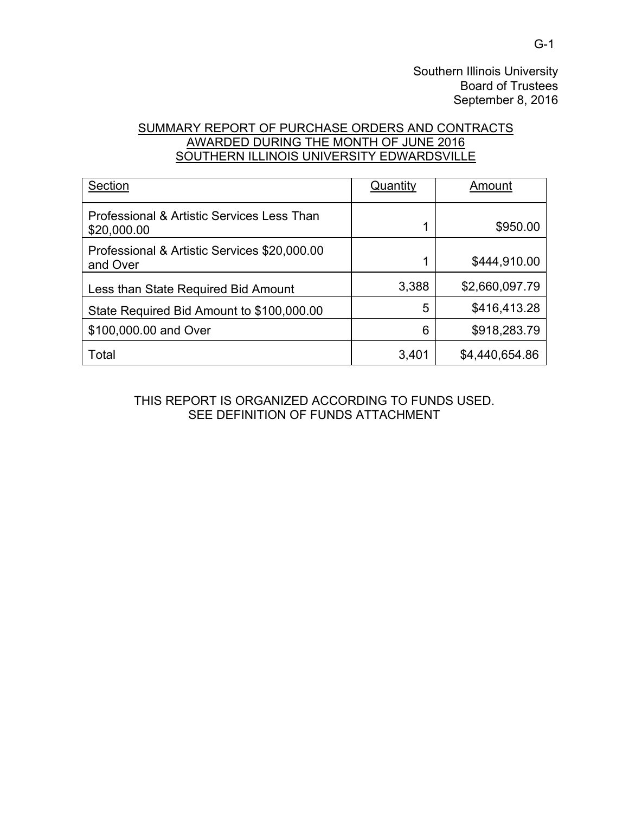Southern Illinois University Board of Trustees September 8, 2016

## SUMMARY REPORT OF PURCHASE ORDERS AND CONTRACTS AWARDED DURING THE MONTH OF JUNE 2016 SOUTHERN ILLINOIS UNIVERSITY EDWARDSVILLE

| Section                                                   | Quantity | Amount         |
|-----------------------------------------------------------|----------|----------------|
| Professional & Artistic Services Less Than<br>\$20,000.00 |          | \$950.00       |
| Professional & Artistic Services \$20,000.00<br>and Over  | 4        | \$444,910.00   |
| Less than State Required Bid Amount                       | 3,388    | \$2,660,097.79 |
| State Required Bid Amount to \$100,000.00                 | 5        | \$416,413.28   |
| \$100,000.00 and Over                                     | 6        | \$918,283.79   |
| Total                                                     | 3,401    | \$4,440,654.86 |

#### THIS REPORT IS ORGANIZED ACCORDING TO FUNDS USED. SEE DEFINITION OF FUNDS ATTACHMENT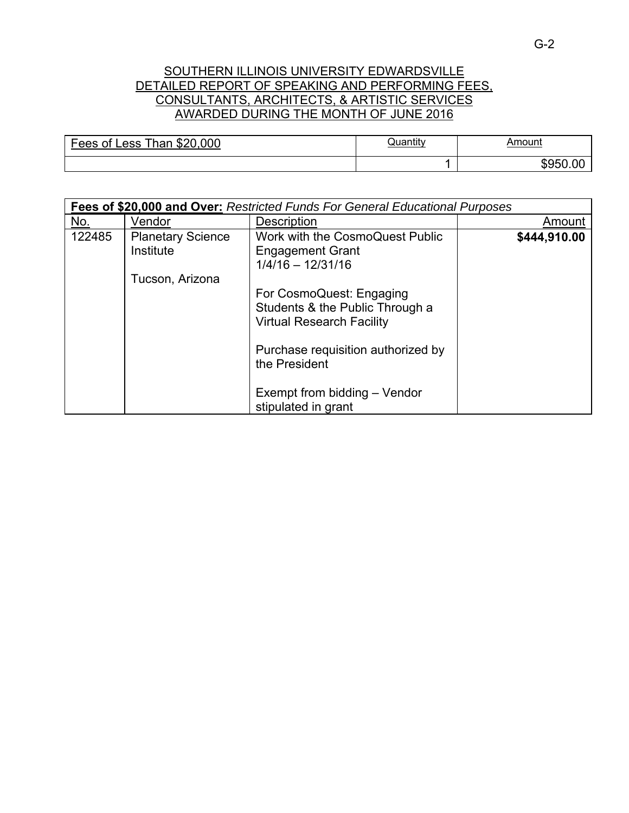### SOUTHERN ILLINOIS UNIVERSITY EDWARDSVILLE DETAILED REPORT OF SPEAKING AND PERFORMING FEES, CONSULTANTS, ARCHITECTS, & ARTISTIC SERVICES AWARDED DURING THE MONTH OF JUNE 2016

| \$20<br>.000<br>$Thon \sim$<br>-<br>Fees<br>0t<br>ACC<br>∵Ildı.<br>∟∪งง | שuantıt∖ | Amount<br><u> 1989 - Johann Stoff, amerikansk politiker (d. 1989)</u> |
|-------------------------------------------------------------------------|----------|-----------------------------------------------------------------------|
|                                                                         |          | ΩC<br>"u⊢<br>ור                                                       |

|        | Fees of \$20,000 and Over: Restricted Funds For General Educational Purposes |                                    |              |  |  |
|--------|------------------------------------------------------------------------------|------------------------------------|--------------|--|--|
| No.    | Vendor                                                                       | <b>Description</b>                 | Amount       |  |  |
| 122485 | <b>Planetary Science</b>                                                     | Work with the CosmoQuest Public    | \$444,910.00 |  |  |
|        | Institute                                                                    | <b>Engagement Grant</b>            |              |  |  |
|        |                                                                              | $1/4/16 - 12/31/16$                |              |  |  |
|        | Tucson, Arizona                                                              |                                    |              |  |  |
|        |                                                                              | For CosmoQuest: Engaging           |              |  |  |
|        |                                                                              | Students & the Public Through a    |              |  |  |
|        |                                                                              | <b>Virtual Research Facility</b>   |              |  |  |
|        |                                                                              |                                    |              |  |  |
|        |                                                                              | Purchase requisition authorized by |              |  |  |
|        |                                                                              | the President                      |              |  |  |
|        |                                                                              |                                    |              |  |  |
|        |                                                                              | Exempt from bidding - Vendor       |              |  |  |
|        |                                                                              | stipulated in grant                |              |  |  |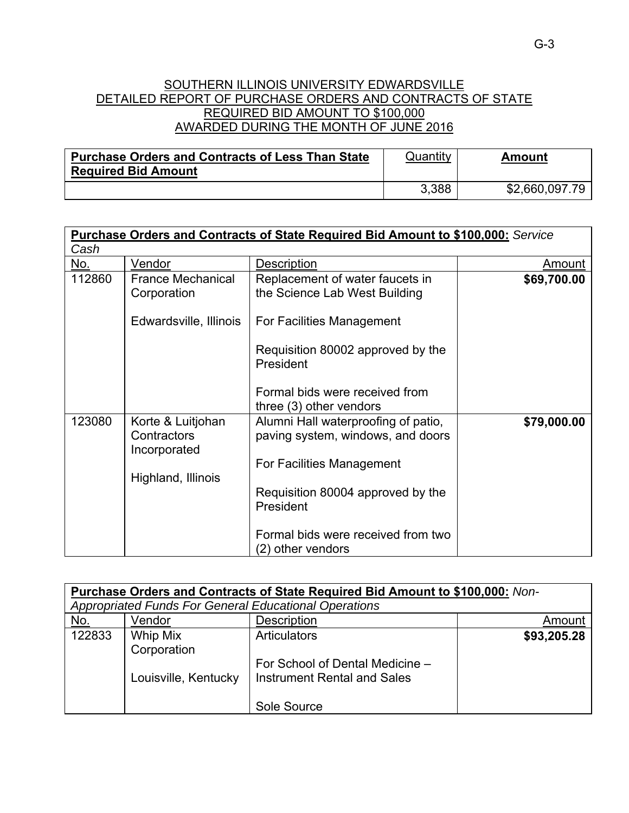#### SOUTHERN ILLINOIS UNIVERSITY EDWARDSVILLE DETAILED REPORT OF PURCHASE ORDERS AND CONTRACTS OF STATE REQUIRED BID AMOUNT TO \$100,000 AWARDED DURING THE MONTH OF JUNE 2016

| <b>Purchase Orders and Contracts of Less Than State</b> | Quantity | Amount         |
|---------------------------------------------------------|----------|----------------|
| <b>Required Bid Amount</b>                              |          |                |
|                                                         | 3,388    | \$2,660,097.79 |

|        |                                                  | <b>Purchase Orders and Contracts of State Required Bid Amount to \$100,000: Service</b> |             |
|--------|--------------------------------------------------|-----------------------------------------------------------------------------------------|-------------|
| Cash   |                                                  |                                                                                         |             |
| No.    | Vendor                                           | <b>Description</b>                                                                      | Amount      |
| 112860 | <b>France Mechanical</b><br>Corporation          | Replacement of water faucets in<br>the Science Lab West Building                        | \$69,700.00 |
|        | Edwardsville, Illinois                           | For Facilities Management                                                               |             |
|        |                                                  | Requisition 80002 approved by the<br>President                                          |             |
|        |                                                  | Formal bids were received from<br>three (3) other vendors                               |             |
| 123080 | Korte & Luitjohan<br>Contractors<br>Incorporated | Alumni Hall waterproofing of patio,<br>paving system, windows, and doors                | \$79,000.00 |
|        | Highland, Illinois                               | For Facilities Management                                                               |             |
|        |                                                  | Requisition 80004 approved by the<br>President                                          |             |
|        |                                                  | Formal bids were received from two<br>(2) other vendors                                 |             |

|            | Purchase Orders and Contracts of State Required Bid Amount to \$100,000: Non- |                                                       |             |
|------------|-------------------------------------------------------------------------------|-------------------------------------------------------|-------------|
|            |                                                                               | Appropriated Funds For General Educational Operations |             |
| <u>No.</u> | Vendor                                                                        | Description                                           | Amount      |
| 122833     | Whip Mix                                                                      | Articulators                                          | \$93,205.28 |
|            | Corporation                                                                   |                                                       |             |
|            |                                                                               | For School of Dental Medicine -                       |             |
|            | Louisville, Kentucky                                                          | <b>Instrument Rental and Sales</b>                    |             |
|            |                                                                               |                                                       |             |
|            |                                                                               | Sole Source                                           |             |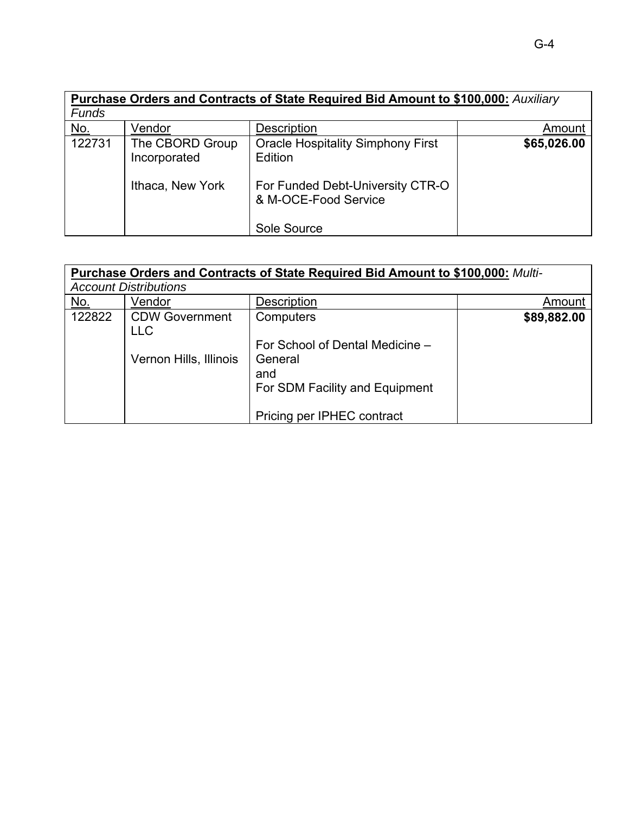|              | <b>Purchase Orders and Contracts of State Required Bid Amount to \$100,000: Auxiliary</b> |                                                                                                                 |             |
|--------------|-------------------------------------------------------------------------------------------|-----------------------------------------------------------------------------------------------------------------|-------------|
| <b>Funds</b> |                                                                                           |                                                                                                                 |             |
| <u>No.</u>   | Vendor                                                                                    | <b>Description</b>                                                                                              | Amount      |
| 122731       | The CBORD Group<br>Incorporated<br>Ithaca, New York                                       | <b>Oracle Hospitality Simphony First</b><br>Edition<br>For Funded Debt-University CTR-O<br>& M-OCE-Food Service | \$65,026.00 |
|              |                                                                                           | Sole Source                                                                                                     |             |

### **Purchase Orders and Contracts of State Required Bid Amount to \$100,000:** *Multi-Account Distributions*

|            | , 10000111 DIOUIDOUOID              |                                 |             |
|------------|-------------------------------------|---------------------------------|-------------|
| <u>No.</u> | Vendor                              | <b>Description</b>              | Amount      |
| 122822     | <b>CDW Government</b><br><b>LLC</b> | Computers                       | \$89,882.00 |
|            |                                     | For School of Dental Medicine - |             |
|            | Vernon Hills, Illinois              | General<br>and                  |             |
|            |                                     | For SDM Facility and Equipment  |             |
|            |                                     | Pricing per IPHEC contract      |             |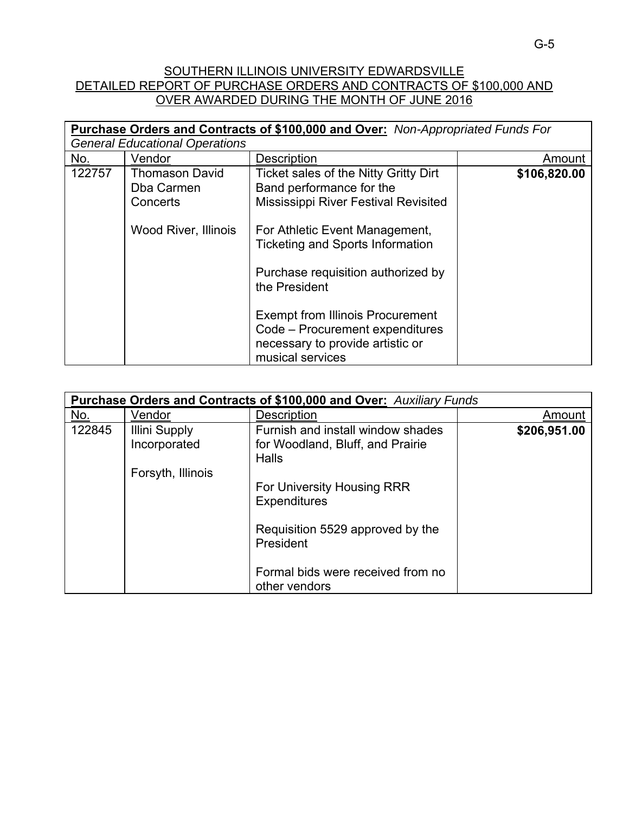## SOUTHERN ILLINOIS UNIVERSITY EDWARDSVILLE DETAILED REPORT OF PURCHASE ORDERS AND CONTRACTS OF \$100,000 AND OVER AWARDED DURING THE MONTH OF JUNE 2016

|        |                                                                                | <b>Purchase Orders and Contracts of \$100,000 and Over:</b> Non-Appropriated Funds For                                                                                                                                                                                                                                                                                                     |              |
|--------|--------------------------------------------------------------------------------|--------------------------------------------------------------------------------------------------------------------------------------------------------------------------------------------------------------------------------------------------------------------------------------------------------------------------------------------------------------------------------------------|--------------|
|        | <b>General Educational Operations</b>                                          |                                                                                                                                                                                                                                                                                                                                                                                            |              |
| No.    | Vendor                                                                         | Description                                                                                                                                                                                                                                                                                                                                                                                | Amount       |
| 122757 | <b>Thomason David</b><br>Dba Carmen<br>Concerts<br><b>Wood River, Illinois</b> | Ticket sales of the Nitty Gritty Dirt<br>Band performance for the<br><b>Mississippi River Festival Revisited</b><br>For Athletic Event Management,<br><b>Ticketing and Sports Information</b><br>Purchase requisition authorized by<br>the President<br><b>Exempt from Illinois Procurement</b><br>Code - Procurement expenditures<br>necessary to provide artistic or<br>musical services | \$106,820.00 |

|            | <b>Purchase Orders and Contracts of \$100,000 and Over:</b> Auxiliary Funds |                                                                                |              |
|------------|-----------------------------------------------------------------------------|--------------------------------------------------------------------------------|--------------|
| <u>No.</u> | Vendor                                                                      | Description                                                                    | Amount       |
| 122845     | Illini Supply<br>Incorporated                                               | Furnish and install window shades<br>for Woodland, Bluff, and Prairie<br>Halls | \$206,951.00 |
|            | Forsyth, Illinois                                                           |                                                                                |              |
|            |                                                                             | For University Housing RRR<br><b>Expenditures</b>                              |              |
|            |                                                                             | Requisition 5529 approved by the<br>President                                  |              |
|            |                                                                             | Formal bids were received from no<br>other vendors                             |              |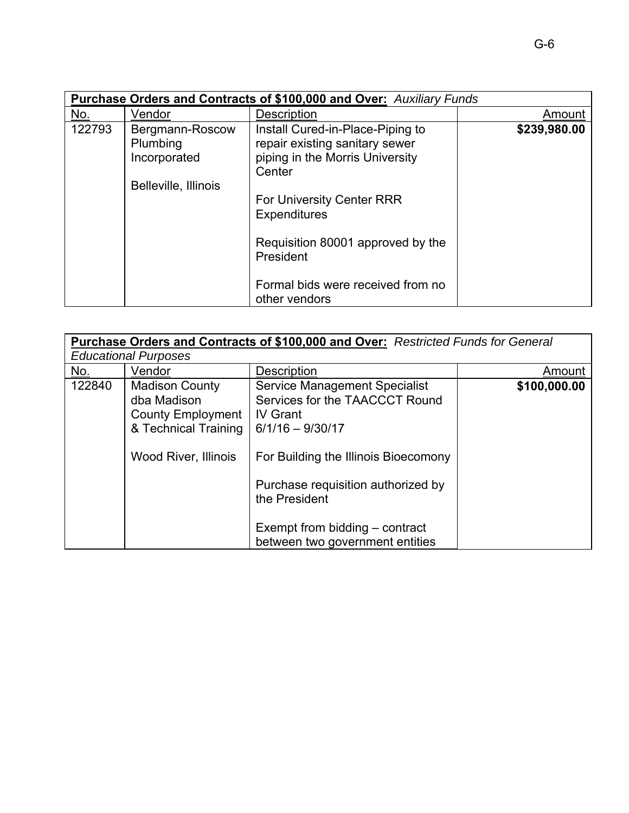|            | <b>Purchase Orders and Contracts of \$100,000 and Over: Auxiliary Funds</b> |                                                                                                                                                                                                                       |              |  |
|------------|-----------------------------------------------------------------------------|-----------------------------------------------------------------------------------------------------------------------------------------------------------------------------------------------------------------------|--------------|--|
| <u>No.</u> | Vendor                                                                      | <b>Description</b>                                                                                                                                                                                                    | Amount       |  |
| 122793     | Bergmann-Roscow<br>Plumbing<br>Incorporated<br>Belleville, Illinois         | Install Cured-in-Place-Piping to<br>repair existing sanitary sewer<br>piping in the Morris University<br>Center<br>For University Center RRR<br><b>Expenditures</b><br>Requisition 80001 approved by the<br>President | \$239,980.00 |  |
|            |                                                                             | Formal bids were received from no<br>other vendors                                                                                                                                                                    |              |  |

|            |                                                                                                                         | Purchase Orders and Contracts of \$100,000 and Over: Restricted Funds for General                                                                                                                                                                                                   |              |
|------------|-------------------------------------------------------------------------------------------------------------------------|-------------------------------------------------------------------------------------------------------------------------------------------------------------------------------------------------------------------------------------------------------------------------------------|--------------|
|            | <b>Educational Purposes</b>                                                                                             |                                                                                                                                                                                                                                                                                     |              |
| <u>No.</u> | Vendor                                                                                                                  | Description                                                                                                                                                                                                                                                                         | Amount       |
| 122840     | <b>Madison County</b><br>dba Madison<br><b>County Employment</b><br>& Technical Training<br><b>Wood River, Illinois</b> | <b>Service Management Specialist</b><br>Services for the TAACCCT Round<br><b>IV Grant</b><br>$6/1/16 - 9/30/17$<br>For Building the Illinois Bioecomony<br>Purchase requisition authorized by<br>the President<br>Exempt from bidding – contract<br>between two government entities | \$100,000.00 |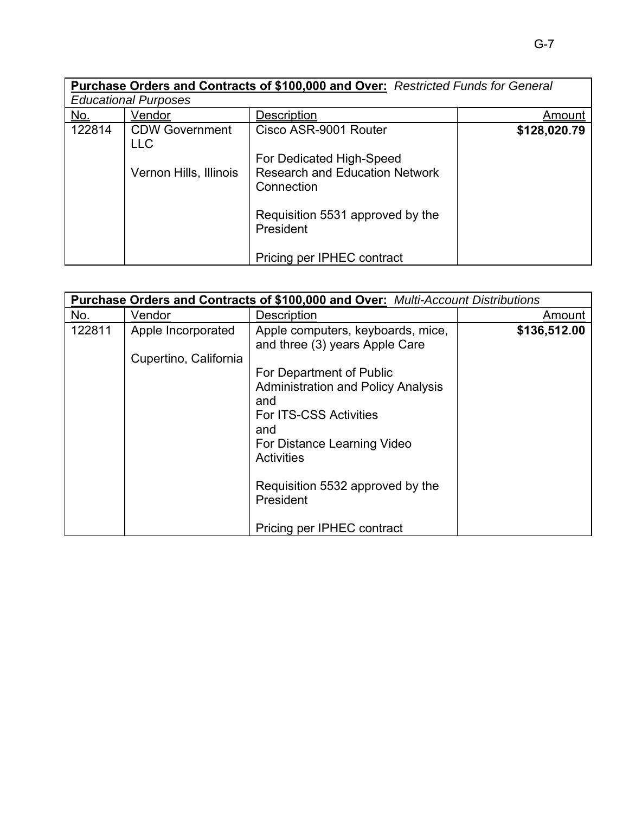|            | <b>Educational Purposes</b>         | Purchase Orders and Contracts of \$100,000 and Over: Restricted Funds for General |              |
|------------|-------------------------------------|-----------------------------------------------------------------------------------|--------------|
| <u>No.</u> | Vendor                              | Description                                                                       | Amount       |
| 122814     | <b>CDW Government</b><br><b>LLC</b> | Cisco ASR-9001 Router                                                             | \$128,020.79 |
|            | Vernon Hills, Illinois              | For Dedicated High-Speed<br><b>Research and Education Network</b><br>Connection   |              |
|            |                                     | Requisition 5531 approved by the<br>President                                     |              |
|            |                                     | Pricing per IPHEC contract                                                        |              |

| Purchase Orders and Contracts of \$100,000 and Over: Multi-Account Distributions |                       |                                                                     |              |
|----------------------------------------------------------------------------------|-----------------------|---------------------------------------------------------------------|--------------|
| No.                                                                              | Vendor                | <b>Description</b>                                                  | Amount       |
| 122811                                                                           | Apple Incorporated    | Apple computers, keyboards, mice,<br>and three (3) years Apple Care | \$136,512.00 |
|                                                                                  | Cupertino, California |                                                                     |              |
|                                                                                  |                       | For Department of Public                                            |              |
|                                                                                  |                       | <b>Administration and Policy Analysis</b>                           |              |
|                                                                                  |                       | and                                                                 |              |
|                                                                                  |                       | For ITS-CSS Activities                                              |              |
|                                                                                  |                       | and                                                                 |              |
|                                                                                  |                       | For Distance Learning Video                                         |              |
|                                                                                  |                       | <b>Activities</b>                                                   |              |
|                                                                                  |                       |                                                                     |              |
|                                                                                  |                       | Requisition 5532 approved by the                                    |              |
|                                                                                  |                       | President                                                           |              |
|                                                                                  |                       |                                                                     |              |
|                                                                                  |                       | Pricing per IPHEC contract                                          |              |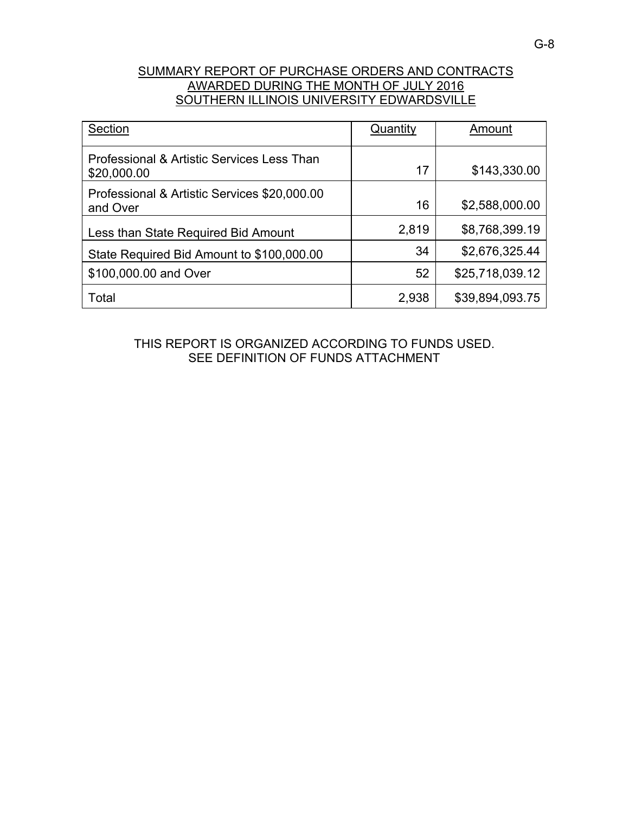## SUMMARY REPORT OF PURCHASE ORDERS AND CONTRACTS AWARDED DURING THE MONTH OF JULY 2016 SOUTHERN ILLINOIS UNIVERSITY EDWARDSVILLE

| Section                                                   | Quantity | Amount          |
|-----------------------------------------------------------|----------|-----------------|
| Professional & Artistic Services Less Than<br>\$20,000.00 | 17       | \$143,330.00    |
| Professional & Artistic Services \$20,000.00<br>and Over  | 16       | \$2,588,000.00  |
| Less than State Required Bid Amount                       | 2,819    | \$8,768,399.19  |
| State Required Bid Amount to \$100,000.00                 | 34       | \$2,676,325.44  |
| \$100,000.00 and Over                                     | 52       | \$25,718,039.12 |
| Total                                                     | 2,938    | \$39,894,093.75 |

THIS REPORT IS ORGANIZED ACCORDING TO FUNDS USED. SEE DEFINITION OF FUNDS ATTACHMENT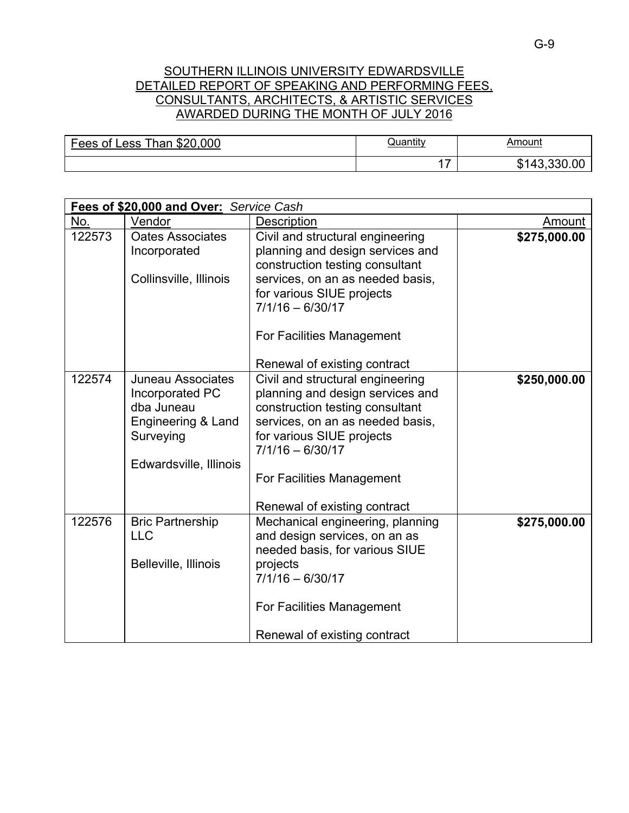## SOUTHERN ILLINOIS UNIVERSITY EDWARDSVILLE DETAILED REPORT OF SPEAKING AND PERFORMING FEES, CONSULTANTS, ARCHITECTS, & ARTISTIC SERVICES AWARDED DURING THE MONTH OF JULY 2016

| Fees of<br>\$20,000<br>$Than \sim$<br><b>Less</b> | <b>Juantity</b> | Amount                                  |
|---------------------------------------------------|-----------------|-----------------------------------------|
|                                                   | -               | .330<br><u>_ 4</u> ?<br><u>ጡ ብ</u><br>ﯩ |

| Fees of \$20,000 and Over: Service Cash |                                                                                                                        |                                                                                                                                                                                                                                                             |              |  |
|-----------------------------------------|------------------------------------------------------------------------------------------------------------------------|-------------------------------------------------------------------------------------------------------------------------------------------------------------------------------------------------------------------------------------------------------------|--------------|--|
| No.                                     | Vendor                                                                                                                 | Description                                                                                                                                                                                                                                                 | Amount       |  |
| 122573                                  | <b>Oates Associates</b><br>Incorporated<br>Collinsville, Illinois                                                      | Civil and structural engineering<br>planning and design services and<br>construction testing consultant<br>services, on an as needed basis,<br>for various SIUE projects<br>$7/1/16 - 6/30/17$<br>For Facilities Management<br>Renewal of existing contract | \$275,000.00 |  |
| 122574                                  | <b>Juneau Associates</b><br>Incorporated PC<br>dba Juneau<br>Engineering & Land<br>Surveying<br>Edwardsville, Illinois | Civil and structural engineering<br>planning and design services and<br>construction testing consultant<br>services, on an as needed basis,<br>for various SIUE projects<br>$7/1/16 - 6/30/17$<br>For Facilities Management<br>Renewal of existing contract | \$250,000.00 |  |
| 122576                                  | <b>Bric Partnership</b><br><b>LLC</b><br>Belleville, Illinois                                                          | Mechanical engineering, planning<br>and design services, on an as<br>needed basis, for various SIUE<br>projects<br>$7/1/16 - 6/30/17$<br>For Facilities Management<br>Renewal of existing contract                                                          | \$275,000.00 |  |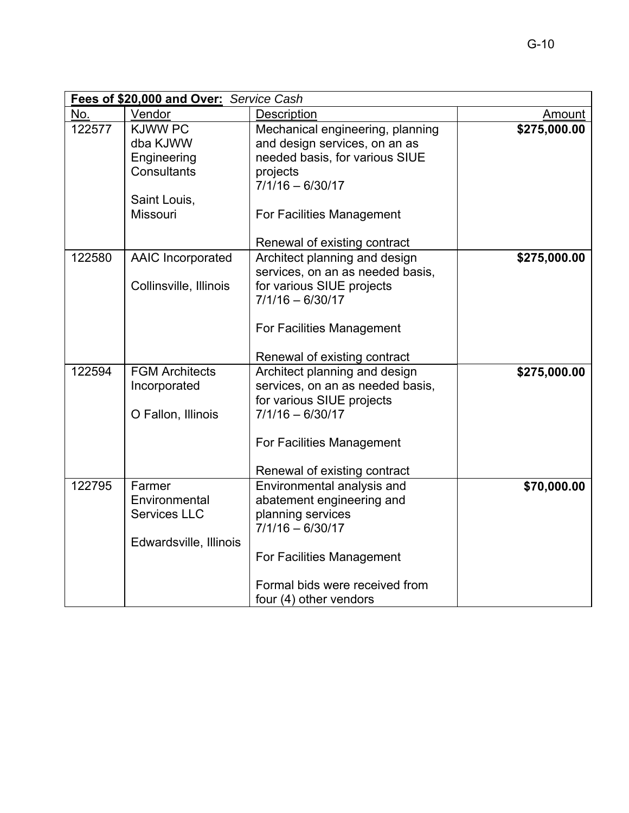| Fees of \$20,000 and Over: Service Cash |                          |                                  |              |
|-----------------------------------------|--------------------------|----------------------------------|--------------|
| No.                                     | Vendor                   | Description                      | Amount       |
| 122577                                  | <b>KJWW PC</b>           | Mechanical engineering, planning | \$275,000.00 |
|                                         | dba KJWW                 | and design services, on an as    |              |
|                                         | Engineering              | needed basis, for various SIUE   |              |
|                                         | Consultants              | projects                         |              |
|                                         |                          | $7/1/16 - 6/30/17$               |              |
|                                         | Saint Louis,             |                                  |              |
|                                         | Missouri                 | For Facilities Management        |              |
|                                         |                          |                                  |              |
|                                         |                          | Renewal of existing contract     |              |
| 122580                                  | <b>AAIC Incorporated</b> | Architect planning and design    | \$275,000.00 |
|                                         |                          | services, on an as needed basis, |              |
|                                         | Collinsville, Illinois   | for various SIUE projects        |              |
|                                         |                          | $7/1/16 - 6/30/17$               |              |
|                                         |                          | For Facilities Management        |              |
|                                         |                          |                                  |              |
|                                         |                          | Renewal of existing contract     |              |
| 122594                                  | <b>FGM Architects</b>    | Architect planning and design    | \$275,000.00 |
|                                         | Incorporated             | services, on an as needed basis, |              |
|                                         |                          | for various SIUE projects        |              |
|                                         | O Fallon, Illinois       | $7/1/16 - 6/30/17$               |              |
|                                         |                          |                                  |              |
|                                         |                          | For Facilities Management        |              |
|                                         |                          |                                  |              |
|                                         |                          | Renewal of existing contract     |              |
| 122795                                  | Farmer                   | Environmental analysis and       | \$70,000.00  |
|                                         | Environmental            | abatement engineering and        |              |
|                                         | <b>Services LLC</b>      | planning services                |              |
|                                         |                          | $7/1/16 - 6/30/17$               |              |
|                                         | Edwardsville, Illinois   |                                  |              |
|                                         |                          | For Facilities Management        |              |
|                                         |                          | Formal bids were received from   |              |
|                                         |                          | four (4) other vendors           |              |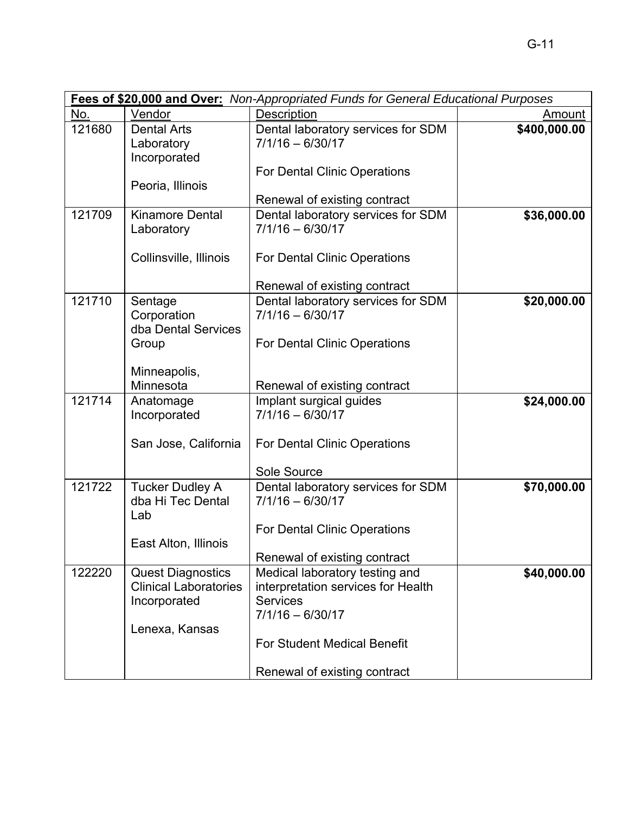|        |                                                                                            | Fees of \$20,000 and Over: Non-Appropriated Funds for General Educational Purposes                            |              |
|--------|--------------------------------------------------------------------------------------------|---------------------------------------------------------------------------------------------------------------|--------------|
| No.    | Vendor                                                                                     | Description                                                                                                   | Amount       |
| 121680 | <b>Dental Arts</b><br>Laboratory<br>Incorporated                                           | Dental laboratory services for SDM<br>$7/1/16 - 6/30/17$<br><b>For Dental Clinic Operations</b>               | \$400,000.00 |
|        | Peoria, Illinois                                                                           | Renewal of existing contract                                                                                  |              |
| 121709 | <b>Kinamore Dental</b><br>Laboratory                                                       | Dental laboratory services for SDM<br>$7/1/16 - 6/30/17$                                                      | \$36,000.00  |
|        | Collinsville, Illinois                                                                     | <b>For Dental Clinic Operations</b>                                                                           |              |
|        |                                                                                            | Renewal of existing contract                                                                                  |              |
| 121710 | Sentage<br>Corporation<br>dba Dental Services                                              | Dental laboratory services for SDM<br>$7/1/16 - 6/30/17$                                                      | \$20,000.00  |
|        | Group                                                                                      | <b>For Dental Clinic Operations</b>                                                                           |              |
|        | Minneapolis,<br>Minnesota                                                                  | Renewal of existing contract                                                                                  |              |
| 121714 | Anatomage<br>Incorporated                                                                  | Implant surgical guides<br>$7/1/16 - 6/30/17$                                                                 | \$24,000.00  |
|        | San Jose, California                                                                       | For Dental Clinic Operations                                                                                  |              |
|        |                                                                                            | Sole Source                                                                                                   |              |
| 121722 | <b>Tucker Dudley A</b><br>dba Hi Tec Dental<br>Lab                                         | Dental laboratory services for SDM<br>$7/1/16 - 6/30/17$                                                      | \$70,000.00  |
|        |                                                                                            | For Dental Clinic Operations                                                                                  |              |
|        | East Alton, Illinois                                                                       | Renewal of existing contract                                                                                  |              |
| 122220 | <b>Quest Diagnostics</b><br><b>Clinical Laboratories</b><br>Incorporated<br>Lenexa, Kansas | Medical laboratory testing and<br>interpretation services for Health<br><b>Services</b><br>$7/1/16 - 6/30/17$ | \$40,000.00  |
|        |                                                                                            | <b>For Student Medical Benefit</b><br>Renewal of existing contract                                            |              |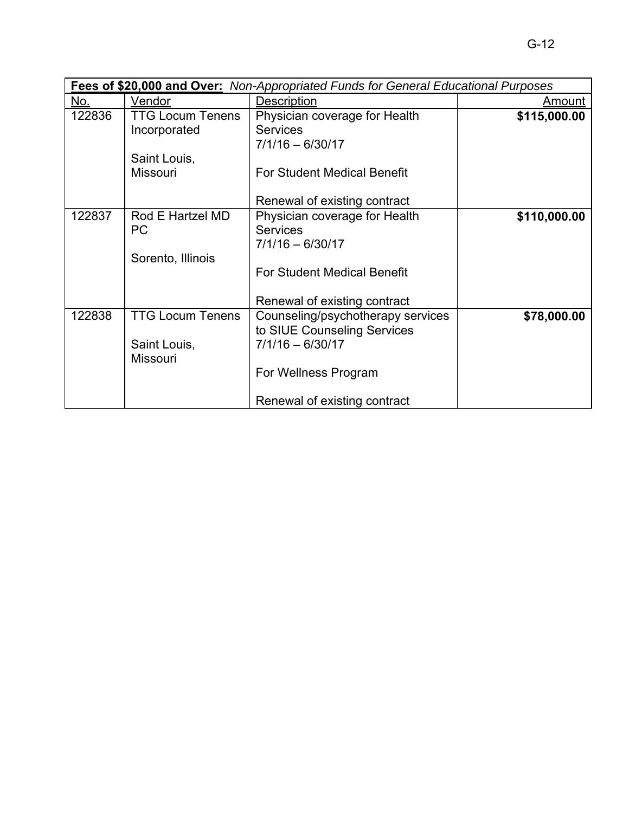|        | <b>Fees of \$20,000 and Over:</b> Non-Appropriated Funds for General Educational Purposes |                                    |              |  |
|--------|-------------------------------------------------------------------------------------------|------------------------------------|--------------|--|
| No.    | Vendor                                                                                    | Description                        | Amount       |  |
| 122836 | <b>TTG Locum Tenens</b>                                                                   | Physician coverage for Health      | \$115,000.00 |  |
|        | Incorporated                                                                              | <b>Services</b>                    |              |  |
|        |                                                                                           | $7/1/16 - 6/30/17$                 |              |  |
|        | Saint Louis,                                                                              |                                    |              |  |
|        | <b>Missouri</b>                                                                           | <b>For Student Medical Benefit</b> |              |  |
|        |                                                                                           |                                    |              |  |
|        |                                                                                           | Renewal of existing contract       |              |  |
| 122837 | Rod E Hartzel MD                                                                          | Physician coverage for Health      | \$110,000.00 |  |
|        | <b>PC</b>                                                                                 | <b>Services</b>                    |              |  |
|        |                                                                                           | $7/1/16 - 6/30/17$                 |              |  |
|        | Sorento, Illinois                                                                         |                                    |              |  |
|        |                                                                                           | <b>For Student Medical Benefit</b> |              |  |
|        |                                                                                           |                                    |              |  |
|        |                                                                                           | Renewal of existing contract       |              |  |
| 122838 | <b>TTG Locum Tenens</b>                                                                   | Counseling/psychotherapy services  | \$78,000.00  |  |
|        |                                                                                           | to SIUE Counseling Services        |              |  |
|        | Saint Louis,                                                                              | $7/1/16 - 6/30/17$                 |              |  |
|        | Missouri                                                                                  |                                    |              |  |
|        |                                                                                           | For Wellness Program               |              |  |
|        |                                                                                           |                                    |              |  |
|        |                                                                                           | Renewal of existing contract       |              |  |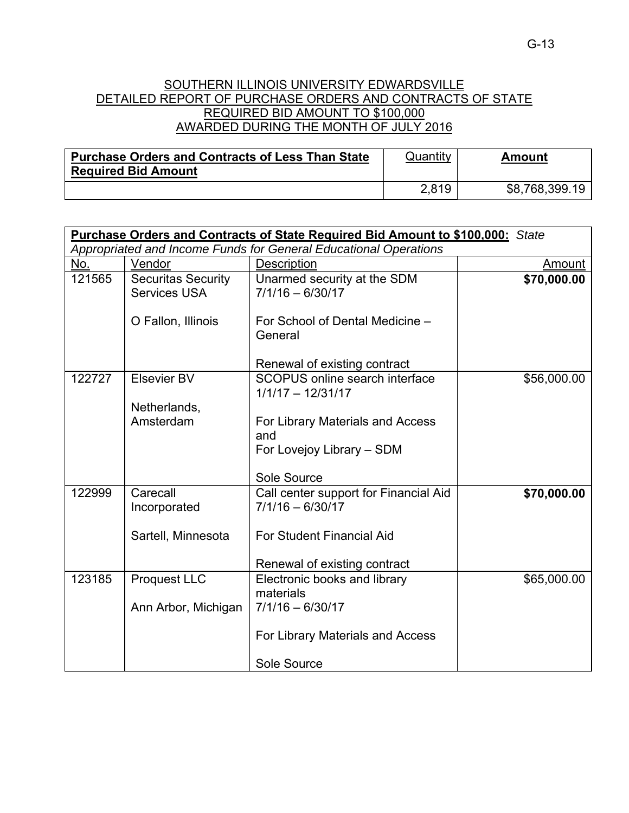## SOUTHERN ILLINOIS UNIVERSITY EDWARDSVILLE DETAILED REPORT OF PURCHASE ORDERS AND CONTRACTS OF STATE REQUIRED BID AMOUNT TO \$100,000 AWARDED DURING THE MONTH OF JULY 2016

| <b>Purchase Orders and Contracts of Less Than State</b> | Quantity | Amount         |
|---------------------------------------------------------|----------|----------------|
| <b>Required Bid Amount</b>                              |          |                |
|                                                         | 2,819    | \$8,768,399.19 |

|        | <b>Purchase Orders and Contracts of State Required Bid Amount to \$100,000:</b> State |                                                                                                                                 |             |  |  |
|--------|---------------------------------------------------------------------------------------|---------------------------------------------------------------------------------------------------------------------------------|-------------|--|--|
|        |                                                                                       | Appropriated and Income Funds for General Educational Operations                                                                |             |  |  |
| No.    | Vendor                                                                                | Description                                                                                                                     | Amount      |  |  |
| 121565 | <b>Securitas Security</b><br><b>Services USA</b>                                      | Unarmed security at the SDM<br>$7/1/16 - 6/30/17$                                                                               | \$70,000.00 |  |  |
|        | O Fallon, Illinois                                                                    | For School of Dental Medicine -<br>General                                                                                      |             |  |  |
|        |                                                                                       | Renewal of existing contract                                                                                                    |             |  |  |
| 122727 | Elsevier BV<br>Netherlands,                                                           | SCOPUS online search interface<br>$1/1/17 - 12/31/17$                                                                           | \$56,000.00 |  |  |
|        | Amsterdam                                                                             | For Library Materials and Access<br>and<br>For Lovejoy Library - SDM<br>Sole Source                                             |             |  |  |
| 122999 | Carecall<br>Incorporated<br>Sartell, Minnesota                                        | Call center support for Financial Aid<br>$7/1/16 - 6/30/17$<br><b>For Student Financial Aid</b><br>Renewal of existing contract | \$70,000.00 |  |  |
| 123185 | <b>Proquest LLC</b><br>Ann Arbor, Michigan                                            | Electronic books and library<br>materials<br>$7/1/16 - 6/30/17$<br>For Library Materials and Access<br>Sole Source              | \$65,000.00 |  |  |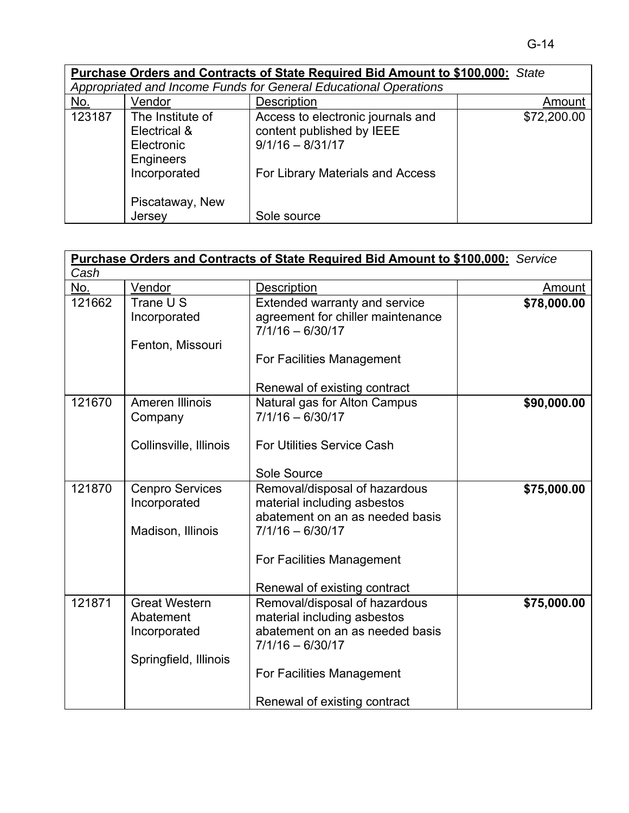|            |                                                             | Purchase Orders and Contracts of State Required Bid Amount to \$100,000: State       |             |
|------------|-------------------------------------------------------------|--------------------------------------------------------------------------------------|-------------|
|            |                                                             | Appropriated and Income Funds for General Educational Operations                     |             |
| <u>No.</u> | Vendor                                                      | Description                                                                          | Amount      |
| 123187     | The Institute of<br>Electrical &<br>Electronic<br>Engineers | Access to electronic journals and<br>content published by IEEE<br>$9/1/16 - 8/31/17$ | \$72,200.00 |
|            | Incorporated<br>Piscataway, New<br>Jersey                   | For Library Materials and Access<br>Sole source                                      |             |

|        | Purchase Orders and Contracts of State Required Bid Amount to \$100,000: Service |                                                                |               |  |
|--------|----------------------------------------------------------------------------------|----------------------------------------------------------------|---------------|--|
| Cash   |                                                                                  |                                                                |               |  |
| No.    | Vendor                                                                           | Description                                                    | <b>Amount</b> |  |
| 121662 | Trane U S                                                                        | Extended warranty and service                                  | \$78,000.00   |  |
|        | Incorporated                                                                     | agreement for chiller maintenance                              |               |  |
|        |                                                                                  | $7/1/16 - 6/30/17$                                             |               |  |
|        | Fenton, Missouri                                                                 |                                                                |               |  |
|        |                                                                                  | For Facilities Management                                      |               |  |
|        |                                                                                  |                                                                |               |  |
|        |                                                                                  | Renewal of existing contract                                   |               |  |
| 121670 | Ameren Illinois                                                                  | Natural gas for Alton Campus                                   | \$90,000.00   |  |
|        | Company                                                                          | $7/1/16 - 6/30/17$                                             |               |  |
|        |                                                                                  |                                                                |               |  |
|        | Collinsville, Illinois                                                           | <b>For Utilities Service Cash</b>                              |               |  |
|        |                                                                                  |                                                                |               |  |
|        |                                                                                  | Sole Source                                                    |               |  |
| 121870 | <b>Cenpro Services</b>                                                           | Removal/disposal of hazardous                                  | \$75,000.00   |  |
|        | Incorporated                                                                     | material including asbestos<br>abatement on an as needed basis |               |  |
|        |                                                                                  | $7/1/16 - 6/30/17$                                             |               |  |
|        | Madison, Illinois                                                                |                                                                |               |  |
|        |                                                                                  | For Facilities Management                                      |               |  |
|        |                                                                                  |                                                                |               |  |
|        |                                                                                  | Renewal of existing contract                                   |               |  |
| 121871 | <b>Great Western</b>                                                             | Removal/disposal of hazardous                                  | \$75,000.00   |  |
|        | Abatement                                                                        | material including asbestos                                    |               |  |
|        | Incorporated                                                                     | abatement on an as needed basis                                |               |  |
|        |                                                                                  | $7/1/16 - 6/30/17$                                             |               |  |
|        | Springfield, Illinois                                                            |                                                                |               |  |
|        |                                                                                  | For Facilities Management                                      |               |  |
|        |                                                                                  |                                                                |               |  |
|        |                                                                                  | Renewal of existing contract                                   |               |  |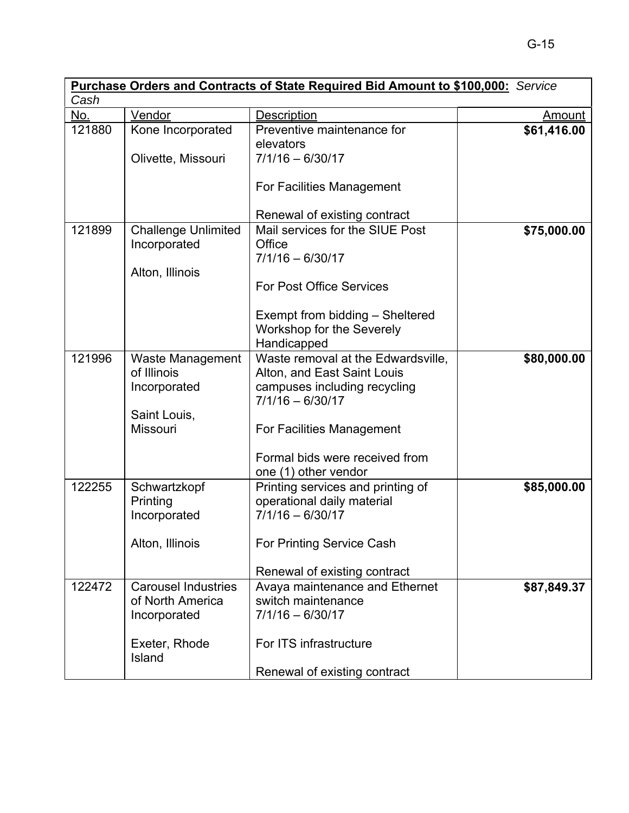|        |                            | <b>Purchase Orders and Contracts of State Required Bid Amount to \$100,000:</b> Service |               |
|--------|----------------------------|-----------------------------------------------------------------------------------------|---------------|
| Cash   |                            |                                                                                         |               |
| No.    | Vendor                     | <b>Description</b>                                                                      | <b>Amount</b> |
| 121880 | Kone Incorporated          | Preventive maintenance for                                                              | \$61,416.00   |
|        |                            | elevators                                                                               |               |
|        | Olivette, Missouri         | $7/1/16 - 6/30/17$                                                                      |               |
|        |                            | For Facilities Management                                                               |               |
|        |                            | Renewal of existing contract                                                            |               |
| 121899 | <b>Challenge Unlimited</b> | Mail services for the SIUE Post                                                         | \$75,000.00   |
|        | Incorporated               | Office                                                                                  |               |
|        |                            | $7/1/16 - 6/30/17$                                                                      |               |
|        | Alton, Illinois            |                                                                                         |               |
|        |                            | <b>For Post Office Services</b>                                                         |               |
|        |                            | Exempt from bidding - Sheltered                                                         |               |
|        |                            | Workshop for the Severely                                                               |               |
|        |                            | Handicapped                                                                             |               |
| 121996 | Waste Management           | Waste removal at the Edwardsville,                                                      | \$80,000.00   |
|        | of Illinois                | Alton, and East Saint Louis                                                             |               |
|        | Incorporated               | campuses including recycling                                                            |               |
|        |                            | $7/1/16 - 6/30/17$                                                                      |               |
|        | Saint Louis,               |                                                                                         |               |
|        | <b>Missouri</b>            | For Facilities Management                                                               |               |
|        |                            | Formal bids were received from                                                          |               |
|        |                            |                                                                                         |               |
|        |                            | one (1) other vendor                                                                    |               |
| 122255 | Schwartzkopf               | Printing services and printing of                                                       | \$85,000.00   |
|        | Printing                   | operational daily material                                                              |               |
|        | Incorporated               | $7/1/16 - 6/30/17$                                                                      |               |
|        | Alton, Illinois            | For Printing Service Cash                                                               |               |
|        |                            | Renewal of existing contract                                                            |               |
| 122472 | <b>Carousel Industries</b> | Avaya maintenance and Ethernet                                                          | \$87,849.37   |
|        | of North America           | switch maintenance                                                                      |               |
|        | Incorporated               | $7/1/16 - 6/30/17$                                                                      |               |
|        | Exeter, Rhode              | For ITS infrastructure                                                                  |               |
|        | Island                     |                                                                                         |               |
|        |                            | Renewal of existing contract                                                            |               |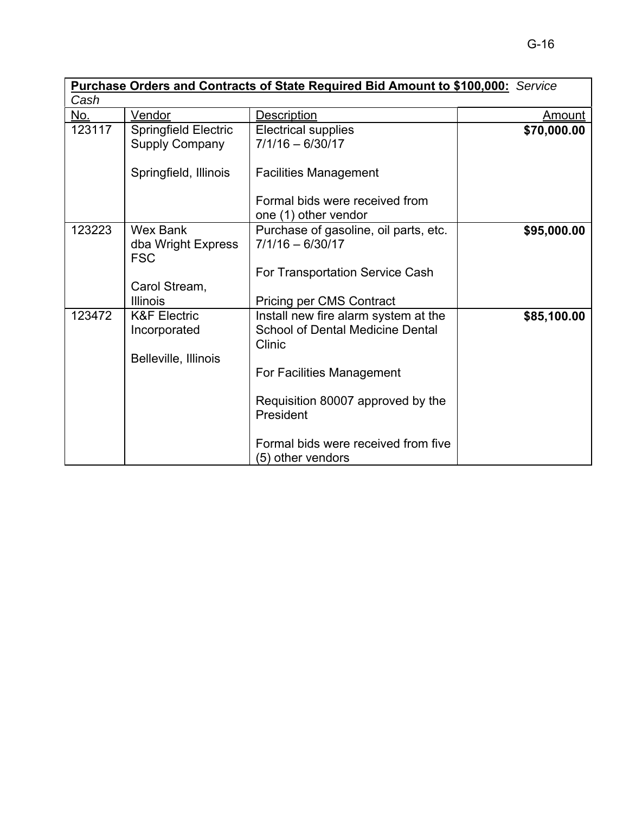|        |                                                                                    | <b>Purchase Orders and Contracts of State Required Bid Amount to \$100,000:</b> Service                                                                                                                                                                                 |             |
|--------|------------------------------------------------------------------------------------|-------------------------------------------------------------------------------------------------------------------------------------------------------------------------------------------------------------------------------------------------------------------------|-------------|
| Cash   |                                                                                    |                                                                                                                                                                                                                                                                         |             |
| No.    | Vendor                                                                             | Description                                                                                                                                                                                                                                                             | Amount      |
| 123117 | <b>Springfield Electric</b><br><b>Supply Company</b>                               | <b>Electrical supplies</b><br>$7/1/16 - 6/30/17$                                                                                                                                                                                                                        | \$70,000.00 |
|        | Springfield, Illinois                                                              | <b>Facilities Management</b><br>Formal bids were received from<br>one (1) other vendor                                                                                                                                                                                  |             |
| 123223 | <b>Wex Bank</b><br>dba Wright Express<br><b>FSC</b><br>Carol Stream,               | Purchase of gasoline, oil parts, etc.<br>$7/1/16 - 6/30/17$<br>For Transportation Service Cash                                                                                                                                                                          | \$95,000.00 |
| 123472 | <b>Illinois</b><br><b>K&amp;F Electric</b><br>Incorporated<br>Belleville, Illinois | <b>Pricing per CMS Contract</b><br>Install new fire alarm system at the<br><b>School of Dental Medicine Dental</b><br>Clinic<br>For Facilities Management<br>Requisition 80007 approved by the<br>President<br>Formal bids were received from five<br>(5) other vendors | \$85,100.00 |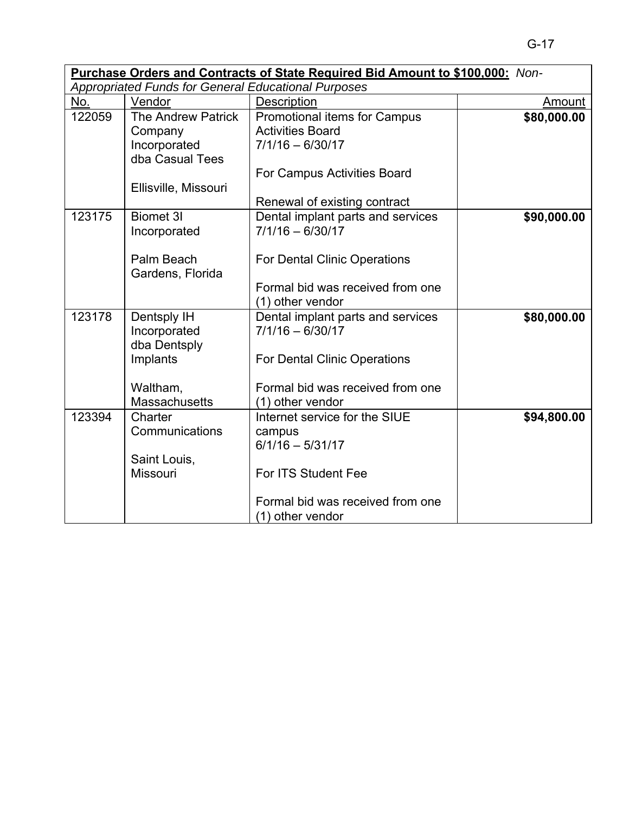| Purchase Orders and Contracts of State Required Bid Amount to \$100,000: Non- |                                                            |                                     |               |
|-------------------------------------------------------------------------------|------------------------------------------------------------|-------------------------------------|---------------|
|                                                                               | <b>Appropriated Funds for General Educational Purposes</b> |                                     |               |
| No.                                                                           | Vendor                                                     | <b>Description</b>                  | <b>Amount</b> |
| 122059                                                                        | <b>The Andrew Patrick</b>                                  | Promotional items for Campus        | \$80,000.00   |
|                                                                               | Company                                                    | <b>Activities Board</b>             |               |
|                                                                               | Incorporated                                               | $7/1/16 - 6/30/17$                  |               |
|                                                                               | dba Casual Tees                                            |                                     |               |
|                                                                               |                                                            | For Campus Activities Board         |               |
|                                                                               | Ellisville, Missouri                                       |                                     |               |
|                                                                               |                                                            | Renewal of existing contract        |               |
| 123175                                                                        | <b>Biomet 3I</b>                                           | Dental implant parts and services   | \$90,000.00   |
|                                                                               | Incorporated                                               | $7/1/16 - 6/30/17$                  |               |
|                                                                               |                                                            |                                     |               |
|                                                                               | Palm Beach                                                 | <b>For Dental Clinic Operations</b> |               |
|                                                                               | Gardens, Florida                                           |                                     |               |
|                                                                               |                                                            | Formal bid was received from one    |               |
|                                                                               |                                                            | (1) other vendor                    |               |
| 123178                                                                        | Dentsply IH                                                | Dental implant parts and services   | \$80,000.00   |
|                                                                               | Incorporated                                               | $7/1/16 - 6/30/17$                  |               |
|                                                                               | dba Dentsply                                               |                                     |               |
|                                                                               | Implants                                                   | For Dental Clinic Operations        |               |
|                                                                               |                                                            |                                     |               |
|                                                                               | Waltham,                                                   | Formal bid was received from one    |               |
|                                                                               | <b>Massachusetts</b>                                       | (1) other vendor                    |               |
| 123394                                                                        | Charter                                                    | Internet service for the SIUE       | \$94,800.00   |
|                                                                               | Communications                                             | campus                              |               |
|                                                                               |                                                            | $6/1/16 - 5/31/17$                  |               |
|                                                                               | Saint Louis,                                               |                                     |               |
|                                                                               | Missouri                                                   | For ITS Student Fee                 |               |
|                                                                               |                                                            |                                     |               |
|                                                                               |                                                            | Formal bid was received from one    |               |
|                                                                               |                                                            | (1) other vendor                    |               |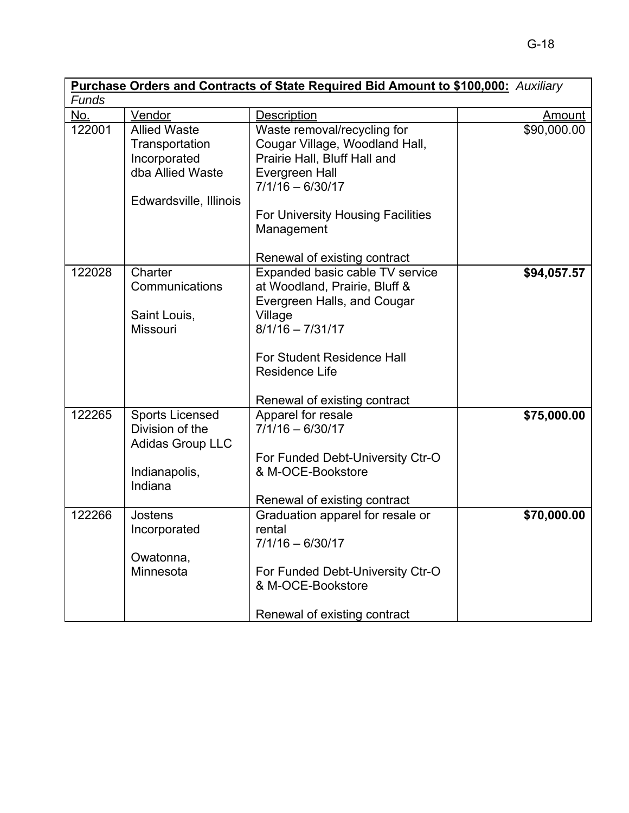| <b>Purchase Orders and Contracts of State Required Bid Amount to \$100,000:</b> Auxiliary |                                                                                                     |                                                                                                                                                                                                                                                         |               |  |
|-------------------------------------------------------------------------------------------|-----------------------------------------------------------------------------------------------------|---------------------------------------------------------------------------------------------------------------------------------------------------------------------------------------------------------------------------------------------------------|---------------|--|
| Funds                                                                                     |                                                                                                     |                                                                                                                                                                                                                                                         |               |  |
| <u>No.</u>                                                                                | Vendor                                                                                              | Description                                                                                                                                                                                                                                             | <u>Amount</u> |  |
| 122001                                                                                    | <b>Allied Waste</b><br>Transportation<br>Incorporated<br>dba Allied Waste<br>Edwardsville, Illinois | Waste removal/recycling for<br>Cougar Village, Woodland Hall,<br>Prairie Hall, Bluff Hall and<br>Evergreen Hall<br>$7/1/16 - 6/30/17$<br>For University Housing Facilities<br>Management                                                                | \$90,000.00   |  |
| 122028                                                                                    | Charter<br>Communications<br>Saint Louis,<br><b>Missouri</b>                                        | Renewal of existing contract<br>Expanded basic cable TV service<br>at Woodland, Prairie, Bluff &<br>Evergreen Halls, and Cougar<br>Village<br>$8/1/16 - 7/31/17$<br>For Student Residence Hall<br><b>Residence Life</b><br>Renewal of existing contract | \$94,057.57   |  |
| 122265                                                                                    | <b>Sports Licensed</b><br>Division of the<br><b>Adidas Group LLC</b><br>Indianapolis,<br>Indiana    | Apparel for resale<br>$7/1/16 - 6/30/17$<br>For Funded Debt-University Ctr-O<br>& M-OCE-Bookstore<br>Renewal of existing contract                                                                                                                       | \$75,000.00   |  |
| 122266                                                                                    | Jostens<br>Incorporated<br>Owatonna,<br>Minnesota                                                   | Graduation apparel for resale or<br>rental<br>7/1/16 - 6/30/17<br>For Funded Debt-University Ctr-O<br>& M-OCE-Bookstore<br>Renewal of existing contract                                                                                                 | \$70,000.00   |  |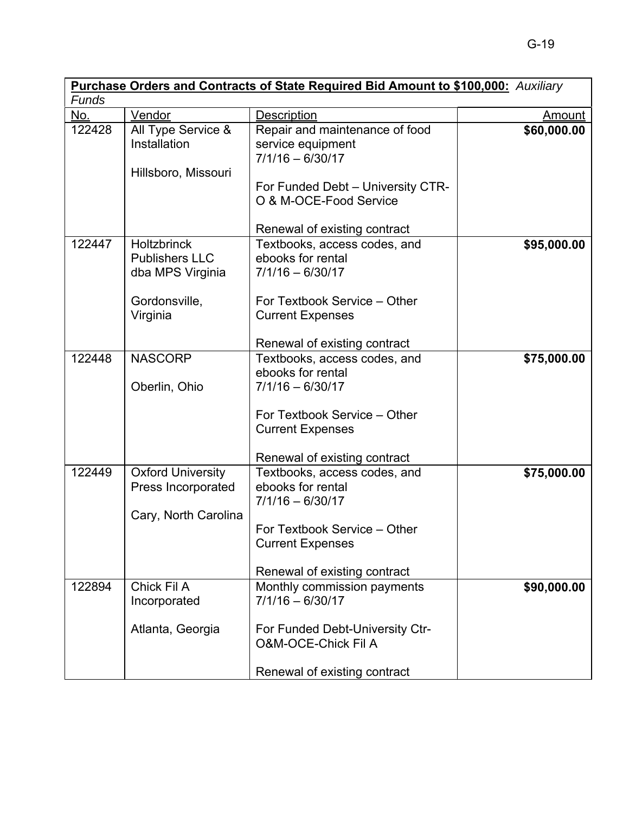| <b>Purchase Orders and Contracts of State Required Bid Amount to \$100,000:</b> Auxiliary |                                                                                              |                                                                                                                                                                          |             |  |
|-------------------------------------------------------------------------------------------|----------------------------------------------------------------------------------------------|--------------------------------------------------------------------------------------------------------------------------------------------------------------------------|-------------|--|
| Funds                                                                                     |                                                                                              |                                                                                                                                                                          |             |  |
| No.                                                                                       | Vendor                                                                                       | Description                                                                                                                                                              | Amount      |  |
| 122428                                                                                    | All Type Service &<br>Installation<br>Hillsboro, Missouri                                    | Repair and maintenance of food<br>service equipment<br>$7/1/16 - 6/30/17$<br>For Funded Debt - University CTR-<br>O & M-OCE-Food Service<br>Renewal of existing contract | \$60,000.00 |  |
| 122447                                                                                    | <b>Holtzbrinck</b><br><b>Publishers LLC</b><br>dba MPS Virginia<br>Gordonsville,<br>Virginia | Textbooks, access codes, and<br>ebooks for rental<br>$7/1/16 - 6/30/17$<br>For Textbook Service - Other<br><b>Current Expenses</b><br>Renewal of existing contract       | \$95,000.00 |  |
| 122448                                                                                    | <b>NASCORP</b><br>Oberlin, Ohio                                                              | Textbooks, access codes, and<br>ebooks for rental<br>$7/1/16 - 6/30/17$<br>For Textbook Service - Other<br><b>Current Expenses</b><br>Renewal of existing contract       | \$75,000.00 |  |
| 122449                                                                                    | <b>Oxford University</b><br>Press Incorporated<br>Cary, North Carolina                       | Textbooks, access codes, and<br>ebooks for rental<br>$7/1/16 - 6/30/17$<br>For Textbook Service - Other<br><b>Current Expenses</b><br>Renewal of existing contract       | \$75,000.00 |  |
| 122894                                                                                    | Chick Fil A<br>Incorporated<br>Atlanta, Georgia                                              | Monthly commission payments<br>$7/1/16 - 6/30/17$<br>For Funded Debt-University Ctr-<br><b>O&amp;M-OCE-Chick Fil A</b><br>Renewal of existing contract                   | \$90,000.00 |  |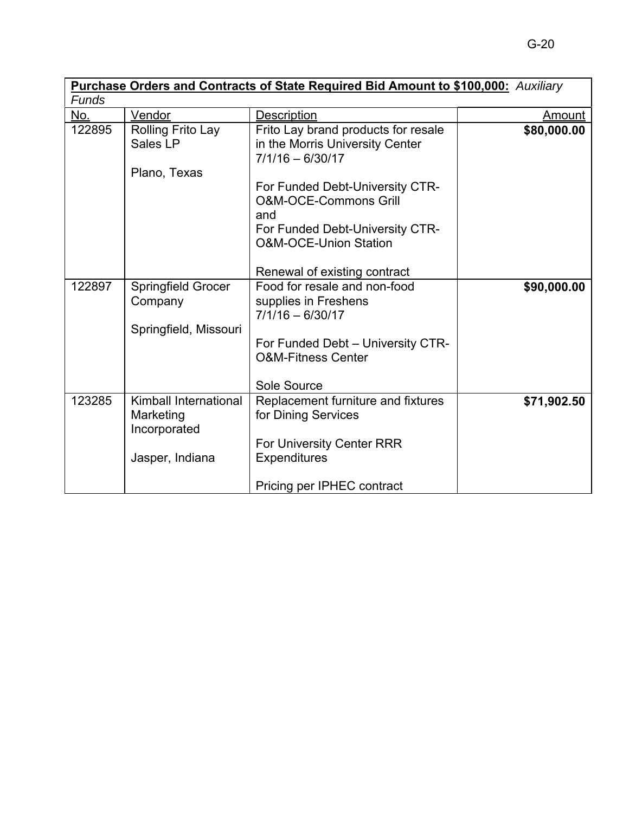| <b>Purchase Orders and Contracts of State Required Bid Amount to \$100,000:</b> Auxiliary |                                                                       |                                                                                                                                                                                   |             |
|-------------------------------------------------------------------------------------------|-----------------------------------------------------------------------|-----------------------------------------------------------------------------------------------------------------------------------------------------------------------------------|-------------|
| <b>Funds</b>                                                                              |                                                                       |                                                                                                                                                                                   |             |
| No.                                                                                       | Vendor                                                                | Description                                                                                                                                                                       | Amount      |
| 122895                                                                                    | Rolling Frito Lay<br>Sales LP<br>Plano, Texas                         | Frito Lay brand products for resale<br>in the Morris University Center<br>$7/1/16 - 6/30/17$                                                                                      | \$80,000.00 |
|                                                                                           |                                                                       | For Funded Debt-University CTR-<br><b>O&amp;M-OCE-Commons Grill</b><br>and<br>For Funded Debt-University CTR-<br><b>O&amp;M-OCE-Union Station</b><br>Renewal of existing contract |             |
| 122897                                                                                    | <b>Springfield Grocer</b><br>Company<br>Springfield, Missouri         | Food for resale and non-food<br>supplies in Freshens<br>$7/1/16 - 6/30/17$<br>For Funded Debt - University CTR-<br><b>O&amp;M-Fitness Center</b><br>Sole Source                   | \$90,000.00 |
| 123285                                                                                    | Kimball International<br>Marketing<br>Incorporated<br>Jasper, Indiana | Replacement furniture and fixtures<br>for Dining Services<br>For University Center RRR<br><b>Expenditures</b><br>Pricing per IPHEC contract                                       | \$71,902.50 |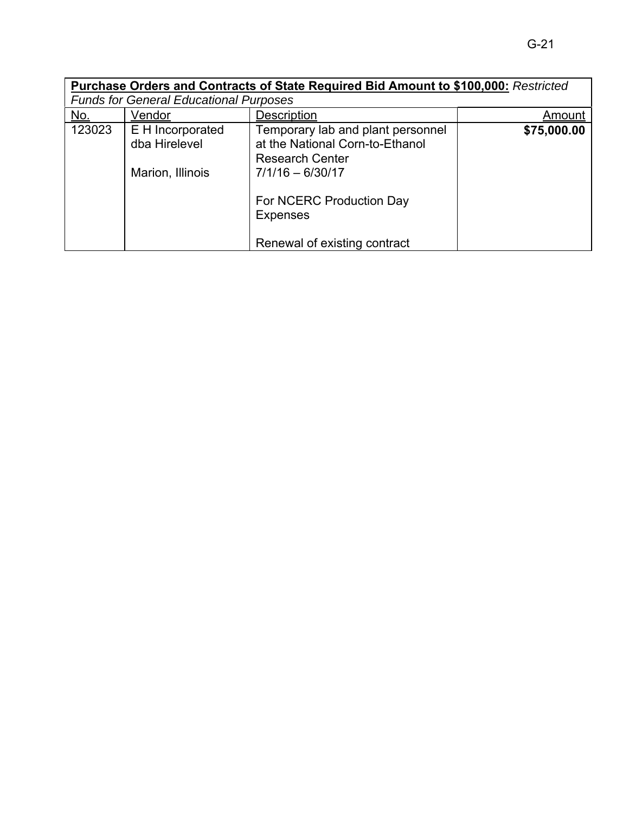|            |                                                       | Purchase Orders and Contracts of State Required Bid Amount to \$100,000: Restricted                                  |             |
|------------|-------------------------------------------------------|----------------------------------------------------------------------------------------------------------------------|-------------|
|            | <b>Funds for General Educational Purposes</b>         |                                                                                                                      |             |
| <u>No.</u> | Vendor                                                | <b>Description</b>                                                                                                   | Amount      |
| 123023     | E H Incorporated<br>dba Hirelevel<br>Marion, Illinois | Temporary lab and plant personnel<br>at the National Corn-to-Ethanol<br><b>Research Center</b><br>$7/1/16 - 6/30/17$ | \$75,000.00 |
|            |                                                       | For NCERC Production Day<br><b>Expenses</b><br>Renewal of existing contract                                          |             |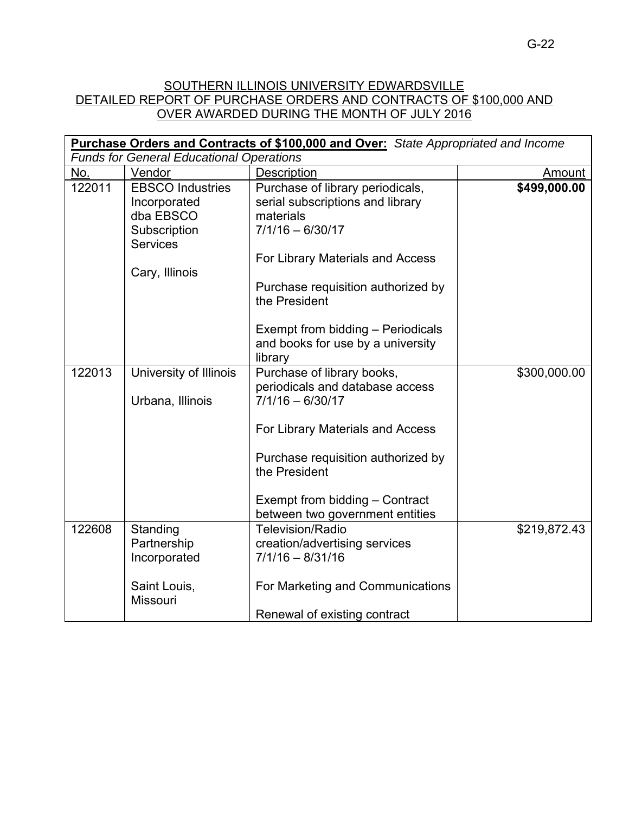# SOUTHERN ILLINOIS UNIVERSITY EDWARDSVILLE DETAILED REPORT OF PURCHASE ORDERS AND CONTRACTS OF \$100,000 AND OVER AWARDED DURING THE MONTH OF JULY 2016

| <b>Purchase Orders and Contracts of \$100,000 and Over:</b> State Appropriated and Income |                                                                                         |                                                                                                         |              |  |  |
|-------------------------------------------------------------------------------------------|-----------------------------------------------------------------------------------------|---------------------------------------------------------------------------------------------------------|--------------|--|--|
|                                                                                           | <b>Funds for General Educational Operations</b>                                         |                                                                                                         |              |  |  |
| No.                                                                                       | Vendor                                                                                  | <b>Description</b>                                                                                      | Amount       |  |  |
| 122011                                                                                    | <b>EBSCO Industries</b><br>Incorporated<br>dba EBSCO<br>Subscription<br><b>Services</b> | Purchase of library periodicals,<br>serial subscriptions and library<br>materials<br>$7/1/16 - 6/30/17$ | \$499,000.00 |  |  |
|                                                                                           |                                                                                         | For Library Materials and Access                                                                        |              |  |  |
|                                                                                           | Cary, Illinois                                                                          | Purchase requisition authorized by<br>the President                                                     |              |  |  |
|                                                                                           |                                                                                         | Exempt from bidding - Periodicals<br>and books for use by a university<br>library                       |              |  |  |
| 122013                                                                                    | University of Illinois<br>Urbana, Illinois                                              | Purchase of library books,<br>periodicals and database access<br>7/1/16 - 6/30/17                       | \$300,000.00 |  |  |
|                                                                                           |                                                                                         | For Library Materials and Access                                                                        |              |  |  |
|                                                                                           |                                                                                         | Purchase requisition authorized by<br>the President                                                     |              |  |  |
|                                                                                           |                                                                                         | Exempt from bidding - Contract<br>between two government entities                                       |              |  |  |
| 122608                                                                                    | Standing<br>Partnership<br>Incorporated                                                 | <b>Television/Radio</b><br>creation/advertising services<br>$7/1/16 - 8/31/16$                          | \$219,872.43 |  |  |
|                                                                                           | Saint Louis,<br>Missouri                                                                | For Marketing and Communications                                                                        |              |  |  |
|                                                                                           |                                                                                         | Renewal of existing contract                                                                            |              |  |  |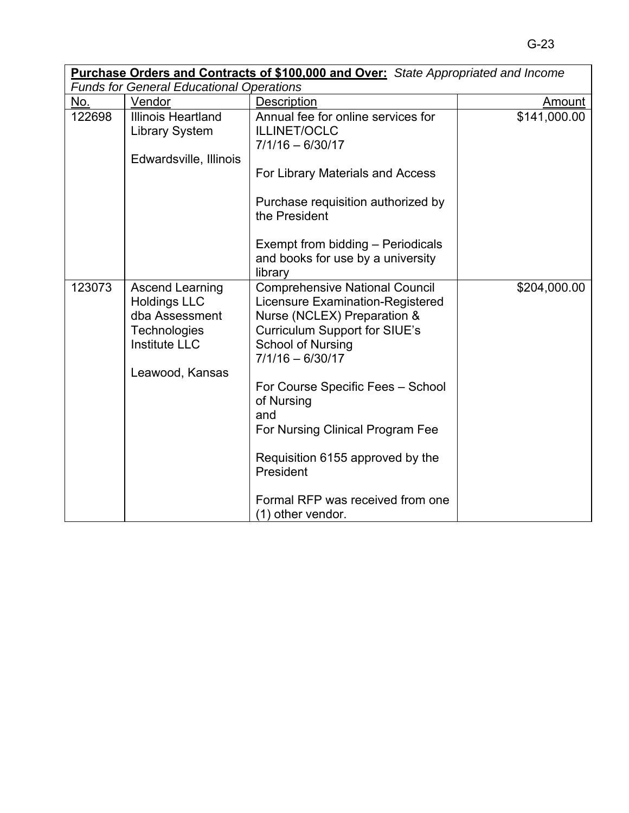|        |                                                                                                                                   | <b>Purchase Orders and Contracts of \$100,000 and Over:</b> State Appropriated and Income                                                                                            |               |
|--------|-----------------------------------------------------------------------------------------------------------------------------------|--------------------------------------------------------------------------------------------------------------------------------------------------------------------------------------|---------------|
|        | <b>Funds for General Educational Operations</b>                                                                                   |                                                                                                                                                                                      |               |
| No.    | Vendor                                                                                                                            | Description                                                                                                                                                                          | <u>Amount</u> |
| 122698 | <b>Illinois Heartland</b><br><b>Library System</b><br>Edwardsville, Illinois                                                      | Annual fee for online services for<br><b>ILLINET/OCLC</b><br>$7/1/16 - 6/30/17$                                                                                                      | \$141,000.00  |
|        |                                                                                                                                   | For Library Materials and Access                                                                                                                                                     |               |
|        |                                                                                                                                   | Purchase requisition authorized by<br>the President                                                                                                                                  |               |
|        |                                                                                                                                   | Exempt from bidding - Periodicals<br>and books for use by a university<br>library                                                                                                    |               |
| 123073 | <b>Ascend Learning</b><br><b>Holdings LLC</b><br>dba Assessment<br><b>Technologies</b><br><b>Institute LLC</b><br>Leawood, Kansas | <b>Comprehensive National Council</b><br>Licensure Examination-Registered<br>Nurse (NCLEX) Preparation &<br>Curriculum Support for SIUE's<br>School of Nursing<br>$7/1/16 - 6/30/17$ | \$204,000.00  |
|        |                                                                                                                                   | For Course Specific Fees - School<br>of Nursing<br>and<br>For Nursing Clinical Program Fee                                                                                           |               |
|        |                                                                                                                                   | Requisition 6155 approved by the<br>President                                                                                                                                        |               |
|        |                                                                                                                                   | Formal RFP was received from one<br>(1) other vendor.                                                                                                                                |               |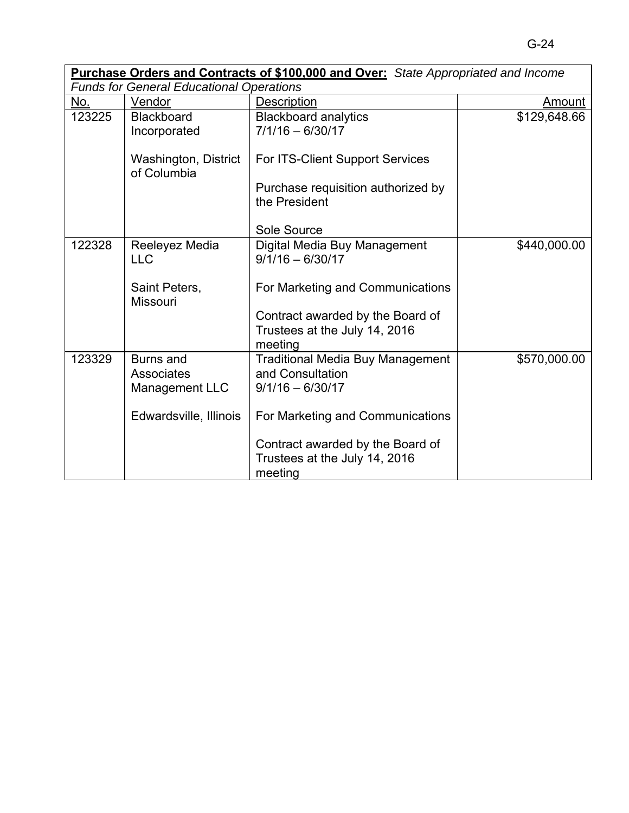| <b>Purchase Orders and Contracts of \$100,000 and Over:</b> State Appropriated and Income |                                                         |                                                                                   |              |
|-------------------------------------------------------------------------------------------|---------------------------------------------------------|-----------------------------------------------------------------------------------|--------------|
|                                                                                           | <b>Funds for General Educational Operations</b>         |                                                                                   |              |
| No.                                                                                       | Vendor                                                  | Description                                                                       | Amount       |
| 123225                                                                                    | Blackboard<br>Incorporated                              | <b>Blackboard analytics</b><br>$7/1/16 - 6/30/17$                                 | \$129,648.66 |
|                                                                                           | Washington, District<br>of Columbia                     | For ITS-Client Support Services                                                   |              |
|                                                                                           |                                                         | Purchase requisition authorized by<br>the President                               |              |
|                                                                                           |                                                         | Sole Source                                                                       |              |
| 122328                                                                                    | Reeleyez Media<br><b>LLC</b>                            | Digital Media Buy Management<br>$9/1/16 - 6/30/17$                                | \$440,000.00 |
|                                                                                           | Saint Peters,<br><b>Missouri</b>                        | For Marketing and Communications                                                  |              |
|                                                                                           |                                                         | Contract awarded by the Board of<br>Trustees at the July 14, 2016<br>meeting      |              |
| 123329                                                                                    | <b>Burns and</b><br><b>Associates</b><br>Management LLC | <b>Traditional Media Buy Management</b><br>and Consultation<br>$9/1/16 - 6/30/17$ | \$570,000.00 |
|                                                                                           | Edwardsville, Illinois                                  | For Marketing and Communications                                                  |              |
|                                                                                           |                                                         | Contract awarded by the Board of<br>Trustees at the July 14, 2016<br>meeting      |              |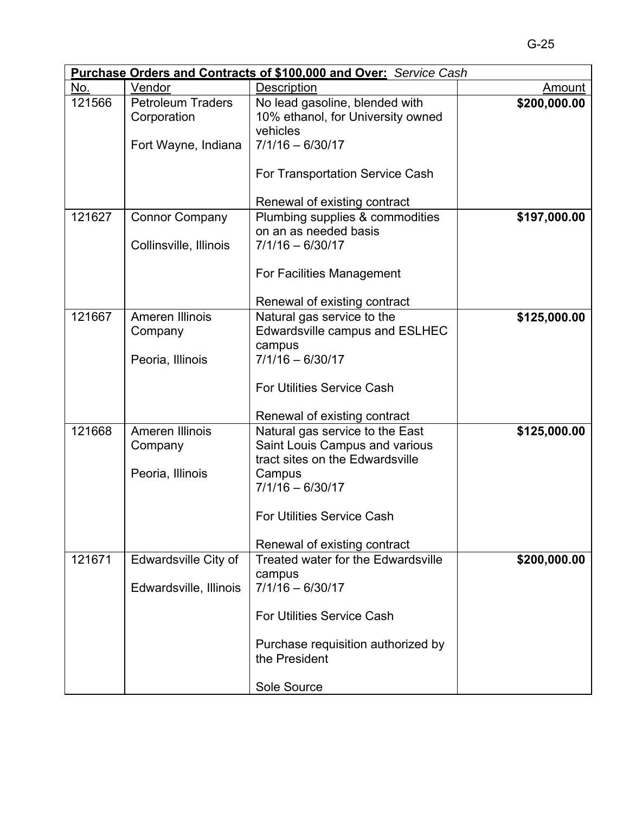| Purchase Orders and Contracts of \$100,000 and Over: Service Cash |                          |                                                                 |              |  |
|-------------------------------------------------------------------|--------------------------|-----------------------------------------------------------------|--------------|--|
| No.                                                               | Vendor                   | Description                                                     | Amount       |  |
| 121566                                                            | <b>Petroleum Traders</b> | No lead gasoline, blended with                                  | \$200,000.00 |  |
|                                                                   | Corporation              | 10% ethanol, for University owned                               |              |  |
|                                                                   |                          | vehicles                                                        |              |  |
|                                                                   | Fort Wayne, Indiana      | $7/1/16 - 6/30/17$                                              |              |  |
|                                                                   |                          |                                                                 |              |  |
|                                                                   |                          | For Transportation Service Cash                                 |              |  |
|                                                                   |                          |                                                                 |              |  |
| 121627                                                            | <b>Connor Company</b>    | Renewal of existing contract<br>Plumbing supplies & commodities | \$197,000.00 |  |
|                                                                   |                          | on an as needed basis                                           |              |  |
|                                                                   | Collinsville, Illinois   | $7/1/16 - 6/30/17$                                              |              |  |
|                                                                   |                          |                                                                 |              |  |
|                                                                   |                          | For Facilities Management                                       |              |  |
|                                                                   |                          |                                                                 |              |  |
|                                                                   |                          | Renewal of existing contract                                    |              |  |
| 121667                                                            | Ameren Illinois          | Natural gas service to the                                      | \$125,000.00 |  |
|                                                                   | Company                  | Edwardsville campus and ESLHEC                                  |              |  |
|                                                                   |                          | campus                                                          |              |  |
|                                                                   | Peoria, Illinois         | $7/1/16 - 6/30/17$                                              |              |  |
|                                                                   |                          |                                                                 |              |  |
|                                                                   |                          | For Utilities Service Cash                                      |              |  |
|                                                                   |                          |                                                                 |              |  |
|                                                                   |                          | Renewal of existing contract                                    |              |  |
| 121668                                                            | Ameren Illinois          | Natural gas service to the East                                 | \$125,000.00 |  |
|                                                                   | Company                  | Saint Louis Campus and various                                  |              |  |
|                                                                   | Peoria, Illinois         | tract sites on the Edwardsville                                 |              |  |
|                                                                   |                          | Campus<br>$7/1/16 - 6/30/17$                                    |              |  |
|                                                                   |                          |                                                                 |              |  |
|                                                                   |                          | <b>For Utilities Service Cash</b>                               |              |  |
|                                                                   |                          |                                                                 |              |  |
|                                                                   |                          | Renewal of existing contract                                    |              |  |
| 121671                                                            | Edwardsville City of     | Treated water for the Edwardsville                              | \$200,000.00 |  |
|                                                                   |                          | campus                                                          |              |  |
|                                                                   | Edwardsville, Illinois   | $7/1/16 - 6/30/17$                                              |              |  |
|                                                                   |                          |                                                                 |              |  |
|                                                                   |                          | <b>For Utilities Service Cash</b>                               |              |  |
|                                                                   |                          |                                                                 |              |  |
|                                                                   |                          | Purchase requisition authorized by                              |              |  |
|                                                                   |                          | the President                                                   |              |  |
|                                                                   |                          |                                                                 |              |  |
|                                                                   |                          | Sole Source                                                     |              |  |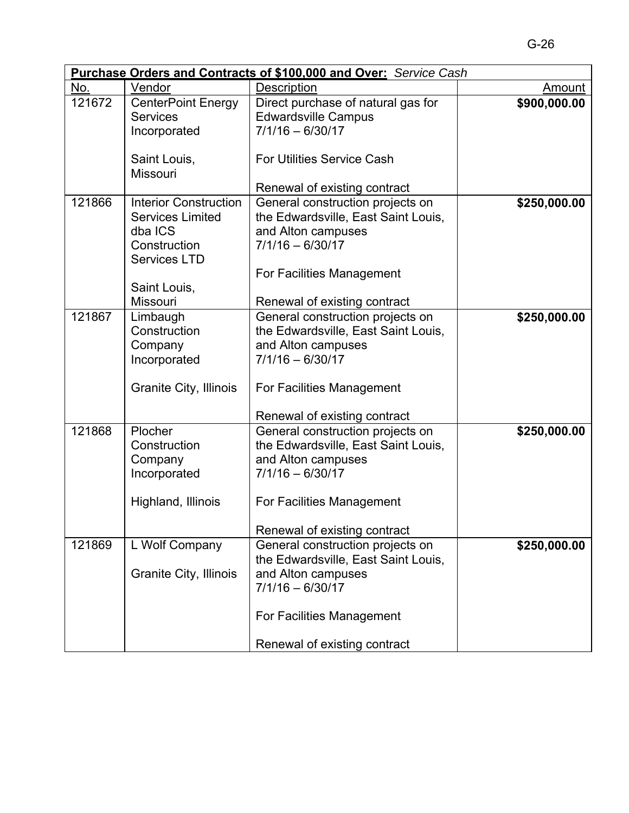| <b>Purchase Orders and Contracts of \$100,000 and Over:</b> Service Cash |                                                                                                                                                                       |                                                                                                                                                                                                                                                                                                                                                                      |                              |
|--------------------------------------------------------------------------|-----------------------------------------------------------------------------------------------------------------------------------------------------------------------|----------------------------------------------------------------------------------------------------------------------------------------------------------------------------------------------------------------------------------------------------------------------------------------------------------------------------------------------------------------------|------------------------------|
| No.                                                                      | Vendor                                                                                                                                                                | Description                                                                                                                                                                                                                                                                                                                                                          | Amount                       |
| 121672                                                                   | <b>CenterPoint Energy</b><br><b>Services</b><br>Incorporated                                                                                                          | Direct purchase of natural gas for<br><b>Edwardsville Campus</b><br>$7/1/16 - 6/30/17$                                                                                                                                                                                                                                                                               | \$900,000.00                 |
|                                                                          | Saint Louis,<br>Missouri                                                                                                                                              | <b>For Utilities Service Cash</b>                                                                                                                                                                                                                                                                                                                                    |                              |
|                                                                          |                                                                                                                                                                       | Renewal of existing contract                                                                                                                                                                                                                                                                                                                                         |                              |
| 121866                                                                   | <b>Interior Construction</b><br><b>Services Limited</b><br>dba ICS<br>Construction<br><b>Services LTD</b>                                                             | General construction projects on<br>the Edwardsville, East Saint Louis,<br>and Alton campuses<br>$7/1/16 - 6/30/17$<br>For Facilities Management                                                                                                                                                                                                                     | \$250,000.00                 |
|                                                                          | Saint Louis,                                                                                                                                                          |                                                                                                                                                                                                                                                                                                                                                                      |                              |
| 121867<br>121868                                                         | Missouri<br>Limbaugh<br>Construction<br>Company<br>Incorporated<br>Granite City, Illinois<br>Plocher<br>Construction<br>Company<br>Incorporated<br>Highland, Illinois | Renewal of existing contract<br>General construction projects on<br>the Edwardsville, East Saint Louis,<br>and Alton campuses<br>$7/1/16 - 6/30/17$<br>For Facilities Management<br>Renewal of existing contract<br>General construction projects on<br>the Edwardsville, East Saint Louis,<br>and Alton campuses<br>$7/1/16 - 6/30/17$<br>For Facilities Management | \$250,000.00<br>\$250,000.00 |
| 121869                                                                   | L Wolf Company<br><b>Granite City, Illinois</b>                                                                                                                       | Renewal of existing contract<br>General construction projects on<br>the Edwardsville, East Saint Louis,<br>and Alton campuses<br>$7/1/16 - 6/30/17$<br>For Facilities Management<br>Renewal of existing contract                                                                                                                                                     | \$250,000.00                 |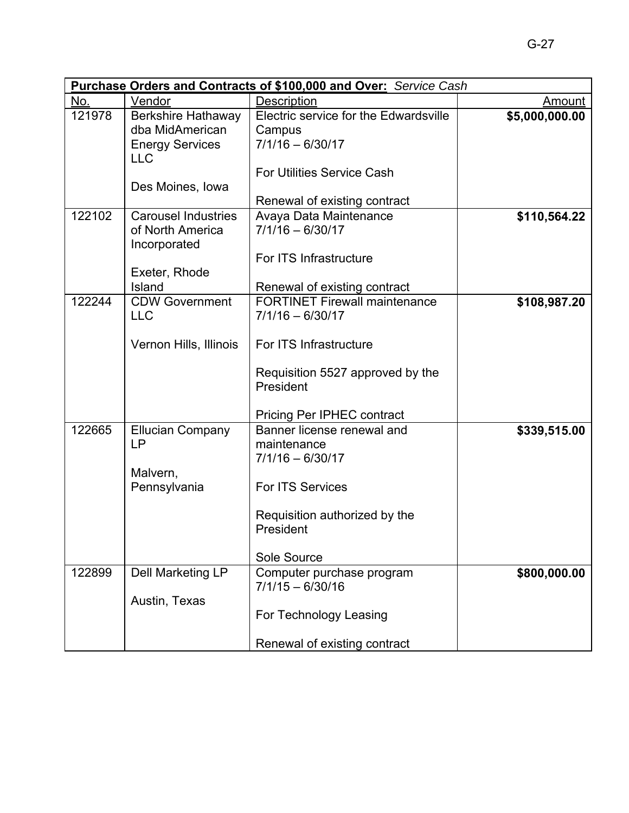|        | <b>Purchase Orders and Contracts of \$100,000 and Over:</b> Service Cash |                                       |                |  |
|--------|--------------------------------------------------------------------------|---------------------------------------|----------------|--|
| No.    | Vendor                                                                   | <b>Description</b>                    | <u>Amount</u>  |  |
| 121978 | <b>Berkshire Hathaway</b><br>dba MidAmerican                             | Electric service for the Edwardsville | \$5,000,000.00 |  |
|        |                                                                          | Campus<br>$7/1/16 - 6/30/17$          |                |  |
|        | <b>Energy Services</b><br><b>LLC</b>                                     |                                       |                |  |
|        |                                                                          | <b>For Utilities Service Cash</b>     |                |  |
|        | Des Moines, Iowa                                                         |                                       |                |  |
|        |                                                                          | Renewal of existing contract          |                |  |
| 122102 | <b>Carousel Industries</b>                                               | Avaya Data Maintenance                | \$110,564.22   |  |
|        | of North America                                                         | $7/1/16 - 6/30/17$                    |                |  |
|        | Incorporated                                                             |                                       |                |  |
|        |                                                                          | For ITS Infrastructure                |                |  |
|        | Exeter, Rhode                                                            |                                       |                |  |
|        | Island                                                                   | Renewal of existing contract          |                |  |
| 122244 | <b>CDW Government</b>                                                    | <b>FORTINET Firewall maintenance</b>  | \$108,987.20   |  |
|        | <b>LLC</b>                                                               | $7/1/16 - 6/30/17$                    |                |  |
|        |                                                                          |                                       |                |  |
|        | Vernon Hills, Illinois                                                   | For ITS Infrastructure                |                |  |
|        |                                                                          | Requisition 5527 approved by the      |                |  |
|        |                                                                          | President                             |                |  |
|        |                                                                          |                                       |                |  |
|        |                                                                          | <b>Pricing Per IPHEC contract</b>     |                |  |
| 122665 | <b>Ellucian Company</b>                                                  | Banner license renewal and            | \$339,515.00   |  |
|        | <b>LP</b>                                                                | maintenance                           |                |  |
|        |                                                                          | 7/1/16 - 6/30/17                      |                |  |
|        | Malvern,                                                                 |                                       |                |  |
|        | Pennsylvania                                                             | For ITS Services                      |                |  |
|        |                                                                          | Requisition authorized by the         |                |  |
|        |                                                                          | President                             |                |  |
|        |                                                                          |                                       |                |  |
|        |                                                                          | Sole Source                           |                |  |
| 122899 | Dell Marketing LP                                                        | Computer purchase program             | \$800,000.00   |  |
|        |                                                                          | $7/1/15 - 6/30/16$                    |                |  |
|        | Austin, Texas                                                            |                                       |                |  |
|        |                                                                          | For Technology Leasing                |                |  |
|        |                                                                          | Renewal of existing contract          |                |  |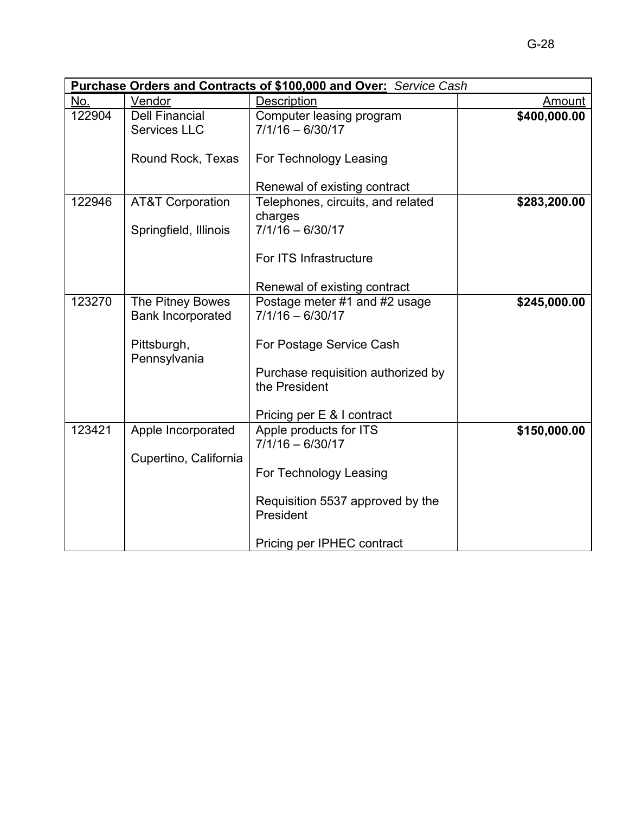|        | <b>Purchase Orders and Contracts of \$100,000 and Over: Service Cash</b> |                                                     |               |  |
|--------|--------------------------------------------------------------------------|-----------------------------------------------------|---------------|--|
| No.    | Vendor                                                                   | Description                                         | <b>Amount</b> |  |
| 122904 | <b>Dell Financial</b><br><b>Services LLC</b>                             | Computer leasing program<br>$7/1/16 - 6/30/17$      | \$400,000.00  |  |
|        | Round Rock, Texas                                                        | For Technology Leasing                              |               |  |
|        |                                                                          | Renewal of existing contract                        |               |  |
| 122946 | <b>AT&amp;T Corporation</b>                                              | Telephones, circuits, and related<br>charges        | \$283,200.00  |  |
|        | Springfield, Illinois                                                    | $7/1/16 - 6/30/17$                                  |               |  |
|        |                                                                          | For ITS Infrastructure                              |               |  |
|        |                                                                          | Renewal of existing contract                        |               |  |
| 123270 | The Pitney Bowes<br><b>Bank Incorporated</b>                             | Postage meter #1 and #2 usage<br>$7/1/16 - 6/30/17$ | \$245,000.00  |  |
|        | Pittsburgh,<br>Pennsylvania                                              | For Postage Service Cash                            |               |  |
|        |                                                                          | Purchase requisition authorized by<br>the President |               |  |
|        |                                                                          | Pricing per E & I contract                          |               |  |
| 123421 | Apple Incorporated                                                       | Apple products for ITS<br>$7/1/16 - 6/30/17$        | \$150,000.00  |  |
|        | Cupertino, California                                                    | For Technology Leasing                              |               |  |
|        |                                                                          | Requisition 5537 approved by the<br>President       |               |  |
|        |                                                                          | Pricing per IPHEC contract                          |               |  |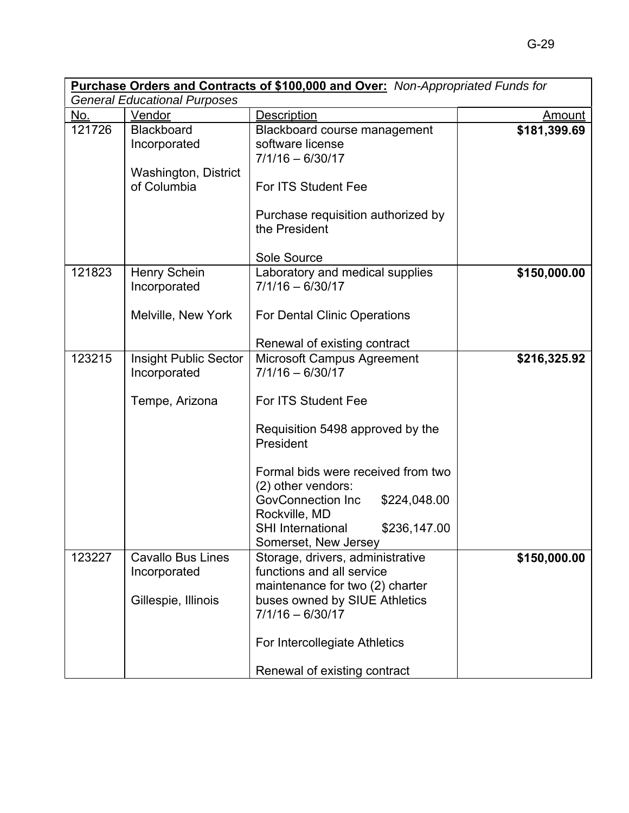| Purchase Orders and Contracts of \$100,000 and Over: Non-Appropriated Funds for |                                                                   |                                                                                                                                                                                          |               |
|---------------------------------------------------------------------------------|-------------------------------------------------------------------|------------------------------------------------------------------------------------------------------------------------------------------------------------------------------------------|---------------|
|                                                                                 | <b>General Educational Purposes</b>                               |                                                                                                                                                                                          |               |
| No.                                                                             | Vendor                                                            | <b>Description</b>                                                                                                                                                                       | <b>Amount</b> |
| 121726                                                                          | Blackboard<br>Incorporated<br>Washington, District<br>of Columbia | Blackboard course management<br>software license<br>$7/1/16 - 6/30/17$<br>For ITS Student Fee<br>Purchase requisition authorized by                                                      | \$181,399.69  |
|                                                                                 |                                                                   | the President<br>Sole Source                                                                                                                                                             |               |
| 121823                                                                          | Henry Schein<br>Incorporated<br>Melville, New York                | Laboratory and medical supplies<br>$7/1/16 - 6/30/17$<br>For Dental Clinic Operations                                                                                                    | \$150,000.00  |
|                                                                                 |                                                                   | Renewal of existing contract                                                                                                                                                             |               |
| 123215                                                                          | <b>Insight Public Sector</b><br>Incorporated<br>Tempe, Arizona    | Microsoft Campus Agreement<br>$7/1/16 - 6/30/17$<br>For ITS Student Fee                                                                                                                  | \$216,325.92  |
|                                                                                 |                                                                   | Requisition 5498 approved by the<br>President                                                                                                                                            |               |
|                                                                                 |                                                                   | Formal bids were received from two<br>(2) other vendors:<br><b>GovConnection Inc</b><br>\$224,048.00                                                                                     |               |
|                                                                                 |                                                                   | Rockville, MD<br><b>SHI International</b><br>\$236,147.00<br>Somerset, New Jersey                                                                                                        |               |
| 123227                                                                          | <b>Cavallo Bus Lines</b><br>Incorporated<br>Gillespie, Illinois   | Storage, drivers, administrative<br>functions and all service<br>maintenance for two (2) charter<br>buses owned by SIUE Athletics<br>$7/1/16 - 6/30/17$<br>For Intercollegiate Athletics | \$150,000.00  |
|                                                                                 |                                                                   | Renewal of existing contract                                                                                                                                                             |               |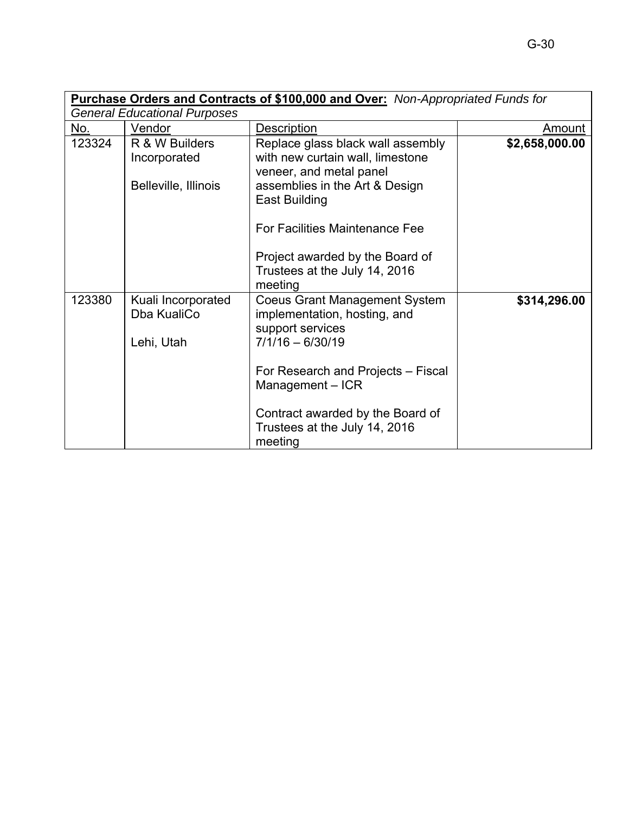|        | Purchase Orders and Contracts of \$100,000 and Over: Non-Appropriated Funds for |                                                                                                                                                                                                                                                                             |                |  |
|--------|---------------------------------------------------------------------------------|-----------------------------------------------------------------------------------------------------------------------------------------------------------------------------------------------------------------------------------------------------------------------------|----------------|--|
|        | <b>General Educational Purposes</b>                                             |                                                                                                                                                                                                                                                                             |                |  |
| No.    | Vendor                                                                          | Description                                                                                                                                                                                                                                                                 | Amount         |  |
| 123324 | R & W Builders<br>Incorporated<br>Belleville, Illinois                          | Replace glass black wall assembly<br>with new curtain wall, limestone<br>veneer, and metal panel<br>assemblies in the Art & Design<br><b>East Building</b><br>For Facilities Maintenance Fee<br>Project awarded by the Board of<br>Trustees at the July 14, 2016<br>meeting | \$2,658,000.00 |  |
| 123380 | Kuali Incorporated<br>Dba KualiCo<br>Lehi, Utah                                 | <b>Coeus Grant Management System</b><br>implementation, hosting, and<br>support services<br>$7/1/16 - 6/30/19$<br>For Research and Projects – Fiscal<br>Management - ICR<br>Contract awarded by the Board of<br>Trustees at the July 14, 2016<br>meeting                    | \$314,296.00   |  |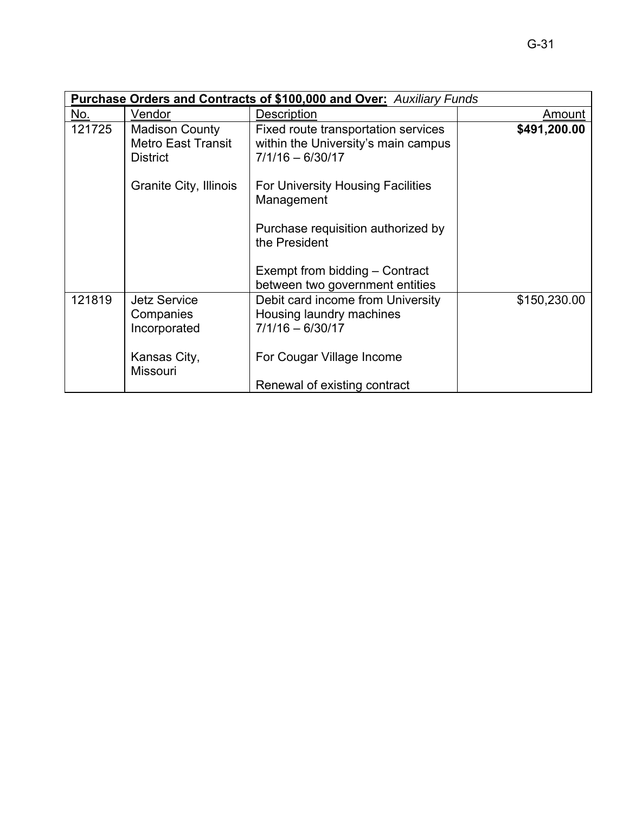|        | <b>Purchase Orders and Contracts of \$100,000 and Over: Auxiliary Funds</b> |                                                                                                  |              |  |
|--------|-----------------------------------------------------------------------------|--------------------------------------------------------------------------------------------------|--------------|--|
| No.    | Vendor                                                                      | Description                                                                                      | Amount       |  |
| 121725 | <b>Madison County</b><br><b>Metro East Transit</b><br><b>District</b>       | Fixed route transportation services<br>within the University's main campus<br>$7/1/16 - 6/30/17$ | \$491,200.00 |  |
|        | Granite City, Illinois                                                      | For University Housing Facilities<br>Management                                                  |              |  |
|        |                                                                             | Purchase requisition authorized by<br>the President                                              |              |  |
|        |                                                                             | Exempt from bidding - Contract<br>between two government entities                                |              |  |
| 121819 | <b>Jetz Service</b><br>Companies<br>Incorporated                            | Debit card income from University<br>Housing laundry machines<br>$7/1/16 - 6/30/17$              | \$150,230.00 |  |
|        | Kansas City,<br><b>Missouri</b>                                             | For Cougar Village Income                                                                        |              |  |
|        |                                                                             | Renewal of existing contract                                                                     |              |  |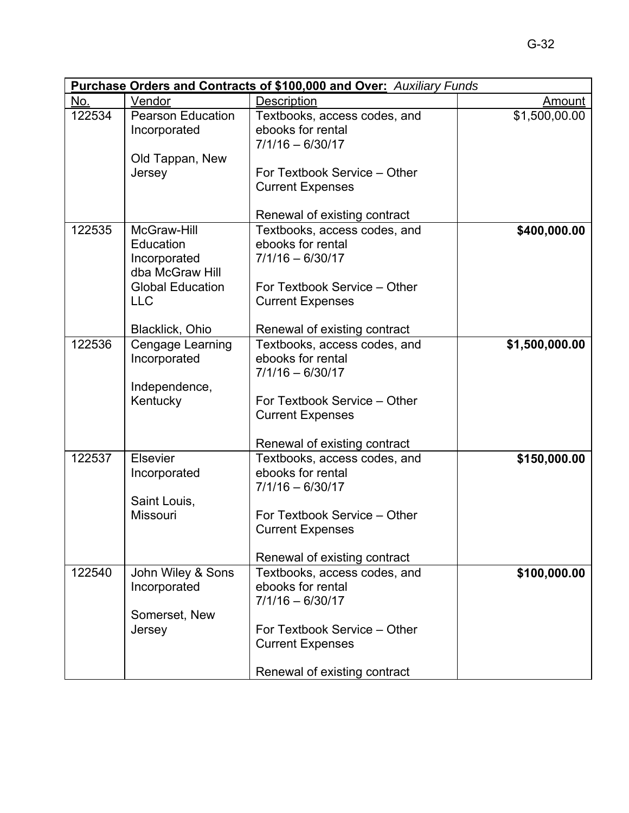|        | <b>Purchase Orders and Contracts of \$100,000 and Over: Auxiliary Funds</b> |                                                                                                                                                                    |                |  |  |
|--------|-----------------------------------------------------------------------------|--------------------------------------------------------------------------------------------------------------------------------------------------------------------|----------------|--|--|
| No.    | Vendor                                                                      | <b>Description</b>                                                                                                                                                 | <b>Amount</b>  |  |  |
| 122534 | <b>Pearson Education</b><br>Incorporated                                    | Textbooks, access codes, and<br>ebooks for rental<br>$7/1/16 - 6/30/17$                                                                                            | \$1,500,00.00  |  |  |
|        | Old Tappan, New<br>Jersey                                                   | For Textbook Service - Other<br><b>Current Expenses</b>                                                                                                            |                |  |  |
|        |                                                                             | Renewal of existing contract                                                                                                                                       |                |  |  |
| 122535 | McGraw-Hill<br>Education<br>Incorporated<br>dba McGraw Hill                 | Textbooks, access codes, and<br>ebooks for rental<br>$7/1/16 - 6/30/17$                                                                                            | \$400,000.00   |  |  |
|        | <b>Global Education</b><br><b>LLC</b><br>Blacklick, Ohio                    | For Textbook Service – Other<br><b>Current Expenses</b><br>Renewal of existing contract                                                                            |                |  |  |
| 122536 | Cengage Learning<br>Incorporated<br>Independence,<br>Kentucky               | Textbooks, access codes, and<br>ebooks for rental<br>$7/1/16 - 6/30/17$<br>For Textbook Service - Other<br><b>Current Expenses</b><br>Renewal of existing contract | \$1,500,000.00 |  |  |
| 122537 | <b>Elsevier</b><br>Incorporated<br>Saint Louis,<br><b>Missouri</b>          | Textbooks, access codes, and<br>ebooks for rental<br>$7/1/16 - 6/30/17$<br>For Textbook Service – Other<br><b>Current Expenses</b><br>Renewal of existing contract | \$150,000.00   |  |  |
| 122540 | John Wiley & Sons<br>Incorporated<br>Somerset, New<br>Jersey                | Textbooks, access codes, and<br>ebooks for rental<br>$7/1/16 - 6/30/17$<br>For Textbook Service – Other<br><b>Current Expenses</b><br>Renewal of existing contract | \$100,000.00   |  |  |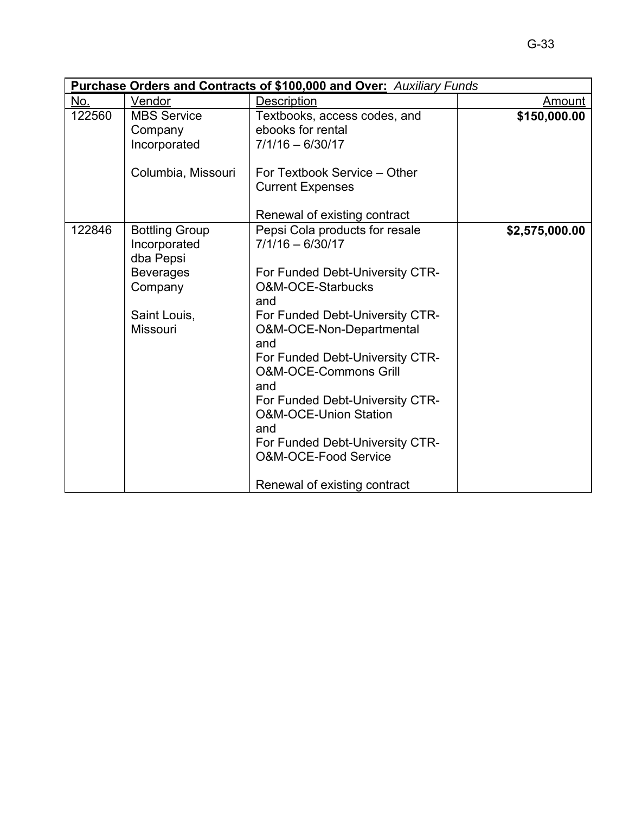|        | <b>Purchase Orders and Contracts of \$100,000 and Over: Auxiliary Funds</b>                                          |                                                                                                                                                                                                                                                                                                                                                                                                                                                  |                |  |  |
|--------|----------------------------------------------------------------------------------------------------------------------|--------------------------------------------------------------------------------------------------------------------------------------------------------------------------------------------------------------------------------------------------------------------------------------------------------------------------------------------------------------------------------------------------------------------------------------------------|----------------|--|--|
| No.    | Vendor                                                                                                               | <b>Description</b>                                                                                                                                                                                                                                                                                                                                                                                                                               | Amount         |  |  |
| 122560 | <b>MBS Service</b><br>Company<br>Incorporated<br>Columbia, Missouri                                                  | Textbooks, access codes, and<br>ebooks for rental<br>$7/1/16 - 6/30/17$<br>For Textbook Service - Other                                                                                                                                                                                                                                                                                                                                          | \$150,000.00   |  |  |
|        |                                                                                                                      | <b>Current Expenses</b><br>Renewal of existing contract                                                                                                                                                                                                                                                                                                                                                                                          |                |  |  |
| 122846 | <b>Bottling Group</b><br>Incorporated<br>dba Pepsi<br><b>Beverages</b><br>Company<br>Saint Louis,<br><b>Missouri</b> | Pepsi Cola products for resale<br>$7/1/16 - 6/30/17$<br>For Funded Debt-University CTR-<br>O&M-OCE-Starbucks<br>and<br>For Funded Debt-University CTR-<br>O&M-OCE-Non-Departmental<br>and<br>For Funded Debt-University CTR-<br><b>O&amp;M-OCE-Commons Grill</b><br>and<br>For Funded Debt-University CTR-<br><b>O&amp;M-OCE-Union Station</b><br>and<br>For Funded Debt-University CTR-<br>O&M-OCE-Food Service<br>Renewal of existing contract | \$2,575,000.00 |  |  |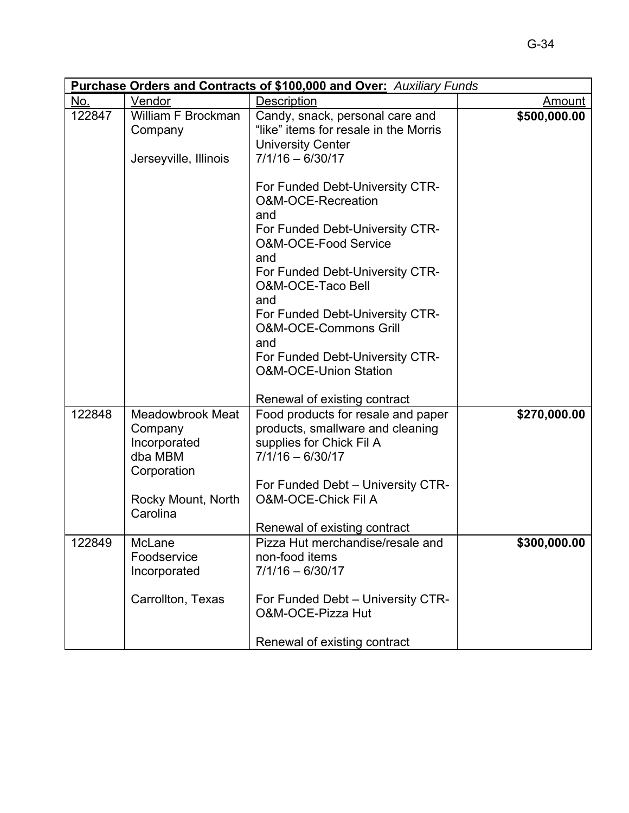|        | <b>Purchase Orders and Contracts of \$100,000 and Over: Auxiliary Funds</b>  |                                                                                                                                                                                                                                                                                                                                                               |              |  |  |
|--------|------------------------------------------------------------------------------|---------------------------------------------------------------------------------------------------------------------------------------------------------------------------------------------------------------------------------------------------------------------------------------------------------------------------------------------------------------|--------------|--|--|
| No.    | Vendor                                                                       | <b>Description</b>                                                                                                                                                                                                                                                                                                                                            | Amount       |  |  |
| 122847 | William F Brockman<br>Company<br>Jerseyville, Illinois                       | Candy, snack, personal care and<br>"like" items for resale in the Morris<br><b>University Center</b><br>$7/1/16 - 6/30/17$                                                                                                                                                                                                                                    | \$500,000.00 |  |  |
|        |                                                                              | For Funded Debt-University CTR-<br>O&M-OCE-Recreation<br>and<br>For Funded Debt-University CTR-<br><b>O&amp;M-OCE-Food Service</b><br>and<br>For Funded Debt-University CTR-<br>O&M-OCE-Taco Bell<br>and<br>For Funded Debt-University CTR-<br><b>O&amp;M-OCE-Commons Grill</b><br>and<br>For Funded Debt-University CTR-<br><b>O&amp;M-OCE-Union Station</b> |              |  |  |
|        |                                                                              | Renewal of existing contract                                                                                                                                                                                                                                                                                                                                  |              |  |  |
| 122848 | <b>Meadowbrook Meat</b><br>Company<br>Incorporated<br>dba MBM<br>Corporation | Food products for resale and paper<br>products, smallware and cleaning<br>supplies for Chick Fil A<br>$7/1/16 - 6/30/17$<br>For Funded Debt - University CTR-                                                                                                                                                                                                 | \$270,000.00 |  |  |
|        | Rocky Mount, North<br>Carolina                                               | <b>O&amp;M-OCE-Chick Fil A</b>                                                                                                                                                                                                                                                                                                                                |              |  |  |
| 122849 | McLane<br>Foodservice<br>Incorporated                                        | Renewal of existing contract<br>Pizza Hut merchandise/resale and<br>non-food items<br>$7/1/16 - 6/30/17$                                                                                                                                                                                                                                                      | \$300,000.00 |  |  |
|        | Carrollton, Texas                                                            | For Funded Debt - University CTR-<br>O&M-OCE-Pizza Hut<br>Renewal of existing contract                                                                                                                                                                                                                                                                        |              |  |  |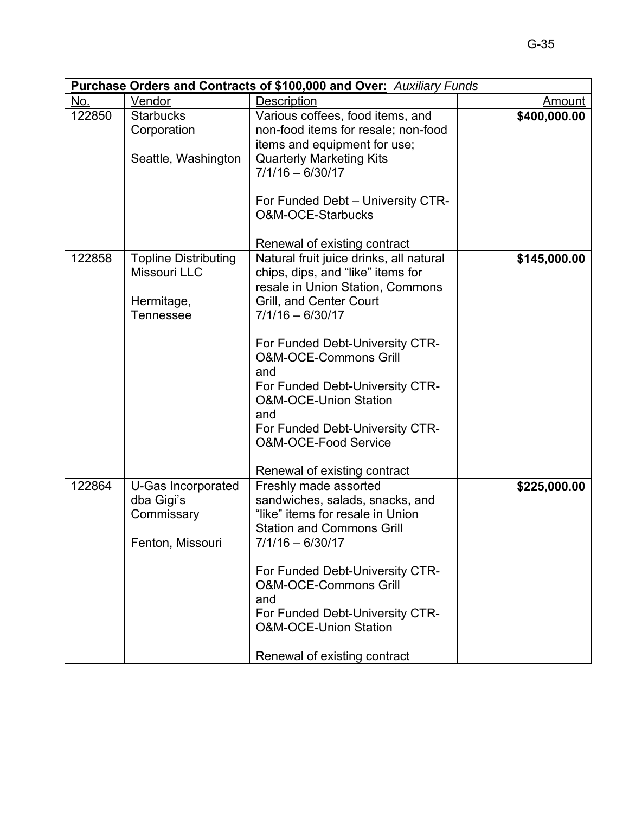|        | <b>Purchase Orders and Contracts of \$100,000 and Over: Auxiliary Funds</b> |                                                                                                                                                                                                                                                                                                                                                                                                                                                          |              |  |  |
|--------|-----------------------------------------------------------------------------|----------------------------------------------------------------------------------------------------------------------------------------------------------------------------------------------------------------------------------------------------------------------------------------------------------------------------------------------------------------------------------------------------------------------------------------------------------|--------------|--|--|
| No.    | Vendor                                                                      | Description                                                                                                                                                                                                                                                                                                                                                                                                                                              | Amount       |  |  |
| 122850 | <b>Starbucks</b><br>Corporation<br>Seattle, Washington                      | Various coffees, food items, and<br>non-food items for resale; non-food<br>items and equipment for use;<br><b>Quarterly Marketing Kits</b><br>$7/1/16 - 6/30/17$<br>For Funded Debt - University CTR-<br>O&M-OCE-Starbucks                                                                                                                                                                                                                               | \$400,000.00 |  |  |
| 122858 | <b>Topline Distributing</b><br>Missouri LLC<br>Hermitage,<br>Tennessee      | Renewal of existing contract<br>Natural fruit juice drinks, all natural<br>chips, dips, and "like" items for<br>resale in Union Station, Commons<br>Grill, and Center Court<br>$7/1/16 - 6/30/17$<br>For Funded Debt-University CTR-<br><b>O&amp;M-OCE-Commons Grill</b><br>and<br>For Funded Debt-University CTR-<br><b>O&amp;M-OCE-Union Station</b><br>and<br>For Funded Debt-University CTR-<br>O&M-OCE-Food Service<br>Renewal of existing contract | \$145,000.00 |  |  |
| 122864 | U-Gas Incorporated<br>dba Gigi's<br>Commissary<br>Fenton, Missouri          | Freshly made assorted<br>sandwiches, salads, snacks, and<br>"like" items for resale in Union<br><b>Station and Commons Grill</b><br>$7/1/16 - 6/30/17$<br>For Funded Debt-University CTR-<br><b>O&amp;M-OCE-Commons Grill</b><br>and<br>For Funded Debt-University CTR-<br><b>O&amp;M-OCE-Union Station</b><br>Renewal of existing contract                                                                                                              | \$225,000.00 |  |  |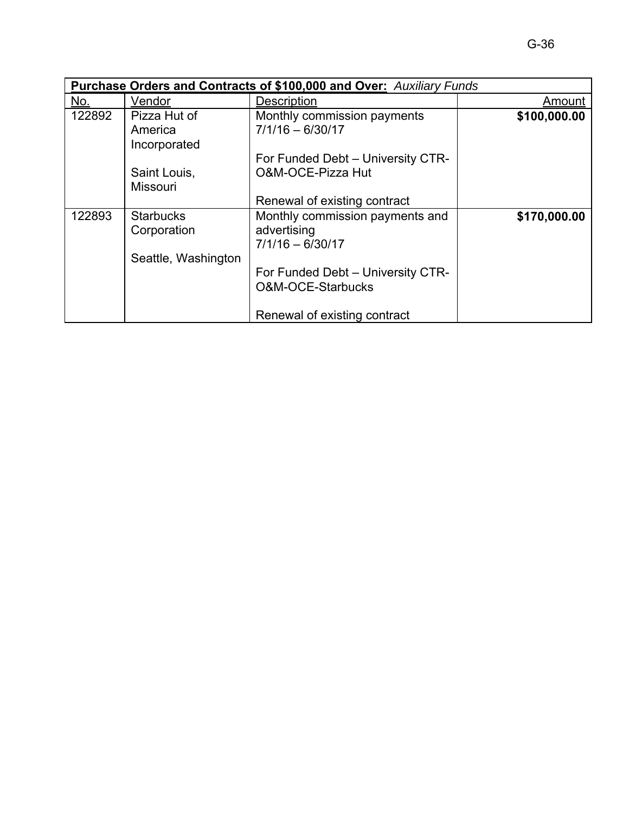|        | <b>Purchase Orders and Contracts of \$100,000 and Over: Auxiliary Funds</b> |                                                                                                                                |              |  |  |
|--------|-----------------------------------------------------------------------------|--------------------------------------------------------------------------------------------------------------------------------|--------------|--|--|
| No.    | Vendor                                                                      | <b>Description</b>                                                                                                             | Amount       |  |  |
| 122892 | Pizza Hut of<br>America<br>Incorporated<br>Saint Louis,                     | Monthly commission payments<br>$7/1/16 - 6/30/17$<br>For Funded Debt - University CTR-<br>O&M-OCE-Pizza Hut                    | \$100,000.00 |  |  |
|        | <b>Missouri</b>                                                             | Renewal of existing contract                                                                                                   |              |  |  |
| 122893 | <b>Starbucks</b><br>Corporation<br>Seattle, Washington                      | Monthly commission payments and<br>advertising<br>$7/1/16 - 6/30/17$<br>For Funded Debt - University CTR-<br>O&M-OCE-Starbucks | \$170,000.00 |  |  |
|        |                                                                             | Renewal of existing contract                                                                                                   |              |  |  |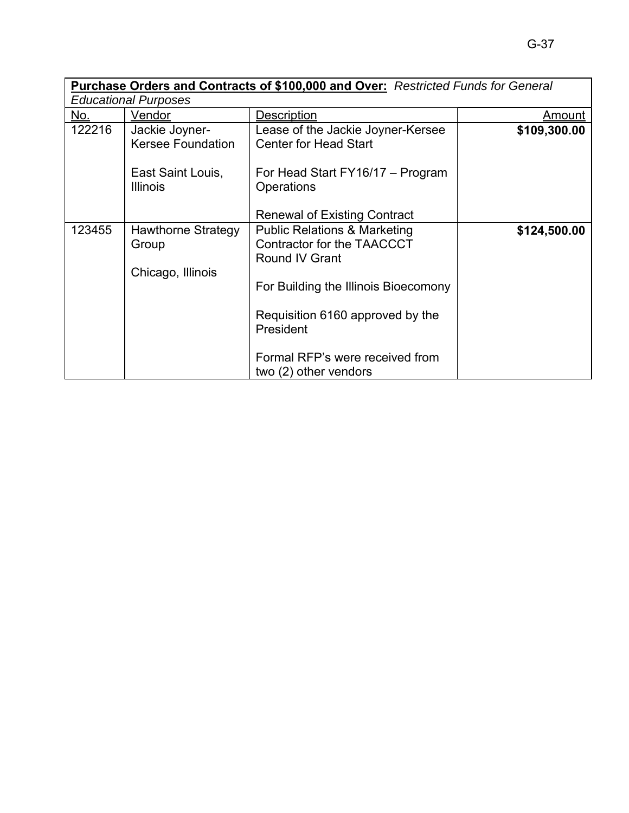|        |                                                  | Purchase Orders and Contracts of \$100,000 and Over: Restricted Funds for General       |              |
|--------|--------------------------------------------------|-----------------------------------------------------------------------------------------|--------------|
|        | <b>Educational Purposes</b>                      |                                                                                         |              |
| No.    | Vendor                                           | Description                                                                             | Amount       |
| 122216 | Jackie Joyner-<br><b>Kersee Foundation</b>       | Lease of the Jackie Joyner-Kersee<br><b>Center for Head Start</b>                       | \$109,300.00 |
|        | East Saint Louis,<br><b>Illinois</b>             | For Head Start FY16/17 – Program<br>Operations                                          |              |
|        |                                                  | <b>Renewal of Existing Contract</b>                                                     |              |
| 123455 | Hawthorne Strategy<br>Group<br>Chicago, Illinois | <b>Public Relations &amp; Marketing</b><br>Contractor for the TAACCCT<br>Round IV Grant | \$124,500.00 |
|        |                                                  | For Building the Illinois Bioecomony                                                    |              |
|        |                                                  | Requisition 6160 approved by the<br>President                                           |              |
|        |                                                  | Formal RFP's were received from<br>two (2) other vendors                                |              |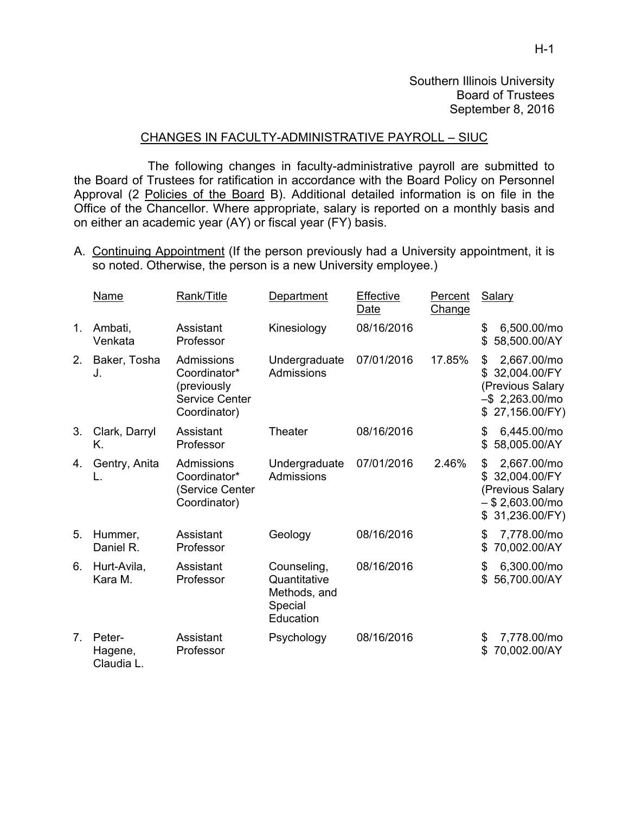## CHANGES IN FACULTY-ADMINISTRATIVE PAYROLL – SIUC

 The following changes in faculty-administrative payroll are submitted to the Board of Trustees for ratification in accordance with the Board Policy on Personnel Approval (2 Policies of the Board B). Additional detailed information is on file in the Office of the Chancellor. Where appropriate, salary is reported on a monthly basis and on either an academic year (AY) or fiscal year (FY) basis.

A. Continuing Appointment (If the person previously had a University appointment, it is so noted. Otherwise, the person is a new University employee.)

|                | <b>Name</b>                     | Rank/Title                                                                         | Department                                                          | Effective<br>Date | Percent<br>Change | <b>Salary</b>                                                                                             |
|----------------|---------------------------------|------------------------------------------------------------------------------------|---------------------------------------------------------------------|-------------------|-------------------|-----------------------------------------------------------------------------------------------------------|
| 1.             | Ambati,<br>Venkata              | Assistant<br>Professor                                                             | Kinesiology                                                         | 08/16/2016        |                   | \$<br>6,500.00/mo<br>\$<br>58,500.00/AY                                                                   |
| 2.             | Baker, Tosha<br>J.              | Admissions<br>Coordinator*<br>(previously<br><b>Service Center</b><br>Coordinator) | Undergraduate<br>Admissions                                         | 07/01/2016        | 17.85%            | 2,667.00/mo<br>\$<br>32,004.00/FY<br>\$<br>(Previous Salary<br>$-$ \$2,263.00/mo<br>\$27,156.00/FY)       |
| 3.             | Clark, Darryl<br>Κ.             | Assistant<br>Professor                                                             | Theater                                                             | 08/16/2016        |                   | 6,445.00/mo<br>\$<br>58,005.00/AY<br>\$                                                                   |
| 4.             | Gentry, Anita                   | Admissions<br>Coordinator*<br>(Service Center<br>Coordinator)                      | Undergraduate<br>Admissions                                         | 07/01/2016        | 2.46%             | \$<br>2,667.00/mo<br>32,004.00/FY<br>\$.<br>(Previous Salary<br>$-$ \$ 2,603.00/mo<br>31,236.00/FY)<br>\$ |
| 5.             | Hummer,<br>Daniel R.            | Assistant<br>Professor                                                             | Geology                                                             | 08/16/2016        |                   | 7,778.00/mo<br>\$<br>70,002.00/AY<br>\$                                                                   |
| 6.             | Hurt-Avila,<br>Kara M.          | Assistant<br>Professor                                                             | Counseling,<br>Quantitative<br>Methods, and<br>Special<br>Education | 08/16/2016        |                   | 6,300.00/mo<br>\$<br>56,700.00/AY<br>\$                                                                   |
| 7 <sub>1</sub> | Peter-<br>Hagene,<br>Claudia L. | Assistant<br>Professor                                                             | Psychology                                                          | 08/16/2016        |                   | 7,778.00/mo<br>\$<br>70,002.00/AY<br>\$                                                                   |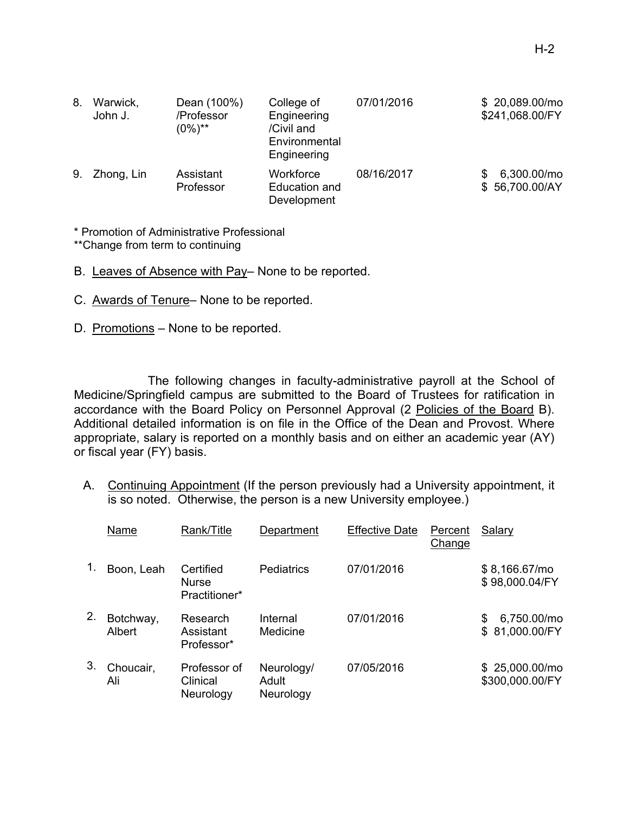| 8. | Warwick,<br>John J. | Dean (100%)<br>/Professor<br>$(0\%)^{**}$ | College of<br>Engineering<br>/Civil and<br>Environmental<br>Engineering | 07/01/2016 | \$20,089.00/mo<br>\$241,068.00/FY  |
|----|---------------------|-------------------------------------------|-------------------------------------------------------------------------|------------|------------------------------------|
| 9. | Zhong, Lin          | Assistant<br>Professor                    | Workforce<br>Education and<br>Development                               | 08/16/2017 | 6,300.00/mo<br>S<br>\$56,700.00/AY |

\* Promotion of Administrative Professional

\*\*Change from term to continuing

- B. Leaves of Absence with Pay– None to be reported.
- C. Awards of Tenure– None to be reported.
- D. Promotions None to be reported.

The following changes in faculty-administrative payroll at the School of Medicine/Springfield campus are submitted to the Board of Trustees for ratification in accordance with the Board Policy on Personnel Approval (2 Policies of the Board B). Additional detailed information is on file in the Office of the Dean and Provost. Where appropriate, salary is reported on a monthly basis and on either an academic year (AY) or fiscal year (FY) basis.

A. Continuing Appointment (If the person previously had a University appointment, it is so noted. Otherwise, the person is a new University employee.)

|    | Name                | Rank/Title                                 | Department                       | <b>Effective Date</b> | Percent<br>Change | <b>Salary</b>                       |
|----|---------------------|--------------------------------------------|----------------------------------|-----------------------|-------------------|-------------------------------------|
|    | Boon, Leah          | Certified<br><b>Nurse</b><br>Practitioner* | Pediatrics                       | 07/01/2016            |                   | $$8,166.67/m$ o<br>\$98,000.04/FY   |
| 2. | Botchway,<br>Albert | Research<br>Assistant<br>Professor*        | Internal<br>Medicine             | 07/01/2016            |                   | 6,750.00/mo<br>S<br>\$81,000.00/FY  |
| 3. | Choucair,<br>Ali    | Professor of<br>Clinical<br>Neurology      | Neurology/<br>Adult<br>Neurology | 07/05/2016            |                   | $$25,000.00/m$ o<br>\$300,000.00/FY |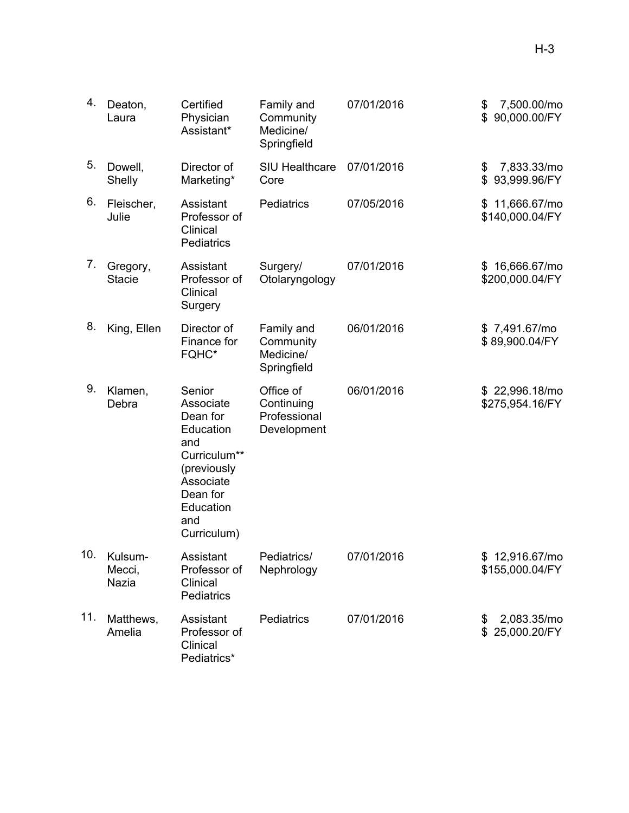| 4.  | Deaton,<br>Laura           | Certified<br>Physician<br>Assistant*                                                                                                           | Family and<br>Community<br>Medicine/<br>Springfield    | 07/01/2016 | 7,500.00/mo<br>\$<br>90,000.00/FY<br>\$ |
|-----|----------------------------|------------------------------------------------------------------------------------------------------------------------------------------------|--------------------------------------------------------|------------|-----------------------------------------|
| 5.  | Dowell,<br>Shelly          | Director of<br>Marketing*                                                                                                                      | <b>SIU Healthcare</b><br>Core                          | 07/01/2016 | 7,833.33/mo<br>\$<br>93,999.96/FY<br>\$ |
| 6.  | Fleischer,<br>Julie        | Assistant<br>Professor of<br>Clinical<br>Pediatrics                                                                                            | <b>Pediatrics</b>                                      | 07/05/2016 | \$11,666.67/mo<br>\$140,000.04/FY       |
| 7.  | Gregory,<br><b>Stacie</b>  | Assistant<br>Professor of<br>Clinical<br>Surgery                                                                                               | Surgery/<br>Otolaryngology                             | 07/01/2016 | \$16,666.67/mo<br>\$200,000.04/FY       |
| 8.  | King, Ellen                | Director of<br>Finance for<br>FQHC*                                                                                                            | Family and<br>Community<br>Medicine/<br>Springfield    | 06/01/2016 | \$7,491.67/mo<br>\$89,900.04/FY         |
| 9.  | Klamen,<br>Debra           | Senior<br>Associate<br>Dean for<br>Education<br>and<br>Curriculum**<br>(previously<br>Associate<br>Dean for<br>Education<br>and<br>Curriculum) | Office of<br>Continuing<br>Professional<br>Development | 06/01/2016 | \$22,996.18/mo<br>\$275,954.16/FY       |
| 10. | Kulsum-<br>Mecci,<br>Nazia | Assistant<br>Professor of<br>Clinical<br>Pediatrics                                                                                            | Pediatrics/<br>Nephrology                              | 07/01/2016 | \$12,916.67/mo<br>\$155,000.04/FY       |
| 11. | Matthews,<br>Amelia        | Assistant<br>Professor of<br>Clinical<br>Pediatrics*                                                                                           | <b>Pediatrics</b>                                      | 07/01/2016 | 2,083.35/mo<br>\$<br>\$25,000.20/FY     |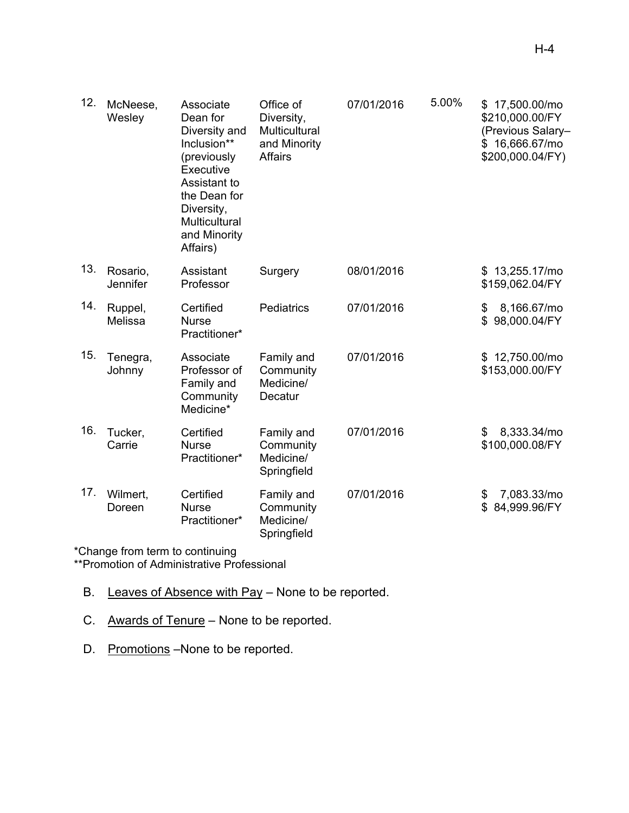| 12. | McNeese,<br>Wesley   | Associate<br>Dean for<br>Diversity and<br>Inclusion**<br>(previously<br>Executive<br>Assistant to<br>the Dean for<br>Diversity,<br>Multicultural<br>and Minority<br>Affairs) | Office of<br>Diversity,<br>Multicultural<br>and Minority<br><b>Affairs</b> | 07/01/2016 | 5.00% | \$17,500.00/mo<br>\$210,000.00/FY<br>(Previous Salary-<br>\$16,666.67/mo<br>\$200,000.04/FY) |
|-----|----------------------|------------------------------------------------------------------------------------------------------------------------------------------------------------------------------|----------------------------------------------------------------------------|------------|-------|----------------------------------------------------------------------------------------------|
| 13. | Rosario,<br>Jennifer | Assistant<br>Professor                                                                                                                                                       | Surgery                                                                    | 08/01/2016 |       | \$13,255.17/mo<br>\$159,062.04/FY                                                            |
| 14. | Ruppel,<br>Melissa   | Certified<br><b>Nurse</b><br>Practitioner*                                                                                                                                   | Pediatrics                                                                 | 07/01/2016 |       | 8,166.67/mo<br>\$<br>\$98,000.04/FY                                                          |
| 15. | Tenegra,<br>Johnny   | Associate<br>Professor of<br>Family and<br>Community<br>Medicine*                                                                                                            | Family and<br>Community<br>Medicine/<br>Decatur                            | 07/01/2016 |       | \$12,750.00/mo<br>\$153,000.00/FY                                                            |
| 16. | Tucker,<br>Carrie    | Certified<br><b>Nurse</b><br>Practitioner*                                                                                                                                   | Family and<br>Community<br>Medicine/<br>Springfield                        | 07/01/2016 |       | 8,333.34/mo<br>\$<br>\$100,000.08/FY                                                         |
| 17. | Wilmert,<br>Doreen   | Certified<br><b>Nurse</b><br>Practitioner*                                                                                                                                   | Family and<br>Community<br>Medicine/<br>Springfield                        | 07/01/2016 |       | 7,083.33/mo<br>\$<br>84,999.96/FY<br>\$                                                      |

\*Change from term to continuing

\*\*Promotion of Administrative Professional

- B. Leaves of Absence with Pay None to be reported.
- C. Awards of Tenure None to be reported.
- D. Promotions -None to be reported.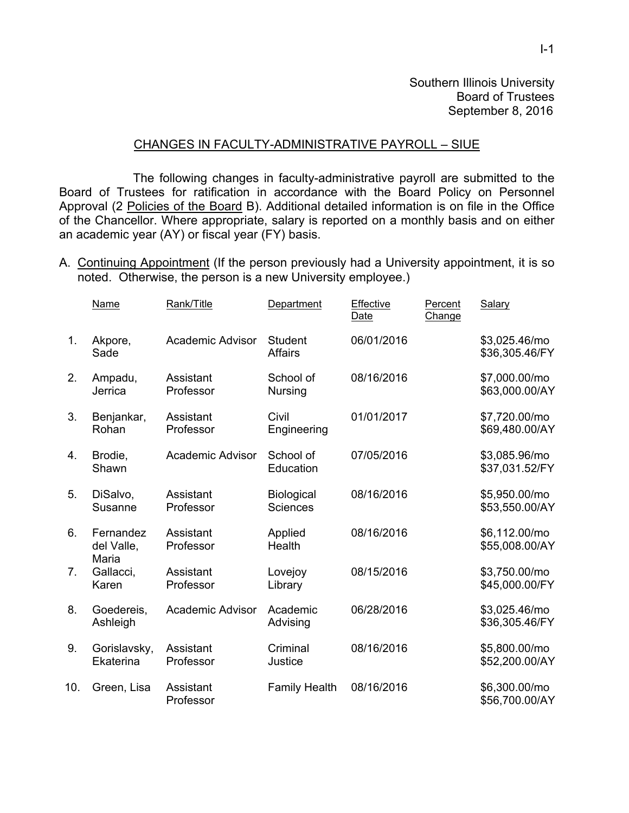### CHANGES IN FACULTY-ADMINISTRATIVE PAYROLL – SIUE

 The following changes in faculty-administrative payroll are submitted to the Board of Trustees for ratification in accordance with the Board Policy on Personnel Approval (2 Policies of the Board B). Additional detailed information is on file in the Office of the Chancellor. Where appropriate, salary is reported on a monthly basis and on either an academic year (AY) or fiscal year (FY) basis.

A. Continuing Appointment (If the person previously had a University appointment, it is so noted. Otherwise, the person is a new University employee.)

|     | Name                             | Rank/Title              | Department                       | Effective<br>Date | Percent<br>Change | Salary                          |
|-----|----------------------------------|-------------------------|----------------------------------|-------------------|-------------------|---------------------------------|
| 1.  | Akpore,<br>Sade                  | <b>Academic Advisor</b> | <b>Student</b><br><b>Affairs</b> | 06/01/2016        |                   | \$3,025.46/mo<br>\$36,305.46/FY |
| 2.  | Ampadu,<br>Jerrica               | Assistant<br>Professor  | School of<br>Nursing             | 08/16/2016        |                   | \$7,000.00/mo<br>\$63,000.00/AY |
| 3.  | Benjankar,<br>Rohan              | Assistant<br>Professor  | Civil<br>Engineering             | 01/01/2017        |                   | \$7,720.00/mo<br>\$69,480.00/AY |
| 4.  | Brodie,<br>Shawn                 | <b>Academic Advisor</b> | School of<br>Education           | 07/05/2016        |                   | \$3,085.96/mo<br>\$37,031.52/FY |
| 5.  | DiSalvo,<br>Susanne              | Assistant<br>Professor  | Biological<br><b>Sciences</b>    | 08/16/2016        |                   | \$5,950.00/mo<br>\$53,550.00/AY |
| 6.  | Fernandez<br>del Valle,<br>Maria | Assistant<br>Professor  | Applied<br>Health                | 08/16/2016        |                   | \$6,112.00/mo<br>\$55,008.00/AY |
| 7.  | Gallacci,<br>Karen               | Assistant<br>Professor  | Lovejoy<br>Library               | 08/15/2016        |                   | \$3,750.00/mo<br>\$45,000.00/FY |
| 8.  | Goedereis,<br>Ashleigh           | <b>Academic Advisor</b> | Academic<br>Advising             | 06/28/2016        |                   | \$3,025.46/mo<br>\$36,305.46/FY |
| 9.  | Gorislavsky,<br>Ekaterina        | Assistant<br>Professor  | Criminal<br>Justice              | 08/16/2016        |                   | \$5,800.00/mo<br>\$52,200.00/AY |
| 10. | Green, Lisa                      | Assistant<br>Professor  | <b>Family Health</b>             | 08/16/2016        |                   | \$6,300.00/mo<br>\$56,700.00/AY |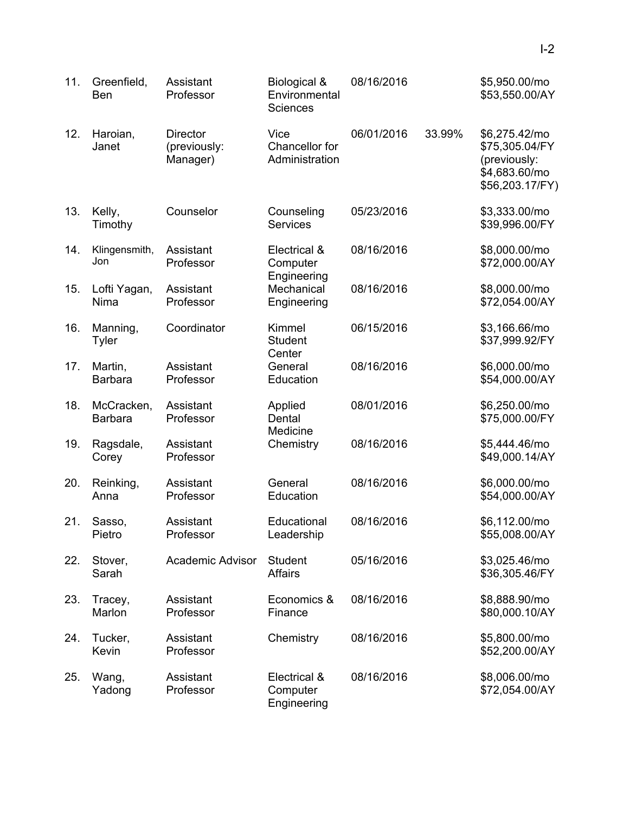| 11. | Greenfield,<br><b>Ben</b>    | Assistant<br>Professor                      | Biological &<br>Environmental<br><b>Sciences</b> | 08/16/2016 |        | \$5,950.00/mo<br>\$53,550.00/AY                                                     |
|-----|------------------------------|---------------------------------------------|--------------------------------------------------|------------|--------|-------------------------------------------------------------------------------------|
| 12. | Haroian,<br>Janet            | <b>Director</b><br>(previously:<br>Manager) | Vice<br>Chancellor for<br>Administration         | 06/01/2016 | 33.99% | \$6,275.42/mo<br>\$75,305.04/FY<br>(previously:<br>\$4,683.60/mo<br>\$56,203.17/FY) |
| 13. | Kelly,<br>Timothy            | Counselor                                   | Counseling<br><b>Services</b>                    | 05/23/2016 |        | \$3,333.00/mo<br>\$39,996.00/FY                                                     |
| 14. | Klingensmith,<br>Jon         | Assistant<br>Professor                      | Electrical &<br>Computer<br>Engineering          | 08/16/2016 |        | \$8,000.00/mo<br>\$72,000.00/AY                                                     |
| 15. | Lofti Yagan,<br>Nima         | Assistant<br>Professor                      | Mechanical<br>Engineering                        | 08/16/2016 |        | \$8,000.00/mo<br>\$72,054.00/AY                                                     |
| 16. | Manning,<br><b>Tyler</b>     | Coordinator                                 | Kimmel<br><b>Student</b><br>Center               | 06/15/2016 |        | \$3,166.66/mo<br>\$37,999.92/FY                                                     |
| 17. | Martin,<br><b>Barbara</b>    | Assistant<br>Professor                      | General<br>Education                             | 08/16/2016 |        | \$6,000.00/mo<br>\$54,000.00/AY                                                     |
| 18. | McCracken,<br><b>Barbara</b> | Assistant<br>Professor                      | Applied<br>Dental<br>Medicine                    | 08/01/2016 |        | \$6,250.00/mo<br>\$75,000.00/FY                                                     |
| 19. | Ragsdale,<br>Corey           | Assistant<br>Professor                      | Chemistry                                        | 08/16/2016 |        | \$5,444.46/mo<br>\$49,000.14/AY                                                     |
| 20. | Reinking,<br>Anna            | Assistant<br>Professor                      | General<br>Education                             | 08/16/2016 |        | \$6,000.00/mo<br>\$54,000.00/AY                                                     |
| 21. | Sasso,<br>Pietro             | Assistant<br>Professor                      | Educational<br>Leadership                        | 08/16/2016 |        | \$6,112.00/mo<br>\$55,008.00/AY                                                     |
| 22. | Stover,<br>Sarah             | <b>Academic Advisor</b>                     | <b>Student</b><br><b>Affairs</b>                 | 05/16/2016 |        | \$3,025.46/mo<br>\$36,305.46/FY                                                     |
| 23. | Tracey,<br>Marlon            | Assistant<br>Professor                      | Economics &<br>Finance                           | 08/16/2016 |        | \$8,888.90/mo<br>\$80,000.10/AY                                                     |
| 24. | Tucker,<br>Kevin             | Assistant<br>Professor                      | Chemistry                                        | 08/16/2016 |        | \$5,800.00/mo<br>\$52,200.00/AY                                                     |
| 25. | Wang,<br>Yadong              | Assistant<br>Professor                      | Electrical &<br>Computer<br>Engineering          | 08/16/2016 |        | \$8,006.00/mo<br>\$72,054.00/AY                                                     |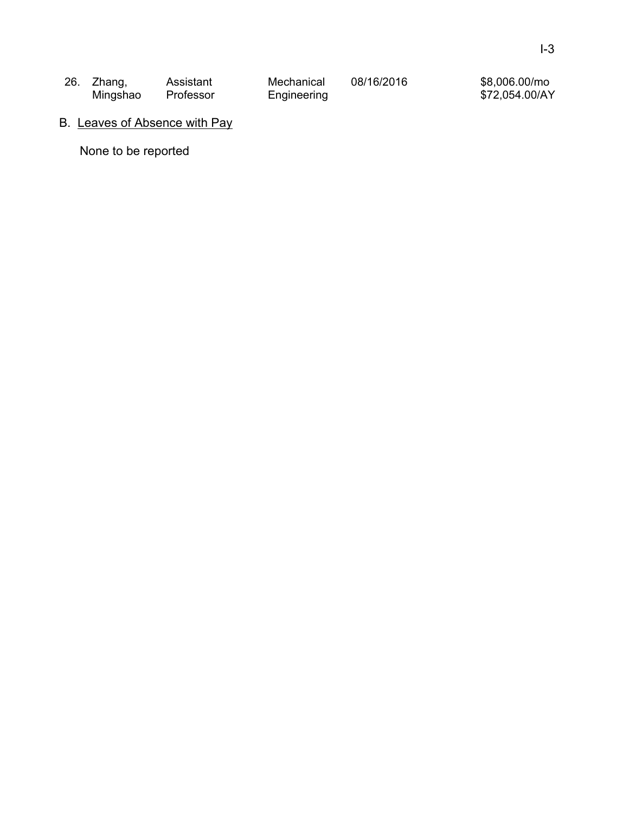| 26. Zhang, | Assistant | Mechanical  | 08/16/2016 | \$8,006.00/mo  |
|------------|-----------|-------------|------------|----------------|
| Mingshao   | Professor | Engineering |            | \$72,054.00/AY |

# B. Leaves of Absence with Pay

None to be reported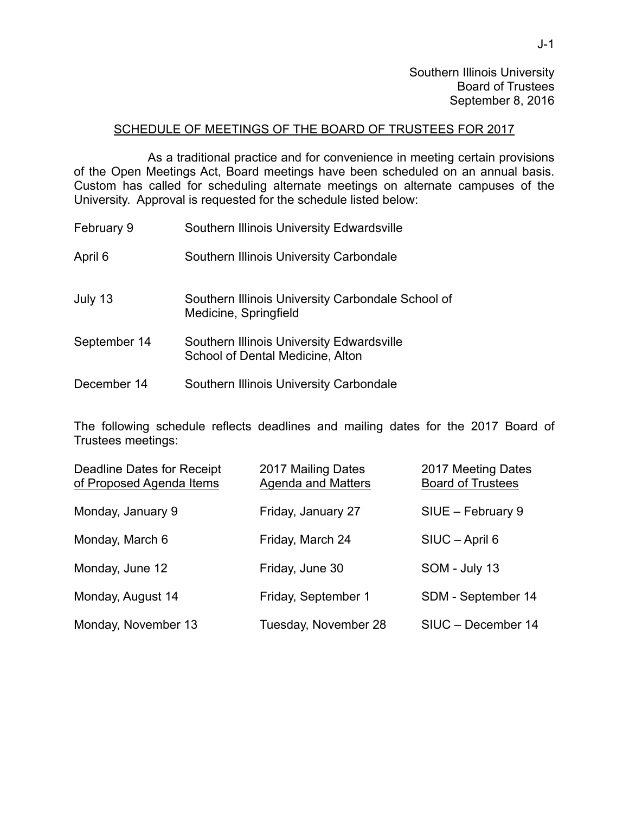Southern Illinois University Board of Trustees September 8, 2016

## SCHEDULE OF MEETINGS OF THE BOARD OF TRUSTEES FOR 2017

 As a traditional practice and for convenience in meeting certain provisions of the Open Meetings Act, Board meetings have been scheduled on an annual basis. Custom has called for scheduling alternate meetings on alternate campuses of the University. Approval is requested for the schedule listed below:

| February 9   | Southern Illinois University Edwardsville                                     |
|--------------|-------------------------------------------------------------------------------|
| April 6      | Southern Illinois University Carbondale                                       |
| July 13      | Southern Illinois University Carbondale School of<br>Medicine, Springfield    |
| September 14 | Southern Illinois University Edwardsville<br>School of Dental Medicine, Alton |
| December 14  | Southern Illinois University Carbondale                                       |

The following schedule reflects deadlines and mailing dates for the 2017 Board of Trustees meetings:

| Deadline Dates for Receipt<br>of Proposed Agenda Items | 2017 Mailing Dates<br><b>Agenda and Matters</b> | 2017 Meeting Dates<br><b>Board of Trustees</b> |
|--------------------------------------------------------|-------------------------------------------------|------------------------------------------------|
| Monday, January 9                                      | Friday, January 27                              | SIUE - February 9                              |
| Monday, March 6                                        | Friday, March 24                                | SIUC - April 6                                 |
| Monday, June 12                                        | Friday, June 30                                 | SOM - July 13                                  |
| Monday, August 14                                      | Friday, September 1                             | SDM - September 14                             |
| Monday, November 13                                    | Tuesday, November 28                            | SIUC - December 14                             |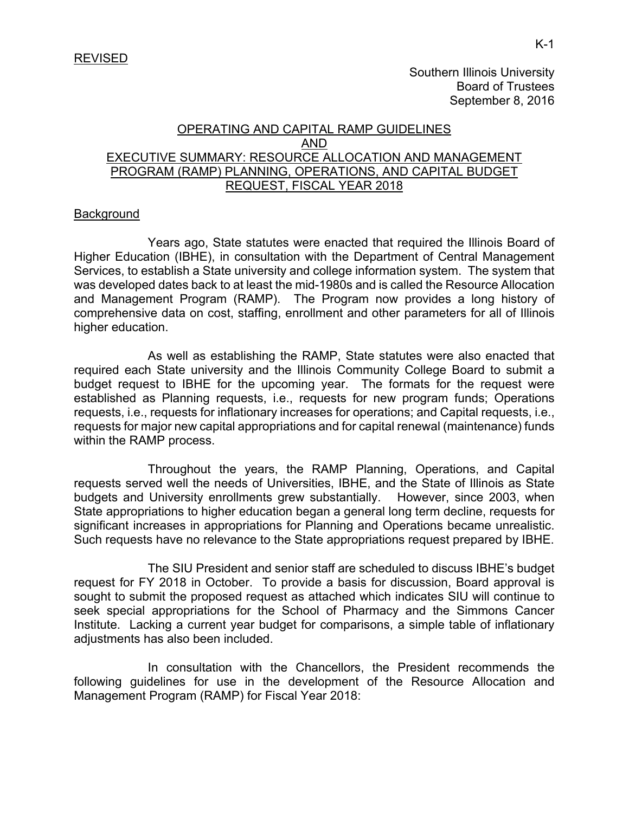Southern Illinois University Board of Trustees September 8, 2016

## OPERATING AND CAPITAL RAMP GUIDELINES AND EXECUTIVE SUMMARY: RESOURCE ALLOCATION AND MANAGEMENT PROGRAM (RAMP) PLANNING, OPERATIONS, AND CAPITAL BUDGET REQUEST, FISCAL YEAR 2018

### **Background**

 Years ago, State statutes were enacted that required the Illinois Board of Higher Education (IBHE), in consultation with the Department of Central Management Services, to establish a State university and college information system. The system that was developed dates back to at least the mid-1980s and is called the Resource Allocation and Management Program (RAMP). The Program now provides a long history of comprehensive data on cost, staffing, enrollment and other parameters for all of Illinois higher education.

 As well as establishing the RAMP, State statutes were also enacted that required each State university and the Illinois Community College Board to submit a budget request to IBHE for the upcoming year. The formats for the request were established as Planning requests, i.e., requests for new program funds; Operations requests, i.e., requests for inflationary increases for operations; and Capital requests, i.e., requests for major new capital appropriations and for capital renewal (maintenance) funds within the RAMP process.

 Throughout the years, the RAMP Planning, Operations, and Capital requests served well the needs of Universities, IBHE, and the State of Illinois as State budgets and University enrollments grew substantially. However, since 2003, when State appropriations to higher education began a general long term decline, requests for significant increases in appropriations for Planning and Operations became unrealistic. Such requests have no relevance to the State appropriations request prepared by IBHE.

 The SIU President and senior staff are scheduled to discuss IBHE's budget request for FY 2018 in October. To provide a basis for discussion, Board approval is sought to submit the proposed request as attached which indicates SIU will continue to seek special appropriations for the School of Pharmacy and the Simmons Cancer Institute. Lacking a current year budget for comparisons, a simple table of inflationary adjustments has also been included.

 In consultation with the Chancellors, the President recommends the following guidelines for use in the development of the Resource Allocation and Management Program (RAMP) for Fiscal Year 2018: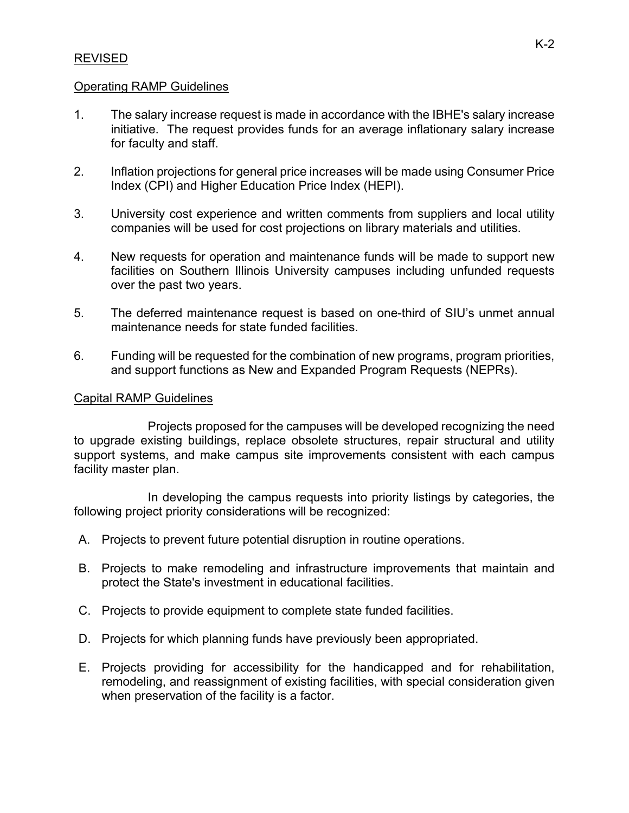# REVISED

# Operating RAMP Guidelines

- 1. The salary increase request is made in accordance with the IBHE's salary increase initiative. The request provides funds for an average inflationary salary increase for faculty and staff.
- 2. Inflation projections for general price increases will be made using Consumer Price Index (CPI) and Higher Education Price Index (HEPI).
- 3. University cost experience and written comments from suppliers and local utility companies will be used for cost projections on library materials and utilities.
- 4. New requests for operation and maintenance funds will be made to support new facilities on Southern Illinois University campuses including unfunded requests over the past two years.
- 5. The deferred maintenance request is based on one-third of SIU's unmet annual maintenance needs for state funded facilities.
- 6. Funding will be requested for the combination of new programs, program priorities, and support functions as New and Expanded Program Requests (NEPRs).

#### Capital RAMP Guidelines

 Projects proposed for the campuses will be developed recognizing the need to upgrade existing buildings, replace obsolete structures, repair structural and utility support systems, and make campus site improvements consistent with each campus facility master plan.

 In developing the campus requests into priority listings by categories, the following project priority considerations will be recognized:

- A. Projects to prevent future potential disruption in routine operations.
- B. Projects to make remodeling and infrastructure improvements that maintain and protect the State's investment in educational facilities.
- C. Projects to provide equipment to complete state funded facilities.
- D. Projects for which planning funds have previously been appropriated.
- E. Projects providing for accessibility for the handicapped and for rehabilitation, remodeling, and reassignment of existing facilities, with special consideration given when preservation of the facility is a factor.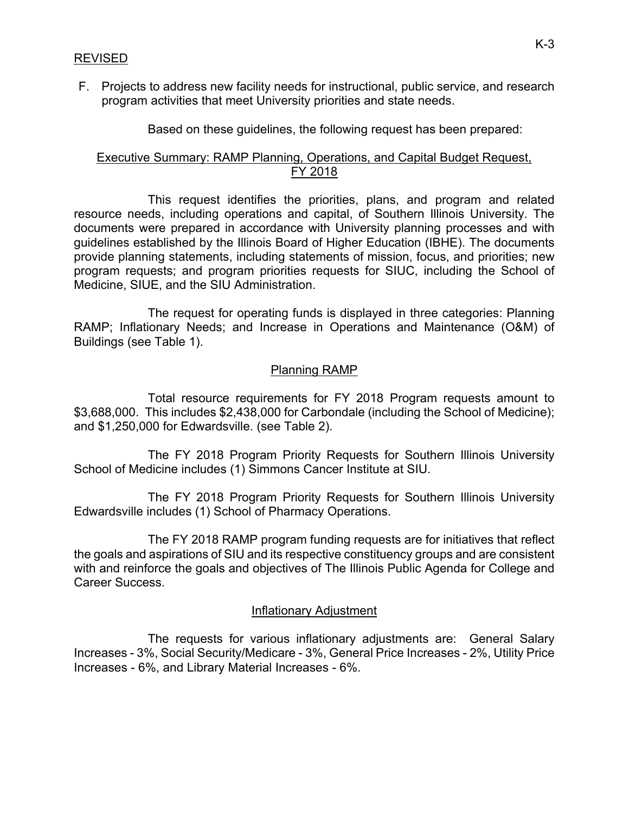F. Projects to address new facility needs for instructional, public service, and research program activities that meet University priorities and state needs.

Based on these guidelines, the following request has been prepared:

# Executive Summary: RAMP Planning, Operations, and Capital Budget Request, FY 2018

 This request identifies the priorities, plans, and program and related resource needs, including operations and capital, of Southern Illinois University. The documents were prepared in accordance with University planning processes and with guidelines established by the Illinois Board of Higher Education (IBHE). The documents provide planning statements, including statements of mission, focus, and priorities; new program requests; and program priorities requests for SIUC, including the School of Medicine, SIUE, and the SIU Administration.

 The request for operating funds is displayed in three categories: Planning RAMP; Inflationary Needs; and Increase in Operations and Maintenance (O&M) of Buildings (see Table 1).

# Planning RAMP

 Total resource requirements for FY 2018 Program requests amount to \$3,688,000. This includes \$2,438,000 for Carbondale (including the School of Medicine); and \$1,250,000 for Edwardsville. (see Table 2).

The FY 2018 Program Priority Requests for Southern Illinois University School of Medicine includes (1) Simmons Cancer Institute at SIU.

 The FY 2018 Program Priority Requests for Southern Illinois University Edwardsville includes (1) School of Pharmacy Operations.

The FY 2018 RAMP program funding requests are for initiatives that reflect the goals and aspirations of SIU and its respective constituency groups and are consistent with and reinforce the goals and objectives of The Illinois Public Agenda for College and Career Success.

# Inflationary Adjustment

 The requests for various inflationary adjustments are: General Salary Increases - 3%, Social Security/Medicare - 3%, General Price Increases - 2%, Utility Price Increases - 6%, and Library Material Increases - 6%.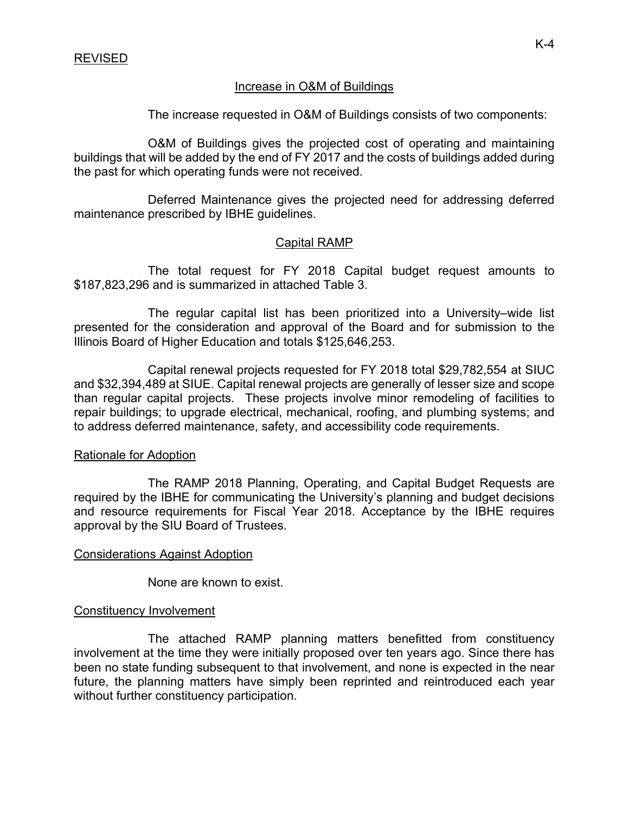# Increase in O&M of Buildings

The increase requested in O&M of Buildings consists of two components:

 O&M of Buildings gives the projected cost of operating and maintaining buildings that will be added by the end of FY 2017 and the costs of buildings added during the past for which operating funds were not received.

 Deferred Maintenance gives the projected need for addressing deferred maintenance prescribed by IBHE guidelines.

# Capital RAMP

 The total request for FY 2018 Capital budget request amounts to \$187,823,296 and is summarized in attached Table 3.

 The regular capital list has been prioritized into a University–wide list presented for the consideration and approval of the Board and for submission to the Illinois Board of Higher Education and totals \$125,646,253.

Capital renewal projects requested for FY 2018 total \$29,782,554 at SIUC and \$32,394,489 at SIUE. Capital renewal projects are generally of lesser size and scope than regular capital projects. These projects involve minor remodeling of facilities to repair buildings; to upgrade electrical, mechanical, roofing, and plumbing systems; and to address deferred maintenance, safety, and accessibility code requirements.

#### Rationale for Adoption

 The RAMP 2018 Planning, Operating, and Capital Budget Requests are required by the IBHE for communicating the University's planning and budget decisions and resource requirements for Fiscal Year 2018. Acceptance by the IBHE requires approval by the SIU Board of Trustees.

#### Considerations Against Adoption

None are known to exist.

#### Constituency Involvement

 The attached RAMP planning matters benefitted from constituency involvement at the time they were initially proposed over ten years ago. Since there has been no state funding subsequent to that involvement, and none is expected in the near future, the planning matters have simply been reprinted and reintroduced each year without further constituency participation.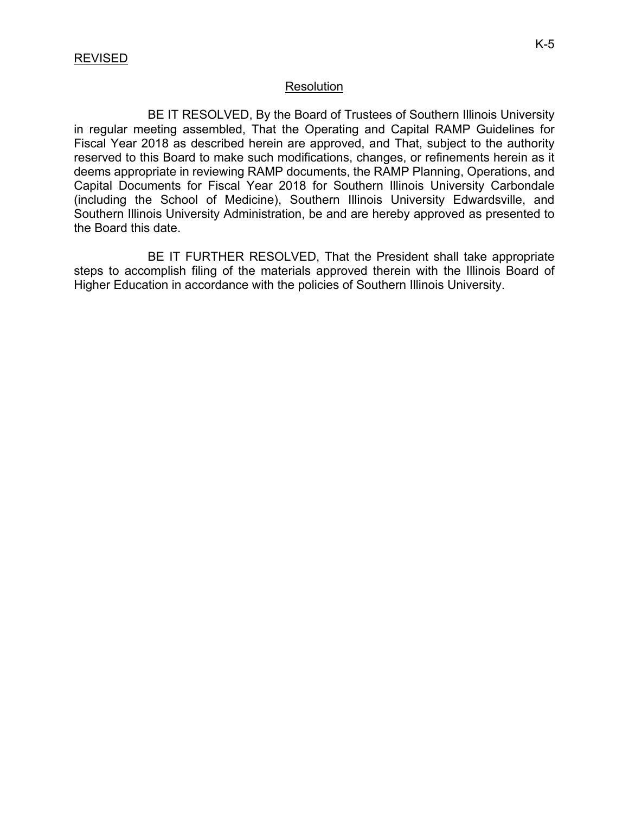#### **Resolution**

 BE IT RESOLVED, By the Board of Trustees of Southern Illinois University in regular meeting assembled, That the Operating and Capital RAMP Guidelines for Fiscal Year 2018 as described herein are approved, and That, subject to the authority reserved to this Board to make such modifications, changes, or refinements herein as it deems appropriate in reviewing RAMP documents, the RAMP Planning, Operations, and Capital Documents for Fiscal Year 2018 for Southern Illinois University Carbondale (including the School of Medicine), Southern Illinois University Edwardsville, and Southern Illinois University Administration, be and are hereby approved as presented to the Board this date.

 BE IT FURTHER RESOLVED, That the President shall take appropriate steps to accomplish filing of the materials approved therein with the Illinois Board of Higher Education in accordance with the policies of Southern Illinois University.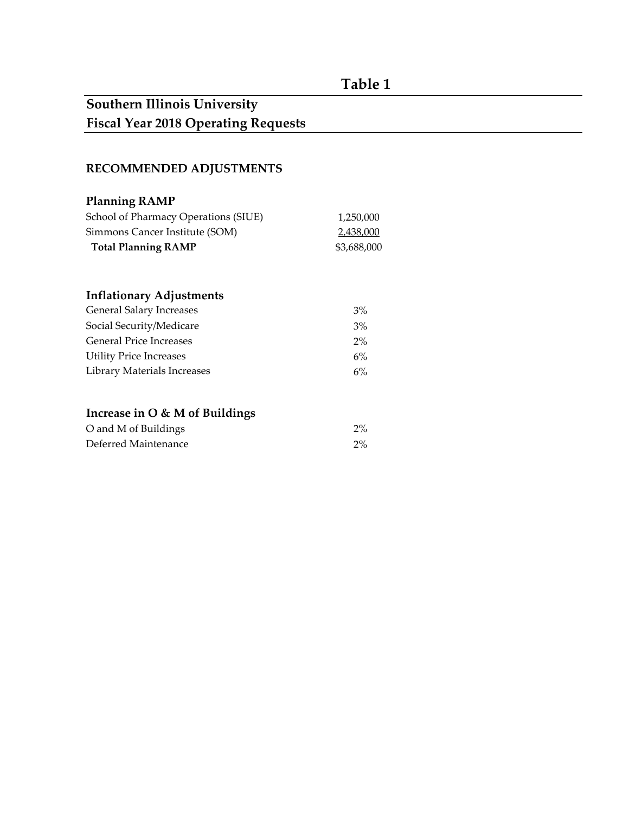# **Table 1**

# **Southern Illinois University Fiscal Year 2018 Operating Requests**

# **RECOMMENDED ADJUSTMENTS**

| <b>Planning RAMP</b>                 |             |
|--------------------------------------|-------------|
| School of Pharmacy Operations (SIUE) | 1,250,000   |
| Simmons Cancer Institute (SOM)       | 2,438,000   |
| <b>Total Planning RAMP</b>           | \$3,688,000 |
|                                      |             |
| <b>Inflationary Adjustments</b>      |             |
| <b>General Salary Increases</b>      | 3%          |
| Social Security/Medicare             | 3%          |
| <b>General Price Increases</b>       | $2\%$       |
| <b>Utility Price Increases</b>       | 6%          |
| <b>Library Materials Increases</b>   | 6%          |
|                                      |             |
| Increase in O & M of Buildings       |             |
| O and M of Buildings                 | $2\%$       |
| Deferred Maintenance                 | $2\%$       |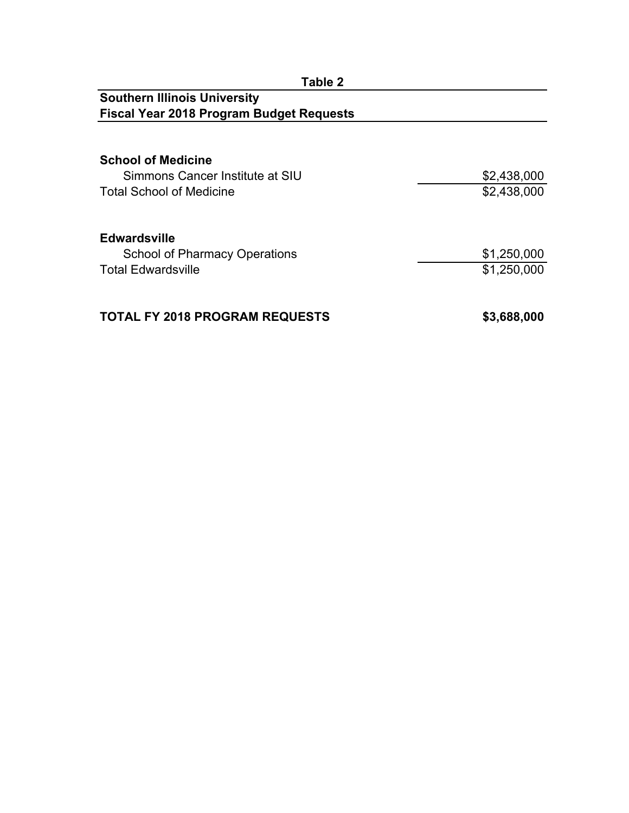| Table 2                                         |             |
|-------------------------------------------------|-------------|
| <b>Southern Illinois University</b>             |             |
| <b>Fiscal Year 2018 Program Budget Requests</b> |             |
|                                                 |             |
| <b>School of Medicine</b>                       |             |
| Simmons Cancer Institute at SIU                 | \$2,438,000 |
| <b>Total School of Medicine</b>                 | \$2,438,000 |
|                                                 |             |
| <b>Edwardsville</b>                             |             |
| <b>School of Pharmacy Operations</b>            | \$1,250,000 |
| <b>Total Edwardsville</b>                       | \$1,250,000 |
|                                                 |             |
| <b>TOTAL FY 2018 PROGRAM REQUESTS</b>           | \$3,688,000 |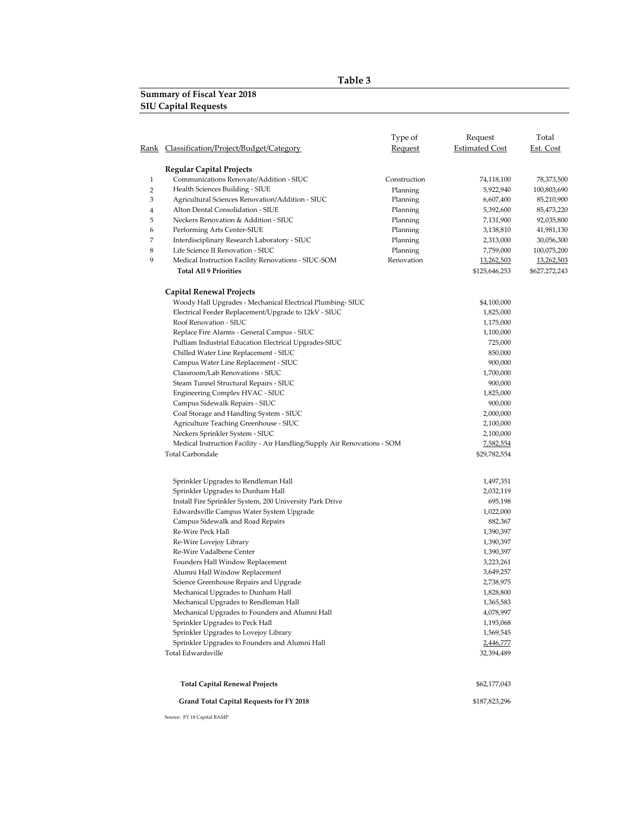#### **Table 3**

#### **Summary of Fiscal Year 2018 SIU Capital Requests**

|              |                                                                          | Type of        | Request               | Total         |
|--------------|--------------------------------------------------------------------------|----------------|-----------------------|---------------|
| Rank         | Classification/Project/Budget/Category                                   | <b>Request</b> | <b>Estimated Cost</b> | Est. Cost     |
|              | <b>Regular Capital Projects</b>                                          |                |                       |               |
| $\mathbf{1}$ | Communications Renovate/Addition - SIUC                                  | Construction   | 74,118,100            | 78,373,500    |
| 2            | Health Sciences Building - SIUE                                          | Planning       | 5,922,940             | 100,803,690   |
| 3            | Agricultural Sciences Renovation/Addition - SIUC                         | Planning       | 6,607,400             | 85,210,900    |
| 4            | Alton Dental Consolidation - SIUE                                        | Planning       | 5,392,600             | 85,473,220    |
| 5            | Neckers Renovation & Addition - SIUC                                     | Planning       | 7,131,900             | 92,035,800    |
| 6            | Performing Arts Center-SIUE                                              | Planning       | 3,138,810             | 41,981,130    |
| 7            | Interdisciplinary Research Laboratory - SIUC                             | Planning       | 2,313,000             | 30,056,300    |
| 8            | Life Science II Renovation - SIUC                                        | Planning       | 7,759,000             | 100,075,200   |
| 9            | Medical Instruction Facility Renovations - SIUC-SOM                      | Renovation     | 13,262,503            | 13,262,503    |
|              | <b>Total All 9 Priorities</b>                                            |                | \$125,646,253         | \$627,272,243 |
|              | <b>Capital Renewal Projects</b>                                          |                |                       |               |
|              | Woody Hall Upgrades - Mechanical Electrical Plumbing-SIUC                |                | \$4,100,000           |               |
|              | Electrical Feeder Replacement/Upgrade to 12kV - SIUC                     |                | 1,825,000             |               |
|              | Roof Renovation - SIUC                                                   |                | 1,175,000             |               |
|              | Replace Fire Alarms - General Campus - SIUC                              |                | 1,100,000             |               |
|              | Pulliam Industrial Education Electrical Upgrades-SIUC                    |                | 725,000               |               |
|              | Chilled Water Line Replacement - SIUC                                    |                | 850,000               |               |
|              | Campus Water Line Replacement - SIUC                                     |                | 900,000               |               |
|              | Classroom/Lab Renovations - SIUC                                         |                | 1,700,000             |               |
|              | Steam Tunnel Structural Repairs - SIUC                                   |                | 900,000               |               |
|              | Engineering Complex HVAC - SIUC                                          |                | 1,825,000             |               |
|              | Campus Sidewalk Repairs - SIUC                                           |                | 900,000               |               |
|              | Coal Storage and Handling System - SIUC                                  |                | 2,000,000             |               |
|              | Agriculture Teaching Greenhouse - SIUC                                   |                | 2,100,000             |               |
|              | Neckers Sprinkler System - SIUC                                          |                | 2,100,000             |               |
|              | Medical Instruction Facility - Air Handling/Supply Air Renovations - SOM |                | 7,582,554             |               |
|              | <b>Total Carbondale</b>                                                  |                | \$29,782,554          |               |
|              |                                                                          |                |                       |               |
|              | Sprinkler Upgrades to Rendleman Hall                                     |                | 1,497,351             |               |
|              | Sprinkler Upgrades to Dunham Hall                                        |                | 2,032,119             |               |
|              | Install Fire Sprinkler System, 200 University Park Drive                 |                | 695,198               |               |
|              | Edwardsville Campus Water System Upgrade                                 |                | 1,022,000             |               |
|              | Campus Sidewalk and Road Repairs                                         |                | 882,367               |               |
|              | Re-Wire Peck Hall                                                        |                | 1,390,397             |               |
|              | Re-Wire Lovejoy Library                                                  |                | 1,390,397             |               |
|              | Re-Wire Vadalbene Center                                                 |                | 1,390,397             |               |
|              | Founders Hall Window Replacement                                         |                | 3,223,261             |               |
|              | Alumni Hall Window Replacement                                           |                | 3,649,257             |               |
|              | Science Greenhouse Repairs and Upgrade                                   |                | 2,738,975             |               |
|              | Mechanical Upgrades to Dunham Hall                                       |                | 1,828,800             |               |
|              | Mechanical Upgrades to Rendleman Hall                                    |                | 1,365,583             |               |
|              | Mechanical Upgrades to Founders and Alumni Hall                          |                | 4,078,997             |               |
|              | Sprinkler Upgrades to Peck Hall                                          |                | 1,193,068             |               |
|              | Sprinkler Upgrades to Lovejoy Library                                    |                | 1,569,545             |               |
|              | Sprinkler Upgrades to Founders and Alumni Hall                           |                | 2,446,777             |               |
|              | Total Edwardsville                                                       |                | 32,394,489            |               |
|              | <b>Total Capital Renewal Projects</b>                                    |                | \$62,177,043          |               |
|              | <b>Grand Total Capital Requests for FY 2018</b>                          |                | \$187,823,296         |               |
|              | Source: FY 18 Capital RAMP                                               |                |                       |               |
|              |                                                                          |                |                       |               |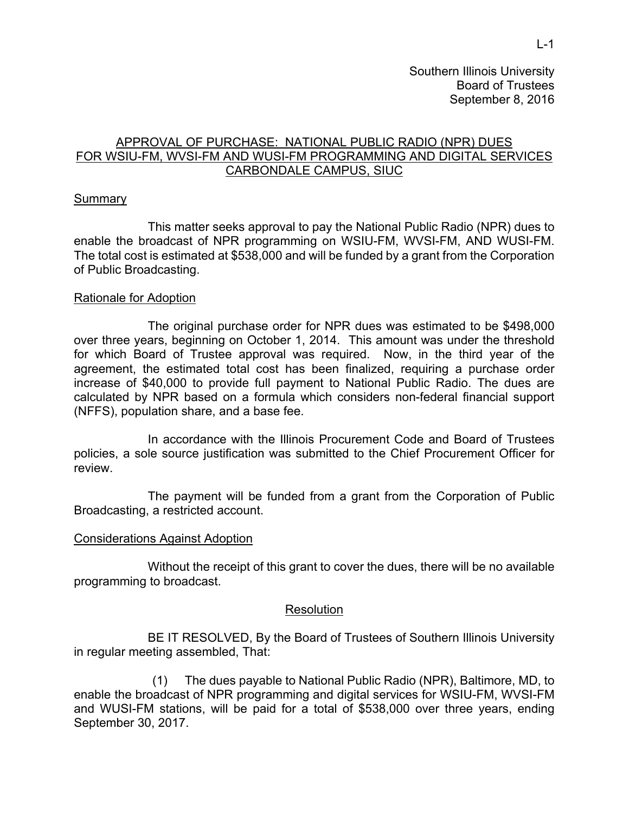Southern Illinois University Board of Trustees September 8, 2016

# APPROVAL OF PURCHASE: NATIONAL PUBLIC RADIO (NPR) DUES FOR WSIU-FM, WVSI-FM AND WUSI-FM PROGRAMMING AND DIGITAL SERVICES CARBONDALE CAMPUS, SIUC

#### **Summary**

This matter seeks approval to pay the National Public Radio (NPR) dues to enable the broadcast of NPR programming on WSIU-FM, WVSI-FM, AND WUSI-FM. The total cost is estimated at \$538,000 and will be funded by a grant from the Corporation of Public Broadcasting.

#### Rationale for Adoption

The original purchase order for NPR dues was estimated to be \$498,000 over three years, beginning on October 1, 2014. This amount was under the threshold for which Board of Trustee approval was required. Now, in the third year of the agreement, the estimated total cost has been finalized, requiring a purchase order increase of \$40,000 to provide full payment to National Public Radio. The dues are calculated by NPR based on a formula which considers non-federal financial support (NFFS), population share, and a base fee.

In accordance with the Illinois Procurement Code and Board of Trustees policies, a sole source justification was submitted to the Chief Procurement Officer for review.

The payment will be funded from a grant from the Corporation of Public Broadcasting, a restricted account.

#### Considerations Against Adoption

 Without the receipt of this grant to cover the dues, there will be no available programming to broadcast.

#### **Resolution**

 BE IT RESOLVED, By the Board of Trustees of Southern Illinois University in regular meeting assembled, That:

(1) The dues payable to National Public Radio (NPR), Baltimore, MD, to enable the broadcast of NPR programming and digital services for WSIU-FM, WVSI-FM and WUSI-FM stations, will be paid for a total of \$538,000 over three years, ending September 30, 2017.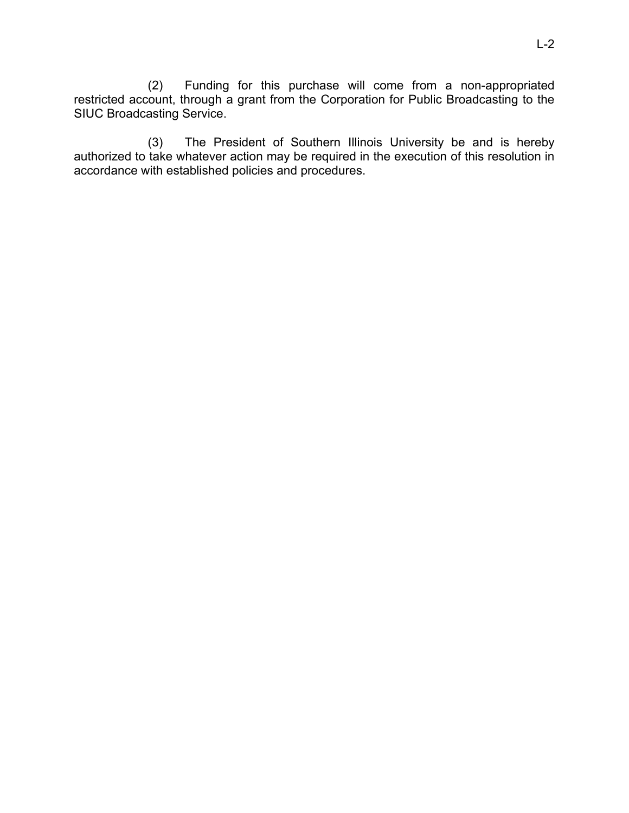(2) Funding for this purchase will come from a non-appropriated restricted account, through a grant from the Corporation for Public Broadcasting to the SIUC Broadcasting Service.

(3) The President of Southern Illinois University be and is hereby authorized to take whatever action may be required in the execution of this resolution in accordance with established policies and procedures.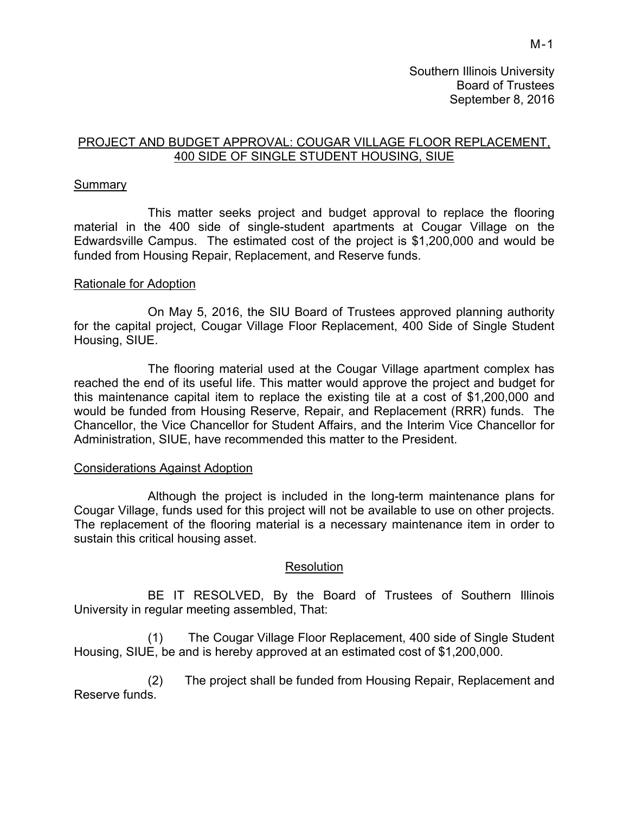# PROJECT AND BUDGET APPROVAL: COUGAR VILLAGE FLOOR REPLACEMENT, 400 SIDE OF SINGLE STUDENT HOUSING, SIUE

#### **Summary**

 This matter seeks project and budget approval to replace the flooring material in the 400 side of single-student apartments at Cougar Village on the Edwardsville Campus. The estimated cost of the project is \$1,200,000 and would be funded from Housing Repair, Replacement, and Reserve funds.

# Rationale for Adoption

On May 5, 2016, the SIU Board of Trustees approved planning authority for the capital project, Cougar Village Floor Replacement, 400 Side of Single Student Housing, SIUE.

The flooring material used at the Cougar Village apartment complex has reached the end of its useful life. This matter would approve the project and budget for this maintenance capital item to replace the existing tile at a cost of \$1,200,000 and would be funded from Housing Reserve, Repair, and Replacement (RRR) funds. The Chancellor, the Vice Chancellor for Student Affairs, and the Interim Vice Chancellor for Administration, SIUE, have recommended this matter to the President.

#### Considerations Against Adoption

 Although the project is included in the long-term maintenance plans for Cougar Village, funds used for this project will not be available to use on other projects. The replacement of the flooring material is a necessary maintenance item in order to sustain this critical housing asset.

# Resolution

 BE IT RESOLVED, By the Board of Trustees of Southern Illinois University in regular meeting assembled, That:

(1) The Cougar Village Floor Replacement, 400 side of Single Student Housing, SIUE, be and is hereby approved at an estimated cost of \$1,200,000.

(2) The project shall be funded from Housing Repair, Replacement and Reserve funds.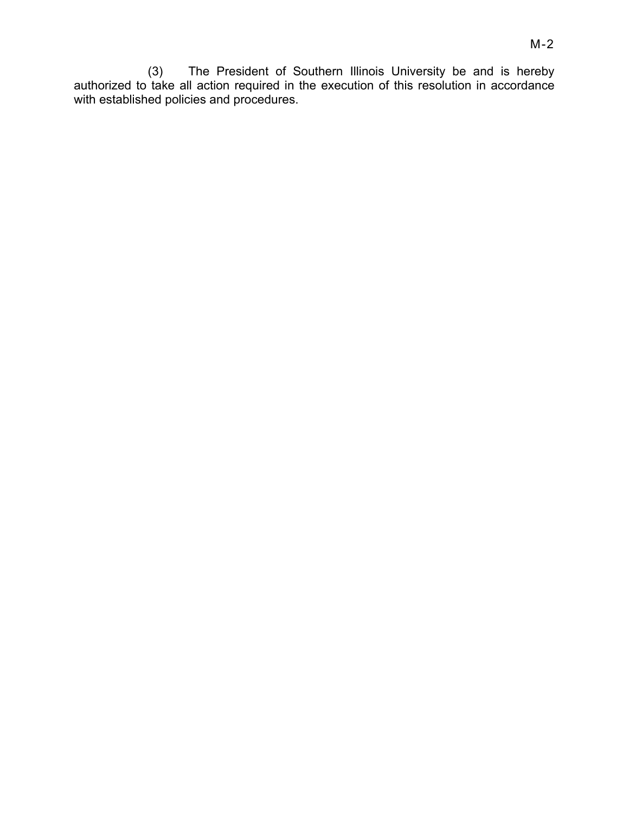M-2

(3) The President of Southern Illinois University be and is hereby authorized to take all action required in the execution of this resolution in accordance with established policies and procedures.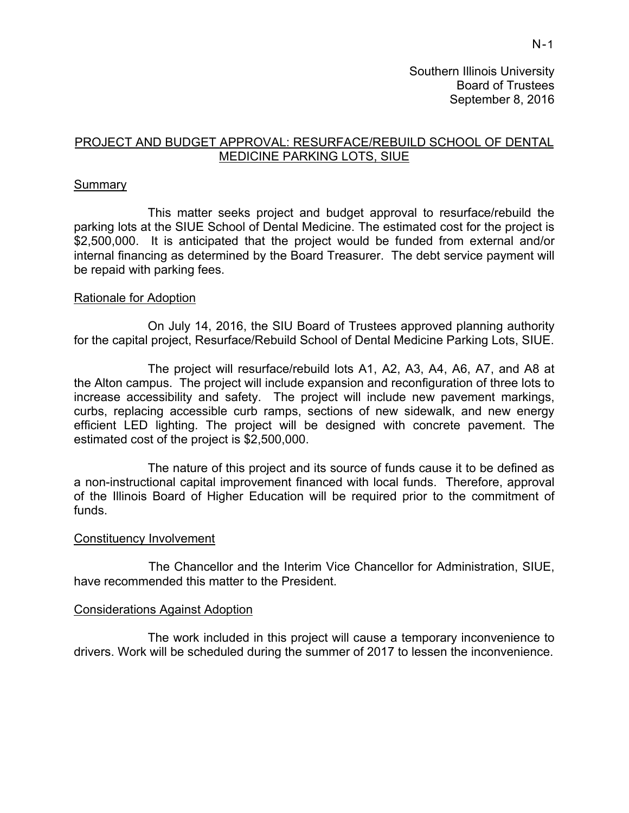# PROJECT AND BUDGET APPROVAL: RESURFACE/REBUILD SCHOOL OF DENTAL MEDICINE PARKING LOTS, SIUE

# **Summary**

This matter seeks project and budget approval to resurface/rebuild the parking lots at the SIUE School of Dental Medicine. The estimated cost for the project is \$2,500,000. It is anticipated that the project would be funded from external and/or internal financing as determined by the Board Treasurer. The debt service payment will be repaid with parking fees.

#### Rationale for Adoption

On July 14, 2016, the SIU Board of Trustees approved planning authority for the capital project, Resurface/Rebuild School of Dental Medicine Parking Lots, SIUE.

The project will resurface/rebuild lots A1, A2, A3, A4, A6, A7, and A8 at the Alton campus. The project will include expansion and reconfiguration of three lots to increase accessibility and safety. The project will include new pavement markings, curbs, replacing accessible curb ramps, sections of new sidewalk, and new energy efficient LED lighting. The project will be designed with concrete pavement. The estimated cost of the project is \$2,500,000.

The nature of this project and its source of funds cause it to be defined as a non-instructional capital improvement financed with local funds. Therefore, approval of the Illinois Board of Higher Education will be required prior to the commitment of funds.

#### Constituency Involvement

 The Chancellor and the Interim Vice Chancellor for Administration, SIUE, have recommended this matter to the President.

#### Considerations Against Adoption

 The work included in this project will cause a temporary inconvenience to drivers. Work will be scheduled during the summer of 2017 to lessen the inconvenience.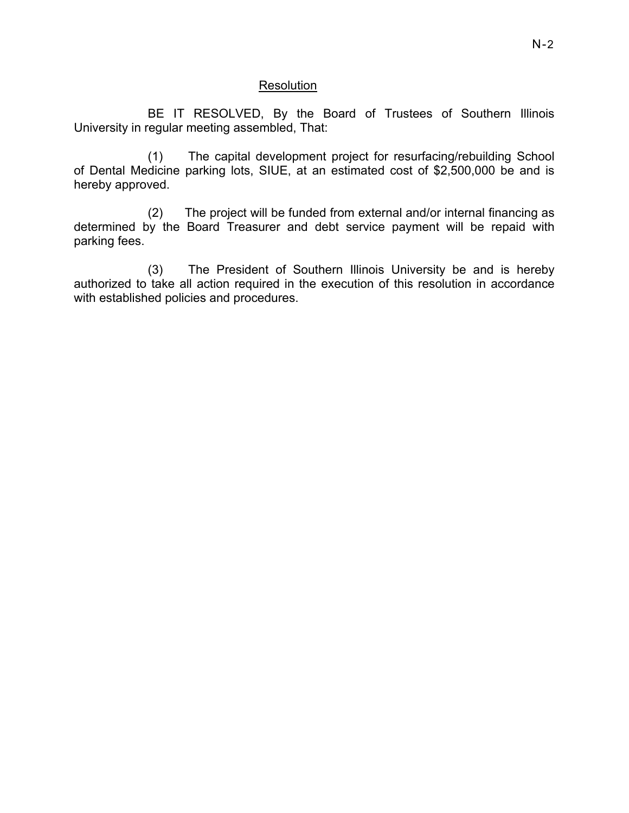# Resolution

 BE IT RESOLVED, By the Board of Trustees of Southern Illinois University in regular meeting assembled, That:

(1) The capital development project for resurfacing/rebuilding School of Dental Medicine parking lots, SIUE, at an estimated cost of \$2,500,000 be and is hereby approved.

(2) The project will be funded from external and/or internal financing as determined by the Board Treasurer and debt service payment will be repaid with parking fees.

(3) The President of Southern Illinois University be and is hereby authorized to take all action required in the execution of this resolution in accordance with established policies and procedures.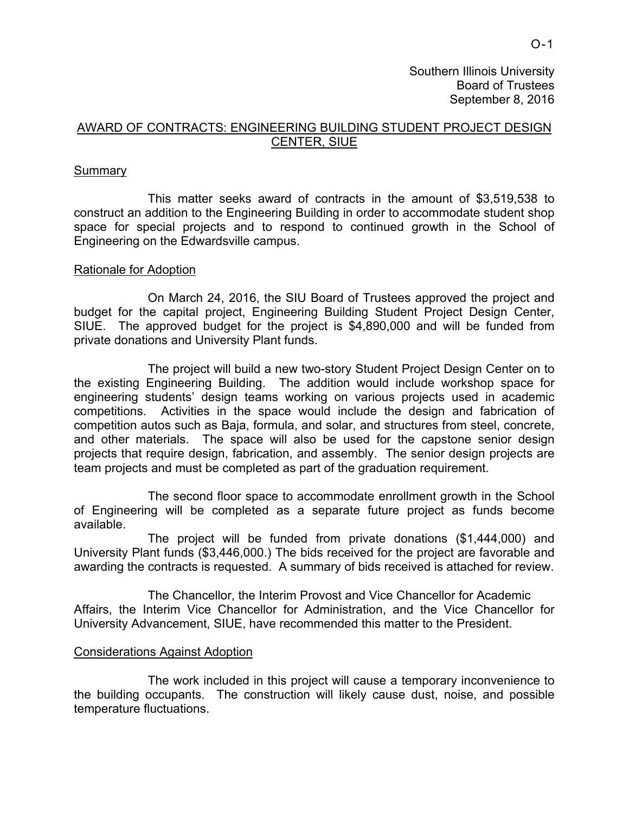Southern Illinois University Board of Trustees September 8, 2016

#### AWARD OF CONTRACTS: ENGINEERING BUILDING STUDENT PROJECT DESIGN CENTER, SIUE

#### Summary

This matter seeks award of contracts in the amount of \$3,519,538 to construct an addition to the Engineering Building in order to accommodate student shop space for special projects and to respond to continued growth in the School of Engineering on the Edwardsville campus.

#### Rationale for Adoption

On March 24, 2016, the SIU Board of Trustees approved the project and budget for the capital project, Engineering Building Student Project Design Center, SIUE. The approved budget for the project is \$4,890,000 and will be funded from private donations and University Plant funds.

The project will build a new two-story Student Project Design Center on to the existing Engineering Building. The addition would include workshop space for engineering students' design teams working on various projects used in academic competitions. Activities in the space would include the design and fabrication of competition autos such as Baja, formula, and solar, and structures from steel, concrete, and other materials. The space will also be used for the capstone senior design projects that require design, fabrication, and assembly. The senior design projects are team projects and must be completed as part of the graduation requirement.

The second floor space to accommodate enrollment growth in the School of Engineering will be completed as a separate future project as funds become available.

The project will be funded from private donations (\$1,444,000) and University Plant funds (\$3,446,000.) The bids received for the project are favorable and awarding the contracts is requested. A summary of bids received is attached for review.

The Chancellor, the Interim Provost and Vice Chancellor for Academic Affairs, the Interim Vice Chancellor for Administration, and the Vice Chancellor for University Advancement, SIUE, have recommended this matter to the President.

#### Considerations Against Adoption

 The work included in this project will cause a temporary inconvenience to the building occupants. The construction will likely cause dust, noise, and possible temperature fluctuations.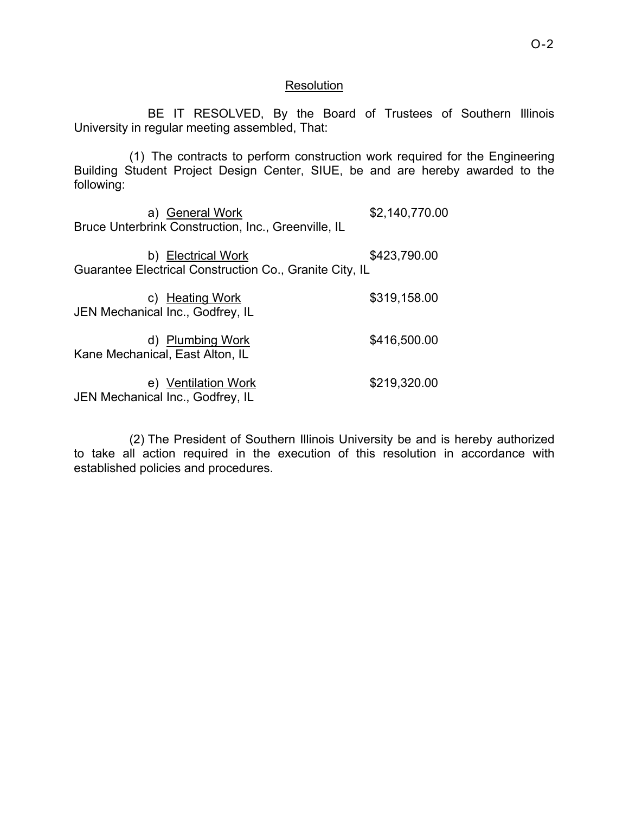#### **Resolution**

 BE IT RESOLVED, By the Board of Trustees of Southern Illinois University in regular meeting assembled, That:

(1) The contracts to perform construction work required for the Engineering Building Student Project Design Center, SIUE, be and are hereby awarded to the following:

a) General Work \$2,140,770.00 Bruce Unterbrink Construction, Inc., Greenville, IL

b) Electrical Work  $$423,790.00$ Guarantee Electrical Construction Co., Granite City, IL

| c) Heating Work                  | \$319,158.00 |
|----------------------------------|--------------|
| JEN Mechanical Inc., Godfrey, IL |              |

d) Plumbing Work \$416,500.00 Kane Mechanical, East Alton, IL

e) Ventilation Work \$219,320.00 JEN Mechanical Inc., Godfrey, IL

(2) The President of Southern Illinois University be and is hereby authorized to take all action required in the execution of this resolution in accordance with established policies and procedures.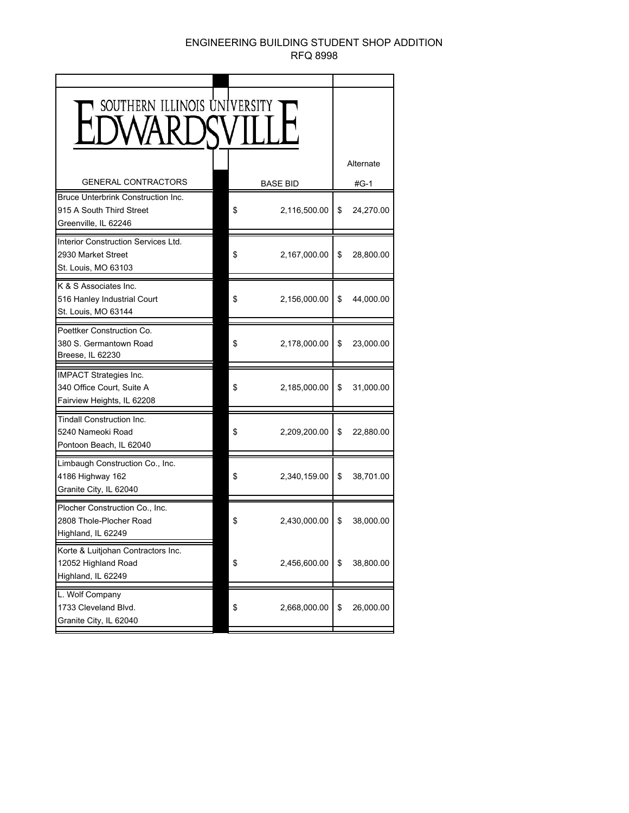#### ENGINEERING BUILDING STUDENT SHOP ADDITION RFQ 8998

| SOUTHERN ILLINOIS UNIVERSITY                                                             |                    |                 |
|------------------------------------------------------------------------------------------|--------------------|-----------------|
|                                                                                          |                    | Alternate       |
| <b>GENERAL CONTRACTORS</b>                                                               | <b>BASE BID</b>    | #G-1            |
| Bruce Unterbrink Construction Inc.<br>915 A South Third Street<br>Greenville, IL 62246   | 2,116,500.00<br>\$ | \$<br>24,270.00 |
| Interior Construction Services Ltd.<br>2930 Market Street<br>St. Louis, MO 63103         | 2,167,000.00<br>\$ | \$<br>28,800.00 |
| K & S Associates Inc.<br>516 Hanley Industrial Court<br>St. Louis, MO 63144              | \$<br>2,156,000.00 | \$<br>44,000.00 |
| Poettker Construction Co.<br>380 S. Germantown Road<br>Breese, IL 62230                  | \$<br>2,178,000.00 | \$<br>23,000.00 |
| <b>IMPACT Strategies Inc.</b><br>340 Office Court, Suite A<br>Fairview Heights, IL 62208 | \$<br>2,185,000.00 | \$<br>31,000.00 |
| <b>Tindall Construction Inc.</b><br>5240 Nameoki Road<br>Pontoon Beach, IL 62040         | \$<br>2,209,200.00 | \$<br>22,880.00 |
| Limbaugh Construction Co., Inc.<br>4186 Highway 162<br>Granite City, IL 62040            | 2,340,159.00<br>\$ | \$<br>38,701.00 |
| Plocher Construction Co., Inc.<br>2808 Thole-Plocher Road<br>Highland, IL 62249          | 2,430,000.00<br>\$ | \$<br>38,000.00 |
| Korte & Luitjohan Contractors Inc.<br>12052 Highland Road<br>Highland, IL 62249          | \$<br>2,456,600.00 | \$<br>38,800.00 |
| L. Wolf Company<br>1733 Cleveland Blvd.<br>Granite City, IL 62040                        | \$<br>2,668,000.00 | \$<br>26,000.00 |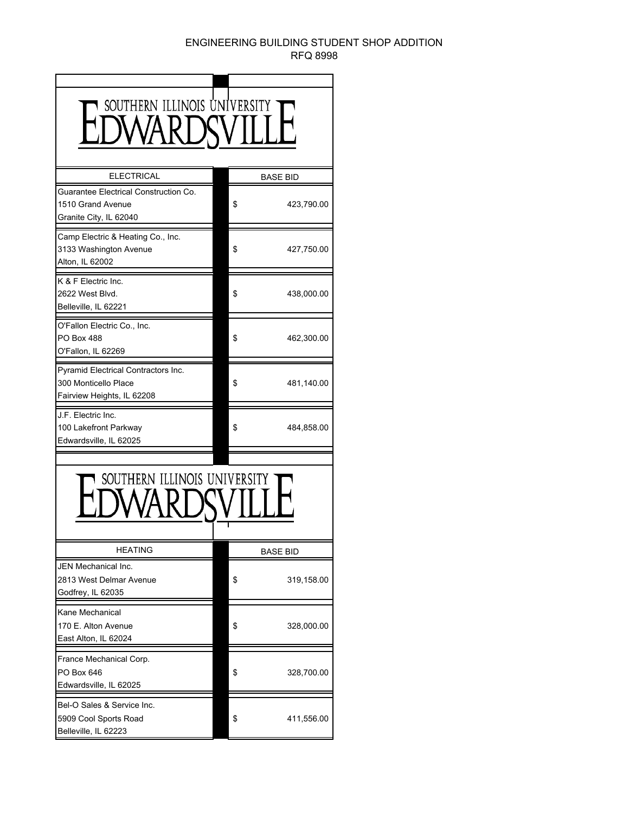#### ENGINEERING BUILDING STUDENT SHOP ADDITION RFQ 8998

| SOUTHERN ILLINOIS UNIVERSITY                                                              |  |                  |  |  |
|-------------------------------------------------------------------------------------------|--|------------------|--|--|
| <b>ELECTRICAL</b>                                                                         |  | <b>BASE BID</b>  |  |  |
| Guarantee Electrical Construction Co.<br>1510 Grand Avenue<br>Granite City, IL 62040      |  | \$<br>423,790.00 |  |  |
| Camp Electric & Heating Co., Inc.<br>3133 Washington Avenue<br>Alton, IL 62002            |  | \$<br>427,750.00 |  |  |
| K & F Electric Inc.<br>2622 West Blvd.<br>Belleville, IL 62221                            |  | 438,000.00<br>\$ |  |  |
| O'Fallon Electric Co., Inc.<br><b>PO Box 488</b><br>O'Fallon, IL 62269                    |  | \$<br>462,300.00 |  |  |
| Pyramid Electrical Contractors Inc.<br>300 Monticello Place<br>Fairview Heights, IL 62208 |  | 481,140.00<br>\$ |  |  |
| J.F. Electric Inc.<br>100 Lakefront Parkway<br>Edwardsville, IL 62025                     |  | \$<br>484,858.00 |  |  |
| SOUTHERN ILLINOIS UNIVERSITY                                                              |  |                  |  |  |
| <b>HEATING</b>                                                                            |  | BASE BID         |  |  |
| JEN Mechanical Inc.<br>2813 West Delmar Avenue<br>Godfrey, IL 62035                       |  | \$<br>319,158.00 |  |  |
| Kane Mechanical<br>170 E. Alton Avenue<br>East Alton, IL 62024                            |  | \$<br>328,000.00 |  |  |
| France Mechanical Corp.<br>PO Box 646<br>Edwardsville, IL 62025                           |  | \$<br>328,700.00 |  |  |
| Bel-O Sales & Service Inc.<br>5909 Cool Sports Road<br>Belleville, IL 62223               |  | \$<br>411,556.00 |  |  |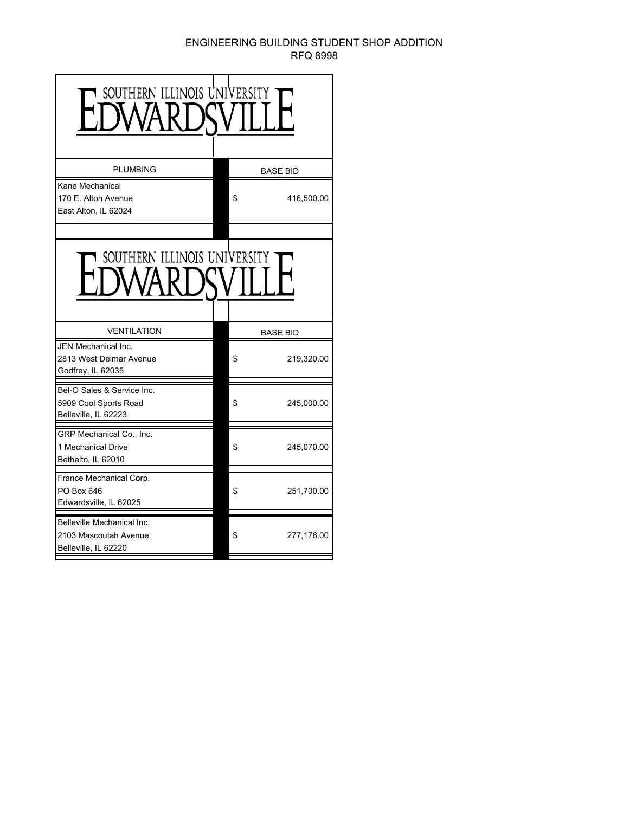#### ENGINEERING BUILDING STUDENT SHOP ADDITION RFQ 8998

| SOUTHERN ILLINOIS UNIVERSIT                                                 |                  |
|-----------------------------------------------------------------------------|------------------|
| <b>PLUMBING</b>                                                             | <b>BASE BID</b>  |
| Kane Mechanical<br>170 E. Alton Avenue<br>East Alton, IL 62024              | \$<br>416,500.00 |
|                                                                             |                  |
| SOUTHERN ILLINOIS UNIVERSITY                                                |                  |
| <b>VENTILATION</b>                                                          | <b>BASE BID</b>  |
| <b>JEN Mechanical Inc.</b><br>2813 West Delmar Avenue<br>Godfrey, IL 62035  | \$<br>219,320.00 |
| Bel-O Sales & Service Inc.<br>5909 Cool Sports Road<br>Belleville, IL 62223 | \$<br>245,000.00 |
| GRP Mechanical Co., Inc.<br>1 Mechanical Drive<br>Bethalto, IL 62010        | \$<br>245,070.00 |
| France Mechanical Corp.<br>PO Box 646<br>Edwardsville, IL 62025             | \$<br>251,700.00 |
| Belleville Mechanical Inc.<br>2103 Mascoutah Avenue<br>Belleville, IL 62220 | \$<br>277,176.00 |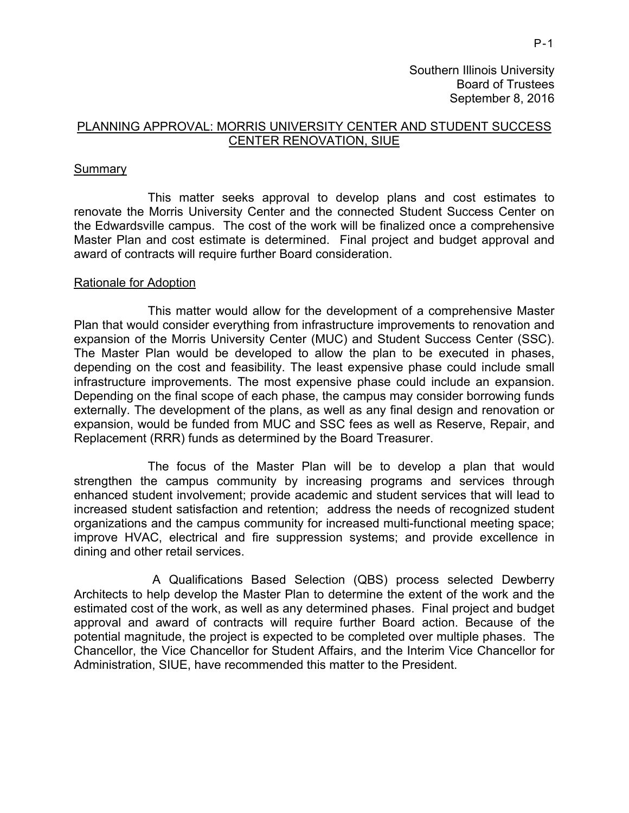Southern Illinois University Board of Trustees September 8, 2016

# PLANNING APPROVAL: MORRIS UNIVERSITY CENTER AND STUDENT SUCCESS CENTER RENOVATION, SIUE

#### **Summary**

 This matter seeks approval to develop plans and cost estimates to renovate the Morris University Center and the connected Student Success Center on the Edwardsville campus. The cost of the work will be finalized once a comprehensive Master Plan and cost estimate is determined. Final project and budget approval and award of contracts will require further Board consideration.

#### Rationale for Adoption

This matter would allow for the development of a comprehensive Master Plan that would consider everything from infrastructure improvements to renovation and expansion of the Morris University Center (MUC) and Student Success Center (SSC). The Master Plan would be developed to allow the plan to be executed in phases, depending on the cost and feasibility. The least expensive phase could include small infrastructure improvements. The most expensive phase could include an expansion. Depending on the final scope of each phase, the campus may consider borrowing funds externally. The development of the plans, as well as any final design and renovation or expansion, would be funded from MUC and SSC fees as well as Reserve, Repair, and Replacement (RRR) funds as determined by the Board Treasurer.

The focus of the Master Plan will be to develop a plan that would strengthen the campus community by increasing programs and services through enhanced student involvement; provide academic and student services that will lead to increased student satisfaction and retention; address the needs of recognized student organizations and the campus community for increased multi-functional meeting space; improve HVAC, electrical and fire suppression systems; and provide excellence in dining and other retail services.

A Qualifications Based Selection (QBS) process selected Dewberry Architects to help develop the Master Plan to determine the extent of the work and the estimated cost of the work, as well as any determined phases. Final project and budget approval and award of contracts will require further Board action. Because of the potential magnitude, the project is expected to be completed over multiple phases. The Chancellor, the Vice Chancellor for Student Affairs, and the Interim Vice Chancellor for Administration, SIUE, have recommended this matter to the President.